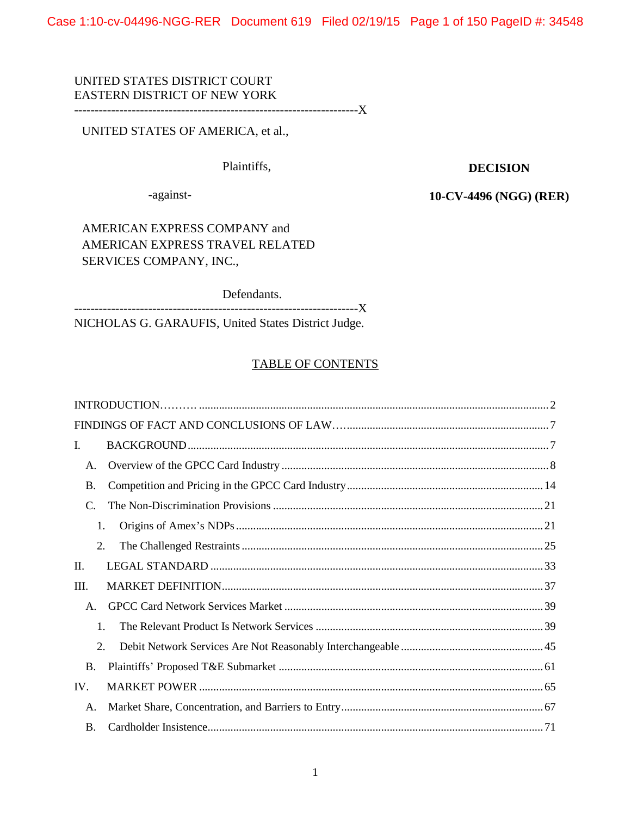Case 1:10-cv-04496-NGG-RER Document 619 Filed 02/19/15 Page 1 of 150 PageID #: 34548

# UNITED STATES DISTRICT COURT EASTERN DISTRICT OF NEW YORK

---------------------------------------------------------------------X

# UNITED STATES OF AMERICA, et al.,

Plaintiffs,

# **DECISION**

-against-

# **10-CV-4496 (NGG) (RER)**

AMERICAN EXPRESS COMPANY and AMERICAN EXPRESS TRAVEL RELATED SERVICES COMPANY, INC.,

Defendants.

---------------------------------------------------------------------X NICHOLAS G. GARAUFIS, United States District Judge.

# TABLE OF CONTENTS

| Ι.          |
|-------------|
| A.          |
| <b>B.</b>   |
| C.          |
| 1.          |
| 2.          |
| $\Pi$ .     |
| III.        |
| $A_{\cdot}$ |
| 1.          |
| 2.          |
| <b>B.</b>   |
| IV.         |
| А.          |
| <b>B.</b>   |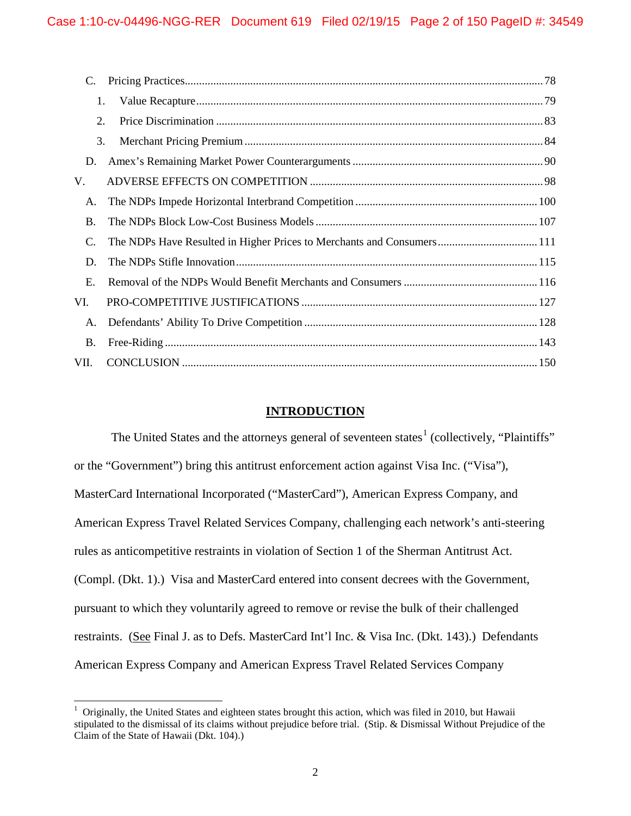| C.        |                                                                        |
|-----------|------------------------------------------------------------------------|
| 1.        |                                                                        |
| 2.        |                                                                        |
| 3.        |                                                                        |
| D.        |                                                                        |
| V.        |                                                                        |
| A.        |                                                                        |
| <b>B.</b> |                                                                        |
| C.        | The NDPs Have Resulted in Higher Prices to Merchants and Consumers 111 |
| D.        |                                                                        |
| Ε.        |                                                                        |
| VI.       |                                                                        |
| A.        |                                                                        |
| <b>B.</b> |                                                                        |
| VII.      |                                                                        |

# **INTRODUCTION**

The United States and the attorneys general of seventeen states<sup>1</sup> (collectively, "Plaintiffs" or the "Government") bring this antitrust enforcement action against Visa Inc. ("Visa"), MasterCard International Incorporated ("MasterCard"), American Express Company, and American Express Travel Related Services Company, challenging each network's anti-steering rules as anticompetitive restraints in violation of Section 1 of the Sherman Antitrust Act. (Compl. (Dkt. 1).) Visa and MasterCard entered into consent decrees with the Government, pursuant to which they voluntarily agreed to remove or revise the bulk of their challenged restraints. (See Final J. as to Defs. MasterCard Int'l Inc. & Visa Inc. (Dkt. 143).) Defendants American Express Company and American Express Travel Related Services Company

 $\overline{a}$ 

<sup>&</sup>lt;sup>1</sup> Originally, the United States and eighteen states brought this action, which was filed in 2010, but Hawaii stipulated to the dismissal of its claims without prejudice before trial. (Stip. & Dismissal Without Prejudice of the Claim of the State of Hawaii (Dkt. 104).)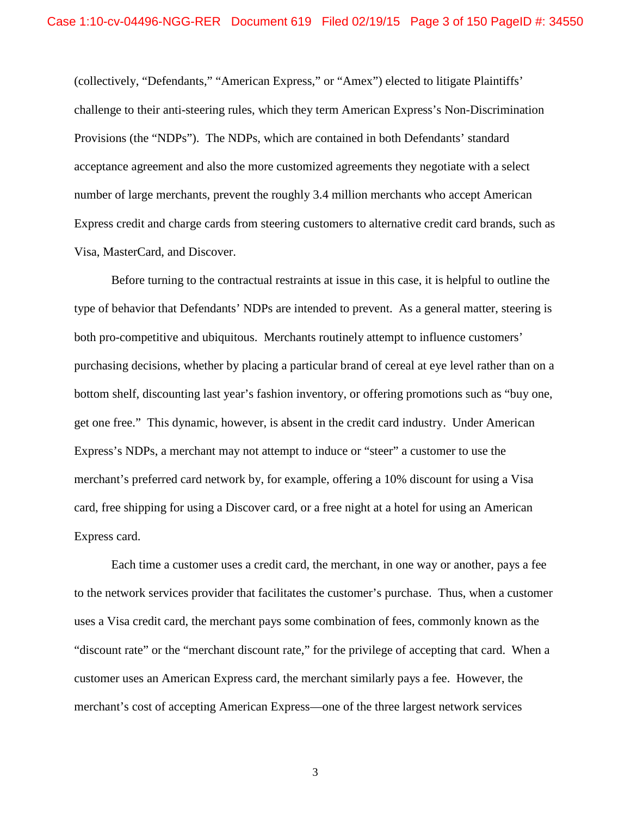(collectively, "Defendants," "American Express," or "Amex") elected to litigate Plaintiffs' challenge to their anti-steering rules, which they term American Express's Non-Discrimination Provisions (the "NDPs"). The NDPs, which are contained in both Defendants' standard acceptance agreement and also the more customized agreements they negotiate with a select number of large merchants, prevent the roughly 3.4 million merchants who accept American Express credit and charge cards from steering customers to alternative credit card brands, such as Visa, MasterCard, and Discover.

Before turning to the contractual restraints at issue in this case, it is helpful to outline the type of behavior that Defendants' NDPs are intended to prevent. As a general matter, steering is both pro-competitive and ubiquitous. Merchants routinely attempt to influence customers' purchasing decisions, whether by placing a particular brand of cereal at eye level rather than on a bottom shelf, discounting last year's fashion inventory, or offering promotions such as "buy one, get one free." This dynamic, however, is absent in the credit card industry. Under American Express's NDPs, a merchant may not attempt to induce or "steer" a customer to use the merchant's preferred card network by, for example, offering a 10% discount for using a Visa card, free shipping for using a Discover card, or a free night at a hotel for using an American Express card.

Each time a customer uses a credit card, the merchant, in one way or another, pays a fee to the network services provider that facilitates the customer's purchase. Thus, when a customer uses a Visa credit card, the merchant pays some combination of fees, commonly known as the "discount rate" or the "merchant discount rate," for the privilege of accepting that card. When a customer uses an American Express card, the merchant similarly pays a fee. However, the merchant's cost of accepting American Express—one of the three largest network services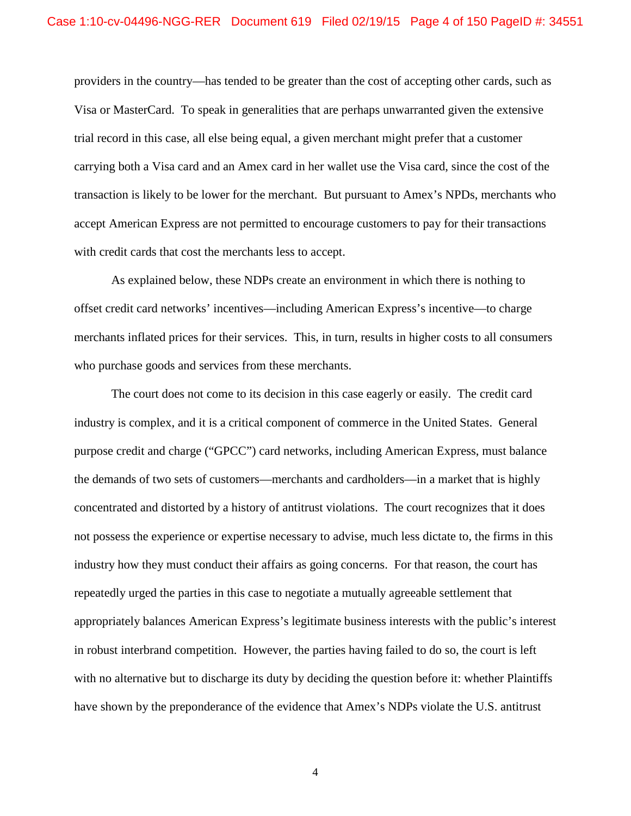providers in the country—has tended to be greater than the cost of accepting other cards, such as Visa or MasterCard. To speak in generalities that are perhaps unwarranted given the extensive trial record in this case, all else being equal, a given merchant might prefer that a customer carrying both a Visa card and an Amex card in her wallet use the Visa card, since the cost of the transaction is likely to be lower for the merchant. But pursuant to Amex's NPDs, merchants who accept American Express are not permitted to encourage customers to pay for their transactions with credit cards that cost the merchants less to accept.

As explained below, these NDPs create an environment in which there is nothing to offset credit card networks' incentives—including American Express's incentive—to charge merchants inflated prices for their services. This, in turn, results in higher costs to all consumers who purchase goods and services from these merchants.

The court does not come to its decision in this case eagerly or easily. The credit card industry is complex, and it is a critical component of commerce in the United States. General purpose credit and charge ("GPCC") card networks, including American Express, must balance the demands of two sets of customers—merchants and cardholders—in a market that is highly concentrated and distorted by a history of antitrust violations. The court recognizes that it does not possess the experience or expertise necessary to advise, much less dictate to, the firms in this industry how they must conduct their affairs as going concerns. For that reason, the court has repeatedly urged the parties in this case to negotiate a mutually agreeable settlement that appropriately balances American Express's legitimate business interests with the public's interest in robust interbrand competition. However, the parties having failed to do so, the court is left with no alternative but to discharge its duty by deciding the question before it: whether Plaintiffs have shown by the preponderance of the evidence that Amex's NDPs violate the U.S. antitrust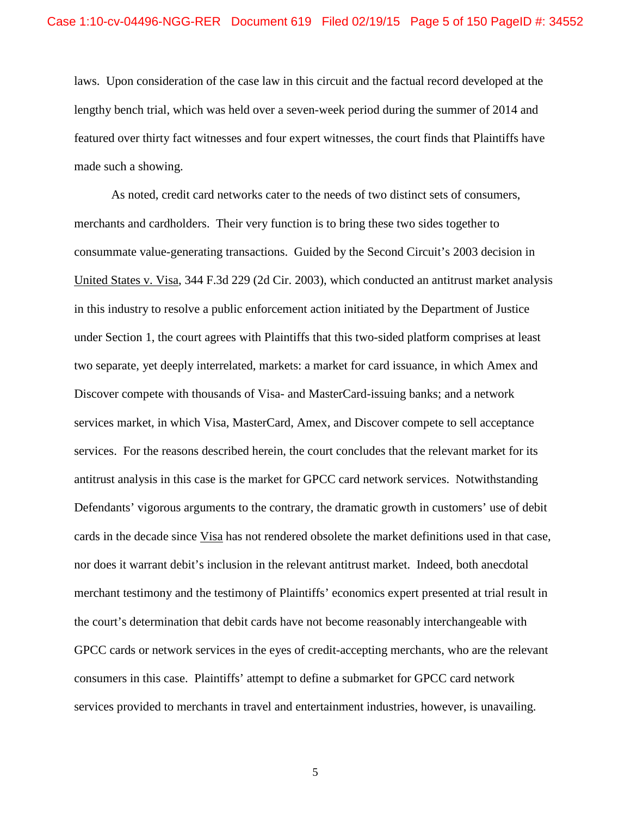laws. Upon consideration of the case law in this circuit and the factual record developed at the lengthy bench trial, which was held over a seven-week period during the summer of 2014 and featured over thirty fact witnesses and four expert witnesses, the court finds that Plaintiffs have made such a showing.

As noted, credit card networks cater to the needs of two distinct sets of consumers, merchants and cardholders. Their very function is to bring these two sides together to consummate value-generating transactions. Guided by the Second Circuit's 2003 decision in United States v. Visa, 344 F.3d 229 (2d Cir. 2003), which conducted an antitrust market analysis in this industry to resolve a public enforcement action initiated by the Department of Justice under Section 1, the court agrees with Plaintiffs that this two-sided platform comprises at least two separate, yet deeply interrelated, markets: a market for card issuance, in which Amex and Discover compete with thousands of Visa- and MasterCard-issuing banks; and a network services market, in which Visa, MasterCard, Amex, and Discover compete to sell acceptance services. For the reasons described herein, the court concludes that the relevant market for its antitrust analysis in this case is the market for GPCC card network services. Notwithstanding Defendants' vigorous arguments to the contrary, the dramatic growth in customers' use of debit cards in the decade since Visa has not rendered obsolete the market definitions used in that case, nor does it warrant debit's inclusion in the relevant antitrust market. Indeed, both anecdotal merchant testimony and the testimony of Plaintiffs' economics expert presented at trial result in the court's determination that debit cards have not become reasonably interchangeable with GPCC cards or network services in the eyes of credit-accepting merchants, who are the relevant consumers in this case. Plaintiffs' attempt to define a submarket for GPCC card network services provided to merchants in travel and entertainment industries, however, is unavailing.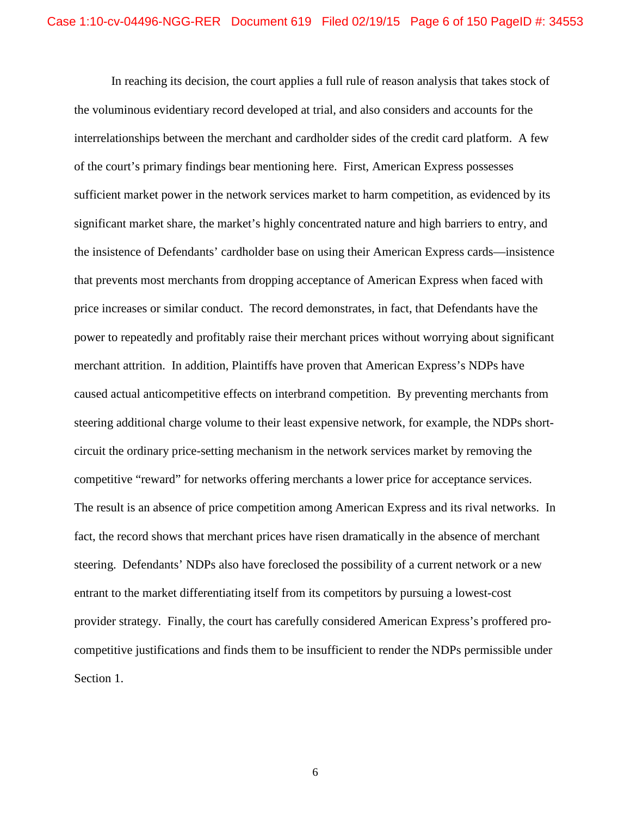In reaching its decision, the court applies a full rule of reason analysis that takes stock of the voluminous evidentiary record developed at trial, and also considers and accounts for the interrelationships between the merchant and cardholder sides of the credit card platform. A few of the court's primary findings bear mentioning here. First, American Express possesses sufficient market power in the network services market to harm competition, as evidenced by its significant market share, the market's highly concentrated nature and high barriers to entry, and the insistence of Defendants' cardholder base on using their American Express cards—insistence that prevents most merchants from dropping acceptance of American Express when faced with price increases or similar conduct. The record demonstrates, in fact, that Defendants have the power to repeatedly and profitably raise their merchant prices without worrying about significant merchant attrition. In addition, Plaintiffs have proven that American Express's NDPs have caused actual anticompetitive effects on interbrand competition. By preventing merchants from steering additional charge volume to their least expensive network, for example, the NDPs shortcircuit the ordinary price-setting mechanism in the network services market by removing the competitive "reward" for networks offering merchants a lower price for acceptance services. The result is an absence of price competition among American Express and its rival networks. In fact, the record shows that merchant prices have risen dramatically in the absence of merchant steering. Defendants' NDPs also have foreclosed the possibility of a current network or a new entrant to the market differentiating itself from its competitors by pursuing a lowest-cost provider strategy. Finally, the court has carefully considered American Express's proffered procompetitive justifications and finds them to be insufficient to render the NDPs permissible under Section 1.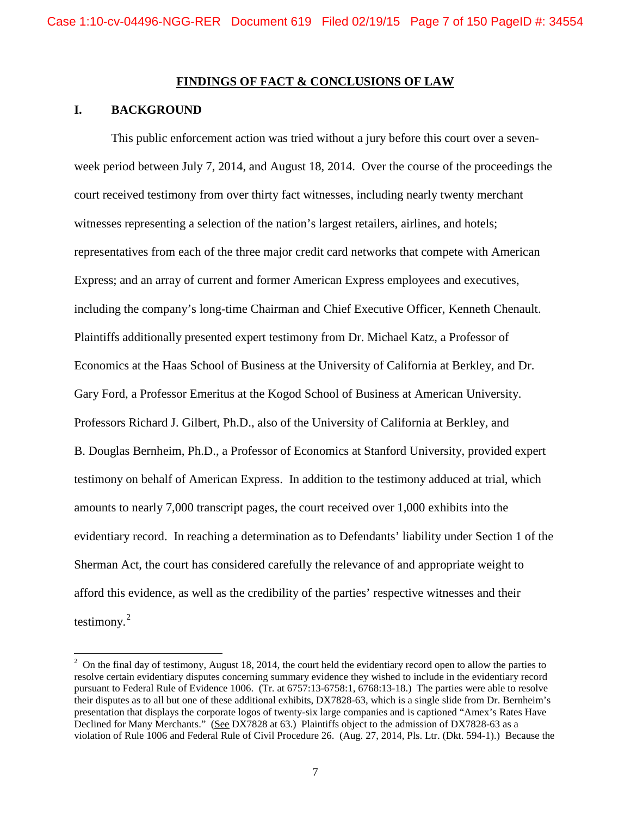# **FINDINGS OF FACT & CONCLUSIONS OF LAW**

# **I. BACKGROUND**

 $\overline{a}$ 

This public enforcement action was tried without a jury before this court over a sevenweek period between July 7, 2014, and August 18, 2014. Over the course of the proceedings the court received testimony from over thirty fact witnesses, including nearly twenty merchant witnesses representing a selection of the nation's largest retailers, airlines, and hotels; representatives from each of the three major credit card networks that compete with American Express; and an array of current and former American Express employees and executives, including the company's long-time Chairman and Chief Executive Officer, Kenneth Chenault. Plaintiffs additionally presented expert testimony from Dr. Michael Katz, a Professor of Economics at the Haas School of Business at the University of California at Berkley, and Dr. Gary Ford, a Professor Emeritus at the Kogod School of Business at American University. Professors Richard J. Gilbert, Ph.D., also of the University of California at Berkley, and B. Douglas Bernheim, Ph.D., a Professor of Economics at Stanford University, provided expert testimony on behalf of American Express. In addition to the testimony adduced at trial, which amounts to nearly 7,000 transcript pages, the court received over 1,000 exhibits into the evidentiary record. In reaching a determination as to Defendants' liability under Section 1 of the Sherman Act, the court has considered carefully the relevance of and appropriate weight to afford this evidence, as well as the credibility of the parties' respective witnesses and their testimony.<sup>2</sup>

 $2$  On the final day of testimony, August 18, 2014, the court held the evidentiary record open to allow the parties to resolve certain evidentiary disputes concerning summary evidence they wished to include in the evidentiary record pursuant to Federal Rule of Evidence 1006. (Tr. at 6757:13-6758:1, 6768:13-18.) The parties were able to resolve their disputes as to all but one of these additional exhibits, DX7828-63, which is a single slide from Dr. Bernheim's presentation that displays the corporate logos of twenty-six large companies and is captioned "Amex's Rates Have Declined for Many Merchants." (See DX7828 at 63.) Plaintiffs object to the admission of DX7828-63 as a violation of Rule 1006 and Federal Rule of Civil Procedure 26. (Aug. 27, 2014, Pls. Ltr. (Dkt. 594-1).) Because the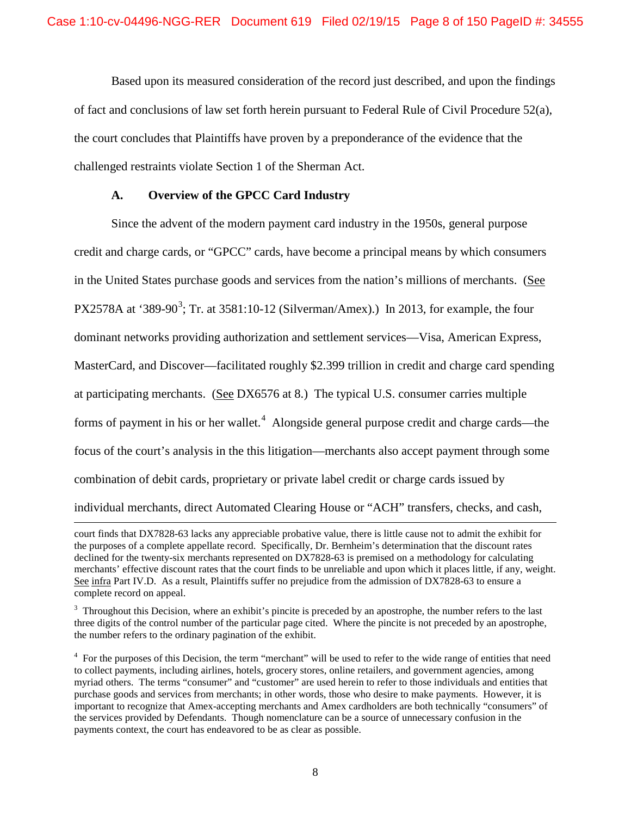Based upon its measured consideration of the record just described, and upon the findings of fact and conclusions of law set forth herein pursuant to Federal Rule of Civil Procedure  $52(a)$ , the court concludes that Plaintiffs have proven by a preponderance of the evidence that the challenged restraints violate Section 1 of the Sherman Act.

# **A. Overview of the GPCC Card Industry**

 $\overline{a}$ 

Since the advent of the modern payment card industry in the 1950s, general purpose credit and charge cards, or "GPCC" cards, have become a principal means by which consumers in the United States purchase goods and services from the nation's millions of merchants. (See PX2578A at '389-90<sup>3</sup>; Tr. at 3581:10-12 (Silverman/Amex).) In 2013, for example, the four dominant networks providing authorization and settlement services—Visa, American Express, MasterCard, and Discover—facilitated roughly \$2.399 trillion in credit and charge card spending at participating merchants. (See DX6576 at 8.) The typical U.S. consumer carries multiple forms of payment in his or her wallet.<sup>4</sup> Alongside general purpose credit and charge cards—the focus of the court's analysis in the this litigation—merchants also accept payment through some combination of debit cards, proprietary or private label credit or charge cards issued by individual merchants, direct Automated Clearing House or "ACH" transfers, checks, and cash,

court finds that DX7828-63 lacks any appreciable probative value, there is little cause not to admit the exhibit for the purposes of a complete appellate record. Specifically, Dr. Bernheim's determination that the discount rates declined for the twenty-six merchants represented on DX7828-63 is premised on a methodology for calculating merchants' effective discount rates that the court finds to be unreliable and upon which it places little, if any, weight. See infra Part IV.D. As a result, Plaintiffs suffer no prejudice from the admission of DX7828-63 to ensure a complete record on appeal.

 $3$  Throughout this Decision, where an exhibit's pincite is preceded by an apostrophe, the number refers to the last three digits of the control number of the particular page cited. Where the pincite is not preceded by an apostrophe, the number refers to the ordinary pagination of the exhibit.

<sup>&</sup>lt;sup>4</sup> For the purposes of this Decision, the term "merchant" will be used to refer to the wide range of entities that need to collect payments, including airlines, hotels, grocery stores, online retailers, and government agencies, among myriad others. The terms "consumer" and "customer" are used herein to refer to those individuals and entities that purchase goods and services from merchants; in other words, those who desire to make payments. However, it is important to recognize that Amex-accepting merchants and Amex cardholders are both technically "consumers" of the services provided by Defendants. Though nomenclature can be a source of unnecessary confusion in the payments context, the court has endeavored to be as clear as possible.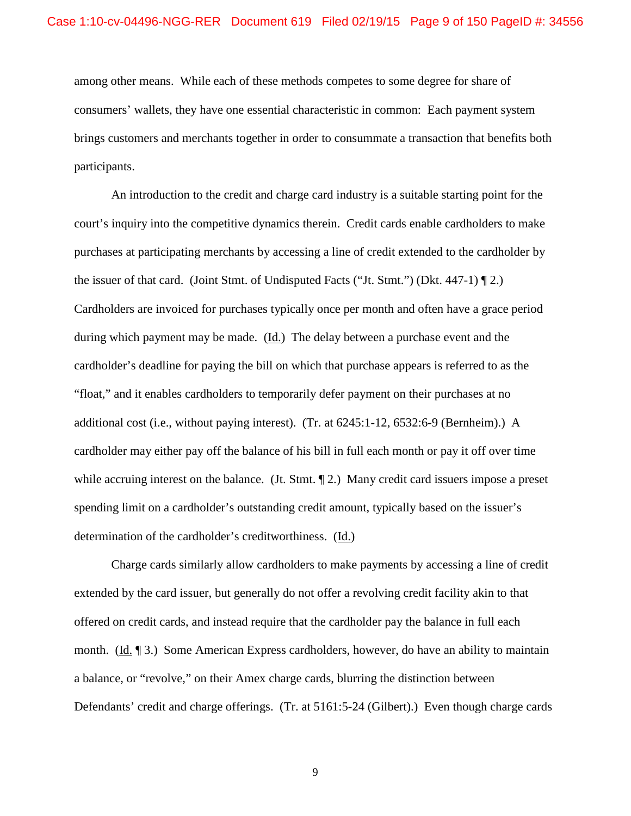among other means. While each of these methods competes to some degree for share of consumers' wallets, they have one essential characteristic in common: Each payment system brings customers and merchants together in order to consummate a transaction that benefits both participants.

An introduction to the credit and charge card industry is a suitable starting point for the court's inquiry into the competitive dynamics therein. Credit cards enable cardholders to make purchases at participating merchants by accessing a line of credit extended to the cardholder by the issuer of that card. (Joint Stmt. of Undisputed Facts ("Jt. Stmt.") (Dkt. 447-1) ¶ 2.) Cardholders are invoiced for purchases typically once per month and often have a grace period during which payment may be made. (Id.) The delay between a purchase event and the cardholder's deadline for paying the bill on which that purchase appears is referred to as the "float," and it enables cardholders to temporarily defer payment on their purchases at no additional cost (i.e., without paying interest). (Tr. at 6245:1-12, 6532:6-9 (Bernheim).) A cardholder may either pay off the balance of his bill in full each month or pay it off over time while accruing interest on the balance. (Jt. Stmt.  $\P$  2.) Many credit card issuers impose a preset spending limit on a cardholder's outstanding credit amount, typically based on the issuer's determination of the cardholder's creditworthiness. (Id.)

Charge cards similarly allow cardholders to make payments by accessing a line of credit extended by the card issuer, but generally do not offer a revolving credit facility akin to that offered on credit cards, and instead require that the cardholder pay the balance in full each month. (Id. ¶ 3.) Some American Express cardholders, however, do have an ability to maintain a balance, or "revolve," on their Amex charge cards, blurring the distinction between Defendants' credit and charge offerings. (Tr. at 5161:5-24 (Gilbert).) Even though charge cards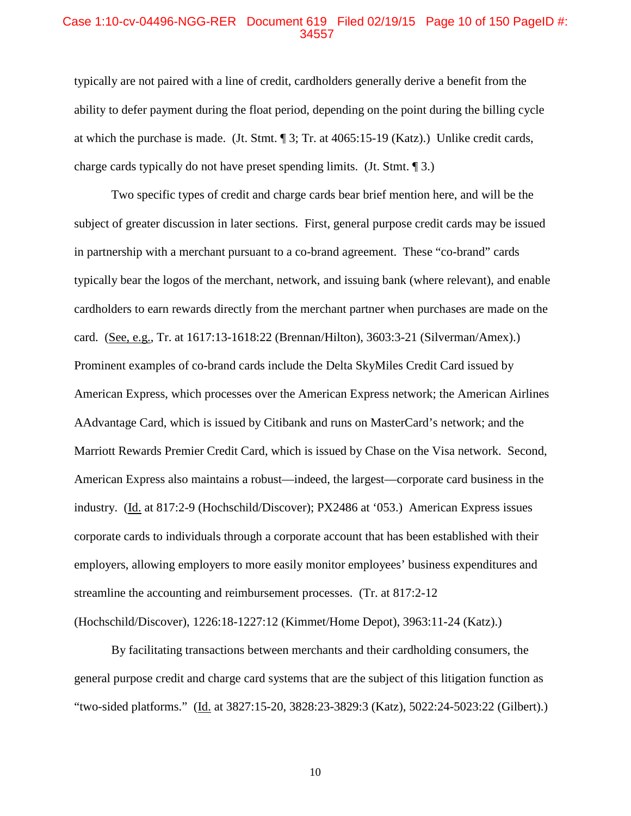#### Case 1:10-cv-04496-NGG-RER Document 619 Filed 02/19/15 Page 10 of 150 PageID #: 34557

typically are not paired with a line of credit, cardholders generally derive a benefit from the ability to defer payment during the float period, depending on the point during the billing cycle at which the purchase is made. (Jt. Stmt. ¶ 3; Tr. at 4065:15-19 (Katz).) Unlike credit cards, charge cards typically do not have preset spending limits. (Jt. Stmt. ¶ 3.)

Two specific types of credit and charge cards bear brief mention here, and will be the subject of greater discussion in later sections. First, general purpose credit cards may be issued in partnership with a merchant pursuant to a co-brand agreement. These "co-brand" cards typically bear the logos of the merchant, network, and issuing bank (where relevant), and enable cardholders to earn rewards directly from the merchant partner when purchases are made on the card. (See, e.g., Tr. at 1617:13-1618:22 (Brennan/Hilton), 3603:3-21 (Silverman/Amex).) Prominent examples of co-brand cards include the Delta SkyMiles Credit Card issued by American Express, which processes over the American Express network; the American Airlines AAdvantage Card, which is issued by Citibank and runs on MasterCard's network; and the Marriott Rewards Premier Credit Card, which is issued by Chase on the Visa network. Second, American Express also maintains a robust—indeed, the largest—corporate card business in the industry. (Id. at 817:2-9 (Hochschild/Discover); PX2486 at '053.) American Express issues corporate cards to individuals through a corporate account that has been established with their employers, allowing employers to more easily monitor employees' business expenditures and streamline the accounting and reimbursement processes. (Tr. at 817:2-12 (Hochschild/Discover), 1226:18-1227:12 (Kimmet/Home Depot), 3963:11-24 (Katz).)

By facilitating transactions between merchants and their cardholding consumers, the general purpose credit and charge card systems that are the subject of this litigation function as "two-sided platforms." (Id. at 3827:15-20, 3828:23-3829:3 (Katz), 5022:24-5023:22 (Gilbert).)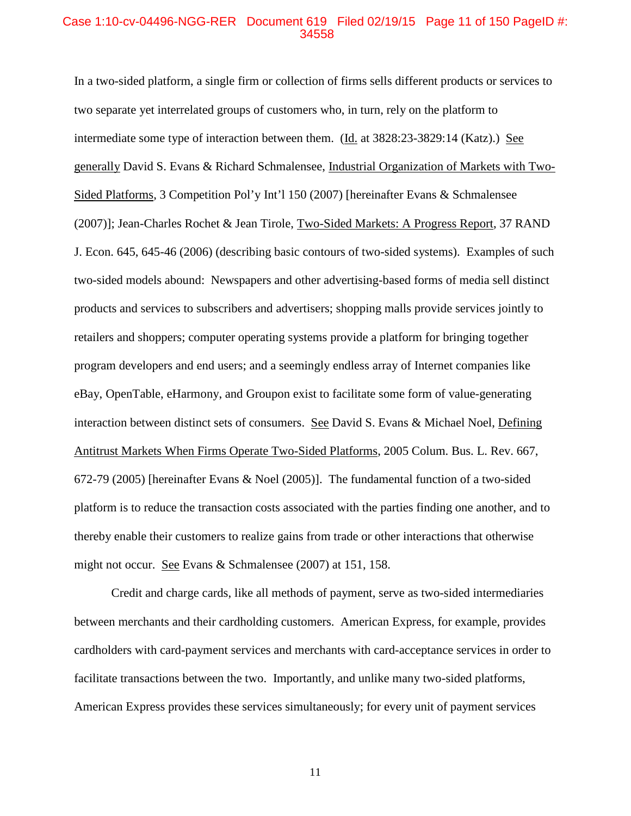## Case 1:10-cv-04496-NGG-RER Document 619 Filed 02/19/15 Page 11 of 150 PageID #: 34558

In a two-sided platform, a single firm or collection of firms sells different products or services to two separate yet interrelated groups of customers who, in turn, rely on the platform to intermediate some type of interaction between them. (Id. at 3828:23-3829:14 (Katz).) See generally David S. Evans & Richard Schmalensee, Industrial Organization of Markets with Two-Sided Platforms, 3 Competition Pol'y Int'l 150 (2007) [hereinafter Evans & Schmalensee (2007)]; Jean-Charles Rochet & Jean Tirole, Two-Sided Markets: A Progress Report, 37 RAND J. Econ. 645, 645-46 (2006) (describing basic contours of two-sided systems). Examples of such two-sided models abound: Newspapers and other advertising-based forms of media sell distinct products and services to subscribers and advertisers; shopping malls provide services jointly to retailers and shoppers; computer operating systems provide a platform for bringing together program developers and end users; and a seemingly endless array of Internet companies like eBay, OpenTable, eHarmony, and Groupon exist to facilitate some form of value-generating interaction between distinct sets of consumers. See David S. Evans & Michael Noel, Defining Antitrust Markets When Firms Operate Two-Sided Platforms, 2005 Colum. Bus. L. Rev. 667, 672-79 (2005) [hereinafter Evans & Noel (2005)]. The fundamental function of a two-sided platform is to reduce the transaction costs associated with the parties finding one another, and to thereby enable their customers to realize gains from trade or other interactions that otherwise might not occur. See Evans & Schmalensee (2007) at 151, 158.

Credit and charge cards, like all methods of payment, serve as two-sided intermediaries between merchants and their cardholding customers. American Express, for example, provides cardholders with card-payment services and merchants with card-acceptance services in order to facilitate transactions between the two. Importantly, and unlike many two-sided platforms, American Express provides these services simultaneously; for every unit of payment services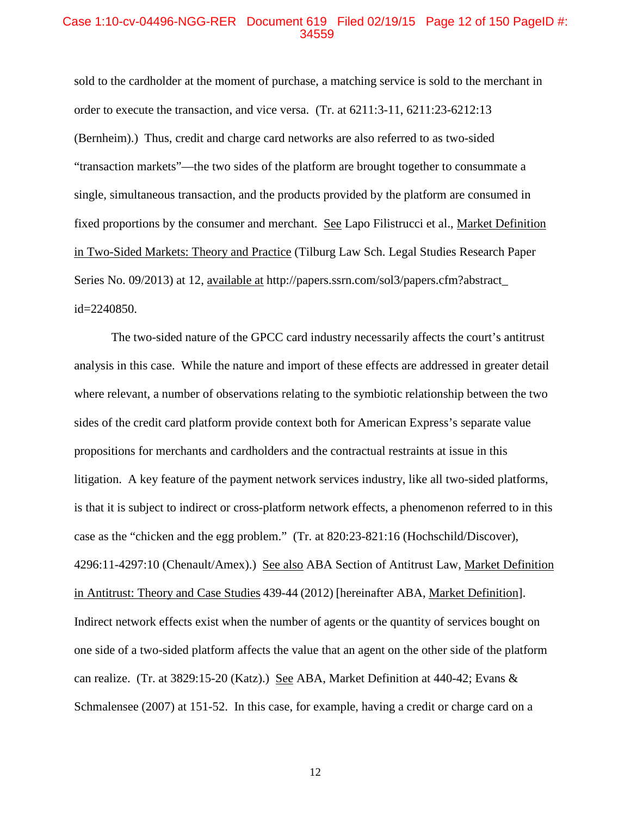# Case 1:10-cv-04496-NGG-RER Document 619 Filed 02/19/15 Page 12 of 150 PageID #: 34559

sold to the cardholder at the moment of purchase, a matching service is sold to the merchant in order to execute the transaction, and vice versa. (Tr. at 6211:3-11, 6211:23-6212:13 (Bernheim).) Thus, credit and charge card networks are also referred to as two-sided "transaction markets"—the two sides of the platform are brought together to consummate a single, simultaneous transaction, and the products provided by the platform are consumed in fixed proportions by the consumer and merchant. See Lapo Filistrucci et al., Market Definition in Two-Sided Markets: Theory and Practice (Tilburg Law Sch. Legal Studies Research Paper Series No. 09/2013) at 12, available at http://papers.ssrn.com/sol3/papers.cfm?abstract\_ id=2240850.

The two-sided nature of the GPCC card industry necessarily affects the court's antitrust analysis in this case. While the nature and import of these effects are addressed in greater detail where relevant, a number of observations relating to the symbiotic relationship between the two sides of the credit card platform provide context both for American Express's separate value propositions for merchants and cardholders and the contractual restraints at issue in this litigation. A key feature of the payment network services industry, like all two-sided platforms, is that it is subject to indirect or cross-platform network effects, a phenomenon referred to in this case as the "chicken and the egg problem." (Tr. at 820:23-821:16 (Hochschild/Discover), 4296:11-4297:10 (Chenault/Amex).) See also ABA Section of Antitrust Law, Market Definition in Antitrust: Theory and Case Studies 439-44 (2012) [hereinafter ABA, Market Definition]. Indirect network effects exist when the number of agents or the quantity of services bought on one side of a two-sided platform affects the value that an agent on the other side of the platform can realize. (Tr. at 3829:15-20 (Katz).) See ABA, Market Definition at 440-42; Evans & Schmalensee (2007) at 151-52. In this case, for example, having a credit or charge card on a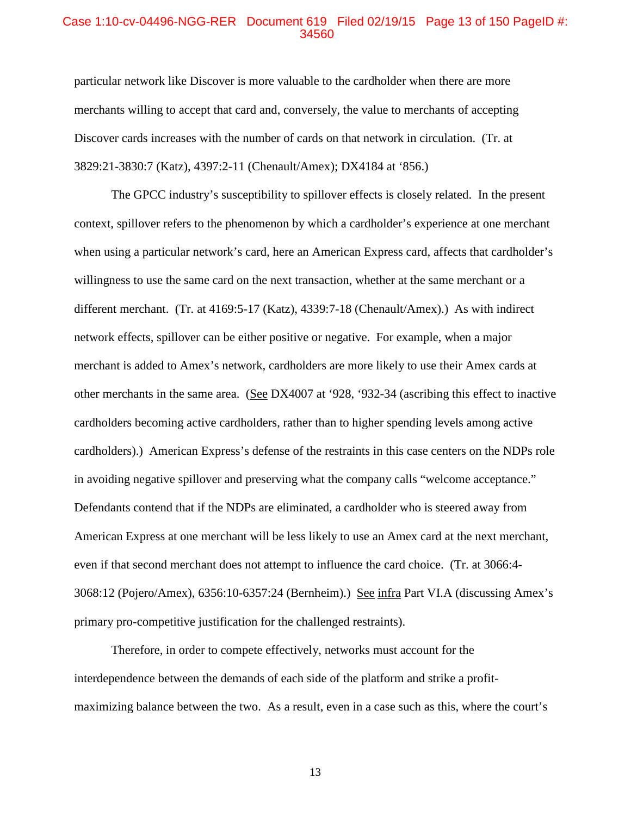#### Case 1:10-cv-04496-NGG-RER Document 619 Filed 02/19/15 Page 13 of 150 PageID #: 34560

particular network like Discover is more valuable to the cardholder when there are more merchants willing to accept that card and, conversely, the value to merchants of accepting Discover cards increases with the number of cards on that network in circulation. (Tr. at 3829:21-3830:7 (Katz), 4397:2-11 (Chenault/Amex); DX4184 at '856.)

The GPCC industry's susceptibility to spillover effects is closely related. In the present context, spillover refers to the phenomenon by which a cardholder's experience at one merchant when using a particular network's card, here an American Express card, affects that cardholder's willingness to use the same card on the next transaction, whether at the same merchant or a different merchant. (Tr. at 4169:5-17 (Katz), 4339:7-18 (Chenault/Amex).) As with indirect network effects, spillover can be either positive or negative. For example, when a major merchant is added to Amex's network, cardholders are more likely to use their Amex cards at other merchants in the same area. (See DX4007 at '928, '932-34 (ascribing this effect to inactive cardholders becoming active cardholders, rather than to higher spending levels among active cardholders).) American Express's defense of the restraints in this case centers on the NDPs role in avoiding negative spillover and preserving what the company calls "welcome acceptance." Defendants contend that if the NDPs are eliminated, a cardholder who is steered away from American Express at one merchant will be less likely to use an Amex card at the next merchant, even if that second merchant does not attempt to influence the card choice. (Tr. at 3066:4- 3068:12 (Pojero/Amex), 6356:10-6357:24 (Bernheim).) See infra Part VI.A (discussing Amex's primary pro-competitive justification for the challenged restraints).

Therefore, in order to compete effectively, networks must account for the interdependence between the demands of each side of the platform and strike a profitmaximizing balance between the two. As a result, even in a case such as this, where the court's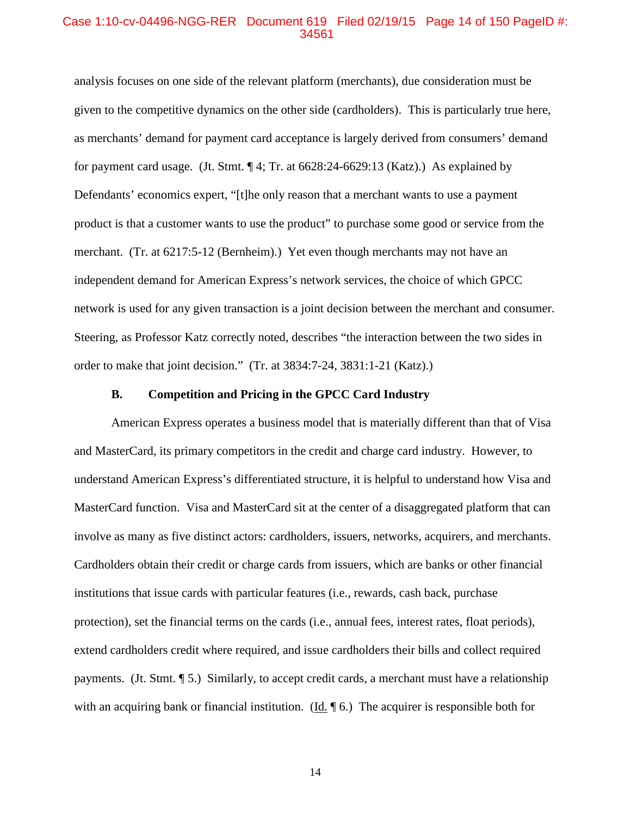#### Case 1:10-cv-04496-NGG-RER Document 619 Filed 02/19/15 Page 14 of 150 PageID #: 34561

analysis focuses on one side of the relevant platform (merchants), due consideration must be given to the competitive dynamics on the other side (cardholders). This is particularly true here, as merchants' demand for payment card acceptance is largely derived from consumers' demand for payment card usage. (Jt. Stmt. ¶ 4; Tr. at 6628:24-6629:13 (Katz).) As explained by Defendants' economics expert, "[t]he only reason that a merchant wants to use a payment product is that a customer wants to use the product" to purchase some good or service from the merchant. (Tr. at 6217:5-12 (Bernheim).) Yet even though merchants may not have an independent demand for American Express's network services, the choice of which GPCC network is used for any given transaction is a joint decision between the merchant and consumer. Steering, as Professor Katz correctly noted, describes "the interaction between the two sides in order to make that joint decision." (Tr. at 3834:7-24, 3831:1-21 (Katz).)

#### **B. Competition and Pricing in the GPCC Card Industry**

American Express operates a business model that is materially different than that of Visa and MasterCard, its primary competitors in the credit and charge card industry. However, to understand American Express's differentiated structure, it is helpful to understand how Visa and MasterCard function. Visa and MasterCard sit at the center of a disaggregated platform that can involve as many as five distinct actors: cardholders, issuers, networks, acquirers, and merchants. Cardholders obtain their credit or charge cards from issuers, which are banks or other financial institutions that issue cards with particular features (i.e., rewards, cash back, purchase protection), set the financial terms on the cards (i.e., annual fees, interest rates, float periods), extend cardholders credit where required, and issue cardholders their bills and collect required payments. (Jt. Stmt. ¶ 5.) Similarly, to accept credit cards, a merchant must have a relationship with an acquiring bank or financial institution. ( $\underline{Id}$ .  $\P$  6.) The acquirer is responsible both for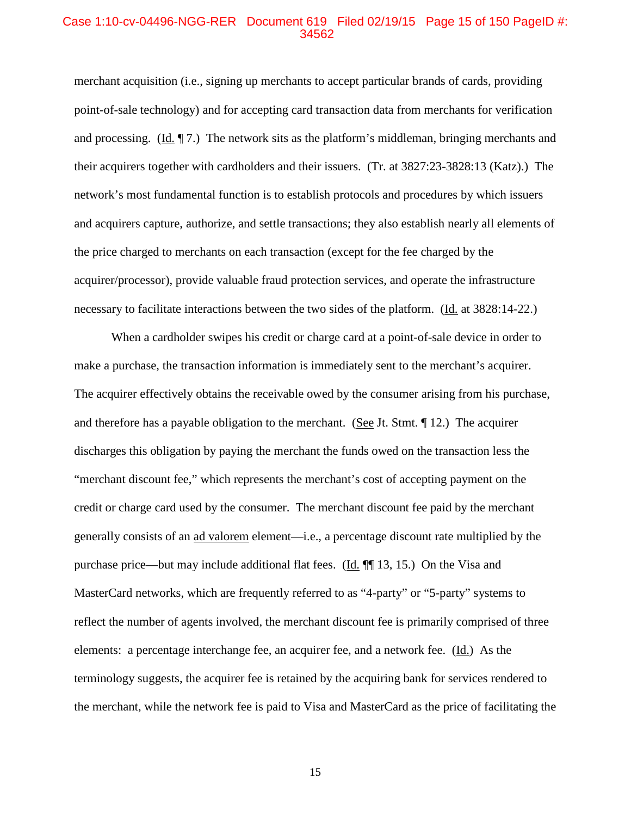#### Case 1:10-cv-04496-NGG-RER Document 619 Filed 02/19/15 Page 15 of 150 PageID #: 34562

merchant acquisition (i.e., signing up merchants to accept particular brands of cards, providing point-of-sale technology) and for accepting card transaction data from merchants for verification and processing. (Id. ¶ 7.) The network sits as the platform's middleman, bringing merchants and their acquirers together with cardholders and their issuers. (Tr. at 3827:23-3828:13 (Katz).) The network's most fundamental function is to establish protocols and procedures by which issuers and acquirers capture, authorize, and settle transactions; they also establish nearly all elements of the price charged to merchants on each transaction (except for the fee charged by the acquirer/processor), provide valuable fraud protection services, and operate the infrastructure necessary to facilitate interactions between the two sides of the platform. (Id. at 3828:14-22.)

When a cardholder swipes his credit or charge card at a point-of-sale device in order to make a purchase, the transaction information is immediately sent to the merchant's acquirer. The acquirer effectively obtains the receivable owed by the consumer arising from his purchase, and therefore has a payable obligation to the merchant. (See Jt. Stmt.  $\P$  12.) The acquirer discharges this obligation by paying the merchant the funds owed on the transaction less the "merchant discount fee," which represents the merchant's cost of accepting payment on the credit or charge card used by the consumer. The merchant discount fee paid by the merchant generally consists of an ad valorem element—i.e., a percentage discount rate multiplied by the purchase price—but may include additional flat fees. (Id. ¶¶ 13, 15.) On the Visa and MasterCard networks, which are frequently referred to as "4-party" or "5-party" systems to reflect the number of agents involved, the merchant discount fee is primarily comprised of three elements: a percentage interchange fee, an acquirer fee, and a network fee. (Id.) As the terminology suggests, the acquirer fee is retained by the acquiring bank for services rendered to the merchant, while the network fee is paid to Visa and MasterCard as the price of facilitating the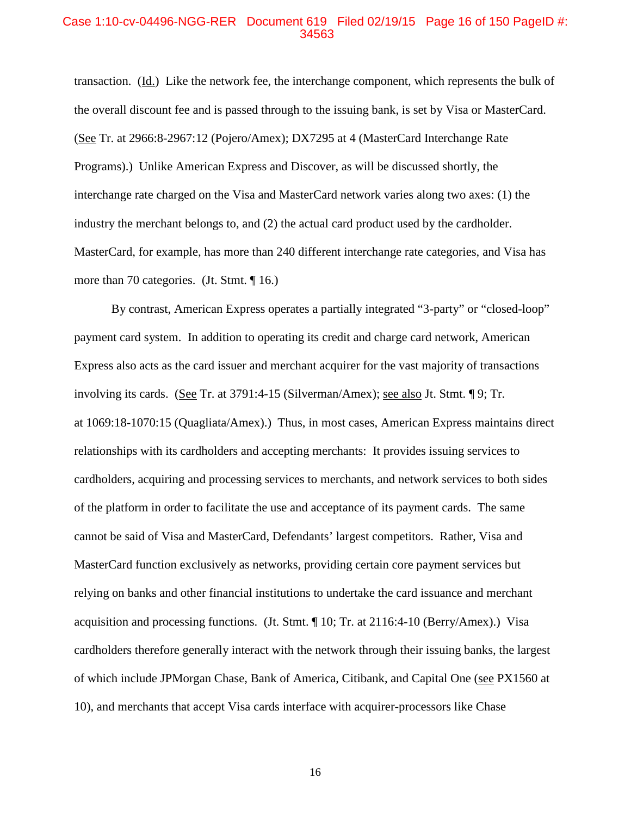# Case 1:10-cv-04496-NGG-RER Document 619 Filed 02/19/15 Page 16 of 150 PageID #: 34563

transaction. (Id.) Like the network fee, the interchange component, which represents the bulk of the overall discount fee and is passed through to the issuing bank, is set by Visa or MasterCard. (See Tr. at 2966:8-2967:12 (Pojero/Amex); DX7295 at 4 (MasterCard Interchange Rate Programs).) Unlike American Express and Discover, as will be discussed shortly, the interchange rate charged on the Visa and MasterCard network varies along two axes: (1) the industry the merchant belongs to, and (2) the actual card product used by the cardholder. MasterCard, for example, has more than 240 different interchange rate categories, and Visa has more than 70 categories. (Jt. Stmt. ¶ 16.)

By contrast, American Express operates a partially integrated "3-party" or "closed-loop" payment card system. In addition to operating its credit and charge card network, American Express also acts as the card issuer and merchant acquirer for the vast majority of transactions involving its cards. (See Tr. at 3791:4-15 (Silverman/Amex); see also Jt. Stmt. ¶ 9; Tr. at 1069:18-1070:15 (Quagliata/Amex).) Thus, in most cases, American Express maintains direct relationships with its cardholders and accepting merchants: It provides issuing services to cardholders, acquiring and processing services to merchants, and network services to both sides of the platform in order to facilitate the use and acceptance of its payment cards. The same cannot be said of Visa and MasterCard, Defendants' largest competitors. Rather, Visa and MasterCard function exclusively as networks, providing certain core payment services but relying on banks and other financial institutions to undertake the card issuance and merchant acquisition and processing functions. (Jt. Stmt. ¶ 10; Tr. at 2116:4-10 (Berry/Amex).) Visa cardholders therefore generally interact with the network through their issuing banks, the largest of which include JPMorgan Chase, Bank of America, Citibank, and Capital One (see PX1560 at 10), and merchants that accept Visa cards interface with acquirer-processors like Chase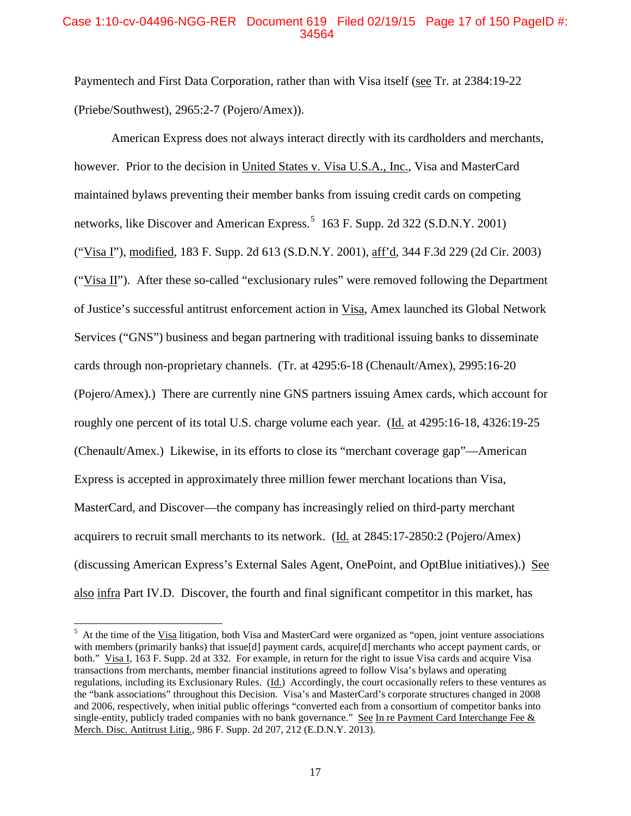# Case 1:10-cv-04496-NGG-RER Document 619 Filed 02/19/15 Page 17 of 150 PageID #: 34564

Paymentech and First Data Corporation, rather than with Visa itself (see Tr. at 2384:19-22 (Priebe/Southwest), 2965:2-7 (Pojero/Amex)).

American Express does not always interact directly with its cardholders and merchants, however. Prior to the decision in United States v. Visa U.S.A., Inc., Visa and MasterCard maintained bylaws preventing their member banks from issuing credit cards on competing networks, like Discover and American Express.<sup>5</sup> 163 F. Supp. 2d 322 (S.D.N.Y. 2001) ("Visa I"), modified, 183 F. Supp. 2d 613 (S.D.N.Y. 2001), aff'd, 344 F.3d 229 (2d Cir. 2003) ("Visa II"). After these so-called "exclusionary rules" were removed following the Department of Justice's successful antitrust enforcement action in Visa, Amex launched its Global Network Services ("GNS") business and began partnering with traditional issuing banks to disseminate cards through non-proprietary channels. (Tr. at 4295:6-18 (Chenault/Amex), 2995:16-20 (Pojero/Amex).) There are currently nine GNS partners issuing Amex cards, which account for roughly one percent of its total U.S. charge volume each year. (Id. at 4295:16-18, 4326:19-25 (Chenault/Amex.) Likewise, in its efforts to close its "merchant coverage gap"—American Express is accepted in approximately three million fewer merchant locations than Visa, MasterCard, and Discover—the company has increasingly relied on third-party merchant acquirers to recruit small merchants to its network. (Id. at 2845:17-2850:2 (Pojero/Amex) (discussing American Express's External Sales Agent, OnePoint, and OptBlue initiatives).) See also infra Part IV.D. Discover, the fourth and final significant competitor in this market, has

 $\overline{a}$ 

<sup>&</sup>lt;sup>5</sup> At the time of the Visa litigation, both Visa and MasterCard were organized as "open, joint venture associations with members (primarily banks) that issue[d] payment cards, acquire[d] merchants who accept payment cards, or both." Visa I, 163 F. Supp. 2d at 332. For example, in return for the right to issue Visa cards and acquire Visa transactions from merchants, member financial institutions agreed to follow Visa's bylaws and operating regulations, including its Exclusionary Rules. (Id.) Accordingly, the court occasionally refers to these ventures as the "bank associations" throughout this Decision. Visa's and MasterCard's corporate structures changed in 2008 and 2006, respectively, when initial public offerings "converted each from a consortium of competitor banks into single-entity, publicly traded companies with no bank governance." See In re Payment Card Interchange Fee  $&$ Merch. Disc. Antitrust Litig., 986 F. Supp. 2d 207, 212 (E.D.N.Y. 2013).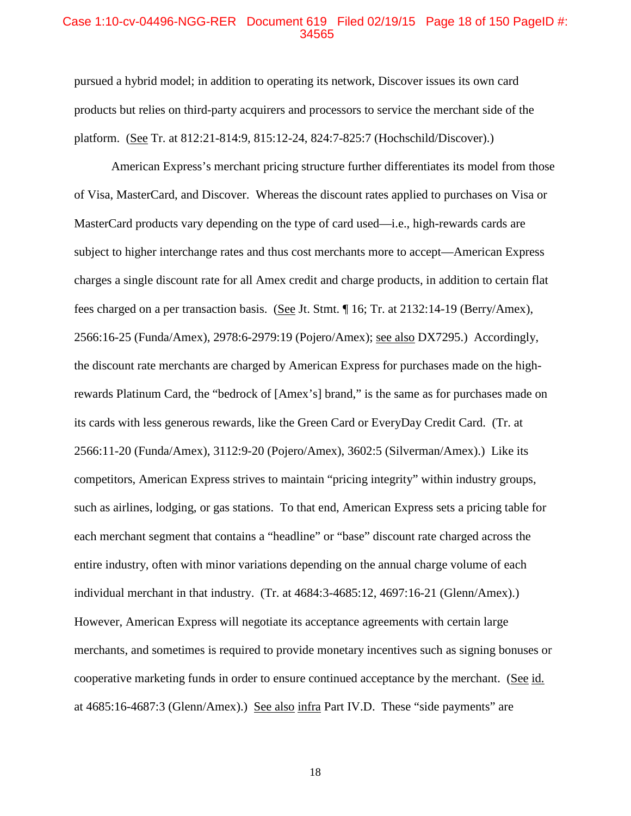#### Case 1:10-cv-04496-NGG-RER Document 619 Filed 02/19/15 Page 18 of 150 PageID #: 34565

pursued a hybrid model; in addition to operating its network, Discover issues its own card products but relies on third-party acquirers and processors to service the merchant side of the platform. (See Tr. at 812:21-814:9, 815:12-24, 824:7-825:7 (Hochschild/Discover).)

American Express's merchant pricing structure further differentiates its model from those of Visa, MasterCard, and Discover. Whereas the discount rates applied to purchases on Visa or MasterCard products vary depending on the type of card used—i.e., high-rewards cards are subject to higher interchange rates and thus cost merchants more to accept—American Express charges a single discount rate for all Amex credit and charge products, in addition to certain flat fees charged on a per transaction basis. (See Jt. Stmt. ¶ 16; Tr. at 2132:14-19 (Berry/Amex), 2566:16-25 (Funda/Amex), 2978:6-2979:19 (Pojero/Amex); see also DX7295.) Accordingly, the discount rate merchants are charged by American Express for purchases made on the highrewards Platinum Card, the "bedrock of [Amex's] brand," is the same as for purchases made on its cards with less generous rewards, like the Green Card or EveryDay Credit Card. (Tr. at 2566:11-20 (Funda/Amex), 3112:9-20 (Pojero/Amex), 3602:5 (Silverman/Amex).) Like its competitors, American Express strives to maintain "pricing integrity" within industry groups, such as airlines, lodging, or gas stations. To that end, American Express sets a pricing table for each merchant segment that contains a "headline" or "base" discount rate charged across the entire industry, often with minor variations depending on the annual charge volume of each individual merchant in that industry. (Tr. at 4684:3-4685:12, 4697:16-21 (Glenn/Amex).) However, American Express will negotiate its acceptance agreements with certain large merchants, and sometimes is required to provide monetary incentives such as signing bonuses or cooperative marketing funds in order to ensure continued acceptance by the merchant. (See id. at 4685:16-4687:3 (Glenn/Amex).) See also infra Part IV.D. These "side payments" are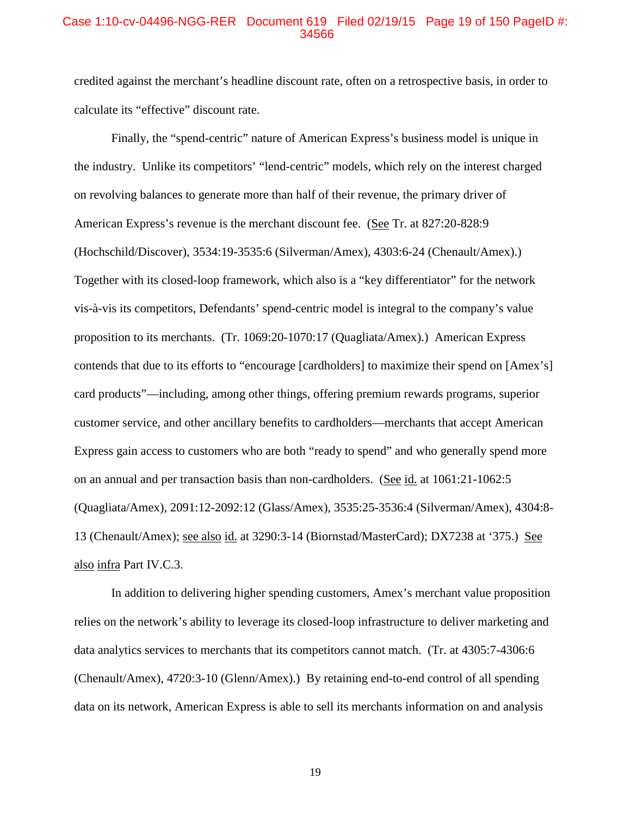#### Case 1:10-cv-04496-NGG-RER Document 619 Filed 02/19/15 Page 19 of 150 PageID #: 34566

credited against the merchant's headline discount rate, often on a retrospective basis, in order to calculate its "effective" discount rate.

Finally, the "spend-centric" nature of American Express's business model is unique in the industry. Unlike its competitors' "lend-centric" models, which rely on the interest charged on revolving balances to generate more than half of their revenue, the primary driver of American Express's revenue is the merchant discount fee. (See Tr. at 827:20-828:9 (Hochschild/Discover), 3534:19-3535:6 (Silverman/Amex), 4303:6-24 (Chenault/Amex).) Together with its closed-loop framework, which also is a "key differentiator" for the network vis-à-vis its competitors, Defendants' spend-centric model is integral to the company's value proposition to its merchants. (Tr. 1069:20-1070:17 (Quagliata/Amex).) American Express contends that due to its efforts to "encourage [cardholders] to maximize their spend on [Amex's] card products"—including, among other things, offering premium rewards programs, superior customer service, and other ancillary benefits to cardholders—merchants that accept American Express gain access to customers who are both "ready to spend" and who generally spend more on an annual and per transaction basis than non-cardholders. (See id. at 1061:21-1062:5 (Quagliata/Amex), 2091:12-2092:12 (Glass/Amex), 3535:25-3536:4 (Silverman/Amex), 4304:8- 13 (Chenault/Amex); see also id. at 3290:3-14 (Biornstad/MasterCard); DX7238 at '375.) See also infra Part IV.C.3.

In addition to delivering higher spending customers, Amex's merchant value proposition relies on the network's ability to leverage its closed-loop infrastructure to deliver marketing and data analytics services to merchants that its competitors cannot match. (Tr. at 4305:7-4306:6 (Chenault/Amex), 4720:3-10 (Glenn/Amex).) By retaining end-to-end control of all spending data on its network, American Express is able to sell its merchants information on and analysis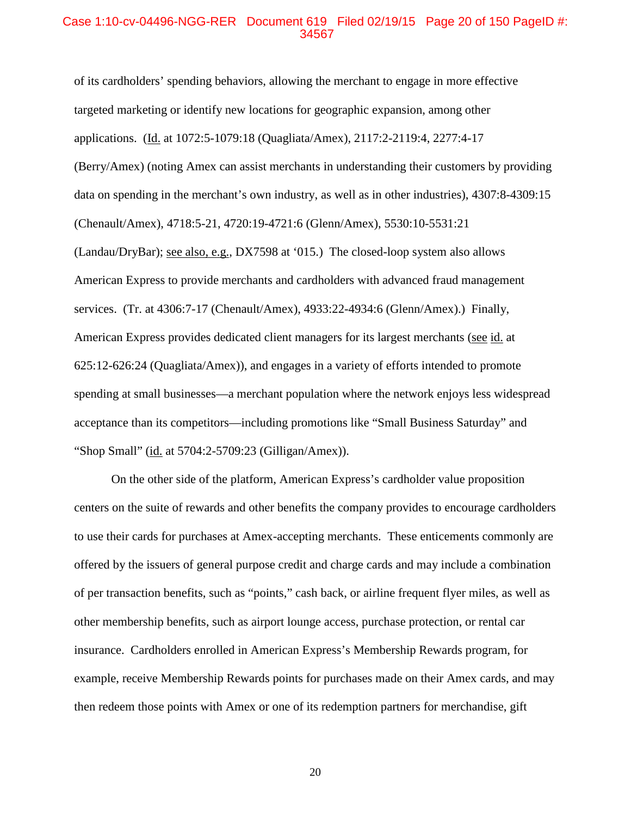# Case 1:10-cv-04496-NGG-RER Document 619 Filed 02/19/15 Page 20 of 150 PageID #: 34567

of its cardholders' spending behaviors, allowing the merchant to engage in more effective targeted marketing or identify new locations for geographic expansion, among other applications. (Id. at 1072:5-1079:18 (Quagliata/Amex), 2117:2-2119:4, 2277:4-17 (Berry/Amex) (noting Amex can assist merchants in understanding their customers by providing data on spending in the merchant's own industry, as well as in other industries), 4307:8-4309:15 (Chenault/Amex), 4718:5-21, 4720:19-4721:6 (Glenn/Amex), 5530:10-5531:21 (Landau/DryBar); see also, e.g., DX7598 at '015.) The closed-loop system also allows American Express to provide merchants and cardholders with advanced fraud management services. (Tr. at 4306:7-17 (Chenault/Amex), 4933:22-4934:6 (Glenn/Amex).) Finally, American Express provides dedicated client managers for its largest merchants (see id. at 625:12-626:24 (Quagliata/Amex)), and engages in a variety of efforts intended to promote spending at small businesses—a merchant population where the network enjoys less widespread acceptance than its competitors—including promotions like "Small Business Saturday" and "Shop Small" (id. at 5704:2-5709:23 (Gilligan/Amex)).

On the other side of the platform, American Express's cardholder value proposition centers on the suite of rewards and other benefits the company provides to encourage cardholders to use their cards for purchases at Amex-accepting merchants. These enticements commonly are offered by the issuers of general purpose credit and charge cards and may include a combination of per transaction benefits, such as "points," cash back, or airline frequent flyer miles, as well as other membership benefits, such as airport lounge access, purchase protection, or rental car insurance. Cardholders enrolled in American Express's Membership Rewards program, for example, receive Membership Rewards points for purchases made on their Amex cards, and may then redeem those points with Amex or one of its redemption partners for merchandise, gift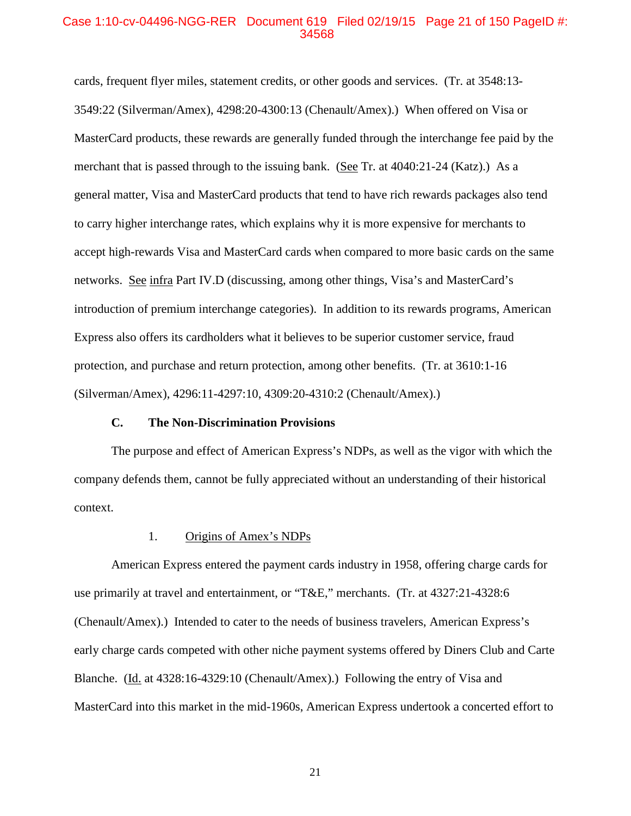# Case 1:10-cv-04496-NGG-RER Document 619 Filed 02/19/15 Page 21 of 150 PageID #: 34568

cards, frequent flyer miles, statement credits, or other goods and services. (Tr. at 3548:13- 3549:22 (Silverman/Amex), 4298:20-4300:13 (Chenault/Amex).) When offered on Visa or MasterCard products, these rewards are generally funded through the interchange fee paid by the merchant that is passed through to the issuing bank. (See Tr. at 4040:21-24 (Katz).) As a general matter, Visa and MasterCard products that tend to have rich rewards packages also tend to carry higher interchange rates, which explains why it is more expensive for merchants to accept high-rewards Visa and MasterCard cards when compared to more basic cards on the same networks. See infra Part IV.D (discussing, among other things, Visa's and MasterCard's introduction of premium interchange categories). In addition to its rewards programs, American Express also offers its cardholders what it believes to be superior customer service, fraud protection, and purchase and return protection, among other benefits. (Tr. at 3610:1-16 (Silverman/Amex), 4296:11-4297:10, 4309:20-4310:2 (Chenault/Amex).)

# **C. The Non-Discrimination Provisions**

The purpose and effect of American Express's NDPs, as well as the vigor with which the company defends them, cannot be fully appreciated without an understanding of their historical context.

#### 1. Origins of Amex's NDPs

American Express entered the payment cards industry in 1958, offering charge cards for use primarily at travel and entertainment, or "T&E," merchants. (Tr. at 4327:21-4328:6 (Chenault/Amex).) Intended to cater to the needs of business travelers, American Express's early charge cards competed with other niche payment systems offered by Diners Club and Carte Blanche. (Id. at 4328:16-4329:10 (Chenault/Amex).) Following the entry of Visa and MasterCard into this market in the mid-1960s, American Express undertook a concerted effort to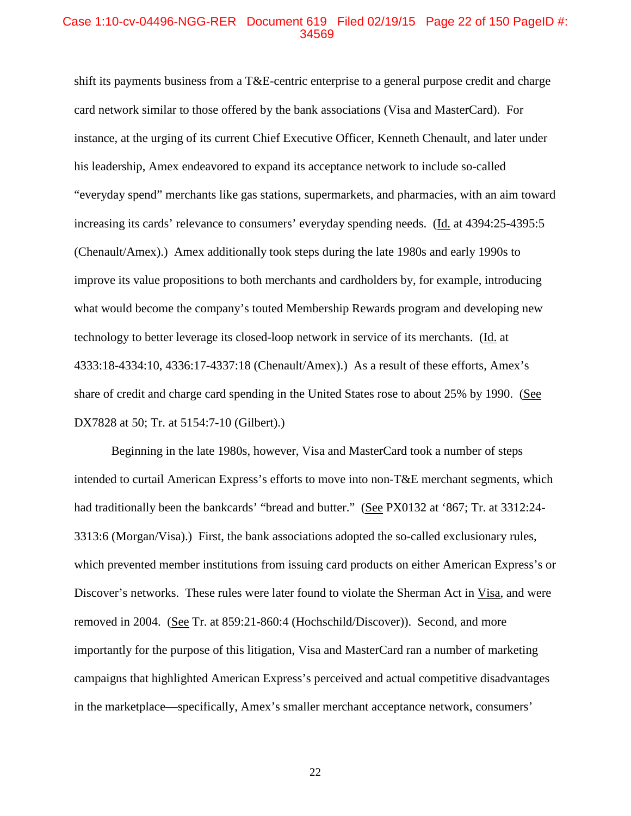# Case 1:10-cv-04496-NGG-RER Document 619 Filed 02/19/15 Page 22 of 150 PageID #: 34569

shift its payments business from a T&E-centric enterprise to a general purpose credit and charge card network similar to those offered by the bank associations (Visa and MasterCard). For instance, at the urging of its current Chief Executive Officer, Kenneth Chenault, and later under his leadership, Amex endeavored to expand its acceptance network to include so-called "everyday spend" merchants like gas stations, supermarkets, and pharmacies, with an aim toward increasing its cards' relevance to consumers' everyday spending needs. (Id. at 4394:25-4395:5 (Chenault/Amex).) Amex additionally took steps during the late 1980s and early 1990s to improve its value propositions to both merchants and cardholders by, for example, introducing what would become the company's touted Membership Rewards program and developing new technology to better leverage its closed-loop network in service of its merchants. (Id. at 4333:18-4334:10, 4336:17-4337:18 (Chenault/Amex).) As a result of these efforts, Amex's share of credit and charge card spending in the United States rose to about 25% by 1990. (See DX7828 at 50; Tr. at 5154:7-10 (Gilbert).)

Beginning in the late 1980s, however, Visa and MasterCard took a number of steps intended to curtail American Express's efforts to move into non-T&E merchant segments, which had traditionally been the bankcards' "bread and butter." (See PX0132 at '867; Tr. at 3312:24- 3313:6 (Morgan/Visa).) First, the bank associations adopted the so-called exclusionary rules, which prevented member institutions from issuing card products on either American Express's or Discover's networks. These rules were later found to violate the Sherman Act in Visa, and were removed in 2004. (See Tr. at 859:21-860:4 (Hochschild/Discover)). Second, and more importantly for the purpose of this litigation, Visa and MasterCard ran a number of marketing campaigns that highlighted American Express's perceived and actual competitive disadvantages in the marketplace—specifically, Amex's smaller merchant acceptance network, consumers'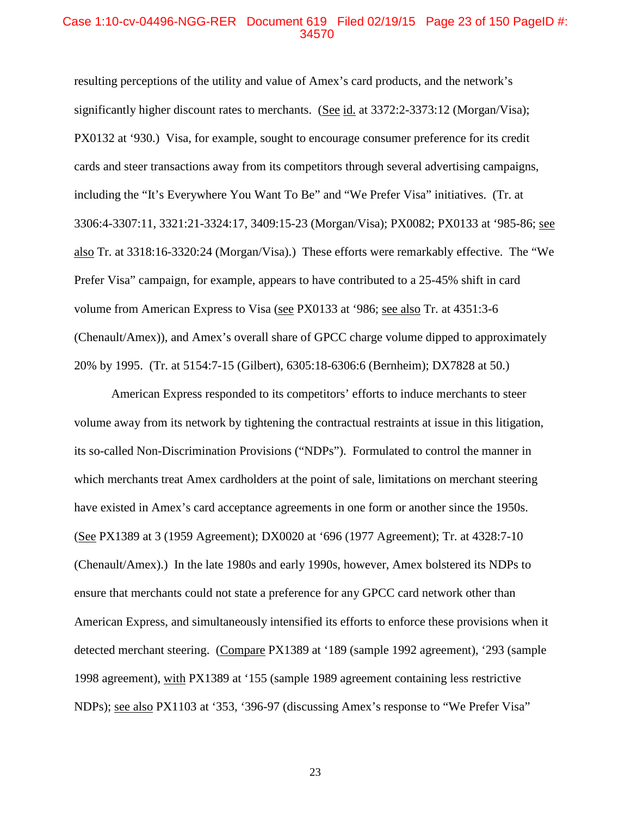# Case 1:10-cv-04496-NGG-RER Document 619 Filed 02/19/15 Page 23 of 150 PageID #: 34570

resulting perceptions of the utility and value of Amex's card products, and the network's significantly higher discount rates to merchants. (See id. at 3372:2-3373:12 (Morgan/Visa); PX0132 at '930.) Visa, for example, sought to encourage consumer preference for its credit cards and steer transactions away from its competitors through several advertising campaigns, including the "It's Everywhere You Want To Be" and "We Prefer Visa" initiatives. (Tr. at 3306:4-3307:11, 3321:21-3324:17, 3409:15-23 (Morgan/Visa); PX0082; PX0133 at '985-86; see also Tr. at 3318:16-3320:24 (Morgan/Visa).) These efforts were remarkably effective. The "We Prefer Visa" campaign, for example, appears to have contributed to a 25-45% shift in card volume from American Express to Visa (see PX0133 at '986; see also Tr. at 4351:3-6 (Chenault/Amex)), and Amex's overall share of GPCC charge volume dipped to approximately 20% by 1995. (Tr. at 5154:7-15 (Gilbert), 6305:18-6306:6 (Bernheim); DX7828 at 50.)

American Express responded to its competitors' efforts to induce merchants to steer volume away from its network by tightening the contractual restraints at issue in this litigation, its so-called Non-Discrimination Provisions ("NDPs"). Formulated to control the manner in which merchants treat Amex cardholders at the point of sale, limitations on merchant steering have existed in Amex's card acceptance agreements in one form or another since the 1950s. (See PX1389 at 3 (1959 Agreement); DX0020 at '696 (1977 Agreement); Tr. at 4328:7-10 (Chenault/Amex).) In the late 1980s and early 1990s, however, Amex bolstered its NDPs to ensure that merchants could not state a preference for any GPCC card network other than American Express, and simultaneously intensified its efforts to enforce these provisions when it detected merchant steering. (Compare PX1389 at '189 (sample 1992 agreement), '293 (sample 1998 agreement), with PX1389 at '155 (sample 1989 agreement containing less restrictive NDPs); see also PX1103 at '353, '396-97 (discussing Amex's response to "We Prefer Visa"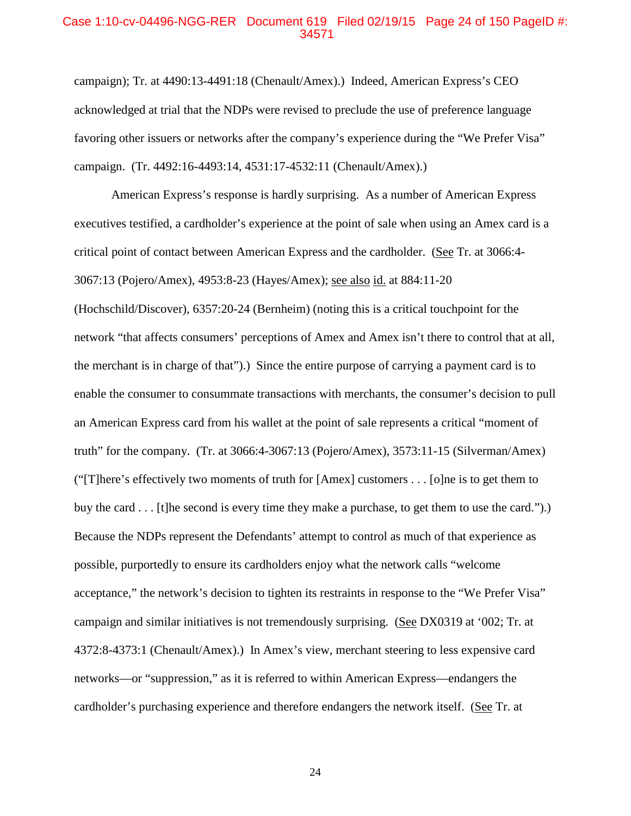#### Case 1:10-cv-04496-NGG-RER Document 619 Filed 02/19/15 Page 24 of 150 PageID #: 34571

campaign); Tr. at 4490:13-4491:18 (Chenault/Amex).) Indeed, American Express's CEO acknowledged at trial that the NDPs were revised to preclude the use of preference language favoring other issuers or networks after the company's experience during the "We Prefer Visa" campaign. (Tr. 4492:16-4493:14, 4531:17-4532:11 (Chenault/Amex).)

American Express's response is hardly surprising. As a number of American Express executives testified, a cardholder's experience at the point of sale when using an Amex card is a critical point of contact between American Express and the cardholder. (See Tr. at 3066:4- 3067:13 (Pojero/Amex), 4953:8-23 (Hayes/Amex); see also id. at 884:11-20

(Hochschild/Discover), 6357:20-24 (Bernheim) (noting this is a critical touchpoint for the network "that affects consumers' perceptions of Amex and Amex isn't there to control that at all, the merchant is in charge of that").) Since the entire purpose of carrying a payment card is to enable the consumer to consummate transactions with merchants, the consumer's decision to pull an American Express card from his wallet at the point of sale represents a critical "moment of truth" for the company. (Tr. at 3066:4-3067:13 (Pojero/Amex), 3573:11-15 (Silverman/Amex) ("[T]here's effectively two moments of truth for [Amex] customers . . . [o]ne is to get them to buy the card . . . [t]he second is every time they make a purchase, to get them to use the card.").) Because the NDPs represent the Defendants' attempt to control as much of that experience as possible, purportedly to ensure its cardholders enjoy what the network calls "welcome acceptance," the network's decision to tighten its restraints in response to the "We Prefer Visa" campaign and similar initiatives is not tremendously surprising. (See DX0319 at '002; Tr. at 4372:8-4373:1 (Chenault/Amex).) In Amex's view, merchant steering to less expensive card networks—or "suppression," as it is referred to within American Express—endangers the cardholder's purchasing experience and therefore endangers the network itself. (See Tr. at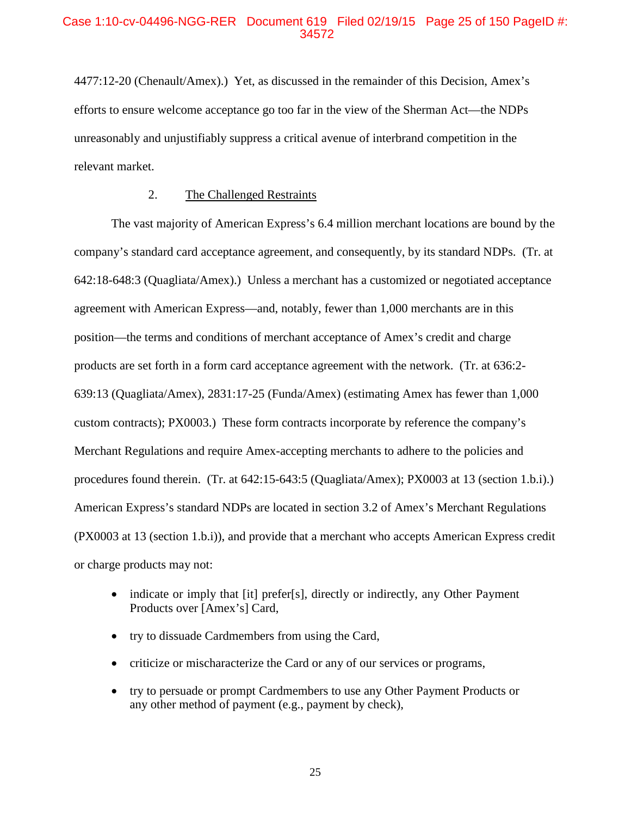4477:12-20 (Chenault/Amex).) Yet, as discussed in the remainder of this Decision, Amex's efforts to ensure welcome acceptance go too far in the view of the Sherman Act—the NDPs unreasonably and unjustifiably suppress a critical avenue of interbrand competition in the relevant market.

# 2. The Challenged Restraints

The vast majority of American Express's 6.4 million merchant locations are bound by the company's standard card acceptance agreement, and consequently, by its standard NDPs. (Tr. at 642:18-648:3 (Quagliata/Amex).) Unless a merchant has a customized or negotiated acceptance agreement with American Express—and, notably, fewer than 1,000 merchants are in this position—the terms and conditions of merchant acceptance of Amex's credit and charge products are set forth in a form card acceptance agreement with the network. (Tr. at 636:2- 639:13 (Quagliata/Amex), 2831:17-25 (Funda/Amex) (estimating Amex has fewer than 1,000 custom contracts); PX0003.) These form contracts incorporate by reference the company's Merchant Regulations and require Amex-accepting merchants to adhere to the policies and procedures found therein. (Tr. at 642:15-643:5 (Quagliata/Amex); PX0003 at 13 (section 1.b.i).) American Express's standard NDPs are located in section 3.2 of Amex's Merchant Regulations (PX0003 at 13 (section 1.b.i)), and provide that a merchant who accepts American Express credit or charge products may not:

- indicate or imply that [it] prefer[s], directly or indirectly, any Other Payment Products over [Amex's] Card,
- try to dissuade Cardmembers from using the Card,
- criticize or mischaracterize the Card or any of our services or programs,
- try to persuade or prompt Cardmembers to use any Other Payment Products or any other method of payment (e.g., payment by check),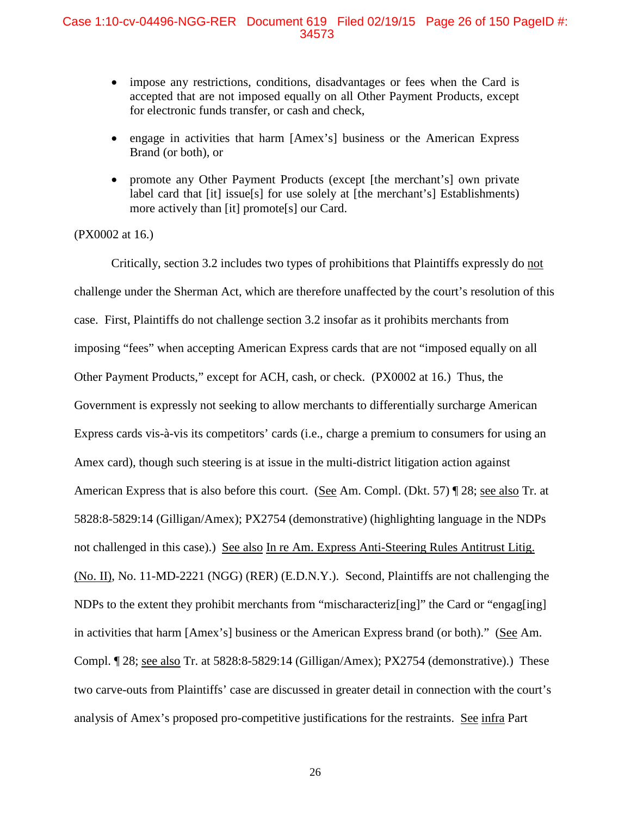# Case 1:10-cv-04496-NGG-RER Document 619 Filed 02/19/15 Page 26 of 150 PageID #: 34573

- impose any restrictions, conditions, disadvantages or fees when the Card is accepted that are not imposed equally on all Other Payment Products, except for electronic funds transfer, or cash and check,
- engage in activities that harm [Amex's] business or the American Express Brand (or both), or
- promote any Other Payment Products (except [the merchant's] own private label card that [it] issue[s] for use solely at [the merchant's] Establishments) more actively than [it] promote[s] our Card.

(PX0002 at 16.)

Critically, section 3.2 includes two types of prohibitions that Plaintiffs expressly do not challenge under the Sherman Act, which are therefore unaffected by the court's resolution of this case. First, Plaintiffs do not challenge section 3.2 insofar as it prohibits merchants from imposing "fees" when accepting American Express cards that are not "imposed equally on all Other Payment Products," except for ACH, cash, or check. (PX0002 at 16.) Thus, the Government is expressly not seeking to allow merchants to differentially surcharge American Express cards vis-à-vis its competitors' cards (i.e., charge a premium to consumers for using an Amex card), though such steering is at issue in the multi-district litigation action against American Express that is also before this court. (See Am. Compl. (Dkt. 57) ¶ 28; see also Tr. at 5828:8-5829:14 (Gilligan/Amex); PX2754 (demonstrative) (highlighting language in the NDPs not challenged in this case).) See also In re Am. Express Anti-Steering Rules Antitrust Litig. (No. II), No. 11-MD-2221 (NGG) (RER) (E.D.N.Y.). Second, Plaintiffs are not challenging the NDPs to the extent they prohibit merchants from "mischaracteriz[ing]" the Card or "engag[ing] in activities that harm [Amex's] business or the American Express brand (or both)." (See Am. Compl. ¶ 28; see also Tr. at 5828:8-5829:14 (Gilligan/Amex); PX2754 (demonstrative).) These two carve-outs from Plaintiffs' case are discussed in greater detail in connection with the court's analysis of Amex's proposed pro-competitive justifications for the restraints. See infra Part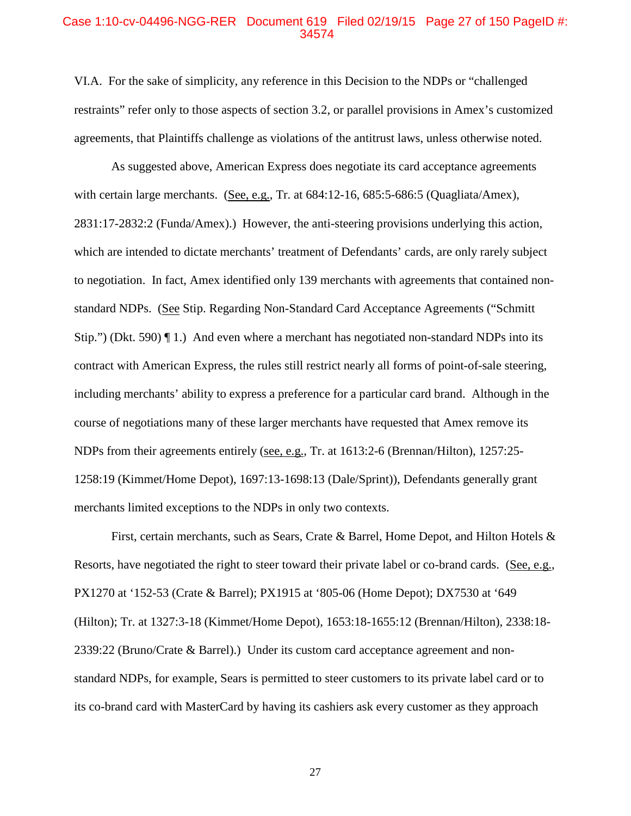#### Case 1:10-cv-04496-NGG-RER Document 619 Filed 02/19/15 Page 27 of 150 PageID #: 34574

VI.A. For the sake of simplicity, any reference in this Decision to the NDPs or "challenged restraints" refer only to those aspects of section 3.2, or parallel provisions in Amex's customized agreements, that Plaintiffs challenge as violations of the antitrust laws, unless otherwise noted.

As suggested above, American Express does negotiate its card acceptance agreements with certain large merchants. (See, e.g., Tr. at 684:12-16, 685:5-686:5 (Quagliata/Amex), 2831:17-2832:2 (Funda/Amex).) However, the anti-steering provisions underlying this action, which are intended to dictate merchants' treatment of Defendants' cards, are only rarely subject to negotiation. In fact, Amex identified only 139 merchants with agreements that contained nonstandard NDPs. (See Stip. Regarding Non-Standard Card Acceptance Agreements ("Schmitt Stip.") (Dkt. 590)  $\P$  1.) And even where a merchant has negotiated non-standard NDPs into its contract with American Express, the rules still restrict nearly all forms of point-of-sale steering, including merchants' ability to express a preference for a particular card brand. Although in the course of negotiations many of these larger merchants have requested that Amex remove its NDPs from their agreements entirely (see, e.g., Tr. at 1613:2-6 (Brennan/Hilton), 1257:25- 1258:19 (Kimmet/Home Depot), 1697:13-1698:13 (Dale/Sprint)), Defendants generally grant merchants limited exceptions to the NDPs in only two contexts.

First, certain merchants, such as Sears, Crate & Barrel, Home Depot, and Hilton Hotels & Resorts, have negotiated the right to steer toward their private label or co-brand cards. (See, e.g., PX1270 at '152-53 (Crate & Barrel); PX1915 at '805-06 (Home Depot); DX7530 at '649 (Hilton); Tr. at 1327:3-18 (Kimmet/Home Depot), 1653:18-1655:12 (Brennan/Hilton), 2338:18- 2339:22 (Bruno/Crate & Barrel).) Under its custom card acceptance agreement and nonstandard NDPs, for example, Sears is permitted to steer customers to its private label card or to its co-brand card with MasterCard by having its cashiers ask every customer as they approach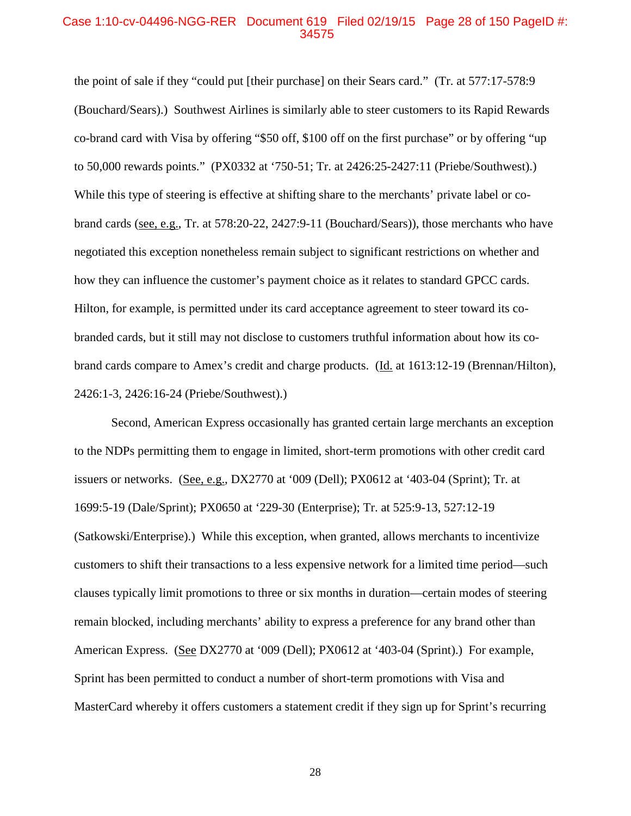#### Case 1:10-cv-04496-NGG-RER Document 619 Filed 02/19/15 Page 28 of 150 PageID #: 34575

the point of sale if they "could put [their purchase] on their Sears card." (Tr. at 577:17-578:9 (Bouchard/Sears).) Southwest Airlines is similarly able to steer customers to its Rapid Rewards co-brand card with Visa by offering "\$50 off, \$100 off on the first purchase" or by offering "up to 50,000 rewards points." (PX0332 at '750-51; Tr. at 2426:25-2427:11 (Priebe/Southwest).) While this type of steering is effective at shifting share to the merchants' private label or cobrand cards (see, e.g., Tr. at 578:20-22, 2427:9-11 (Bouchard/Sears)), those merchants who have negotiated this exception nonetheless remain subject to significant restrictions on whether and how they can influence the customer's payment choice as it relates to standard GPCC cards. Hilton, for example, is permitted under its card acceptance agreement to steer toward its cobranded cards, but it still may not disclose to customers truthful information about how its cobrand cards compare to Amex's credit and charge products. (Id. at 1613:12-19 (Brennan/Hilton), 2426:1-3, 2426:16-24 (Priebe/Southwest).)

Second, American Express occasionally has granted certain large merchants an exception to the NDPs permitting them to engage in limited, short-term promotions with other credit card issuers or networks. (See, e.g., DX2770 at '009 (Dell); PX0612 at '403-04 (Sprint); Tr. at 1699:5-19 (Dale/Sprint); PX0650 at '229-30 (Enterprise); Tr. at 525:9-13, 527:12-19 (Satkowski/Enterprise).) While this exception, when granted, allows merchants to incentivize customers to shift their transactions to a less expensive network for a limited time period—such clauses typically limit promotions to three or six months in duration—certain modes of steering remain blocked, including merchants' ability to express a preference for any brand other than American Express. (See DX2770 at '009 (Dell); PX0612 at '403-04 (Sprint).) For example, Sprint has been permitted to conduct a number of short-term promotions with Visa and MasterCard whereby it offers customers a statement credit if they sign up for Sprint's recurring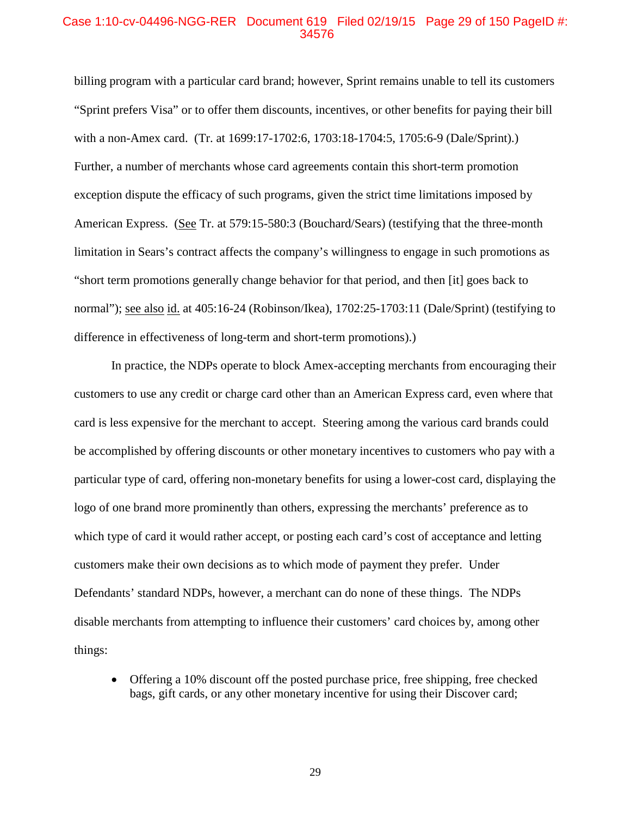# Case 1:10-cv-04496-NGG-RER Document 619 Filed 02/19/15 Page 29 of 150 PageID #: 34576

billing program with a particular card brand; however, Sprint remains unable to tell its customers "Sprint prefers Visa" or to offer them discounts, incentives, or other benefits for paying their bill with a non-Amex card. (Tr. at 1699:17-1702:6, 1703:18-1704:5, 1705:6-9 (Dale/Sprint).) Further, a number of merchants whose card agreements contain this short-term promotion exception dispute the efficacy of such programs, given the strict time limitations imposed by American Express. (See Tr. at 579:15-580:3 (Bouchard/Sears) (testifying that the three-month limitation in Sears's contract affects the company's willingness to engage in such promotions as "short term promotions generally change behavior for that period, and then [it] goes back to normal"); see also id. at 405:16-24 (Robinson/Ikea), 1702:25-1703:11 (Dale/Sprint) (testifying to difference in effectiveness of long-term and short-term promotions).)

In practice, the NDPs operate to block Amex-accepting merchants from encouraging their customers to use any credit or charge card other than an American Express card, even where that card is less expensive for the merchant to accept. Steering among the various card brands could be accomplished by offering discounts or other monetary incentives to customers who pay with a particular type of card, offering non-monetary benefits for using a lower-cost card, displaying the logo of one brand more prominently than others, expressing the merchants' preference as to which type of card it would rather accept, or posting each card's cost of acceptance and letting customers make their own decisions as to which mode of payment they prefer. Under Defendants' standard NDPs, however, a merchant can do none of these things. The NDPs disable merchants from attempting to influence their customers' card choices by, among other things:

• Offering a 10% discount off the posted purchase price, free shipping, free checked bags, gift cards, or any other monetary incentive for using their Discover card;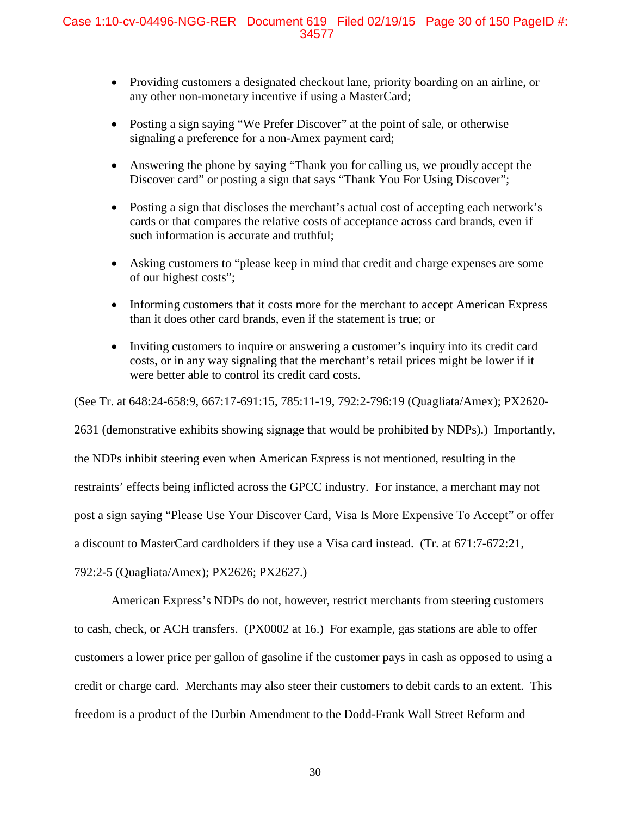- Providing customers a designated checkout lane, priority boarding on an airline, or any other non-monetary incentive if using a MasterCard;
- Posting a sign saying "We Prefer Discover" at the point of sale, or otherwise signaling a preference for a non-Amex payment card;
- Answering the phone by saying "Thank you for calling us, we proudly accept the Discover card" or posting a sign that says "Thank You For Using Discover";
- Posting a sign that discloses the merchant's actual cost of accepting each network's cards or that compares the relative costs of acceptance across card brands, even if such information is accurate and truthful;
- Asking customers to "please keep in mind that credit and charge expenses are some of our highest costs";
- Informing customers that it costs more for the merchant to accept American Express than it does other card brands, even if the statement is true; or
- Inviting customers to inquire or answering a customer's inquiry into its credit card costs, or in any way signaling that the merchant's retail prices might be lower if it were better able to control its credit card costs.

(See Tr. at 648:24-658:9, 667:17-691:15, 785:11-19, 792:2-796:19 (Quagliata/Amex); PX2620-

2631 (demonstrative exhibits showing signage that would be prohibited by NDPs).) Importantly, the NDPs inhibit steering even when American Express is not mentioned, resulting in the restraints' effects being inflicted across the GPCC industry. For instance, a merchant may not post a sign saying "Please Use Your Discover Card, Visa Is More Expensive To Accept" or offer a discount to MasterCard cardholders if they use a Visa card instead. (Tr. at 671:7-672:21,

792:2-5 (Quagliata/Amex); PX2626; PX2627.)

American Express's NDPs do not, however, restrict merchants from steering customers to cash, check, or ACH transfers. (PX0002 at 16.) For example, gas stations are able to offer customers a lower price per gallon of gasoline if the customer pays in cash as opposed to using a credit or charge card. Merchants may also steer their customers to debit cards to an extent. This freedom is a product of the Durbin Amendment to the Dodd-Frank Wall Street Reform and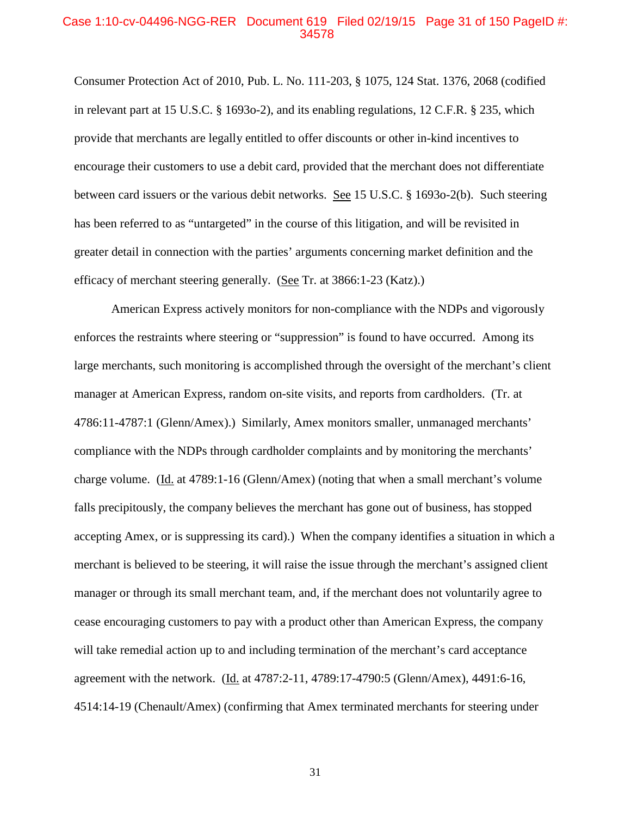#### Case 1:10-cv-04496-NGG-RER Document 619 Filed 02/19/15 Page 31 of 150 PageID #: 34578

Consumer Protection Act of 2010, Pub. L. No. 111-203, § 1075, 124 Stat. 1376, 2068 (codified in relevant part at 15 U.S.C. § 1693o-2), and its enabling regulations, 12 C.F.R. § 235, which provide that merchants are legally entitled to offer discounts or other in-kind incentives to encourage their customers to use a debit card, provided that the merchant does not differentiate between card issuers or the various debit networks. See 15 U.S.C. § 1693o-2(b). Such steering has been referred to as "untargeted" in the course of this litigation, and will be revisited in greater detail in connection with the parties' arguments concerning market definition and the efficacy of merchant steering generally. (See Tr. at 3866:1-23 (Katz).)

American Express actively monitors for non-compliance with the NDPs and vigorously enforces the restraints where steering or "suppression" is found to have occurred. Among its large merchants, such monitoring is accomplished through the oversight of the merchant's client manager at American Express, random on-site visits, and reports from cardholders. (Tr. at 4786:11-4787:1 (Glenn/Amex).) Similarly, Amex monitors smaller, unmanaged merchants' compliance with the NDPs through cardholder complaints and by monitoring the merchants' charge volume. (Id. at 4789:1-16 (Glenn/Amex) (noting that when a small merchant's volume falls precipitously, the company believes the merchant has gone out of business, has stopped accepting Amex, or is suppressing its card).) When the company identifies a situation in which a merchant is believed to be steering, it will raise the issue through the merchant's assigned client manager or through its small merchant team, and, if the merchant does not voluntarily agree to cease encouraging customers to pay with a product other than American Express, the company will take remedial action up to and including termination of the merchant's card acceptance agreement with the network. (Id. at 4787:2-11, 4789:17-4790:5 (Glenn/Amex), 4491:6-16, 4514:14-19 (Chenault/Amex) (confirming that Amex terminated merchants for steering under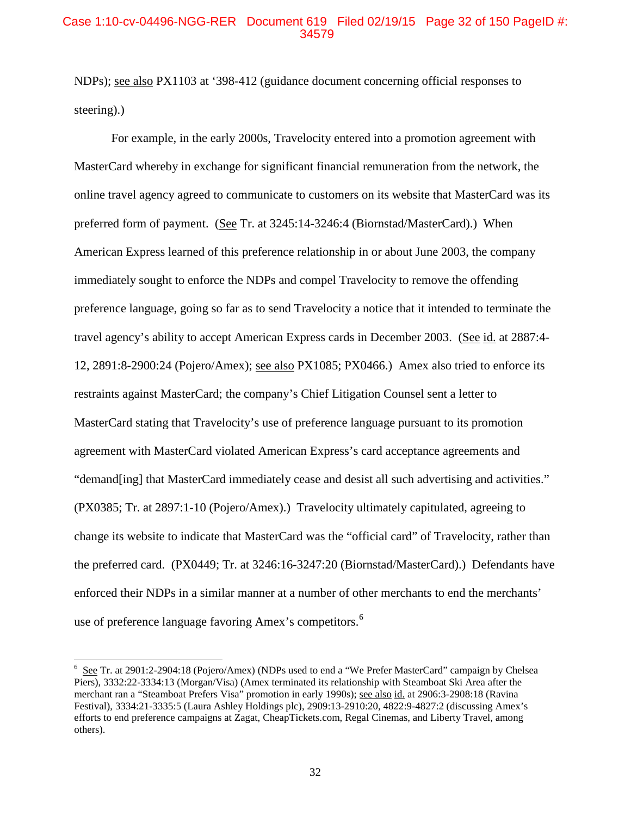# Case 1:10-cv-04496-NGG-RER Document 619 Filed 02/19/15 Page 32 of 150 PageID #: 34579

NDPs); see also PX1103 at '398-412 (guidance document concerning official responses to steering).)

For example, in the early 2000s, Travelocity entered into a promotion agreement with MasterCard whereby in exchange for significant financial remuneration from the network, the online travel agency agreed to communicate to customers on its website that MasterCard was its preferred form of payment. (See Tr. at 3245:14-3246:4 (Biornstad/MasterCard).) When American Express learned of this preference relationship in or about June 2003, the company immediately sought to enforce the NDPs and compel Travelocity to remove the offending preference language, going so far as to send Travelocity a notice that it intended to terminate the travel agency's ability to accept American Express cards in December 2003. (See id. at 2887:4- 12, 2891:8-2900:24 (Pojero/Amex); see also PX1085; PX0466.) Amex also tried to enforce its restraints against MasterCard; the company's Chief Litigation Counsel sent a letter to MasterCard stating that Travelocity's use of preference language pursuant to its promotion agreement with MasterCard violated American Express's card acceptance agreements and "demand[ing] that MasterCard immediately cease and desist all such advertising and activities." (PX0385; Tr. at 2897:1-10 (Pojero/Amex).) Travelocity ultimately capitulated, agreeing to change its website to indicate that MasterCard was the "official card" of Travelocity, rather than the preferred card. (PX0449; Tr. at 3246:16-3247:20 (Biornstad/MasterCard).) Defendants have enforced their NDPs in a similar manner at a number of other merchants to end the merchants' use of preference language favoring Amex's competitors.<sup>6</sup>

 $\overline{a}$ 

<sup>&</sup>lt;sup>6</sup> See Tr. at 2901:2-2904:18 (Pojero/Amex) (NDPs used to end a "We Prefer MasterCard" campaign by Chelsea Piers), 3332:22-3334:13 (Morgan/Visa) (Amex terminated its relationship with Steamboat Ski Area after the merchant ran a "Steamboat Prefers Visa" promotion in early 1990s); see also id. at 2906:3-2908:18 (Ravina Festival), 3334:21-3335:5 (Laura Ashley Holdings plc), 2909:13-2910:20, 4822:9-4827:2 (discussing Amex's efforts to end preference campaigns at Zagat, CheapTickets.com, Regal Cinemas, and Liberty Travel, among others).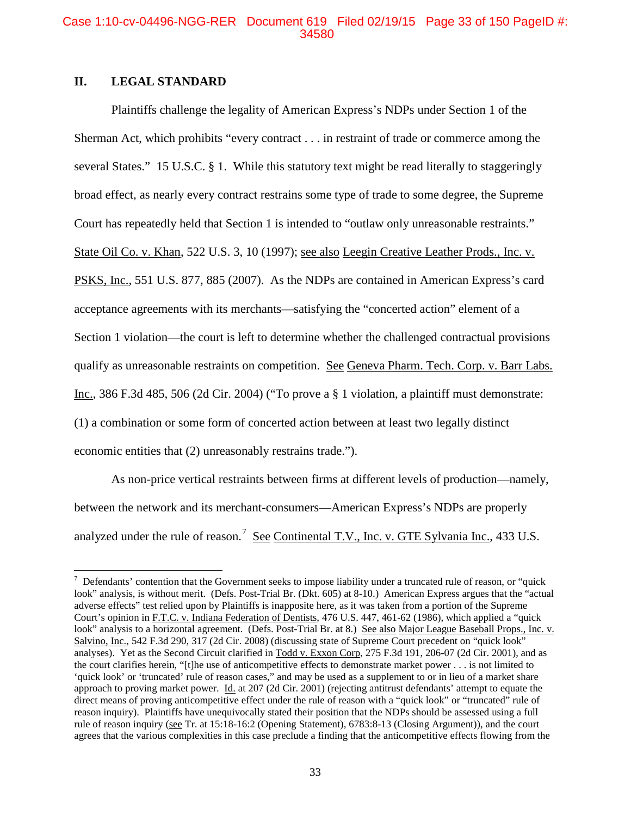# Case 1:10-cv-04496-NGG-RER Document 619 Filed 02/19/15 Page 33 of 150 PageID #: 34580

# **II. LEGAL STANDARD**

 $\overline{a}$ 

Plaintiffs challenge the legality of American Express's NDPs under Section 1 of the Sherman Act, which prohibits "every contract . . . in restraint of trade or commerce among the several States." 15 U.S.C. § 1. While this statutory text might be read literally to staggeringly broad effect, as nearly every contract restrains some type of trade to some degree, the Supreme Court has repeatedly held that Section 1 is intended to "outlaw only unreasonable restraints." State Oil Co. v. Khan, 522 U.S. 3, 10 (1997); see also Leegin Creative Leather Prods., Inc. v. PSKS, Inc., 551 U.S. 877, 885 (2007). As the NDPs are contained in American Express's card acceptance agreements with its merchants—satisfying the "concerted action" element of a Section 1 violation—the court is left to determine whether the challenged contractual provisions qualify as unreasonable restraints on competition. See Geneva Pharm. Tech. Corp. v. Barr Labs. Inc., 386 F.3d 485, 506 (2d Cir. 2004) ("To prove a § 1 violation, a plaintiff must demonstrate: (1) a combination or some form of concerted action between at least two legally distinct economic entities that (2) unreasonably restrains trade.").

As non-price vertical restraints between firms at different levels of production—namely, between the network and its merchant-consumers—American Express's NDPs are properly analyzed under the rule of reason.<sup>7</sup> See Continental T.V., Inc. v. GTE Sylvania Inc., 433 U.S.

 $<sup>7</sup>$  Defendants' contention that the Government seeks to impose liability under a truncated rule of reason, or "quick"</sup> look" analysis, is without merit. (Defs. Post-Trial Br. (Dkt. 605) at 8-10.) American Express argues that the "actual adverse effects" test relied upon by Plaintiffs is inapposite here, as it was taken from a portion of the Supreme Court's opinion in F.T.C. v. Indiana Federation of Dentists, 476 U.S. 447, 461-62 (1986), which applied a "quick look" analysis to a horizontal agreement. (Defs. Post-Trial Br. at 8.) See also Major League Baseball Props., Inc. v. Salvino, Inc., 542 F.3d 290, 317 (2d Cir. 2008) (discussing state of Supreme Court precedent on "quick look" analyses). Yet as the Second Circuit clarified in Todd v. Exxon Corp, 275 F.3d 191, 206-07 (2d Cir. 2001), and as the court clarifies herein, "[t]he use of anticompetitive effects to demonstrate market power . . . is not limited to 'quick look' or 'truncated' rule of reason cases," and may be used as a supplement to or in lieu of a market share approach to proving market power. Id. at 207 (2d Cir. 2001) (rejecting antitrust defendants' attempt to equate the direct means of proving anticompetitive effect under the rule of reason with a "quick look" or "truncated" rule of reason inquiry). Plaintiffs have unequivocally stated their position that the NDPs should be assessed using a full rule of reason inquiry (see Tr. at 15:18-16:2 (Opening Statement), 6783:8-13 (Closing Argument)), and the court agrees that the various complexities in this case preclude a finding that the anticompetitive effects flowing from the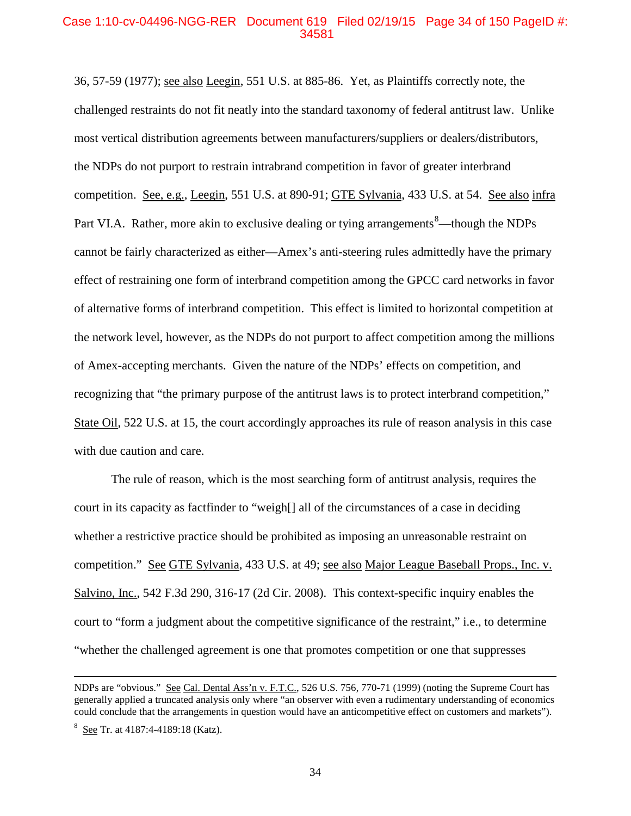#### Case 1:10-cv-04496-NGG-RER Document 619 Filed 02/19/15 Page 34 of 150 PageID #: 34581

36, 57-59 (1977); see also Leegin, 551 U.S. at 885-86. Yet, as Plaintiffs correctly note, the challenged restraints do not fit neatly into the standard taxonomy of federal antitrust law. Unlike most vertical distribution agreements between manufacturers/suppliers or dealers/distributors, the NDPs do not purport to restrain intrabrand competition in favor of greater interbrand competition. See, e.g., Leegin, 551 U.S. at 890-91; GTE Sylvania, 433 U.S. at 54. See also infra Part VI.A. Rather, more akin to exclusive dealing or tying arrangements  $\text{S}$ —though the NDPs cannot be fairly characterized as either—Amex's anti-steering rules admittedly have the primary effect of restraining one form of interbrand competition among the GPCC card networks in favor of alternative forms of interbrand competition. This effect is limited to horizontal competition at the network level, however, as the NDPs do not purport to affect competition among the millions of Amex-accepting merchants. Given the nature of the NDPs' effects on competition, and recognizing that "the primary purpose of the antitrust laws is to protect interbrand competition," State Oil, 522 U.S. at 15, the court accordingly approaches its rule of reason analysis in this case with due caution and care.

The rule of reason, which is the most searching form of antitrust analysis, requires the court in its capacity as factfinder to "weigh[] all of the circumstances of a case in deciding whether a restrictive practice should be prohibited as imposing an unreasonable restraint on competition." See GTE Sylvania, 433 U.S. at 49; see also Major League Baseball Props., Inc. v. Salvino, Inc., 542 F.3d 290, 316-17 (2d Cir. 2008). This context-specific inquiry enables the court to "form a judgment about the competitive significance of the restraint," i.e., to determine "whether the challenged agreement is one that promotes competition or one that suppresses

 $\overline{a}$ 

NDPs are "obvious." See Cal. Dental Ass'n v. F.T.C., 526 U.S. 756, 770-71 (1999) (noting the Supreme Court has generally applied a truncated analysis only where "an observer with even a rudimentary understanding of economics could conclude that the arrangements in question would have an anticompetitive effect on customers and markets").

 $8 \text{ See Tr. at } 4187:4-4189:18 \text{ (Katz).}$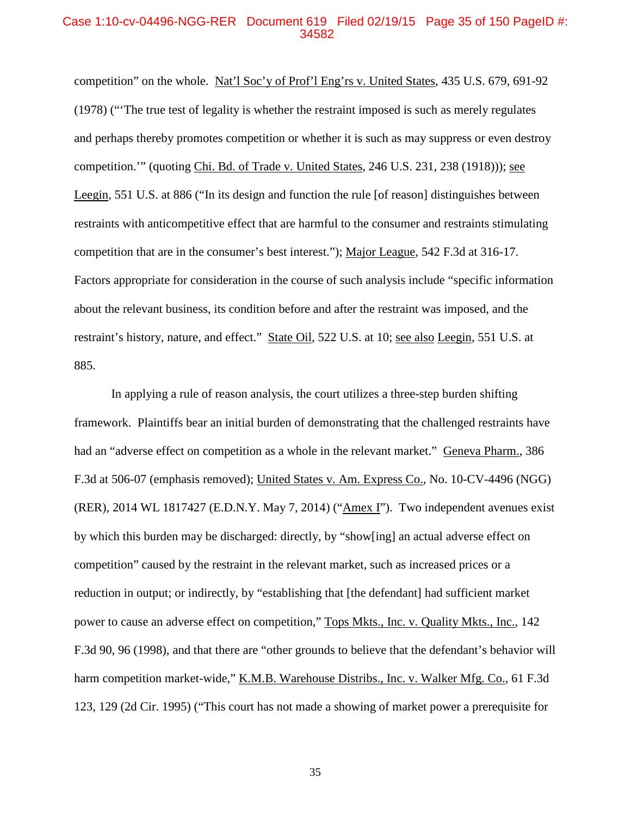#### Case 1:10-cv-04496-NGG-RER Document 619 Filed 02/19/15 Page 35 of 150 PageID #: 34582

competition" on the whole. Nat'l Soc'y of Prof'l Eng'rs v. United States, 435 U.S. 679, 691-92 (1978) ("'The true test of legality is whether the restraint imposed is such as merely regulates and perhaps thereby promotes competition or whether it is such as may suppress or even destroy competition.'" (quoting Chi. Bd. of Trade v. United States, 246 U.S. 231, 238 (1918))); see Leegin, 551 U.S. at 886 ("In its design and function the rule [of reason] distinguishes between restraints with anticompetitive effect that are harmful to the consumer and restraints stimulating competition that are in the consumer's best interest."); Major League, 542 F.3d at 316-17. Factors appropriate for consideration in the course of such analysis include "specific information about the relevant business, its condition before and after the restraint was imposed, and the restraint's history, nature, and effect." State Oil, 522 U.S. at 10; see also Leegin, 551 U.S. at 885.

In applying a rule of reason analysis, the court utilizes a three-step burden shifting framework. Plaintiffs bear an initial burden of demonstrating that the challenged restraints have had an "adverse effect on competition as a whole in the relevant market." Geneva Pharm., 386 F.3d at 506-07 (emphasis removed); United States v. Am. Express Co., No. 10-CV-4496 (NGG) (RER), 2014 WL 1817427 (E.D.N.Y. May 7, 2014) ("Amex I"). Two independent avenues exist by which this burden may be discharged: directly, by "show[ing] an actual adverse effect on competition" caused by the restraint in the relevant market, such as increased prices or a reduction in output; or indirectly, by "establishing that [the defendant] had sufficient market power to cause an adverse effect on competition," Tops Mkts., Inc. v. Quality Mkts., Inc., 142 F.3d 90, 96 (1998), and that there are "other grounds to believe that the defendant's behavior will harm competition market-wide," K.M.B. Warehouse Distribs., Inc. v. Walker Mfg. Co., 61 F.3d 123, 129 (2d Cir. 1995) ("This court has not made a showing of market power a prerequisite for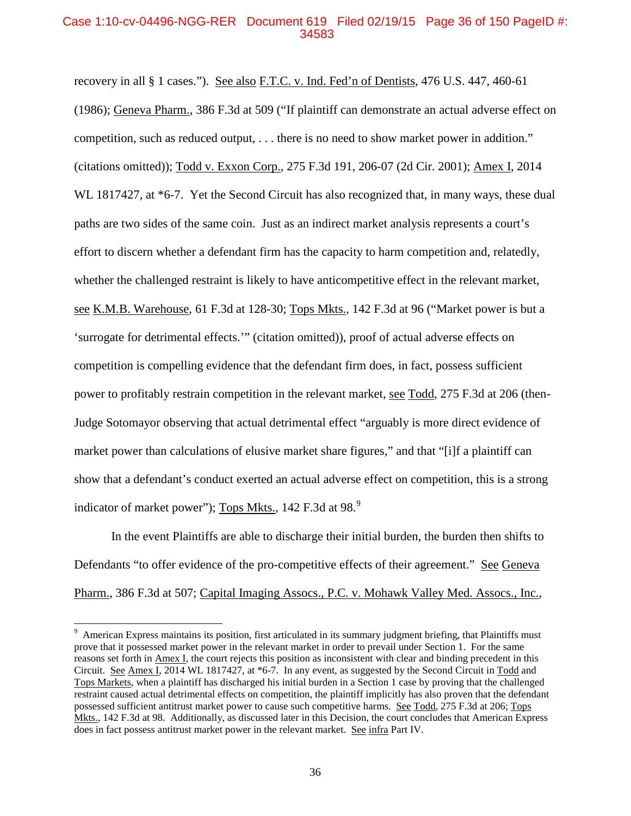# Case 1:10-cv-04496-NGG-RER Document 619 Filed 02/19/15 Page 36 of 150 PageID #: 34583

recovery in all § 1 cases."). See also F.T.C. v. Ind. Fed'n of Dentists, 476 U.S. 447, 460-61 (1986); Geneva Pharm., 386 F.3d at 509 ("If plaintiff can demonstrate an actual adverse effect on competition, such as reduced output, . . . there is no need to show market power in addition." (citations omitted)); Todd v. Exxon Corp., 275 F.3d 191, 206-07 (2d Cir. 2001); Amex I, 2014 WL 1817427, at \*6-7. Yet the Second Circuit has also recognized that, in many ways, these dual paths are two sides of the same coin. Just as an indirect market analysis represents a court's effort to discern whether a defendant firm has the capacity to harm competition and, relatedly, whether the challenged restraint is likely to have anticompetitive effect in the relevant market, see K.M.B. Warehouse, 61 F.3d at 128-30; Tops Mkts., 142 F.3d at 96 ("Market power is but a 'surrogate for detrimental effects.'" (citation omitted)), proof of actual adverse effects on competition is compelling evidence that the defendant firm does, in fact, possess sufficient power to profitably restrain competition in the relevant market, see Todd, 275 F.3d at 206 (then-Judge Sotomayor observing that actual detrimental effect "arguably is more direct evidence of market power than calculations of elusive market share figures," and that "[i]f a plaintiff can show that a defendant's conduct exerted an actual adverse effect on competition, this is a strong indicator of market power"); Tops Mkts., 142 F.3d at 98.<sup>9</sup>

In the event Plaintiffs are able to discharge their initial burden, the burden then shifts to Defendants "to offer evidence of the pro-competitive effects of their agreement." See Geneva Pharm., 386 F.3d at 507; Capital Imaging Assocs., P.C. v. Mohawk Valley Med. Assocs., Inc.,

 $\overline{a}$ 

<sup>&</sup>lt;sup>9</sup> American Express maintains its position, first articulated in its summary judgment briefing, that Plaintiffs must prove that it possessed market power in the relevant market in order to prevail under Section 1. For the same reasons set forth in Amex I, the court rejects this position as inconsistent with clear and binding precedent in this Circuit. See Amex I, 2014 WL 1817427, at \*6-7. In any event, as suggested by the Second Circuit in Todd and Tops Markets, when a plaintiff has discharged his initial burden in a Section 1 case by proving that the challenged restraint caused actual detrimental effects on competition, the plaintiff implicitly has also proven that the defendant possessed sufficient antitrust market power to cause such competitive harms. See Todd, 275 F.3d at 206; Tops Mkts., 142 F.3d at 98. Additionally, as discussed later in this Decision, the court concludes that American Express does in fact possess antitrust market power in the relevant market. See infra Part IV.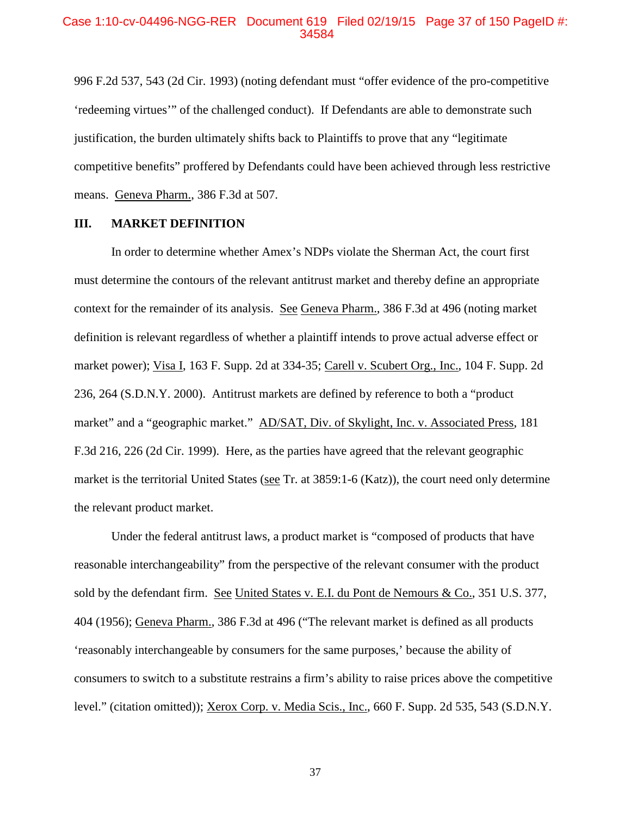#### Case 1:10-cv-04496-NGG-RER Document 619 Filed 02/19/15 Page 37 of 150 PageID #: 34584

996 F.2d 537, 543 (2d Cir. 1993) (noting defendant must "offer evidence of the pro-competitive 'redeeming virtues'" of the challenged conduct). If Defendants are able to demonstrate such justification, the burden ultimately shifts back to Plaintiffs to prove that any "legitimate competitive benefits" proffered by Defendants could have been achieved through less restrictive means. Geneva Pharm., 386 F.3d at 507.

## **III. MARKET DEFINITION**

In order to determine whether Amex's NDPs violate the Sherman Act, the court first must determine the contours of the relevant antitrust market and thereby define an appropriate context for the remainder of its analysis. See Geneva Pharm., 386 F.3d at 496 (noting market definition is relevant regardless of whether a plaintiff intends to prove actual adverse effect or market power); Visa I, 163 F. Supp. 2d at 334-35; Carell v. Scubert Org., Inc., 104 F. Supp. 2d 236, 264 (S.D.N.Y. 2000). Antitrust markets are defined by reference to both a "product market" and a "geographic market." AD/SAT, Div. of Skylight, Inc. v. Associated Press, 181 F.3d 216, 226 (2d Cir. 1999). Here, as the parties have agreed that the relevant geographic market is the territorial United States (see Tr. at 3859:1-6 (Katz)), the court need only determine the relevant product market.

Under the federal antitrust laws, a product market is "composed of products that have reasonable interchangeability" from the perspective of the relevant consumer with the product sold by the defendant firm. See United States v. E.I. du Pont de Nemours & Co., 351 U.S. 377, 404 (1956); Geneva Pharm., 386 F.3d at 496 ("The relevant market is defined as all products 'reasonably interchangeable by consumers for the same purposes,' because the ability of consumers to switch to a substitute restrains a firm's ability to raise prices above the competitive level." (citation omitted)); Xerox Corp. v. Media Scis., Inc., 660 F. Supp. 2d 535, 543 (S.D.N.Y.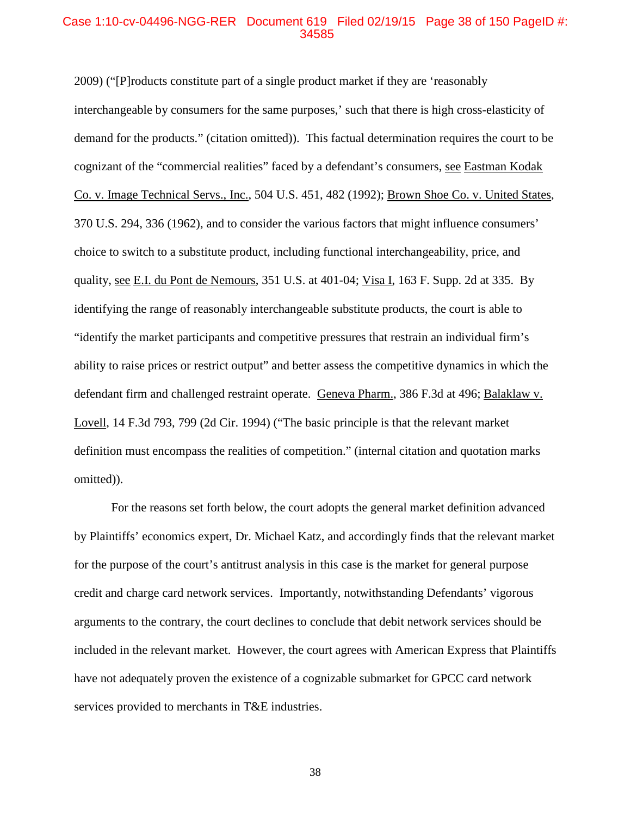# Case 1:10-cv-04496-NGG-RER Document 619 Filed 02/19/15 Page 38 of 150 PageID #: 34585

2009) ("[P]roducts constitute part of a single product market if they are 'reasonably interchangeable by consumers for the same purposes,' such that there is high cross-elasticity of demand for the products." (citation omitted)). This factual determination requires the court to be cognizant of the "commercial realities" faced by a defendant's consumers, see Eastman Kodak Co. v. Image Technical Servs., Inc., 504 U.S. 451, 482 (1992); Brown Shoe Co. v. United States, 370 U.S. 294, 336 (1962), and to consider the various factors that might influence consumers' choice to switch to a substitute product, including functional interchangeability, price, and quality, see E.I. du Pont de Nemours, 351 U.S. at 401-04; Visa I, 163 F. Supp. 2d at 335. By identifying the range of reasonably interchangeable substitute products, the court is able to "identify the market participants and competitive pressures that restrain an individual firm's ability to raise prices or restrict output" and better assess the competitive dynamics in which the defendant firm and challenged restraint operate. Geneva Pharm., 386 F.3d at 496; Balaklaw v. Lovell, 14 F.3d 793, 799 (2d Cir. 1994) ("The basic principle is that the relevant market definition must encompass the realities of competition." (internal citation and quotation marks omitted)).

For the reasons set forth below, the court adopts the general market definition advanced by Plaintiffs' economics expert, Dr. Michael Katz, and accordingly finds that the relevant market for the purpose of the court's antitrust analysis in this case is the market for general purpose credit and charge card network services. Importantly, notwithstanding Defendants' vigorous arguments to the contrary, the court declines to conclude that debit network services should be included in the relevant market. However, the court agrees with American Express that Plaintiffs have not adequately proven the existence of a cognizable submarket for GPCC card network services provided to merchants in T&E industries.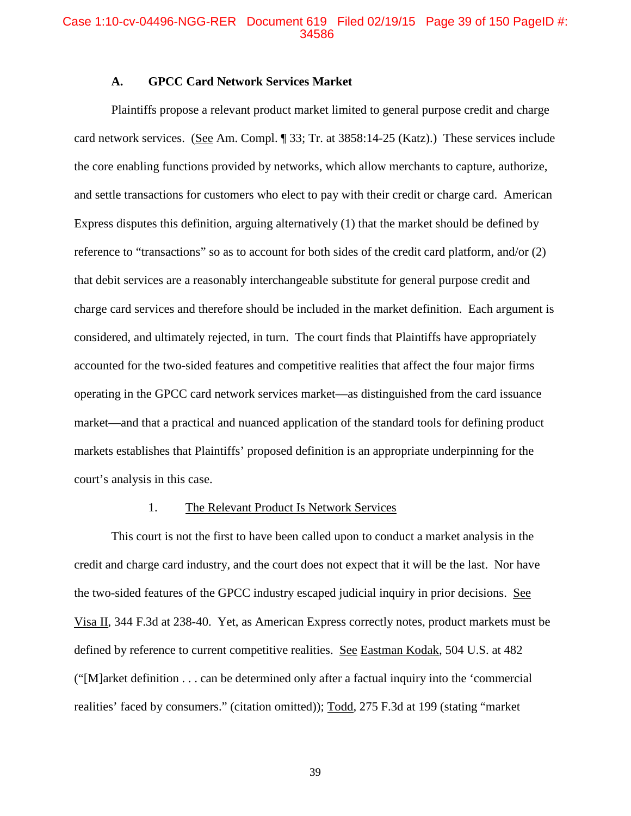# Case 1:10-cv-04496-NGG-RER Document 619 Filed 02/19/15 Page 39 of 150 PageID #: 34586

### **A. GPCC Card Network Services Market**

Plaintiffs propose a relevant product market limited to general purpose credit and charge card network services. (See Am. Compl. ¶ 33; Tr. at 3858:14-25 (Katz).) These services include the core enabling functions provided by networks, which allow merchants to capture, authorize, and settle transactions for customers who elect to pay with their credit or charge card. American Express disputes this definition, arguing alternatively (1) that the market should be defined by reference to "transactions" so as to account for both sides of the credit card platform, and/or (2) that debit services are a reasonably interchangeable substitute for general purpose credit and charge card services and therefore should be included in the market definition. Each argument is considered, and ultimately rejected, in turn. The court finds that Plaintiffs have appropriately accounted for the two-sided features and competitive realities that affect the four major firms operating in the GPCC card network services market—as distinguished from the card issuance market—and that a practical and nuanced application of the standard tools for defining product markets establishes that Plaintiffs' proposed definition is an appropriate underpinning for the court's analysis in this case.

### 1. The Relevant Product Is Network Services

This court is not the first to have been called upon to conduct a market analysis in the credit and charge card industry, and the court does not expect that it will be the last. Nor have the two-sided features of the GPCC industry escaped judicial inquiry in prior decisions. See Visa II, 344 F.3d at 238-40. Yet, as American Express correctly notes, product markets must be defined by reference to current competitive realities. See Eastman Kodak, 504 U.S. at 482 ("[M]arket definition . . . can be determined only after a factual inquiry into the 'commercial realities' faced by consumers." (citation omitted)); Todd, 275 F.3d at 199 (stating "market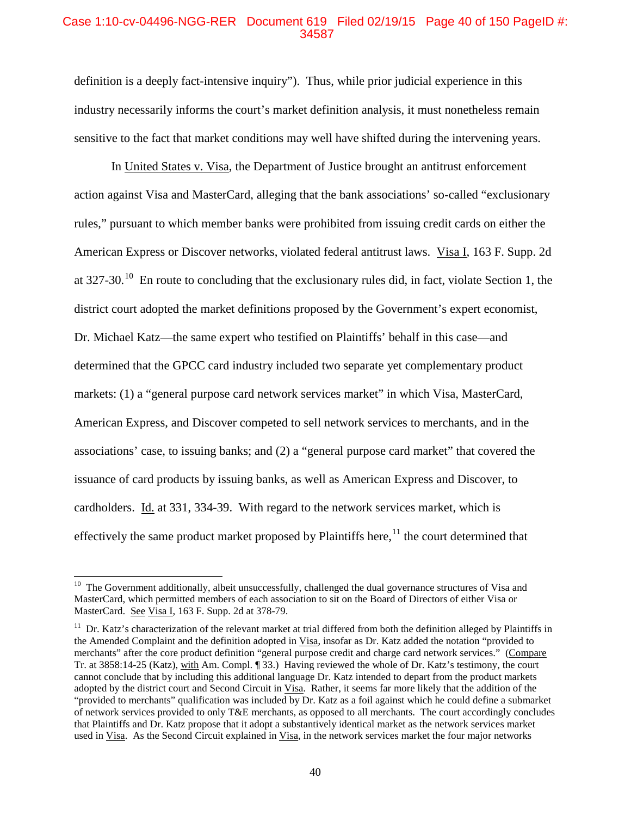## Case 1:10-cv-04496-NGG-RER Document 619 Filed 02/19/15 Page 40 of 150 PageID #: 34587

definition is a deeply fact-intensive inquiry"). Thus, while prior judicial experience in this industry necessarily informs the court's market definition analysis, it must nonetheless remain sensitive to the fact that market conditions may well have shifted during the intervening years.

In United States v. Visa, the Department of Justice brought an antitrust enforcement action against Visa and MasterCard, alleging that the bank associations' so-called "exclusionary rules," pursuant to which member banks were prohibited from issuing credit cards on either the American Express or Discover networks, violated federal antitrust laws. Visa I, 163 F. Supp. 2d at 327-30.<sup>10</sup> En route to concluding that the exclusionary rules did, in fact, violate Section 1, the district court adopted the market definitions proposed by the Government's expert economist, Dr. Michael Katz—the same expert who testified on Plaintiffs' behalf in this case—and determined that the GPCC card industry included two separate yet complementary product markets: (1) a "general purpose card network services market" in which Visa, MasterCard, American Express, and Discover competed to sell network services to merchants, and in the associations' case, to issuing banks; and (2) a "general purpose card market" that covered the issuance of card products by issuing banks, as well as American Express and Discover, to cardholders. Id. at 331, 334-39. With regard to the network services market, which is effectively the same product market proposed by Plaintiffs here,  $11$  the court determined that

<sup>&</sup>lt;sup>10</sup> The Government additionally, albeit unsuccessfully, challenged the dual governance structures of Visa and MasterCard, which permitted members of each association to sit on the Board of Directors of either Visa or MasterCard. See Visa I, 163 F. Supp. 2d at 378-79.

 $11$  Dr. Katz's characterization of the relevant market at trial differed from both the definition alleged by Plaintiffs in the Amended Complaint and the definition adopted in Visa, insofar as Dr. Katz added the notation "provided to merchants" after the core product definition "general purpose credit and charge card network services." (Compare Tr. at 3858:14-25 (Katz), with Am. Compl. ¶ 33.) Having reviewed the whole of Dr. Katz's testimony, the court cannot conclude that by including this additional language Dr. Katz intended to depart from the product markets adopted by the district court and Second Circuit in Visa. Rather, it seems far more likely that the addition of the "provided to merchants" qualification was included by Dr. Katz as a foil against which he could define a submarket of network services provided to only T&E merchants, as opposed to all merchants. The court accordingly concludes that Plaintiffs and Dr. Katz propose that it adopt a substantively identical market as the network services market used in Visa. As the Second Circuit explained in Visa, in the network services market the four major networks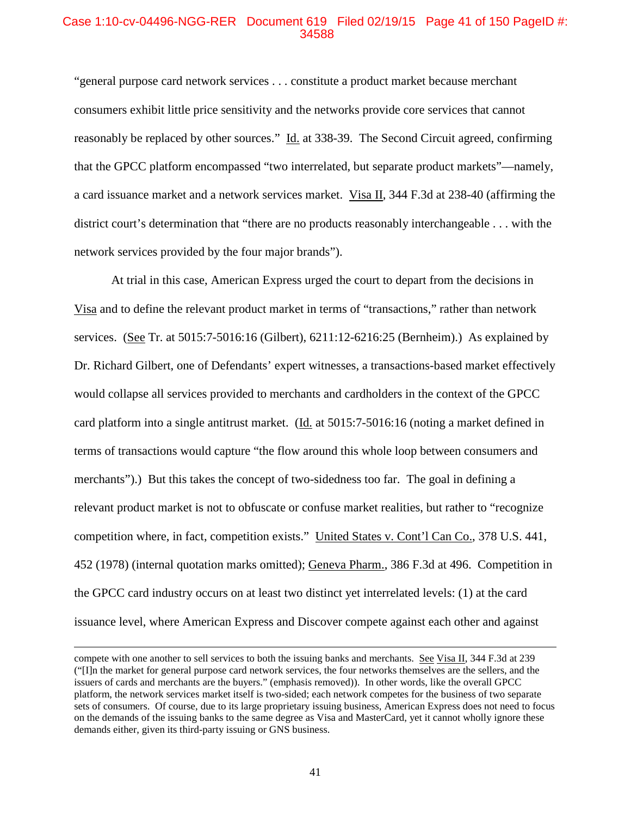## Case 1:10-cv-04496-NGG-RER Document 619 Filed 02/19/15 Page 41 of 150 PageID #: 34588

"general purpose card network services . . . constitute a product market because merchant consumers exhibit little price sensitivity and the networks provide core services that cannot reasonably be replaced by other sources." Id. at 338-39. The Second Circuit agreed, confirming that the GPCC platform encompassed "two interrelated, but separate product markets"—namely, a card issuance market and a network services market. Visa II, 344 F.3d at 238-40 (affirming the district court's determination that "there are no products reasonably interchangeable . . . with the network services provided by the four major brands").

At trial in this case, American Express urged the court to depart from the decisions in Visa and to define the relevant product market in terms of "transactions," rather than network services. (See Tr. at 5015:7-5016:16 (Gilbert), 6211:12-6216:25 (Bernheim).) As explained by Dr. Richard Gilbert, one of Defendants' expert witnesses, a transactions-based market effectively would collapse all services provided to merchants and cardholders in the context of the GPCC card platform into a single antitrust market. (Id. at 5015:7-5016:16 (noting a market defined in terms of transactions would capture "the flow around this whole loop between consumers and merchants").) But this takes the concept of two-sidedness too far. The goal in defining a relevant product market is not to obfuscate or confuse market realities, but rather to "recognize competition where, in fact, competition exists." United States v. Cont'l Can Co., 378 U.S. 441, 452 (1978) (internal quotation marks omitted); Geneva Pharm., 386 F.3d at 496. Competition in the GPCC card industry occurs on at least two distinct yet interrelated levels: (1) at the card issuance level, where American Express and Discover compete against each other and against

compete with one another to sell services to both the issuing banks and merchants. See Visa II, 344 F.3d at 239 ("[I]n the market for general purpose card network services, the four networks themselves are the sellers, and the issuers of cards and merchants are the buyers." (emphasis removed)). In other words, like the overall GPCC platform, the network services market itself is two-sided; each network competes for the business of two separate sets of consumers. Of course, due to its large proprietary issuing business, American Express does not need to focus on the demands of the issuing banks to the same degree as Visa and MasterCard, yet it cannot wholly ignore these demands either, given its third-party issuing or GNS business.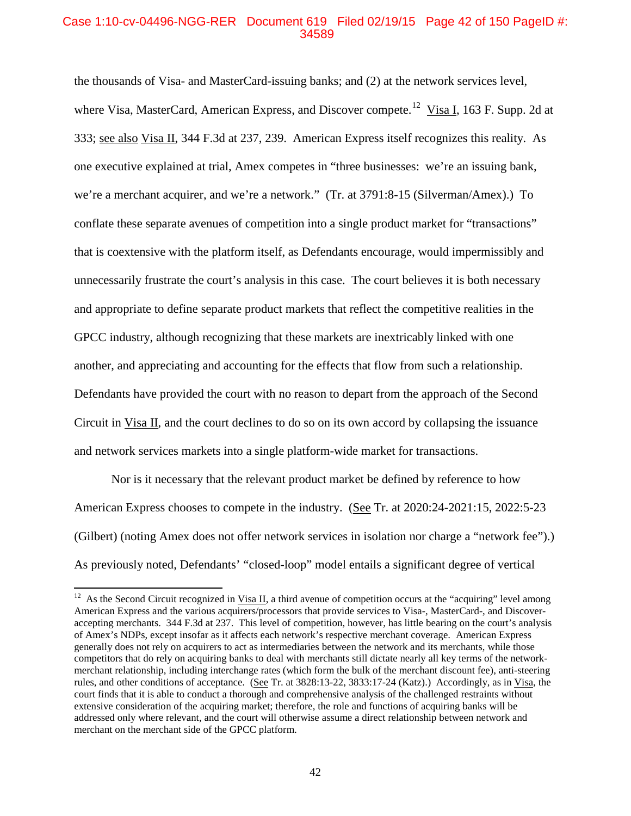# Case 1:10-cv-04496-NGG-RER Document 619 Filed 02/19/15 Page 42 of 150 PageID #: 34589

the thousands of Visa- and MasterCard-issuing banks; and (2) at the network services level, where Visa, MasterCard, American Express, and Discover compete.<sup>12</sup> Visa I, 163 F. Supp. 2d at 333; see also Visa II, 344 F.3d at 237, 239. American Express itself recognizes this reality. As one executive explained at trial, Amex competes in "three businesses: we're an issuing bank, we're a merchant acquirer, and we're a network." (Tr. at 3791:8-15 (Silverman/Amex).) To conflate these separate avenues of competition into a single product market for "transactions" that is coextensive with the platform itself, as Defendants encourage, would impermissibly and unnecessarily frustrate the court's analysis in this case. The court believes it is both necessary and appropriate to define separate product markets that reflect the competitive realities in the GPCC industry, although recognizing that these markets are inextricably linked with one another, and appreciating and accounting for the effects that flow from such a relationship. Defendants have provided the court with no reason to depart from the approach of the Second Circuit in Visa II, and the court declines to do so on its own accord by collapsing the issuance and network services markets into a single platform-wide market for transactions.

Nor is it necessary that the relevant product market be defined by reference to how American Express chooses to compete in the industry. (See Tr. at 2020:24-2021:15, 2022:5-23 (Gilbert) (noting Amex does not offer network services in isolation nor charge a "network fee").) As previously noted, Defendants' "closed-loop" model entails a significant degree of vertical

<sup>&</sup>lt;sup>12</sup> As the Second Circuit recognized in  $Visa II$ , a third avenue of competition occurs at the "acquiring" level among</u> American Express and the various acquirers/processors that provide services to Visa-, MasterCard-, and Discoveraccepting merchants. 344 F.3d at 237. This level of competition, however, has little bearing on the court's analysis of Amex's NDPs, except insofar as it affects each network's respective merchant coverage. American Express generally does not rely on acquirers to act as intermediaries between the network and its merchants, while those competitors that do rely on acquiring banks to deal with merchants still dictate nearly all key terms of the networkmerchant relationship, including interchange rates (which form the bulk of the merchant discount fee), anti-steering rules, and other conditions of acceptance. (See Tr. at 3828:13-22, 3833:17-24 (Katz).) Accordingly, as in Visa, the court finds that it is able to conduct a thorough and comprehensive analysis of the challenged restraints without extensive consideration of the acquiring market; therefore, the role and functions of acquiring banks will be addressed only where relevant, and the court will otherwise assume a direct relationship between network and merchant on the merchant side of the GPCC platform.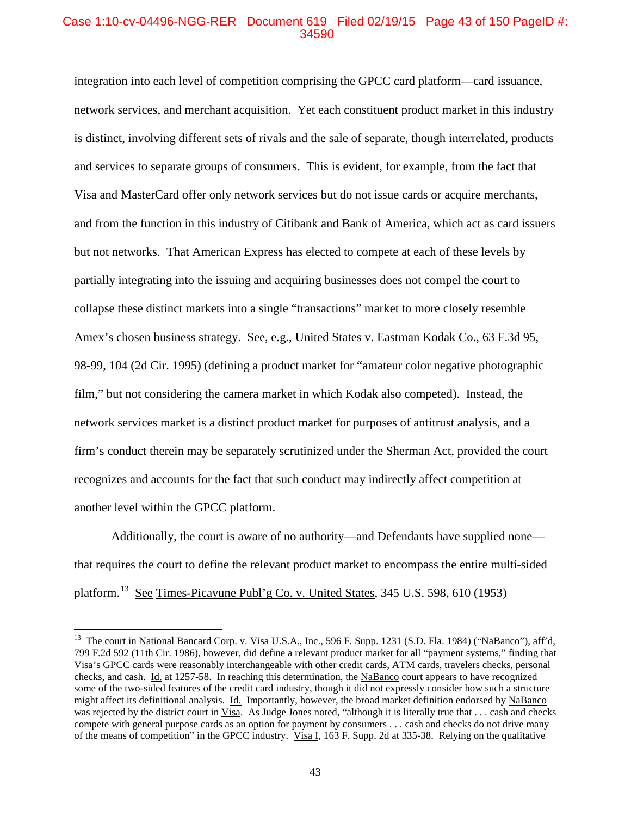# Case 1:10-cv-04496-NGG-RER Document 619 Filed 02/19/15 Page 43 of 150 PageID #: 34590

integration into each level of competition comprising the GPCC card platform—card issuance, network services, and merchant acquisition. Yet each constituent product market in this industry is distinct, involving different sets of rivals and the sale of separate, though interrelated, products and services to separate groups of consumers. This is evident, for example, from the fact that Visa and MasterCard offer only network services but do not issue cards or acquire merchants, and from the function in this industry of Citibank and Bank of America, which act as card issuers but not networks. That American Express has elected to compete at each of these levels by partially integrating into the issuing and acquiring businesses does not compel the court to collapse these distinct markets into a single "transactions" market to more closely resemble Amex's chosen business strategy. See, e.g., United States v. Eastman Kodak Co., 63 F.3d 95, 98-99, 104 (2d Cir. 1995) (defining a product market for "amateur color negative photographic film," but not considering the camera market in which Kodak also competed). Instead, the network services market is a distinct product market for purposes of antitrust analysis, and a firm's conduct therein may be separately scrutinized under the Sherman Act, provided the court recognizes and accounts for the fact that such conduct may indirectly affect competition at another level within the GPCC platform.

Additionally, the court is aware of no authority—and Defendants have supplied none that requires the court to define the relevant product market to encompass the entire multi-sided platform.<sup>13</sup> See Times-Picayune Publ'g Co. v. United States, 345 U.S. 598, 610 (1953)

<sup>&</sup>lt;sup>13</sup> The court in National Bancard Corp. v. Visa U.S.A., Inc., 596 F. Supp. 1231 (S.D. Fla. 1984) ("NaBanco"), aff'd, 799 F.2d 592 (11th Cir. 1986), however, did define a relevant product market for all "payment systems," finding that Visa's GPCC cards were reasonably interchangeable with other credit cards, ATM cards, travelers checks, personal checks, and cash. Id. at 1257-58. In reaching this determination, the NaBanco court appears to have recognized some of the two-sided features of the credit card industry, though it did not expressly consider how such a structure might affect its definitional analysis. Id. Importantly, however, the broad market definition endorsed by NaBanco was rejected by the district court in Visa. As Judge Jones noted, "although it is literally true that . . . cash and checks compete with general purpose cards as an option for payment by consumers . . . cash and checks do not drive many of the means of competition" in the GPCC industry. Visa I, 163 F. Supp. 2d at 335-38. Relying on the qualitative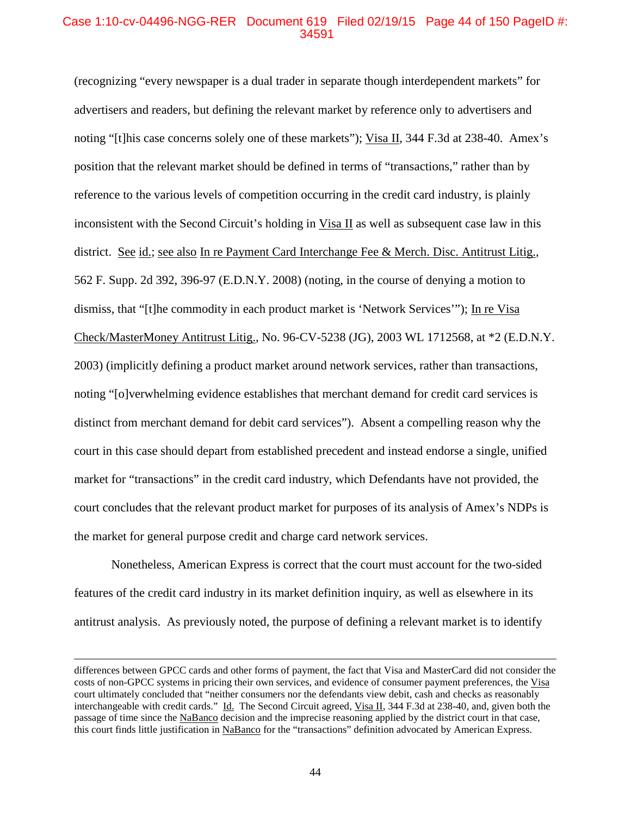# Case 1:10-cv-04496-NGG-RER Document 619 Filed 02/19/15 Page 44 of 150 PageID #: 34591

(recognizing "every newspaper is a dual trader in separate though interdependent markets" for advertisers and readers, but defining the relevant market by reference only to advertisers and noting "[t]his case concerns solely one of these markets"); Visa II, 344 F.3d at 238-40. Amex's position that the relevant market should be defined in terms of "transactions," rather than by reference to the various levels of competition occurring in the credit card industry, is plainly inconsistent with the Second Circuit's holding in Visa II as well as subsequent case law in this district. See id.; see also In re Payment Card Interchange Fee & Merch. Disc. Antitrust Litig., 562 F. Supp. 2d 392, 396-97 (E.D.N.Y. 2008) (noting, in the course of denying a motion to dismiss, that "[t]he commodity in each product market is 'Network Services'"); In re Visa Check/MasterMoney Antitrust Litig., No. 96-CV-5238 (JG), 2003 WL 1712568, at \*2 (E.D.N.Y. 2003) (implicitly defining a product market around network services, rather than transactions, noting "[o]verwhelming evidence establishes that merchant demand for credit card services is distinct from merchant demand for debit card services"). Absent a compelling reason why the court in this case should depart from established precedent and instead endorse a single, unified market for "transactions" in the credit card industry, which Defendants have not provided, the court concludes that the relevant product market for purposes of its analysis of Amex's NDPs is the market for general purpose credit and charge card network services.

Nonetheless, American Express is correct that the court must account for the two-sided features of the credit card industry in its market definition inquiry, as well as elsewhere in its antitrust analysis. As previously noted, the purpose of defining a relevant market is to identify

differences between GPCC cards and other forms of payment, the fact that Visa and MasterCard did not consider the costs of non-GPCC systems in pricing their own services, and evidence of consumer payment preferences, the Visa court ultimately concluded that "neither consumers nor the defendants view debit, cash and checks as reasonably interchangeable with credit cards." Id. The Second Circuit agreed, Visa II, 344 F.3d at 238-40, and, given both the passage of time since the NaBanco decision and the imprecise reasoning applied by the district court in that case, this court finds little justification in NaBanco for the "transactions" definition advocated by American Express.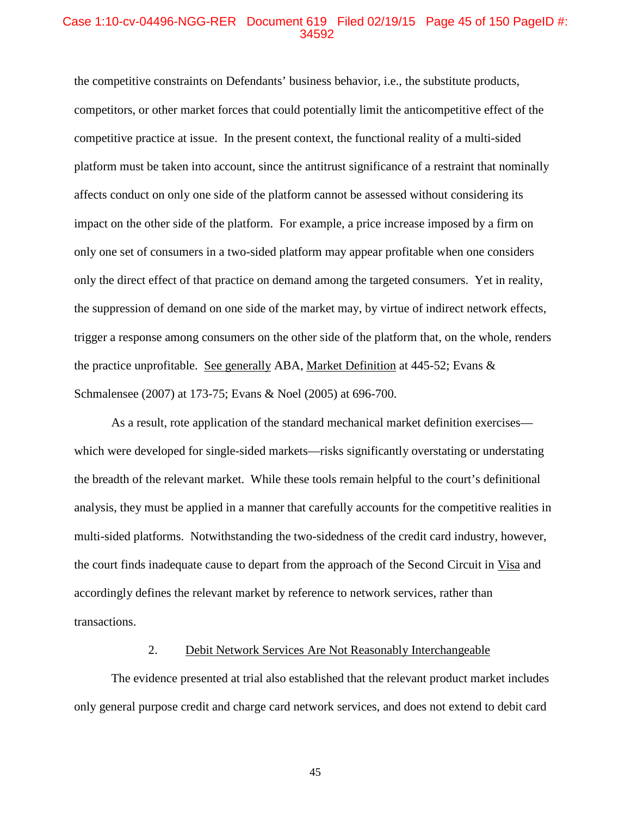# Case 1:10-cv-04496-NGG-RER Document 619 Filed 02/19/15 Page 45 of 150 PageID #: 34592

the competitive constraints on Defendants' business behavior, i.e., the substitute products, competitors, or other market forces that could potentially limit the anticompetitive effect of the competitive practice at issue. In the present context, the functional reality of a multi-sided platform must be taken into account, since the antitrust significance of a restraint that nominally affects conduct on only one side of the platform cannot be assessed without considering its impact on the other side of the platform. For example, a price increase imposed by a firm on only one set of consumers in a two-sided platform may appear profitable when one considers only the direct effect of that practice on demand among the targeted consumers. Yet in reality, the suppression of demand on one side of the market may, by virtue of indirect network effects, trigger a response among consumers on the other side of the platform that, on the whole, renders the practice unprofitable. See generally ABA, Market Definition at 445-52; Evans & Schmalensee (2007) at 173-75; Evans & Noel (2005) at 696-700.

As a result, rote application of the standard mechanical market definition exercises which were developed for single-sided markets—risks significantly overstating or understating the breadth of the relevant market. While these tools remain helpful to the court's definitional analysis, they must be applied in a manner that carefully accounts for the competitive realities in multi-sided platforms. Notwithstanding the two-sidedness of the credit card industry, however, the court finds inadequate cause to depart from the approach of the Second Circuit in Visa and accordingly defines the relevant market by reference to network services, rather than transactions.

### 2. Debit Network Services Are Not Reasonably Interchangeable

The evidence presented at trial also established that the relevant product market includes only general purpose credit and charge card network services, and does not extend to debit card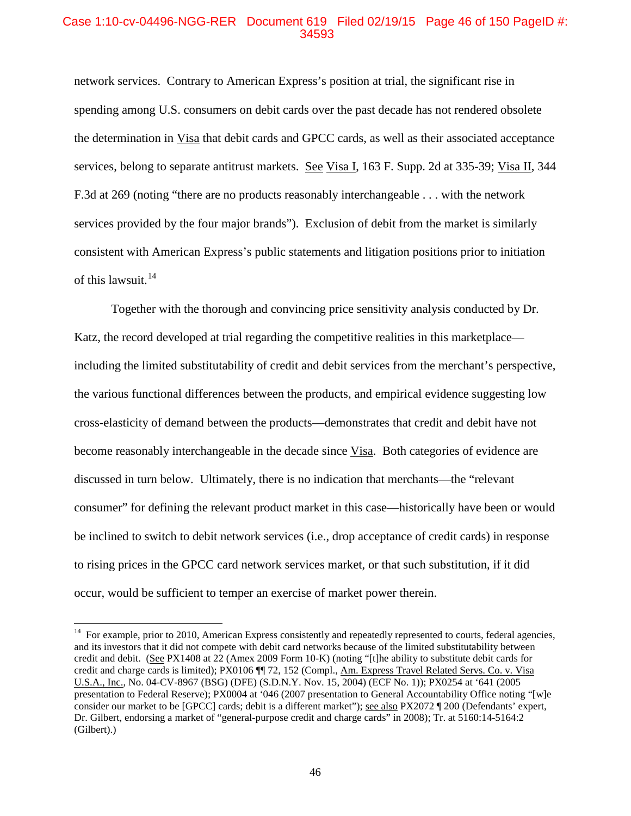## Case 1:10-cv-04496-NGG-RER Document 619 Filed 02/19/15 Page 46 of 150 PageID #: 34593

network services. Contrary to American Express's position at trial, the significant rise in spending among U.S. consumers on debit cards over the past decade has not rendered obsolete the determination in Visa that debit cards and GPCC cards, as well as their associated acceptance services, belong to separate antitrust markets. See Visa I, 163 F. Supp. 2d at 335-39; Visa II, 344 F.3d at 269 (noting "there are no products reasonably interchangeable . . . with the network services provided by the four major brands"). Exclusion of debit from the market is similarly consistent with American Express's public statements and litigation positions prior to initiation of this lawsuit. $^{14}$ 

Together with the thorough and convincing price sensitivity analysis conducted by Dr. Katz, the record developed at trial regarding the competitive realities in this marketplace including the limited substitutability of credit and debit services from the merchant's perspective, the various functional differences between the products, and empirical evidence suggesting low cross-elasticity of demand between the products—demonstrates that credit and debit have not become reasonably interchangeable in the decade since Visa. Both categories of evidence are discussed in turn below. Ultimately, there is no indication that merchants—the "relevant consumer" for defining the relevant product market in this case—historically have been or would be inclined to switch to debit network services (i.e., drop acceptance of credit cards) in response to rising prices in the GPCC card network services market, or that such substitution, if it did occur, would be sufficient to temper an exercise of market power therein.

 $14$  For example, prior to 2010, American Express consistently and repeatedly represented to courts, federal agencies, and its investors that it did not compete with debit card networks because of the limited substitutability between credit and debit. (See PX1408 at 22 (Amex 2009 Form 10-K) (noting "[t]he ability to substitute debit cards for credit and charge cards is limited); PX0106 ¶¶ 72, 152 (Compl., Am. Express Travel Related Servs. Co. v. Visa U.S.A., Inc., No. 04-CV-8967 (BSG) (DFE) (S.D.N.Y. Nov. 15, 2004) (ECF No. 1)); PX0254 at '641 (2005 presentation to Federal Reserve); PX0004 at '046 (2007 presentation to General Accountability Office noting "[w]e consider our market to be [GPCC] cards; debit is a different market"); see also PX2072 ¶ 200 (Defendants' expert, Dr. Gilbert, endorsing a market of "general-purpose credit and charge cards" in 2008); Tr. at 5160:14-5164:2 (Gilbert).)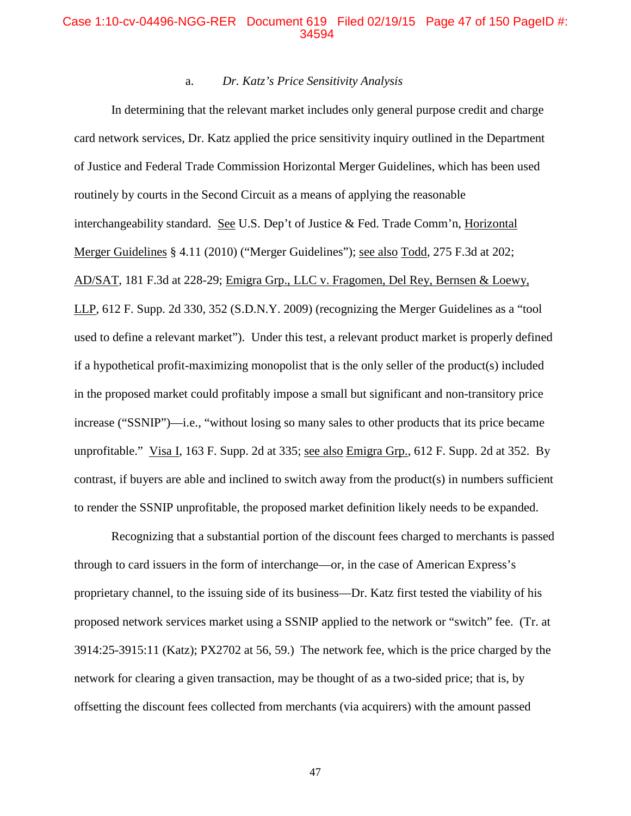## Case 1:10-cv-04496-NGG-RER Document 619 Filed 02/19/15 Page 47 of 150 PageID #: 34594

#### a. *Dr. Katz's Price Sensitivity Analysis*

In determining that the relevant market includes only general purpose credit and charge card network services, Dr. Katz applied the price sensitivity inquiry outlined in the Department of Justice and Federal Trade Commission Horizontal Merger Guidelines, which has been used routinely by courts in the Second Circuit as a means of applying the reasonable interchangeability standard. See U.S. Dep't of Justice & Fed. Trade Comm'n, Horizontal Merger Guidelines § 4.11 (2010) ("Merger Guidelines"); see also Todd, 275 F.3d at 202; AD/SAT, 181 F.3d at 228-29; Emigra Grp., LLC v. Fragomen, Del Rey, Bernsen & Loewy, LLP, 612 F. Supp. 2d 330, 352 (S.D.N.Y. 2009) (recognizing the Merger Guidelines as a "tool used to define a relevant market"). Under this test, a relevant product market is properly defined if a hypothetical profit-maximizing monopolist that is the only seller of the product(s) included in the proposed market could profitably impose a small but significant and non-transitory price increase ("SSNIP")—i.e., "without losing so many sales to other products that its price became unprofitable." Visa I, 163 F. Supp. 2d at 335; see also Emigra Grp., 612 F. Supp. 2d at 352. By contrast, if buyers are able and inclined to switch away from the product(s) in numbers sufficient to render the SSNIP unprofitable, the proposed market definition likely needs to be expanded.

Recognizing that a substantial portion of the discount fees charged to merchants is passed through to card issuers in the form of interchange—or, in the case of American Express's proprietary channel, to the issuing side of its business—Dr. Katz first tested the viability of his proposed network services market using a SSNIP applied to the network or "switch" fee. (Tr. at 3914:25-3915:11 (Katz); PX2702 at 56, 59.) The network fee, which is the price charged by the network for clearing a given transaction, may be thought of as a two-sided price; that is, by offsetting the discount fees collected from merchants (via acquirers) with the amount passed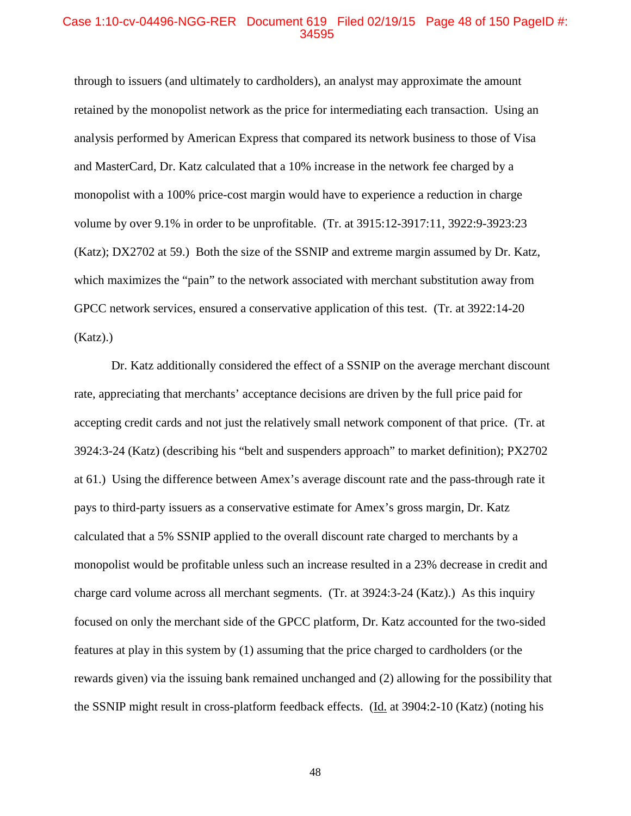# Case 1:10-cv-04496-NGG-RER Document 619 Filed 02/19/15 Page 48 of 150 PageID #: 34595

through to issuers (and ultimately to cardholders), an analyst may approximate the amount retained by the monopolist network as the price for intermediating each transaction. Using an analysis performed by American Express that compared its network business to those of Visa and MasterCard, Dr. Katz calculated that a 10% increase in the network fee charged by a monopolist with a 100% price-cost margin would have to experience a reduction in charge volume by over 9.1% in order to be unprofitable. (Tr. at 3915:12-3917:11, 3922:9-3923:23 (Katz); DX2702 at 59.) Both the size of the SSNIP and extreme margin assumed by Dr. Katz, which maximizes the "pain" to the network associated with merchant substitution away from GPCC network services, ensured a conservative application of this test. (Tr. at 3922:14-20  $(Katz).$ 

Dr. Katz additionally considered the effect of a SSNIP on the average merchant discount rate, appreciating that merchants' acceptance decisions are driven by the full price paid for accepting credit cards and not just the relatively small network component of that price. (Tr. at 3924:3-24 (Katz) (describing his "belt and suspenders approach" to market definition); PX2702 at 61.) Using the difference between Amex's average discount rate and the pass-through rate it pays to third-party issuers as a conservative estimate for Amex's gross margin, Dr. Katz calculated that a 5% SSNIP applied to the overall discount rate charged to merchants by a monopolist would be profitable unless such an increase resulted in a 23% decrease in credit and charge card volume across all merchant segments. (Tr. at 3924:3-24 (Katz).) As this inquiry focused on only the merchant side of the GPCC platform, Dr. Katz accounted for the two-sided features at play in this system by (1) assuming that the price charged to cardholders (or the rewards given) via the issuing bank remained unchanged and (2) allowing for the possibility that the SSNIP might result in cross-platform feedback effects. (Id. at 3904:2-10 (Katz) (noting his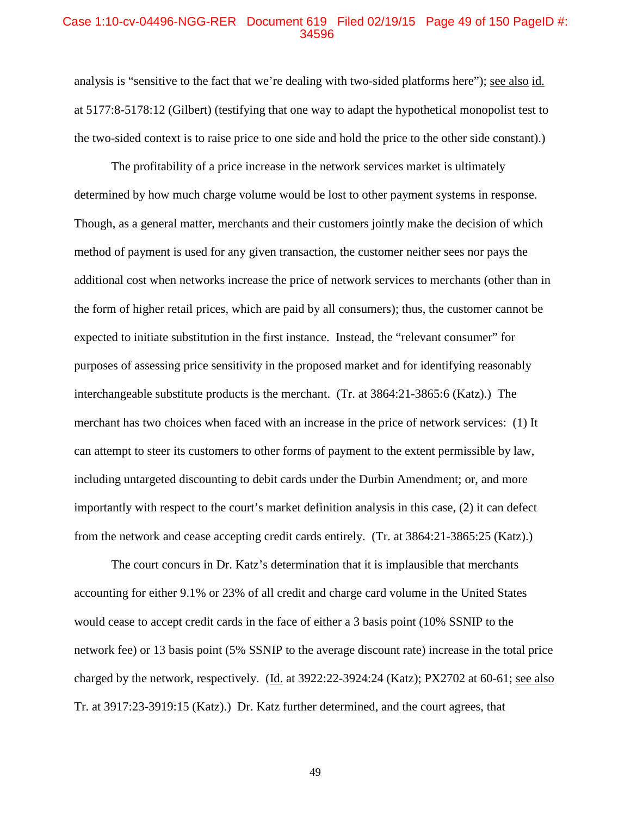# Case 1:10-cv-04496-NGG-RER Document 619 Filed 02/19/15 Page 49 of 150 PageID #: 34596

analysis is "sensitive to the fact that we're dealing with two-sided platforms here"); see also id. at 5177:8-5178:12 (Gilbert) (testifying that one way to adapt the hypothetical monopolist test to the two-sided context is to raise price to one side and hold the price to the other side constant).)

The profitability of a price increase in the network services market is ultimately determined by how much charge volume would be lost to other payment systems in response. Though, as a general matter, merchants and their customers jointly make the decision of which method of payment is used for any given transaction, the customer neither sees nor pays the additional cost when networks increase the price of network services to merchants (other than in the form of higher retail prices, which are paid by all consumers); thus, the customer cannot be expected to initiate substitution in the first instance. Instead, the "relevant consumer" for purposes of assessing price sensitivity in the proposed market and for identifying reasonably interchangeable substitute products is the merchant. (Tr. at 3864:21-3865:6 (Katz).) The merchant has two choices when faced with an increase in the price of network services: (1) It can attempt to steer its customers to other forms of payment to the extent permissible by law, including untargeted discounting to debit cards under the Durbin Amendment; or, and more importantly with respect to the court's market definition analysis in this case, (2) it can defect from the network and cease accepting credit cards entirely. (Tr. at 3864:21-3865:25 (Katz).)

The court concurs in Dr. Katz's determination that it is implausible that merchants accounting for either 9.1% or 23% of all credit and charge card volume in the United States would cease to accept credit cards in the face of either a 3 basis point (10% SSNIP to the network fee) or 13 basis point (5% SSNIP to the average discount rate) increase in the total price charged by the network, respectively. (Id. at 3922:22-3924:24 (Katz); PX2702 at 60-61; see also Tr. at 3917:23-3919:15 (Katz).) Dr. Katz further determined, and the court agrees, that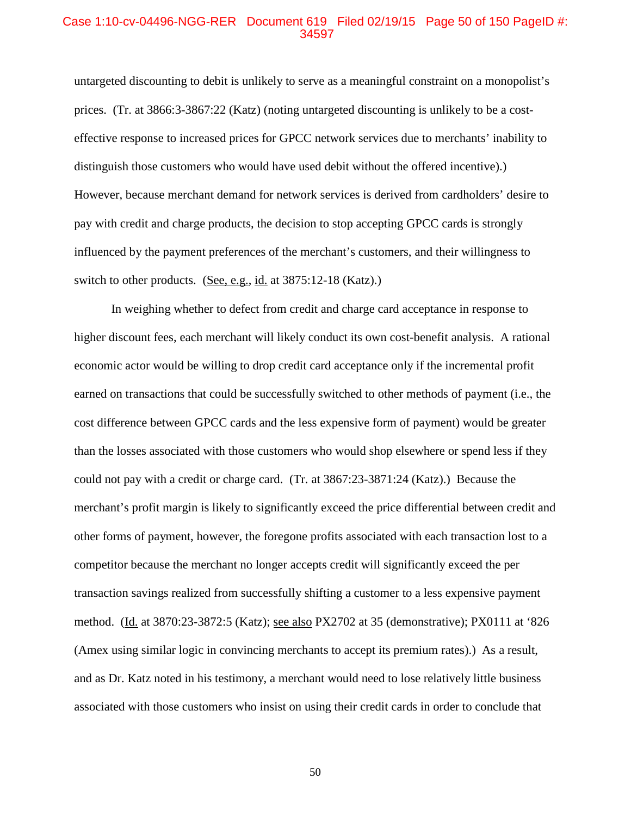# Case 1:10-cv-04496-NGG-RER Document 619 Filed 02/19/15 Page 50 of 150 PageID #: 34597

untargeted discounting to debit is unlikely to serve as a meaningful constraint on a monopolist's prices. (Tr. at 3866:3-3867:22 (Katz) (noting untargeted discounting is unlikely to be a costeffective response to increased prices for GPCC network services due to merchants' inability to distinguish those customers who would have used debit without the offered incentive).) However, because merchant demand for network services is derived from cardholders' desire to pay with credit and charge products, the decision to stop accepting GPCC cards is strongly influenced by the payment preferences of the merchant's customers, and their willingness to switch to other products. (See, e.g., id. at 3875:12-18 (Katz).)

In weighing whether to defect from credit and charge card acceptance in response to higher discount fees, each merchant will likely conduct its own cost-benefit analysis. A rational economic actor would be willing to drop credit card acceptance only if the incremental profit earned on transactions that could be successfully switched to other methods of payment (i.e., the cost difference between GPCC cards and the less expensive form of payment) would be greater than the losses associated with those customers who would shop elsewhere or spend less if they could not pay with a credit or charge card. (Tr. at 3867:23-3871:24 (Katz).) Because the merchant's profit margin is likely to significantly exceed the price differential between credit and other forms of payment, however, the foregone profits associated with each transaction lost to a competitor because the merchant no longer accepts credit will significantly exceed the per transaction savings realized from successfully shifting a customer to a less expensive payment method. (Id. at 3870:23-3872:5 (Katz); see also PX2702 at 35 (demonstrative); PX0111 at '826 (Amex using similar logic in convincing merchants to accept its premium rates).) As a result, and as Dr. Katz noted in his testimony, a merchant would need to lose relatively little business associated with those customers who insist on using their credit cards in order to conclude that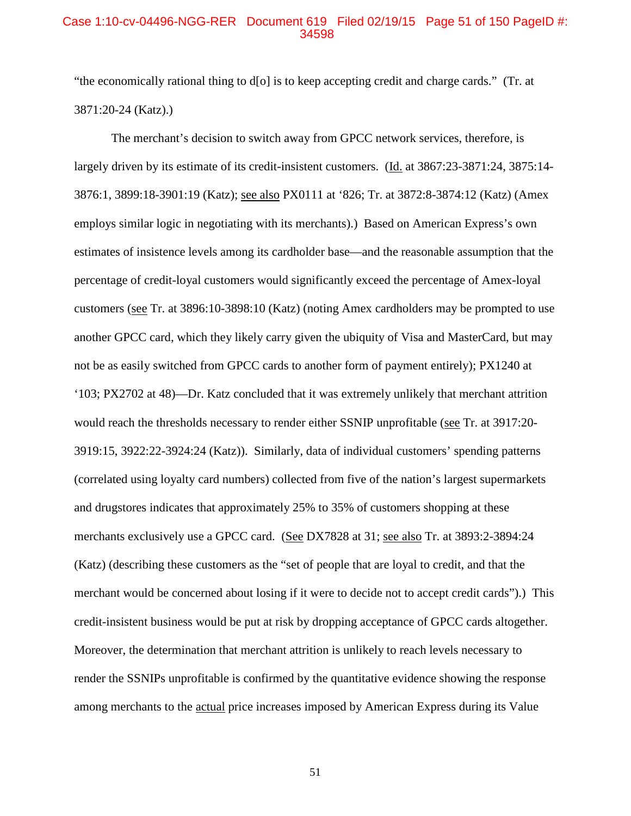# Case 1:10-cv-04496-NGG-RER Document 619 Filed 02/19/15 Page 51 of 150 PageID #: 34598

"the economically rational thing to d[o] is to keep accepting credit and charge cards." (Tr. at 3871:20-24 (Katz).)

The merchant's decision to switch away from GPCC network services, therefore, is largely driven by its estimate of its credit-insistent customers. (Id. at 3867:23-3871:24, 3875:14- 3876:1, 3899:18-3901:19 (Katz); see also PX0111 at '826; Tr. at 3872:8-3874:12 (Katz) (Amex employs similar logic in negotiating with its merchants).) Based on American Express's own estimates of insistence levels among its cardholder base—and the reasonable assumption that the percentage of credit-loyal customers would significantly exceed the percentage of Amex-loyal customers (see Tr. at 3896:10-3898:10 (Katz) (noting Amex cardholders may be prompted to use another GPCC card, which they likely carry given the ubiquity of Visa and MasterCard, but may not be as easily switched from GPCC cards to another form of payment entirely); PX1240 at '103; PX2702 at 48)—Dr. Katz concluded that it was extremely unlikely that merchant attrition would reach the thresholds necessary to render either SSNIP unprofitable (see Tr. at 3917:20- 3919:15, 3922:22-3924:24 (Katz)). Similarly, data of individual customers' spending patterns (correlated using loyalty card numbers) collected from five of the nation's largest supermarkets and drugstores indicates that approximately 25% to 35% of customers shopping at these merchants exclusively use a GPCC card. (See DX7828 at 31; see also Tr. at 3893:2-3894:24 (Katz) (describing these customers as the "set of people that are loyal to credit, and that the merchant would be concerned about losing if it were to decide not to accept credit cards").) This credit-insistent business would be put at risk by dropping acceptance of GPCC cards altogether. Moreover, the determination that merchant attrition is unlikely to reach levels necessary to render the SSNIPs unprofitable is confirmed by the quantitative evidence showing the response among merchants to the actual price increases imposed by American Express during its Value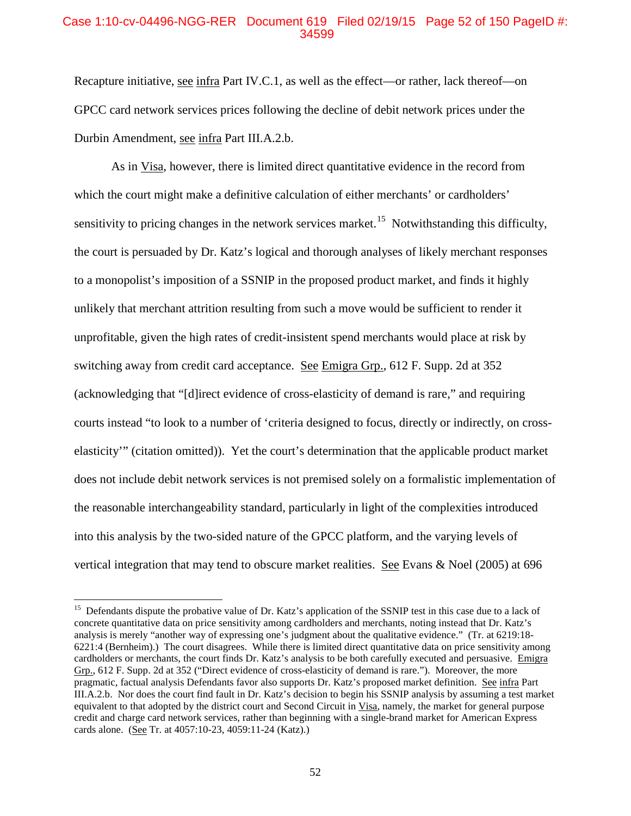## Case 1:10-cv-04496-NGG-RER Document 619 Filed 02/19/15 Page 52 of 150 PageID #: 34599

Recapture initiative, see infra Part IV.C.1, as well as the effect—or rather, lack thereof—on GPCC card network services prices following the decline of debit network prices under the Durbin Amendment, see infra Part III.A.2.b.

As in Visa, however, there is limited direct quantitative evidence in the record from which the court might make a definitive calculation of either merchants' or cardholders' sensitivity to pricing changes in the network services market.<sup>15</sup> Notwithstanding this difficulty, the court is persuaded by Dr. Katz's logical and thorough analyses of likely merchant responses to a monopolist's imposition of a SSNIP in the proposed product market, and finds it highly unlikely that merchant attrition resulting from such a move would be sufficient to render it unprofitable, given the high rates of credit-insistent spend merchants would place at risk by switching away from credit card acceptance. See Emigra Grp., 612 F. Supp. 2d at 352 (acknowledging that "[d]irect evidence of cross-elasticity of demand is rare," and requiring courts instead "to look to a number of 'criteria designed to focus, directly or indirectly, on crosselasticity'" (citation omitted)). Yet the court's determination that the applicable product market does not include debit network services is not premised solely on a formalistic implementation of the reasonable interchangeability standard, particularly in light of the complexities introduced into this analysis by the two-sided nature of the GPCC platform, and the varying levels of vertical integration that may tend to obscure market realities. See Evans & Noel (2005) at 696

<sup>&</sup>lt;sup>15</sup> Defendants dispute the probative value of Dr. Katz's application of the SSNIP test in this case due to a lack of concrete quantitative data on price sensitivity among cardholders and merchants, noting instead that Dr. Katz's analysis is merely "another way of expressing one's judgment about the qualitative evidence." (Tr. at 6219:18- 6221:4 (Bernheim).) The court disagrees. While there is limited direct quantitative data on price sensitivity among cardholders or merchants, the court finds Dr. Katz's analysis to be both carefully executed and persuasive. Emigra Grp., 612 F. Supp. 2d at 352 ("Direct evidence of cross-elasticity of demand is rare."). Moreover, the more pragmatic, factual analysis Defendants favor also supports Dr. Katz's proposed market definition. See infra Part III.A.2.b. Nor does the court find fault in Dr. Katz's decision to begin his SSNIP analysis by assuming a test market equivalent to that adopted by the district court and Second Circuit in Visa, namely, the market for general purpose credit and charge card network services, rather than beginning with a single-brand market for American Express cards alone. (See Tr. at 4057:10-23, 4059:11-24 (Katz).)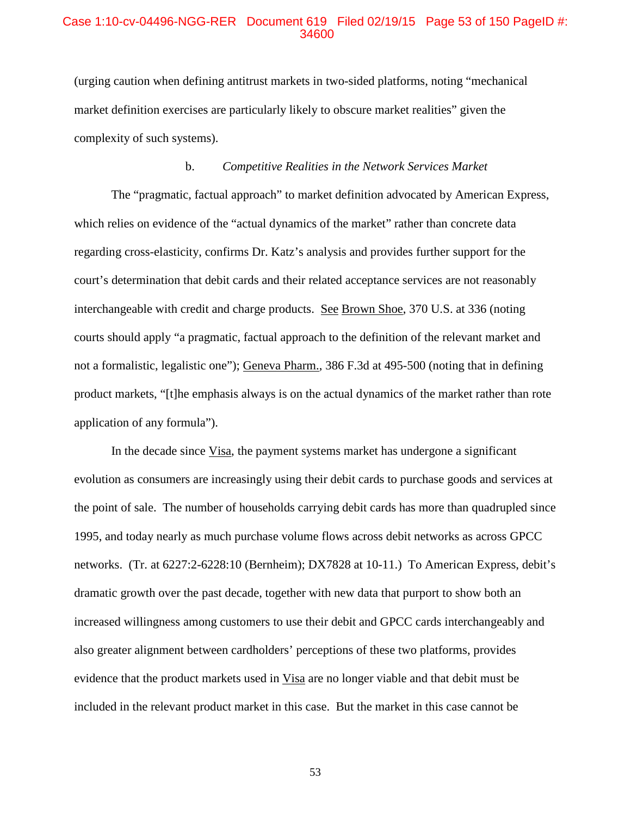### Case 1:10-cv-04496-NGG-RER Document 619 Filed 02/19/15 Page 53 of 150 PageID #: 34600

(urging caution when defining antitrust markets in two-sided platforms, noting "mechanical market definition exercises are particularly likely to obscure market realities" given the complexity of such systems).

### b. *Competitive Realities in the Network Services Market*

The "pragmatic, factual approach" to market definition advocated by American Express, which relies on evidence of the "actual dynamics of the market" rather than concrete data regarding cross-elasticity, confirms Dr. Katz's analysis and provides further support for the court's determination that debit cards and their related acceptance services are not reasonably interchangeable with credit and charge products. See Brown Shoe, 370 U.S. at 336 (noting courts should apply "a pragmatic, factual approach to the definition of the relevant market and not a formalistic, legalistic one"); Geneva Pharm., 386 F.3d at 495-500 (noting that in defining product markets, "[t]he emphasis always is on the actual dynamics of the market rather than rote application of any formula").

In the decade since Visa, the payment systems market has undergone a significant evolution as consumers are increasingly using their debit cards to purchase goods and services at the point of sale. The number of households carrying debit cards has more than quadrupled since 1995, and today nearly as much purchase volume flows across debit networks as across GPCC networks. (Tr. at 6227:2-6228:10 (Bernheim); DX7828 at 10-11.) To American Express, debit's dramatic growth over the past decade, together with new data that purport to show both an increased willingness among customers to use their debit and GPCC cards interchangeably and also greater alignment between cardholders' perceptions of these two platforms, provides evidence that the product markets used in Visa are no longer viable and that debit must be included in the relevant product market in this case. But the market in this case cannot be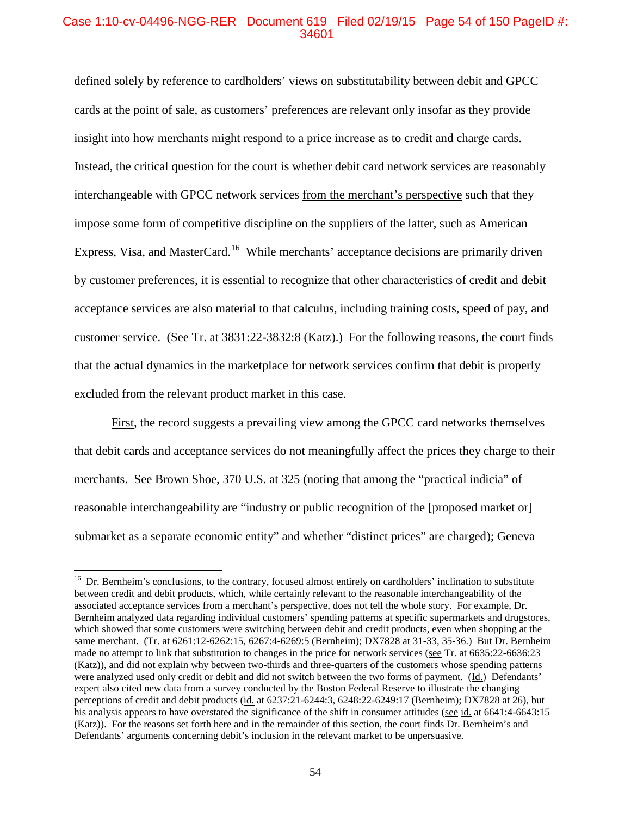# Case 1:10-cv-04496-NGG-RER Document 619 Filed 02/19/15 Page 54 of 150 PageID #: 34601

defined solely by reference to cardholders' views on substitutability between debit and GPCC cards at the point of sale, as customers' preferences are relevant only insofar as they provide insight into how merchants might respond to a price increase as to credit and charge cards. Instead, the critical question for the court is whether debit card network services are reasonably interchangeable with GPCC network services from the merchant's perspective such that they impose some form of competitive discipline on the suppliers of the latter, such as American Express, Visa, and MasterCard.<sup>16</sup> While merchants' acceptance decisions are primarily driven by customer preferences, it is essential to recognize that other characteristics of credit and debit acceptance services are also material to that calculus, including training costs, speed of pay, and customer service. (See Tr. at 3831:22-3832:8 (Katz).) For the following reasons, the court finds that the actual dynamics in the marketplace for network services confirm that debit is properly excluded from the relevant product market in this case.

First, the record suggests a prevailing view among the GPCC card networks themselves that debit cards and acceptance services do not meaningfully affect the prices they charge to their merchants. See Brown Shoe, 370 U.S. at 325 (noting that among the "practical indicia" of reasonable interchangeability are "industry or public recognition of the [proposed market or] submarket as a separate economic entity" and whether "distinct prices" are charged); Geneva

<sup>&</sup>lt;sup>16</sup> Dr. Bernheim's conclusions, to the contrary, focused almost entirely on cardholders' inclination to substitute between credit and debit products, which, while certainly relevant to the reasonable interchangeability of the associated acceptance services from a merchant's perspective, does not tell the whole story. For example, Dr. Bernheim analyzed data regarding individual customers' spending patterns at specific supermarkets and drugstores, which showed that some customers were switching between debit and credit products, even when shopping at the same merchant. (Tr. at 6261:12-6262:15, 6267:4-6269:5 (Bernheim); DX7828 at 31-33, 35-36.) But Dr. Bernheim made no attempt to link that substitution to changes in the price for network services (see Tr. at 6635:22-6636:23 (Katz)), and did not explain why between two-thirds and three-quarters of the customers whose spending patterns were analyzed used only credit or debit and did not switch between the two forms of payment. (Id.) Defendants' expert also cited new data from a survey conducted by the Boston Federal Reserve to illustrate the changing perceptions of credit and debit products (id. at 6237:21-6244:3, 6248:22-6249:17 (Bernheim); DX7828 at 26), but his analysis appears to have overstated the significance of the shift in consumer attitudes (see id. at 6641:4-6643:15 (Katz)). For the reasons set forth here and in the remainder of this section, the court finds Dr. Bernheim's and Defendants' arguments concerning debit's inclusion in the relevant market to be unpersuasive.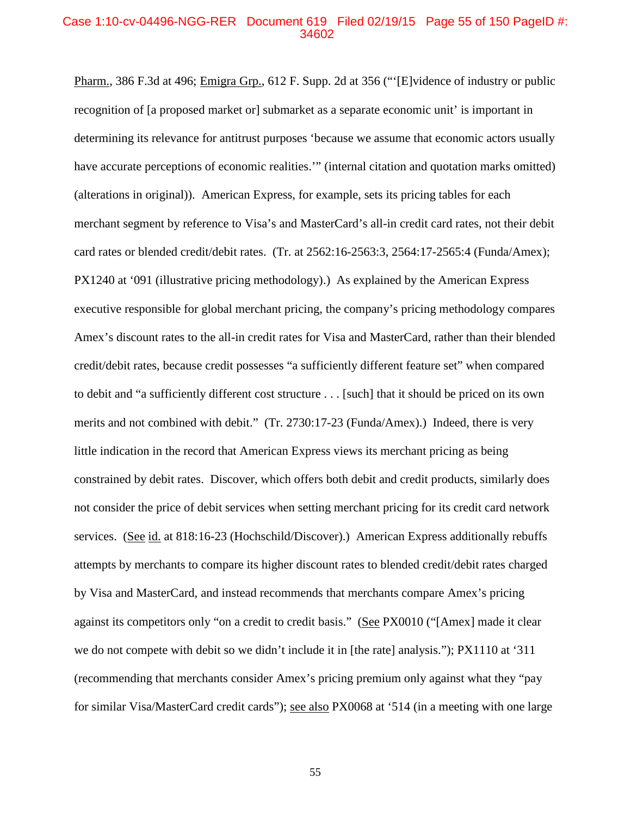#### Case 1:10-cv-04496-NGG-RER Document 619 Filed 02/19/15 Page 55 of 150 PageID #: 34602

Pharm., 386 F.3d at 496; Emigra Grp., 612 F. Supp. 2d at 356 ("'[E]vidence of industry or public recognition of [a proposed market or] submarket as a separate economic unit' is important in determining its relevance for antitrust purposes 'because we assume that economic actors usually have accurate perceptions of economic realities.'" (internal citation and quotation marks omitted) (alterations in original)). American Express, for example, sets its pricing tables for each merchant segment by reference to Visa's and MasterCard's all-in credit card rates, not their debit card rates or blended credit/debit rates. (Tr. at 2562:16-2563:3, 2564:17-2565:4 (Funda/Amex); PX1240 at '091 (illustrative pricing methodology).) As explained by the American Express executive responsible for global merchant pricing, the company's pricing methodology compares Amex's discount rates to the all-in credit rates for Visa and MasterCard, rather than their blended credit/debit rates, because credit possesses "a sufficiently different feature set" when compared to debit and "a sufficiently different cost structure . . . [such] that it should be priced on its own merits and not combined with debit." (Tr. 2730:17-23 (Funda/Amex).) Indeed, there is very little indication in the record that American Express views its merchant pricing as being constrained by debit rates. Discover, which offers both debit and credit products, similarly does not consider the price of debit services when setting merchant pricing for its credit card network services. (See id. at 818:16-23 (Hochschild/Discover).) American Express additionally rebuffs attempts by merchants to compare its higher discount rates to blended credit/debit rates charged by Visa and MasterCard, and instead recommends that merchants compare Amex's pricing against its competitors only "on a credit to credit basis." (See PX0010 ("[Amex] made it clear we do not compete with debit so we didn't include it in [the rate] analysis."); PX1110 at '311 (recommending that merchants consider Amex's pricing premium only against what they "pay for similar Visa/MasterCard credit cards"); <u>see also</u> PX0068 at '514 (in a meeting with one large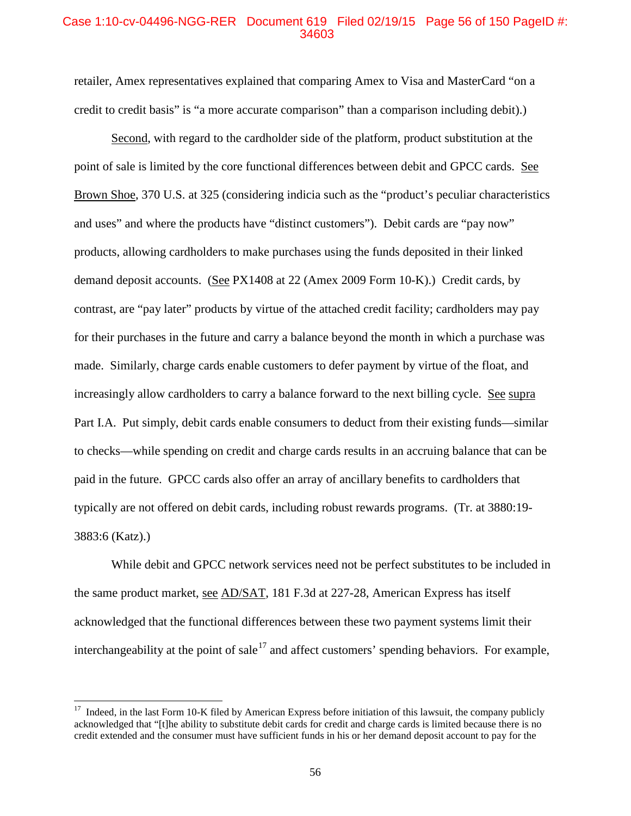### Case 1:10-cv-04496-NGG-RER Document 619 Filed 02/19/15 Page 56 of 150 PageID #: 34603

retailer, Amex representatives explained that comparing Amex to Visa and MasterCard "on a credit to credit basis" is "a more accurate comparison" than a comparison including debit).)

Second, with regard to the cardholder side of the platform, product substitution at the point of sale is limited by the core functional differences between debit and GPCC cards. See Brown Shoe, 370 U.S. at 325 (considering indicia such as the "product's peculiar characteristics and uses" and where the products have "distinct customers"). Debit cards are "pay now" products, allowing cardholders to make purchases using the funds deposited in their linked demand deposit accounts. (See PX1408 at 22 (Amex 2009 Form 10-K).) Credit cards, by contrast, are "pay later" products by virtue of the attached credit facility; cardholders may pay for their purchases in the future and carry a balance beyond the month in which a purchase was made. Similarly, charge cards enable customers to defer payment by virtue of the float, and increasingly allow cardholders to carry a balance forward to the next billing cycle. See supra Part I.A. Put simply, debit cards enable consumers to deduct from their existing funds—similar to checks—while spending on credit and charge cards results in an accruing balance that can be paid in the future. GPCC cards also offer an array of ancillary benefits to cardholders that typically are not offered on debit cards, including robust rewards programs. (Tr. at 3880:19- 3883:6 (Katz).)

While debit and GPCC network services need not be perfect substitutes to be included in the same product market, see AD/SAT, 181 F.3d at 227-28, American Express has itself acknowledged that the functional differences between these two payment systems limit their interchangeability at the point of sale<sup>17</sup> and affect customers' spending behaviors. For example,

<sup>&</sup>lt;sup>17</sup> Indeed, in the last Form 10-K filed by American Express before initiation of this lawsuit, the company publicly acknowledged that "[t]he ability to substitute debit cards for credit and charge cards is limited because there is no credit extended and the consumer must have sufficient funds in his or her demand deposit account to pay for the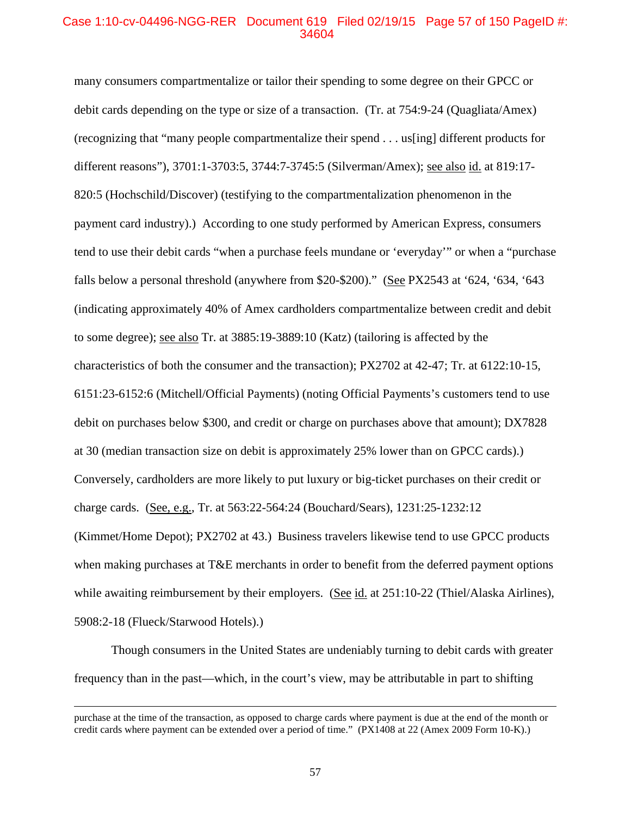# Case 1:10-cv-04496-NGG-RER Document 619 Filed 02/19/15 Page 57 of 150 PageID #: 34604

many consumers compartmentalize or tailor their spending to some degree on their GPCC or debit cards depending on the type or size of a transaction. (Tr. at 754:9-24 (Quagliata/Amex) (recognizing that "many people compartmentalize their spend . . . us[ing] different products for different reasons"), 3701:1-3703:5, 3744:7-3745:5 (Silverman/Amex); see also id. at 819:17- 820:5 (Hochschild/Discover) (testifying to the compartmentalization phenomenon in the payment card industry).) According to one study performed by American Express, consumers tend to use their debit cards "when a purchase feels mundane or 'everyday'" or when a "purchase falls below a personal threshold (anywhere from \$20-\$200)." (See PX2543 at '624, '634, '643 (indicating approximately 40% of Amex cardholders compartmentalize between credit and debit to some degree); see also Tr. at 3885:19-3889:10 (Katz) (tailoring is affected by the characteristics of both the consumer and the transaction); PX2702 at 42-47; Tr. at 6122:10-15, 6151:23-6152:6 (Mitchell/Official Payments) (noting Official Payments's customers tend to use debit on purchases below \$300, and credit or charge on purchases above that amount); DX7828 at 30 (median transaction size on debit is approximately 25% lower than on GPCC cards).) Conversely, cardholders are more likely to put luxury or big-ticket purchases on their credit or charge cards. (See, e.g., Tr. at 563:22-564:24 (Bouchard/Sears), 1231:25-1232:12 (Kimmet/Home Depot); PX2702 at 43.) Business travelers likewise tend to use GPCC products when making purchases at T&E merchants in order to benefit from the deferred payment options while awaiting reimbursement by their employers. (See id. at 251:10-22 (Thiel/Alaska Airlines), 5908:2-18 (Flueck/Starwood Hotels).)

Though consumers in the United States are undeniably turning to debit cards with greater frequency than in the past—which, in the court's view, may be attributable in part to shifting

purchase at the time of the transaction, as opposed to charge cards where payment is due at the end of the month or credit cards where payment can be extended over a period of time." (PX1408 at 22 (Amex 2009 Form 10-K).)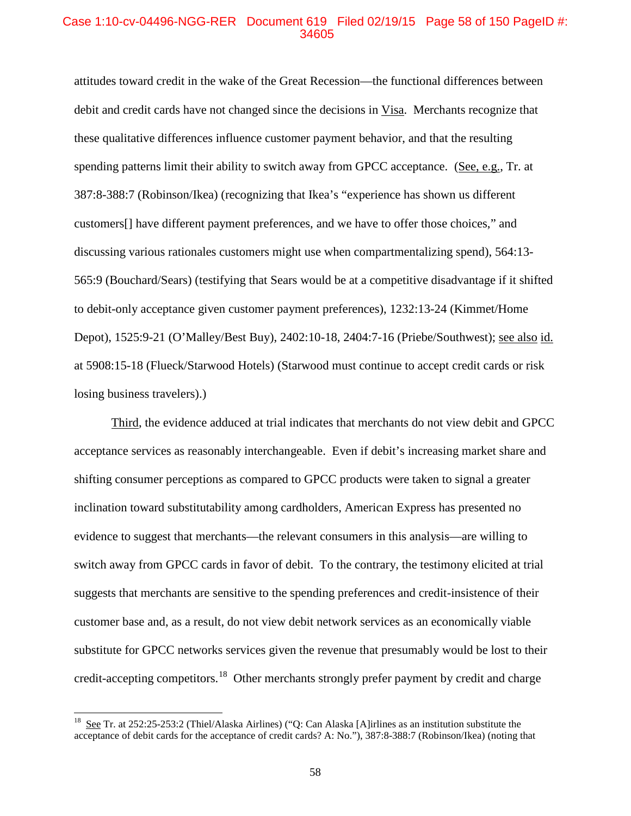### Case 1:10-cv-04496-NGG-RER Document 619 Filed 02/19/15 Page 58 of 150 PageID #: 34605

attitudes toward credit in the wake of the Great Recession—the functional differences between debit and credit cards have not changed since the decisions in Visa. Merchants recognize that these qualitative differences influence customer payment behavior, and that the resulting spending patterns limit their ability to switch away from GPCC acceptance. (See, e.g., Tr. at 387:8-388:7 (Robinson/Ikea) (recognizing that Ikea's "experience has shown us different customers[] have different payment preferences, and we have to offer those choices," and discussing various rationales customers might use when compartmentalizing spend), 564:13- 565:9 (Bouchard/Sears) (testifying that Sears would be at a competitive disadvantage if it shifted to debit-only acceptance given customer payment preferences), 1232:13-24 (Kimmet/Home Depot), 1525:9-21 (O'Malley/Best Buy), 2402:10-18, 2404:7-16 (Priebe/Southwest); see also id. at 5908:15-18 (Flueck/Starwood Hotels) (Starwood must continue to accept credit cards or risk losing business travelers).)

Third, the evidence adduced at trial indicates that merchants do not view debit and GPCC acceptance services as reasonably interchangeable. Even if debit's increasing market share and shifting consumer perceptions as compared to GPCC products were taken to signal a greater inclination toward substitutability among cardholders, American Express has presented no evidence to suggest that merchants—the relevant consumers in this analysis—are willing to switch away from GPCC cards in favor of debit. To the contrary, the testimony elicited at trial suggests that merchants are sensitive to the spending preferences and credit-insistence of their customer base and, as a result, do not view debit network services as an economically viable substitute for GPCC networks services given the revenue that presumably would be lost to their credit-accepting competitors.<sup>18</sup> Other merchants strongly prefer payment by credit and charge

<sup>18</sup> See Tr. at 252:25-253:2 (Thiel/Alaska Airlines) ("Q: Can Alaska [A]irlines as an institution substitute the acceptance of debit cards for the acceptance of credit cards? A: No."), 387:8-388:7 (Robinson/Ikea) (noting that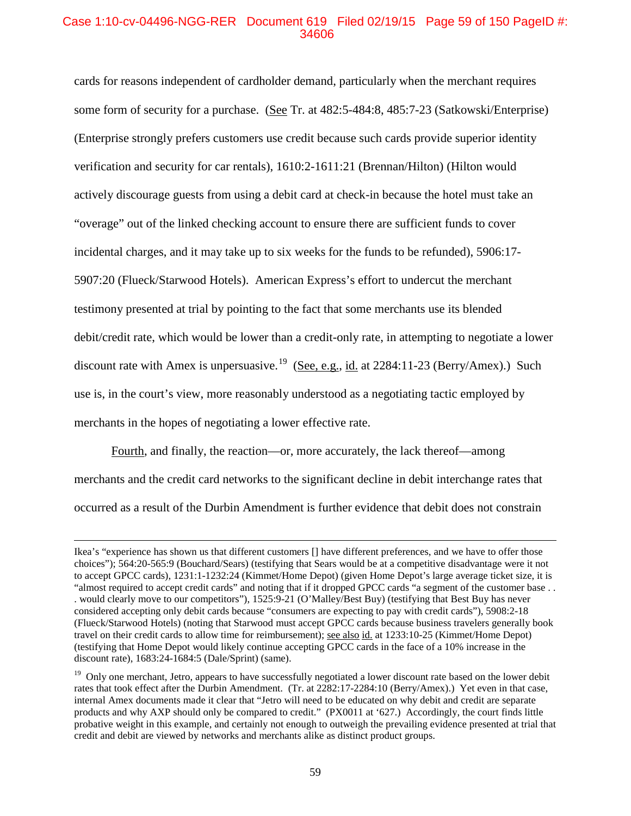# Case 1:10-cv-04496-NGG-RER Document 619 Filed 02/19/15 Page 59 of 150 PageID #: 34606

cards for reasons independent of cardholder demand, particularly when the merchant requires some form of security for a purchase. (See Tr. at 482:5-484:8, 485:7-23 (Satkowski/Enterprise) (Enterprise strongly prefers customers use credit because such cards provide superior identity verification and security for car rentals), 1610:2-1611:21 (Brennan/Hilton) (Hilton would actively discourage guests from using a debit card at check-in because the hotel must take an "overage" out of the linked checking account to ensure there are sufficient funds to cover incidental charges, and it may take up to six weeks for the funds to be refunded), 5906:17- 5907:20 (Flueck/Starwood Hotels). American Express's effort to undercut the merchant testimony presented at trial by pointing to the fact that some merchants use its blended debit/credit rate, which would be lower than a credit-only rate, in attempting to negotiate a lower discount rate with Amex is unpersuasive.<sup>19</sup> (See, e.g., id. at 2284:11-23 (Berry/Amex).) Such use is, in the court's view, more reasonably understood as a negotiating tactic employed by merchants in the hopes of negotiating a lower effective rate.

Fourth, and finally, the reaction—or, more accurately, the lack thereof—among merchants and the credit card networks to the significant decline in debit interchange rates that occurred as a result of the Durbin Amendment is further evidence that debit does not constrain

Ikea's "experience has shown us that different customers [] have different preferences, and we have to offer those choices"); 564:20-565:9 (Bouchard/Sears) (testifying that Sears would be at a competitive disadvantage were it not to accept GPCC cards), 1231:1-1232:24 (Kimmet/Home Depot) (given Home Depot's large average ticket size, it is "almost required to accept credit cards" and noting that if it dropped GPCC cards "a segment of the customer base . . . would clearly move to our competitors"), 1525:9-21 (O'Malley/Best Buy) (testifying that Best Buy has never considered accepting only debit cards because "consumers are expecting to pay with credit cards"), 5908:2-18 (Flueck/Starwood Hotels) (noting that Starwood must accept GPCC cards because business travelers generally book travel on their credit cards to allow time for reimbursement); see also id. at 1233:10-25 (Kimmet/Home Depot) (testifying that Home Depot would likely continue accepting GPCC cards in the face of a 10% increase in the discount rate), 1683:24-1684:5 (Dale/Sprint) (same).

<sup>&</sup>lt;sup>19</sup> Only one merchant, Jetro, appears to have successfully negotiated a lower discount rate based on the lower debit rates that took effect after the Durbin Amendment. (Tr. at 2282:17-2284:10 (Berry/Amex).) Yet even in that case, internal Amex documents made it clear that "Jetro will need to be educated on why debit and credit are separate products and why AXP should only be compared to credit." (PX0011 at '627.) Accordingly, the court finds little probative weight in this example, and certainly not enough to outweigh the prevailing evidence presented at trial that credit and debit are viewed by networks and merchants alike as distinct product groups.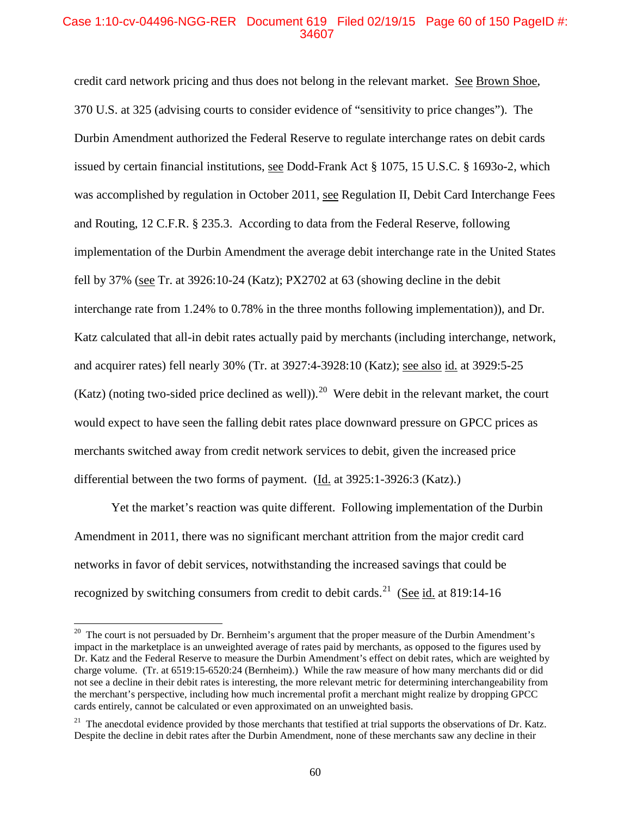## Case 1:10-cv-04496-NGG-RER Document 619 Filed 02/19/15 Page 60 of 150 PageID #: 34607

credit card network pricing and thus does not belong in the relevant market. See Brown Shoe, 370 U.S. at 325 (advising courts to consider evidence of "sensitivity to price changes"). The Durbin Amendment authorized the Federal Reserve to regulate interchange rates on debit cards issued by certain financial institutions, see Dodd-Frank Act § 1075, 15 U.S.C. § 1693o-2, which was accomplished by regulation in October 2011, see Regulation II, Debit Card Interchange Fees and Routing, 12 C.F.R. § 235.3. According to data from the Federal Reserve, following implementation of the Durbin Amendment the average debit interchange rate in the United States fell by 37% (see Tr. at 3926:10-24 (Katz); PX2702 at 63 (showing decline in the debit interchange rate from 1.24% to 0.78% in the three months following implementation)), and Dr. Katz calculated that all-in debit rates actually paid by merchants (including interchange, network, and acquirer rates) fell nearly 30% (Tr. at 3927:4-3928:10 (Katz); see also id. at 3929:5-25 (Katz) (noting two-sided price declined as well)).<sup>20</sup> Were debit in the relevant market, the court would expect to have seen the falling debit rates place downward pressure on GPCC prices as merchants switched away from credit network services to debit, given the increased price differential between the two forms of payment. (Id. at 3925:1-3926:3 (Katz).)

Yet the market's reaction was quite different. Following implementation of the Durbin Amendment in 2011, there was no significant merchant attrition from the major credit card networks in favor of debit services, notwithstanding the increased savings that could be recognized by switching consumers from credit to debit cards.<sup>21</sup> (See id. at 819:14-16)

<sup>&</sup>lt;sup>20</sup> The court is not persuaded by Dr. Bernheim's argument that the proper measure of the Durbin Amendment's impact in the marketplace is an unweighted average of rates paid by merchants, as opposed to the figures used by Dr. Katz and the Federal Reserve to measure the Durbin Amendment's effect on debit rates, which are weighted by charge volume. (Tr. at 6519:15-6520:24 (Bernheim).) While the raw measure of how many merchants did or did not see a decline in their debit rates is interesting, the more relevant metric for determining interchangeability from the merchant's perspective, including how much incremental profit a merchant might realize by dropping GPCC cards entirely, cannot be calculated or even approximated on an unweighted basis.

 $21$  The anecdotal evidence provided by those merchants that testified at trial supports the observations of Dr. Katz. Despite the decline in debit rates after the Durbin Amendment, none of these merchants saw any decline in their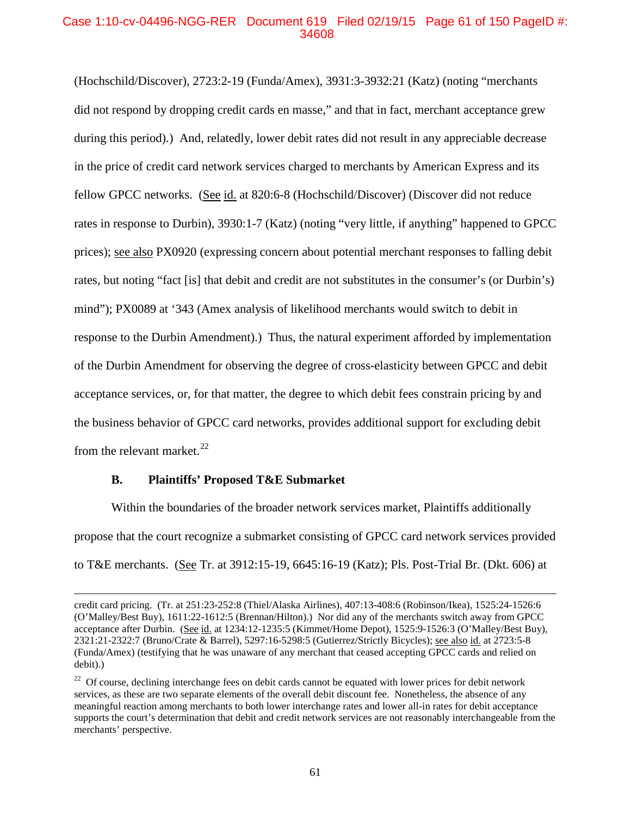# Case 1:10-cv-04496-NGG-RER Document 619 Filed 02/19/15 Page 61 of 150 PageID #: 34608

(Hochschild/Discover), 2723:2-19 (Funda/Amex), 3931:3-3932:21 (Katz) (noting "merchants did not respond by dropping credit cards en masse," and that in fact, merchant acceptance grew during this period).) And, relatedly, lower debit rates did not result in any appreciable decrease in the price of credit card network services charged to merchants by American Express and its fellow GPCC networks. (See id. at 820:6-8 (Hochschild/Discover) (Discover did not reduce rates in response to Durbin), 3930:1-7 (Katz) (noting "very little, if anything" happened to GPCC prices); see also PX0920 (expressing concern about potential merchant responses to falling debit rates, but noting "fact [is] that debit and credit are not substitutes in the consumer's (or Durbin's) mind"); PX0089 at '343 (Amex analysis of likelihood merchants would switch to debit in response to the Durbin Amendment).) Thus, the natural experiment afforded by implementation of the Durbin Amendment for observing the degree of cross-elasticity between GPCC and debit acceptance services, or, for that matter, the degree to which debit fees constrain pricing by and the business behavior of GPCC card networks, provides additional support for excluding debit from the relevant market.<sup>22</sup>

#### **B. Plaintiffs' Proposed T&E Submarket**

 $\overline{a}$ 

Within the boundaries of the broader network services market, Plaintiffs additionally propose that the court recognize a submarket consisting of GPCC card network services provided to T&E merchants. (See Tr. at 3912:15-19, 6645:16-19 (Katz); Pls. Post-Trial Br. (Dkt. 606) at

credit card pricing. (Tr. at 251:23-252:8 (Thiel/Alaska Airlines), 407:13-408:6 (Robinson/Ikea), 1525:24-1526:6 (O'Malley/Best Buy), 1611:22-1612:5 (Brennan/Hilton).) Nor did any of the merchants switch away from GPCC acceptance after Durbin. (See id. at 1234:12-1235:5 (Kimmet/Home Depot), 1525:9-1526:3 (O'Malley/Best Buy), 2321:21-2322:7 (Bruno/Crate & Barrel), 5297:16-5298:5 (Gutierrez/Strictly Bicycles); see also id. at 2723:5-8 (Funda/Amex) (testifying that he was unaware of any merchant that ceased accepting GPCC cards and relied on debit).)

<sup>&</sup>lt;sup>22</sup> Of course, declining interchange fees on debit cards cannot be equated with lower prices for debit network services, as these are two separate elements of the overall debit discount fee. Nonetheless, the absence of any meaningful reaction among merchants to both lower interchange rates and lower all-in rates for debit acceptance supports the court's determination that debit and credit network services are not reasonably interchangeable from the merchants' perspective.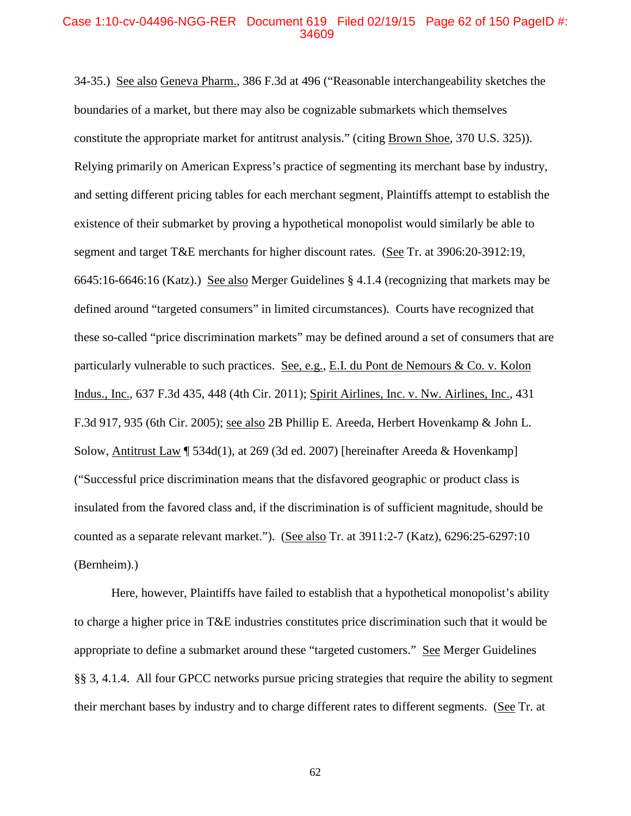#### Case 1:10-cv-04496-NGG-RER Document 619 Filed 02/19/15 Page 62 of 150 PageID #: 34609

34-35.) See also Geneva Pharm., 386 F.3d at 496 ("Reasonable interchangeability sketches the boundaries of a market, but there may also be cognizable submarkets which themselves constitute the appropriate market for antitrust analysis." (citing Brown Shoe, 370 U.S. 325)). Relying primarily on American Express's practice of segmenting its merchant base by industry, and setting different pricing tables for each merchant segment, Plaintiffs attempt to establish the existence of their submarket by proving a hypothetical monopolist would similarly be able to segment and target T&E merchants for higher discount rates. (See Tr. at 3906:20-3912:19, 6645:16-6646:16 (Katz).) See also Merger Guidelines § 4.1.4 (recognizing that markets may be defined around "targeted consumers" in limited circumstances). Courts have recognized that these so-called "price discrimination markets" may be defined around a set of consumers that are particularly vulnerable to such practices. See, e.g., E.I. du Pont de Nemours & Co. v. Kolon Indus., Inc., 637 F.3d 435, 448 (4th Cir. 2011); Spirit Airlines, Inc. v. Nw. Airlines, Inc., 431 F.3d 917, 935 (6th Cir. 2005); see also 2B Phillip E. Areeda, Herbert Hovenkamp & John L. Solow, Antitrust Law ¶ 534d(1), at 269 (3d ed. 2007) [hereinafter Areeda & Hovenkamp] ("Successful price discrimination means that the disfavored geographic or product class is insulated from the favored class and, if the discrimination is of sufficient magnitude, should be counted as a separate relevant market."). (See also Tr. at 3911:2-7 (Katz), 6296:25-6297:10 (Bernheim).)

Here, however, Plaintiffs have failed to establish that a hypothetical monopolist's ability to charge a higher price in T&E industries constitutes price discrimination such that it would be appropriate to define a submarket around these "targeted customers." See Merger Guidelines §§ 3, 4.1.4. All four GPCC networks pursue pricing strategies that require the ability to segment their merchant bases by industry and to charge different rates to different segments. (See Tr. at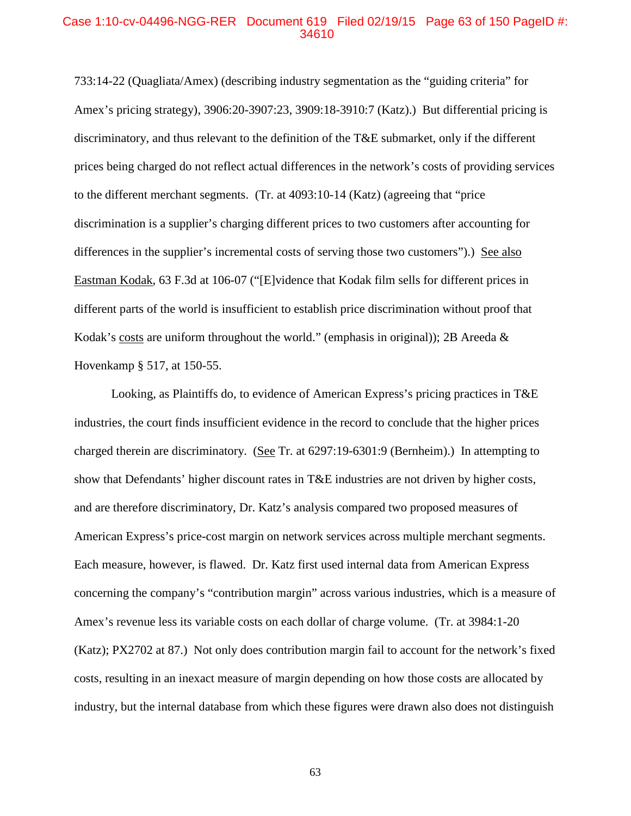#### Case 1:10-cv-04496-NGG-RER Document 619 Filed 02/19/15 Page 63 of 150 PageID #: 34610

733:14-22 (Quagliata/Amex) (describing industry segmentation as the "guiding criteria" for Amex's pricing strategy), 3906:20-3907:23, 3909:18-3910:7 (Katz).) But differential pricing is discriminatory, and thus relevant to the definition of the T&E submarket, only if the different prices being charged do not reflect actual differences in the network's costs of providing services to the different merchant segments. (Tr. at 4093:10-14 (Katz) (agreeing that "price discrimination is a supplier's charging different prices to two customers after accounting for differences in the supplier's incremental costs of serving those two customers").) See also Eastman Kodak, 63 F.3d at 106-07 ("[E]vidence that Kodak film sells for different prices in different parts of the world is insufficient to establish price discrimination without proof that Kodak's costs are uniform throughout the world." (emphasis in original)); 2B Areeda & Hovenkamp § 517, at 150-55.

Looking, as Plaintiffs do, to evidence of American Express's pricing practices in T&E industries, the court finds insufficient evidence in the record to conclude that the higher prices charged therein are discriminatory. (See Tr. at 6297:19-6301:9 (Bernheim).) In attempting to show that Defendants' higher discount rates in T&E industries are not driven by higher costs, and are therefore discriminatory, Dr. Katz's analysis compared two proposed measures of American Express's price-cost margin on network services across multiple merchant segments. Each measure, however, is flawed. Dr. Katz first used internal data from American Express concerning the company's "contribution margin" across various industries, which is a measure of Amex's revenue less its variable costs on each dollar of charge volume. (Tr. at 3984:1-20 (Katz); PX2702 at 87.) Not only does contribution margin fail to account for the network's fixed costs, resulting in an inexact measure of margin depending on how those costs are allocated by industry, but the internal database from which these figures were drawn also does not distinguish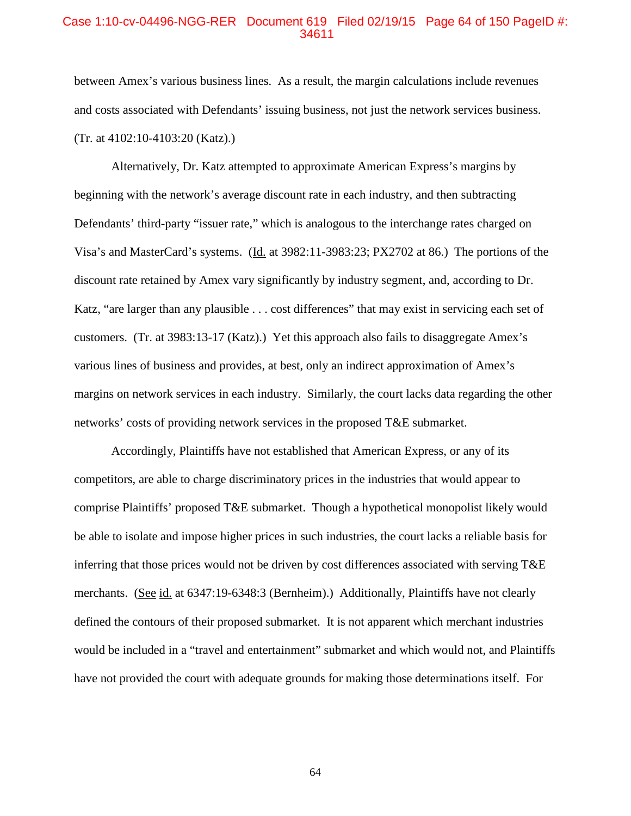### Case 1:10-cv-04496-NGG-RER Document 619 Filed 02/19/15 Page 64 of 150 PageID #: 34611

between Amex's various business lines. As a result, the margin calculations include revenues and costs associated with Defendants' issuing business, not just the network services business. (Tr. at 4102:10-4103:20 (Katz).)

Alternatively, Dr. Katz attempted to approximate American Express's margins by beginning with the network's average discount rate in each industry, and then subtracting Defendants' third-party "issuer rate," which is analogous to the interchange rates charged on Visa's and MasterCard's systems. (Id. at 3982:11-3983:23; PX2702 at 86.) The portions of the discount rate retained by Amex vary significantly by industry segment, and, according to Dr. Katz, "are larger than any plausible . . . cost differences" that may exist in servicing each set of customers. (Tr. at 3983:13-17 (Katz).) Yet this approach also fails to disaggregate Amex's various lines of business and provides, at best, only an indirect approximation of Amex's margins on network services in each industry. Similarly, the court lacks data regarding the other networks' costs of providing network services in the proposed T&E submarket.

Accordingly, Plaintiffs have not established that American Express, or any of its competitors, are able to charge discriminatory prices in the industries that would appear to comprise Plaintiffs' proposed T&E submarket. Though a hypothetical monopolist likely would be able to isolate and impose higher prices in such industries, the court lacks a reliable basis for inferring that those prices would not be driven by cost differences associated with serving T&E merchants. (See id. at 6347:19-6348:3 (Bernheim).) Additionally, Plaintiffs have not clearly defined the contours of their proposed submarket. It is not apparent which merchant industries would be included in a "travel and entertainment" submarket and which would not, and Plaintiffs have not provided the court with adequate grounds for making those determinations itself. For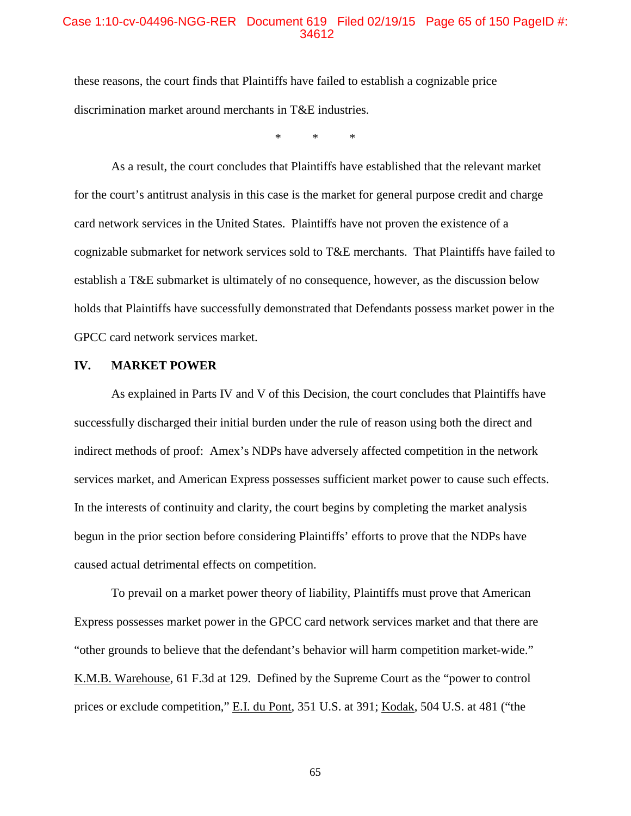# Case 1:10-cv-04496-NGG-RER Document 619 Filed 02/19/15 Page 65 of 150 PageID #: 34612

these reasons, the court finds that Plaintiffs have failed to establish a cognizable price discrimination market around merchants in T&E industries.

\* \* \*

As a result, the court concludes that Plaintiffs have established that the relevant market for the court's antitrust analysis in this case is the market for general purpose credit and charge card network services in the United States. Plaintiffs have not proven the existence of a cognizable submarket for network services sold to T&E merchants. That Plaintiffs have failed to establish a T&E submarket is ultimately of no consequence, however, as the discussion below holds that Plaintiffs have successfully demonstrated that Defendants possess market power in the GPCC card network services market.

### **IV. MARKET POWER**

As explained in Parts IV and V of this Decision, the court concludes that Plaintiffs have successfully discharged their initial burden under the rule of reason using both the direct and indirect methods of proof: Amex's NDPs have adversely affected competition in the network services market, and American Express possesses sufficient market power to cause such effects. In the interests of continuity and clarity, the court begins by completing the market analysis begun in the prior section before considering Plaintiffs' efforts to prove that the NDPs have caused actual detrimental effects on competition.

To prevail on a market power theory of liability, Plaintiffs must prove that American Express possesses market power in the GPCC card network services market and that there are "other grounds to believe that the defendant's behavior will harm competition market-wide." K.M.B. Warehouse, 61 F.3d at 129. Defined by the Supreme Court as the "power to control prices or exclude competition," E.I. du Pont, 351 U.S. at 391; Kodak, 504 U.S. at 481 ("the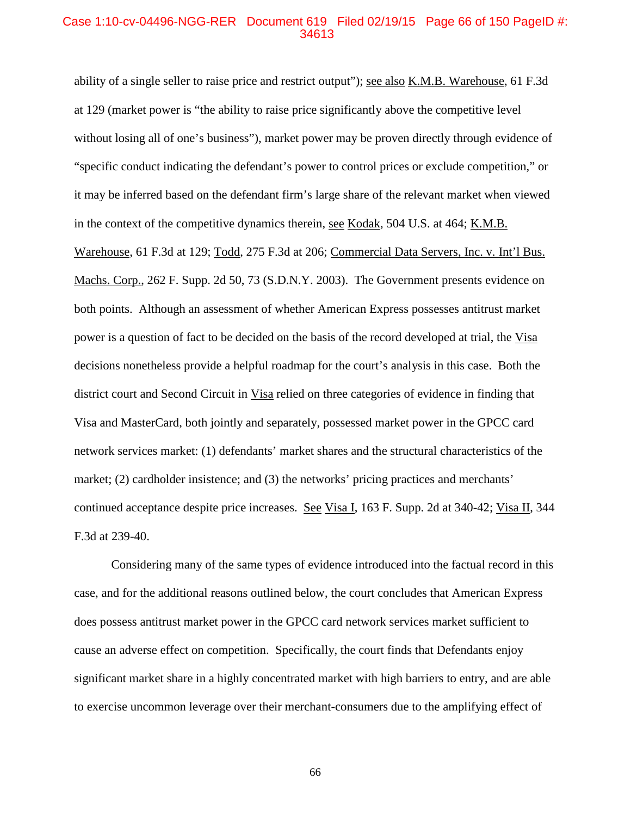#### Case 1:10-cv-04496-NGG-RER Document 619 Filed 02/19/15 Page 66 of 150 PageID #: 34613

ability of a single seller to raise price and restrict output"); <u>see also K.M.B. Warehouse</u>, 61 F.3d at 129 (market power is "the ability to raise price significantly above the competitive level without losing all of one's business"), market power may be proven directly through evidence of "specific conduct indicating the defendant's power to control prices or exclude competition," or it may be inferred based on the defendant firm's large share of the relevant market when viewed in the context of the competitive dynamics therein, see Kodak, 504 U.S. at 464; K.M.B.

Warehouse, 61 F.3d at 129; Todd, 275 F.3d at 206; Commercial Data Servers, Inc. v. Int'l Bus. Machs. Corp., 262 F. Supp. 2d 50, 73 (S.D.N.Y. 2003). The Government presents evidence on both points. Although an assessment of whether American Express possesses antitrust market power is a question of fact to be decided on the basis of the record developed at trial, the Visa decisions nonetheless provide a helpful roadmap for the court's analysis in this case. Both the district court and Second Circuit in Visa relied on three categories of evidence in finding that Visa and MasterCard, both jointly and separately, possessed market power in the GPCC card network services market: (1) defendants' market shares and the structural characteristics of the market; (2) cardholder insistence; and (3) the networks' pricing practices and merchants' continued acceptance despite price increases. See Visa I, 163 F. Supp. 2d at 340-42; Visa II, 344 F.3d at 239-40.

Considering many of the same types of evidence introduced into the factual record in this case, and for the additional reasons outlined below, the court concludes that American Express does possess antitrust market power in the GPCC card network services market sufficient to cause an adverse effect on competition. Specifically, the court finds that Defendants enjoy significant market share in a highly concentrated market with high barriers to entry, and are able to exercise uncommon leverage over their merchant-consumers due to the amplifying effect of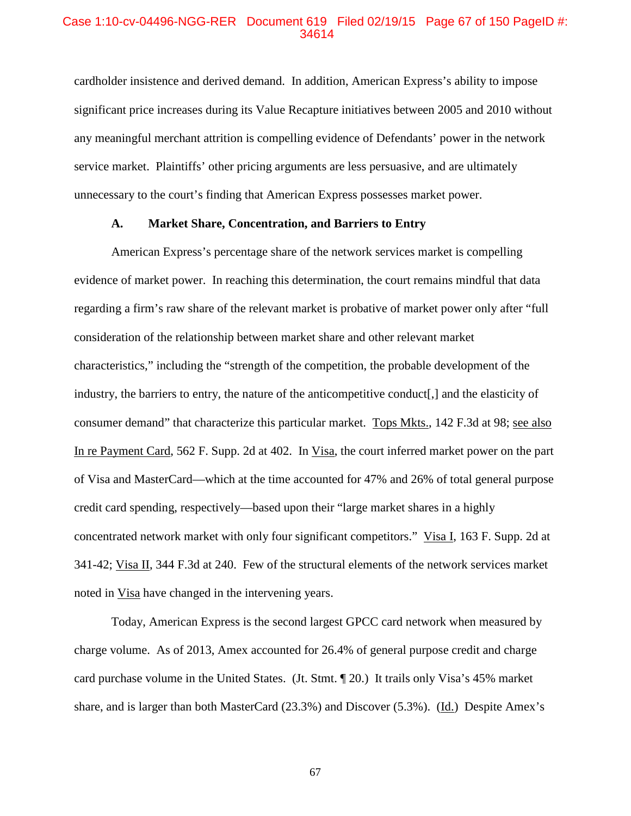### Case 1:10-cv-04496-NGG-RER Document 619 Filed 02/19/15 Page 67 of 150 PageID #: 34614

cardholder insistence and derived demand. In addition, American Express's ability to impose significant price increases during its Value Recapture initiatives between 2005 and 2010 without any meaningful merchant attrition is compelling evidence of Defendants' power in the network service market. Plaintiffs' other pricing arguments are less persuasive, and are ultimately unnecessary to the court's finding that American Express possesses market power.

### **A. Market Share, Concentration, and Barriers to Entry**

American Express's percentage share of the network services market is compelling evidence of market power. In reaching this determination, the court remains mindful that data regarding a firm's raw share of the relevant market is probative of market power only after "full consideration of the relationship between market share and other relevant market characteristics," including the "strength of the competition, the probable development of the industry, the barriers to entry, the nature of the anticompetitive conduct[,] and the elasticity of consumer demand" that characterize this particular market. Tops Mkts., 142 F.3d at 98; see also In re Payment Card, 562 F. Supp. 2d at 402. In Visa, the court inferred market power on the part of Visa and MasterCard—which at the time accounted for 47% and 26% of total general purpose credit card spending, respectively—based upon their "large market shares in a highly concentrated network market with only four significant competitors." Visa I, 163 F. Supp. 2d at 341-42; Visa II, 344 F.3d at 240. Few of the structural elements of the network services market noted in Visa have changed in the intervening years.

Today, American Express is the second largest GPCC card network when measured by charge volume. As of 2013, Amex accounted for 26.4% of general purpose credit and charge card purchase volume in the United States. (Jt. Stmt. ¶ 20.) It trails only Visa's 45% market share, and is larger than both MasterCard (23.3%) and Discover (5.3%). (Id.) Despite Amex's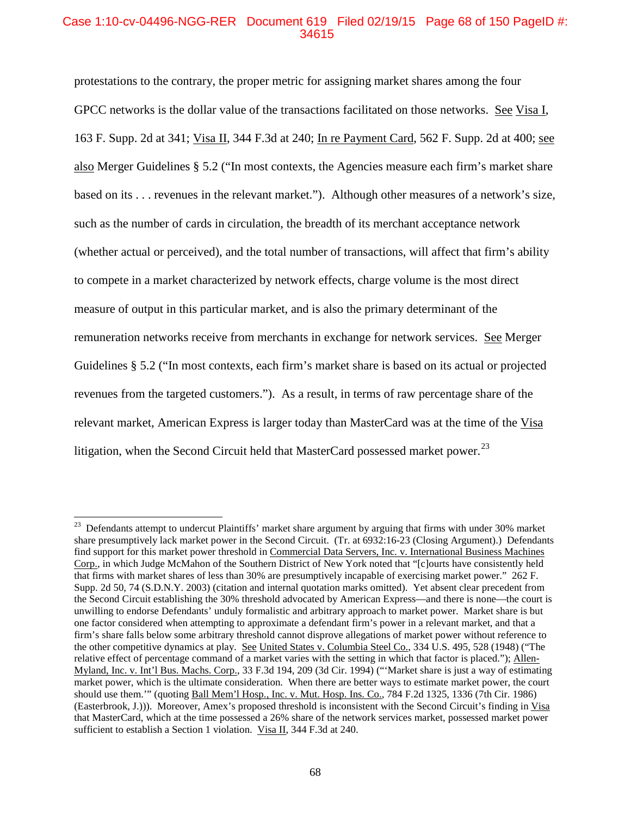# Case 1:10-cv-04496-NGG-RER Document 619 Filed 02/19/15 Page 68 of 150 PageID #: 34615

protestations to the contrary, the proper metric for assigning market shares among the four GPCC networks is the dollar value of the transactions facilitated on those networks. See Visa I, 163 F. Supp. 2d at 341; Visa II, 344 F.3d at 240; In re Payment Card, 562 F. Supp. 2d at 400; see also Merger Guidelines § 5.2 ("In most contexts, the Agencies measure each firm's market share based on its . . . revenues in the relevant market."). Although other measures of a network's size, such as the number of cards in circulation, the breadth of its merchant acceptance network (whether actual or perceived), and the total number of transactions, will affect that firm's ability to compete in a market characterized by network effects, charge volume is the most direct measure of output in this particular market, and is also the primary determinant of the remuneration networks receive from merchants in exchange for network services. See Merger Guidelines § 5.2 ("In most contexts, each firm's market share is based on its actual or projected revenues from the targeted customers."). As a result, in terms of raw percentage share of the relevant market, American Express is larger today than MasterCard was at the time of the Visa litigation, when the Second Circuit held that MasterCard possessed market power.<sup>23</sup>

 $23$  Defendants attempt to undercut Plaintiffs' market share argument by arguing that firms with under 30% market share presumptively lack market power in the Second Circuit. (Tr. at 6932:16-23 (Closing Argument).) Defendants find support for this market power threshold in Commercial Data Servers, Inc. v. International Business Machines Corp., in which Judge McMahon of the Southern District of New York noted that "[c]ourts have consistently held that firms with market shares of less than 30% are presumptively incapable of exercising market power." 262 F. Supp. 2d 50, 74 (S.D.N.Y. 2003) (citation and internal quotation marks omitted). Yet absent clear precedent from the Second Circuit establishing the 30% threshold advocated by American Express—and there is none—the court is unwilling to endorse Defendants' unduly formalistic and arbitrary approach to market power. Market share is but one factor considered when attempting to approximate a defendant firm's power in a relevant market, and that a firm's share falls below some arbitrary threshold cannot disprove allegations of market power without reference to the other competitive dynamics at play. See United States v. Columbia Steel Co., 334 U.S. 495, 528 (1948) ("The relative effect of percentage command of a market varies with the setting in which that factor is placed."); Allen-Myland, Inc. v. Int'l Bus. Machs. Corp., 33 F.3d 194, 209 (3d Cir. 1994) ("'Market share is just a way of estimating market power, which is the ultimate consideration. When there are better ways to estimate market power, the court should use them.'" (quoting Ball Mem'l Hosp., Inc. v. Mut. Hosp. Ins. Co., 784 F.2d 1325, 1336 (7th Cir. 1986) (Easterbrook, J.))). Moreover, Amex's proposed threshold is inconsistent with the Second Circuit's finding in Visa that MasterCard, which at the time possessed a 26% share of the network services market, possessed market power sufficient to establish a Section 1 violation. Visa II, 344 F.3d at 240.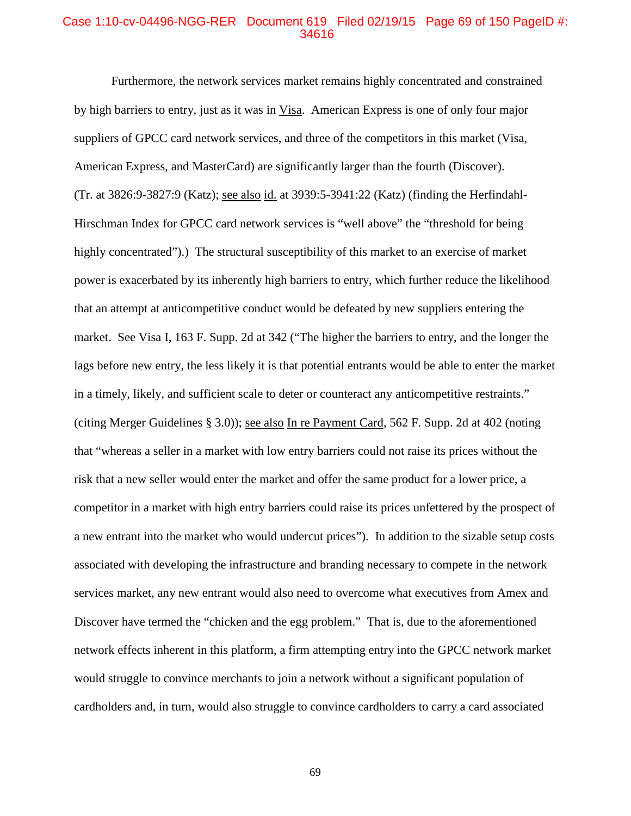# Case 1:10-cv-04496-NGG-RER Document 619 Filed 02/19/15 Page 69 of 150 PageID #: 34616

Furthermore, the network services market remains highly concentrated and constrained by high barriers to entry, just as it was in Visa. American Express is one of only four major suppliers of GPCC card network services, and three of the competitors in this market (Visa, American Express, and MasterCard) are significantly larger than the fourth (Discover). (Tr. at 3826:9-3827:9 (Katz); see also id. at 3939:5-3941:22 (Katz) (finding the Herfindahl-Hirschman Index for GPCC card network services is "well above" the "threshold for being highly concentrated").) The structural susceptibility of this market to an exercise of market power is exacerbated by its inherently high barriers to entry, which further reduce the likelihood that an attempt at anticompetitive conduct would be defeated by new suppliers entering the market. See Visa I, 163 F. Supp. 2d at 342 ("The higher the barriers to entry, and the longer the lags before new entry, the less likely it is that potential entrants would be able to enter the market in a timely, likely, and sufficient scale to deter or counteract any anticompetitive restraints." (citing Merger Guidelines § 3.0)); see also In re Payment Card, 562 F. Supp. 2d at 402 (noting that "whereas a seller in a market with low entry barriers could not raise its prices without the risk that a new seller would enter the market and offer the same product for a lower price, a competitor in a market with high entry barriers could raise its prices unfettered by the prospect of a new entrant into the market who would undercut prices"). In addition to the sizable setup costs associated with developing the infrastructure and branding necessary to compete in the network services market, any new entrant would also need to overcome what executives from Amex and Discover have termed the "chicken and the egg problem." That is, due to the aforementioned network effects inherent in this platform, a firm attempting entry into the GPCC network market would struggle to convince merchants to join a network without a significant population of cardholders and, in turn, would also struggle to convince cardholders to carry a card associated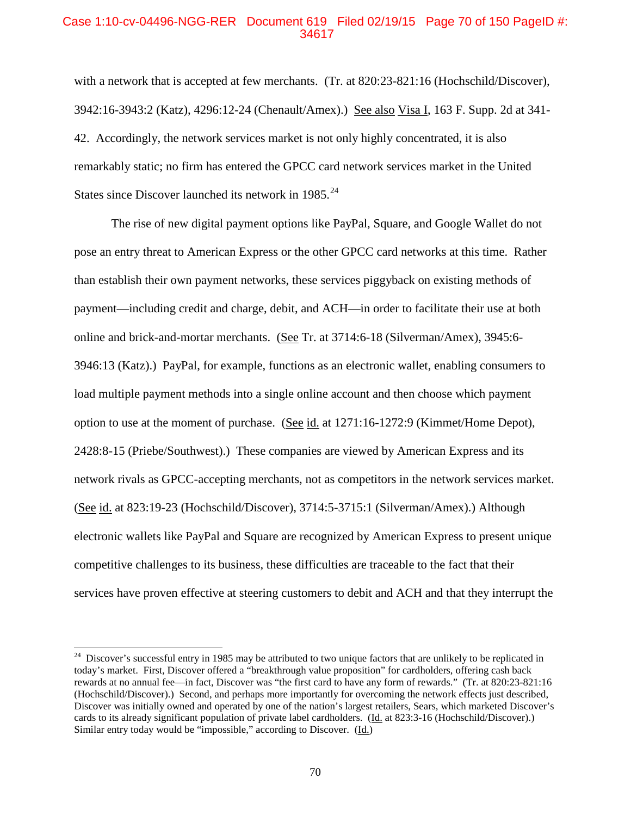# Case 1:10-cv-04496-NGG-RER Document 619 Filed 02/19/15 Page 70 of 150 PageID #: 34617

with a network that is accepted at few merchants. (Tr. at 820:23-821:16 (Hochschild/Discover), 3942:16-3943:2 (Katz), 4296:12-24 (Chenault/Amex).) See also Visa I, 163 F. Supp. 2d at 341- 42. Accordingly, the network services market is not only highly concentrated, it is also remarkably static; no firm has entered the GPCC card network services market in the United States since Discover launched its network in  $1985.<sup>24</sup>$ 

The rise of new digital payment options like PayPal, Square, and Google Wallet do not pose an entry threat to American Express or the other GPCC card networks at this time. Rather than establish their own payment networks, these services piggyback on existing methods of payment—including credit and charge, debit, and ACH—in order to facilitate their use at both online and brick-and-mortar merchants. (See Tr. at 3714:6-18 (Silverman/Amex), 3945:6- 3946:13 (Katz).) PayPal, for example, functions as an electronic wallet, enabling consumers to load multiple payment methods into a single online account and then choose which payment option to use at the moment of purchase. (See id. at 1271:16-1272:9 (Kimmet/Home Depot), 2428:8-15 (Priebe/Southwest).) These companies are viewed by American Express and its network rivals as GPCC-accepting merchants, not as competitors in the network services market. (See id. at 823:19-23 (Hochschild/Discover), 3714:5-3715:1 (Silverman/Amex).) Although electronic wallets like PayPal and Square are recognized by American Express to present unique competitive challenges to its business, these difficulties are traceable to the fact that their services have proven effective at steering customers to debit and ACH and that they interrupt the

 $\ddot{\phantom{a}}$ 

 $24$  Discover's successful entry in 1985 may be attributed to two unique factors that are unlikely to be replicated in today's market. First, Discover offered a "breakthrough value proposition" for cardholders, offering cash back rewards at no annual fee—in fact, Discover was "the first card to have any form of rewards." (Tr. at 820:23-821:16 (Hochschild/Discover).) Second, and perhaps more importantly for overcoming the network effects just described, Discover was initially owned and operated by one of the nation's largest retailers, Sears, which marketed Discover's cards to its already significant population of private label cardholders. (Id. at 823:3-16 (Hochschild/Discover).) Similar entry today would be "impossible," according to Discover. (Id.)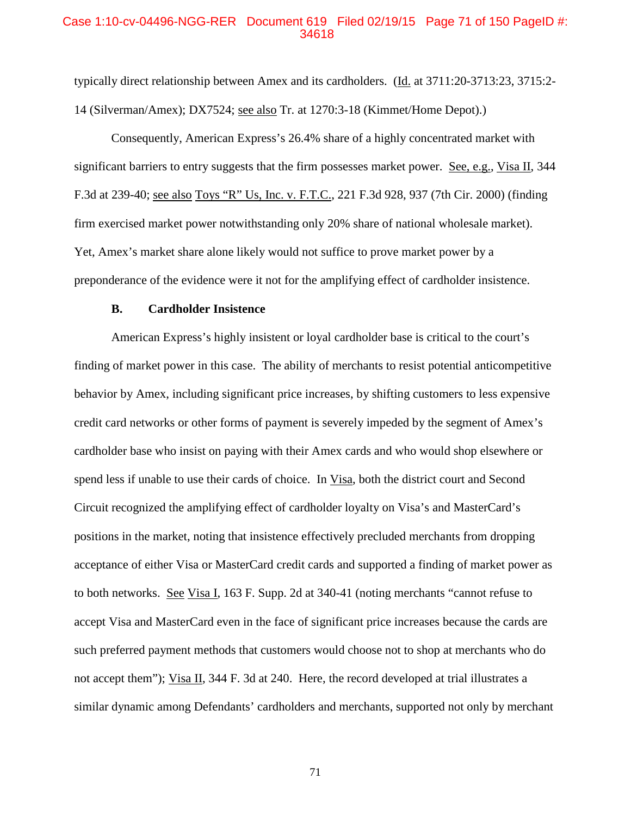### Case 1:10-cv-04496-NGG-RER Document 619 Filed 02/19/15 Page 71 of 150 PageID #: 34618

typically direct relationship between Amex and its cardholders. (Id. at 3711:20-3713:23, 3715:2- 14 (Silverman/Amex); DX7524; see also Tr. at 1270:3-18 (Kimmet/Home Depot).)

Consequently, American Express's 26.4% share of a highly concentrated market with significant barriers to entry suggests that the firm possesses market power. See, e.g., Visa II, 344 F.3d at 239-40; see also Toys "R" Us, Inc. v. F.T.C., 221 F.3d 928, 937 (7th Cir. 2000) (finding firm exercised market power notwithstanding only 20% share of national wholesale market). Yet, Amex's market share alone likely would not suffice to prove market power by a preponderance of the evidence were it not for the amplifying effect of cardholder insistence.

# **B. Cardholder Insistence**

American Express's highly insistent or loyal cardholder base is critical to the court's finding of market power in this case. The ability of merchants to resist potential anticompetitive behavior by Amex, including significant price increases, by shifting customers to less expensive credit card networks or other forms of payment is severely impeded by the segment of Amex's cardholder base who insist on paying with their Amex cards and who would shop elsewhere or spend less if unable to use their cards of choice. In Visa, both the district court and Second Circuit recognized the amplifying effect of cardholder loyalty on Visa's and MasterCard's positions in the market, noting that insistence effectively precluded merchants from dropping acceptance of either Visa or MasterCard credit cards and supported a finding of market power as to both networks. See Visa I, 163 F. Supp. 2d at 340-41 (noting merchants "cannot refuse to accept Visa and MasterCard even in the face of significant price increases because the cards are such preferred payment methods that customers would choose not to shop at merchants who do not accept them"); Visa II, 344 F. 3d at 240. Here, the record developed at trial illustrates a similar dynamic among Defendants' cardholders and merchants, supported not only by merchant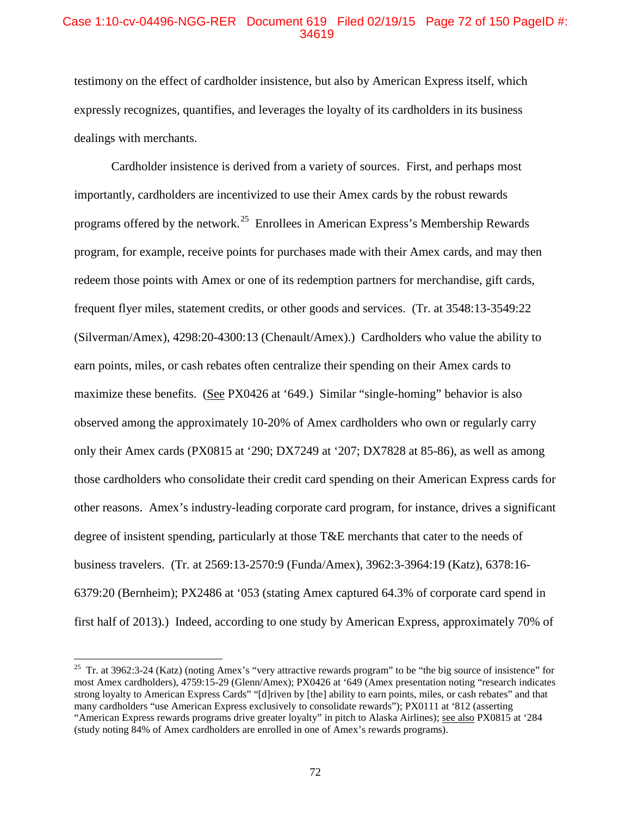# Case 1:10-cv-04496-NGG-RER Document 619 Filed 02/19/15 Page 72 of 150 PageID #: 34619

testimony on the effect of cardholder insistence, but also by American Express itself, which expressly recognizes, quantifies, and leverages the loyalty of its cardholders in its business dealings with merchants.

Cardholder insistence is derived from a variety of sources. First, and perhaps most importantly, cardholders are incentivized to use their Amex cards by the robust rewards programs offered by the network.<sup>25</sup> Enrollees in American Express's Membership Rewards program, for example, receive points for purchases made with their Amex cards, and may then redeem those points with Amex or one of its redemption partners for merchandise, gift cards, frequent flyer miles, statement credits, or other goods and services. (Tr. at 3548:13-3549:22 (Silverman/Amex), 4298:20-4300:13 (Chenault/Amex).) Cardholders who value the ability to earn points, miles, or cash rebates often centralize their spending on their Amex cards to maximize these benefits. (See PX0426 at '649.) Similar "single-homing" behavior is also observed among the approximately 10-20% of Amex cardholders who own or regularly carry only their Amex cards (PX0815 at '290; DX7249 at '207; DX7828 at 85-86), as well as among those cardholders who consolidate their credit card spending on their American Express cards for other reasons. Amex's industry-leading corporate card program, for instance, drives a significant degree of insistent spending, particularly at those T&E merchants that cater to the needs of business travelers. (Tr. at 2569:13-2570:9 (Funda/Amex), 3962:3-3964:19 (Katz), 6378:16- 6379:20 (Bernheim); PX2486 at '053 (stating Amex captured 64.3% of corporate card spend in first half of 2013).) Indeed, according to one study by American Express, approximately 70% of

<sup>&</sup>lt;sup>25</sup> Tr. at 3962:3-24 (Katz) (noting Amex's "very attractive rewards program" to be "the big source of insistence" for most Amex cardholders), 4759:15-29 (Glenn/Amex); PX0426 at '649 (Amex presentation noting "research indicates strong loyalty to American Express Cards" "[d]riven by [the] ability to earn points, miles, or cash rebates" and that many cardholders "use American Express exclusively to consolidate rewards"); PX0111 at '812 (asserting "American Express rewards programs drive greater loyalty" in pitch to Alaska Airlines); see also PX0815 at '284 (study noting 84% of Amex cardholders are enrolled in one of Amex's rewards programs).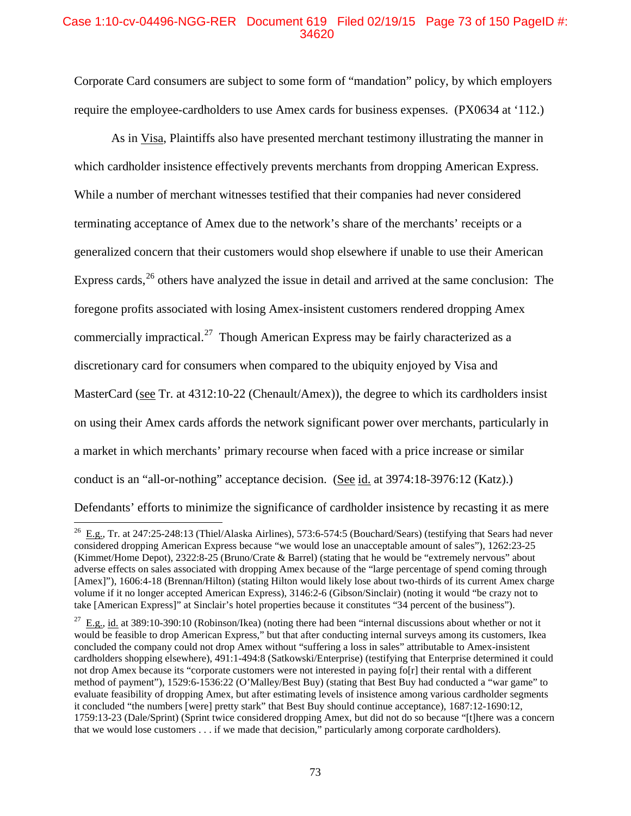# Case 1:10-cv-04496-NGG-RER Document 619 Filed 02/19/15 Page 73 of 150 PageID #: 34620

Corporate Card consumers are subject to some form of "mandation" policy, by which employers require the employee-cardholders to use Amex cards for business expenses. (PX0634 at '112.)

As in Visa, Plaintiffs also have presented merchant testimony illustrating the manner in which cardholder insistence effectively prevents merchants from dropping American Express. While a number of merchant witnesses testified that their companies had never considered terminating acceptance of Amex due to the network's share of the merchants' receipts or a generalized concern that their customers would shop elsewhere if unable to use their American Express cards, <sup>26</sup> others have analyzed the issue in detail and arrived at the same conclusion: The foregone profits associated with losing Amex-insistent customers rendered dropping Amex commercially impractical.<sup>27</sup> Though American Express may be fairly characterized as a discretionary card for consumers when compared to the ubiquity enjoyed by Visa and MasterCard (see Tr. at 4312:10-22 (Chenault/Amex)), the degree to which its cardholders insist on using their Amex cards affords the network significant power over merchants, particularly in a market in which merchants' primary recourse when faced with a price increase or similar conduct is an "all-or-nothing" acceptance decision. (See id. at 3974:18-3976:12 (Katz).) Defendants' efforts to minimize the significance of cardholder insistence by recasting it as mere

 $^{26}$  E.g., Tr. at 247:25-248:13 (Thiel/Alaska Airlines), 573:6-574:5 (Bouchard/Sears) (testifying that Sears had never considered dropping American Express because "we would lose an unacceptable amount of sales"), 1262:23-25 (Kimmet/Home Depot), 2322:8-25 (Bruno/Crate & Barrel) (stating that he would be "extremely nervous" about adverse effects on sales associated with dropping Amex because of the "large percentage of spend coming through [Amex]"), 1606:4-18 (Brennan/Hilton) (stating Hilton would likely lose about two-thirds of its current Amex charge volume if it no longer accepted American Express), 3146:2-6 (Gibson/Sinclair) (noting it would "be crazy not to take [American Express]" at Sinclair's hotel properties because it constitutes "34 percent of the business").  $\overline{a}$ 

 $^{27}$  E.g., id. at 389:10-390:10 (Robinson/Ikea) (noting there had been "internal discussions about whether or not it would be feasible to drop American Express," but that after conducting internal surveys among its customers, Ikea concluded the company could not drop Amex without "suffering a loss in sales" attributable to Amex-insistent cardholders shopping elsewhere), 491:1-494:8 (Satkowski/Enterprise) (testifying that Enterprise determined it could not drop Amex because its "corporate customers were not interested in paying fo[r] their rental with a different method of payment"), 1529:6-1536:22 (O'Malley/Best Buy) (stating that Best Buy had conducted a "war game" to evaluate feasibility of dropping Amex, but after estimating levels of insistence among various cardholder segments it concluded "the numbers [were] pretty stark" that Best Buy should continue acceptance), 1687:12-1690:12, 1759:13-23 (Dale/Sprint) (Sprint twice considered dropping Amex, but did not do so because "[t]here was a concern that we would lose customers . . . if we made that decision," particularly among corporate cardholders).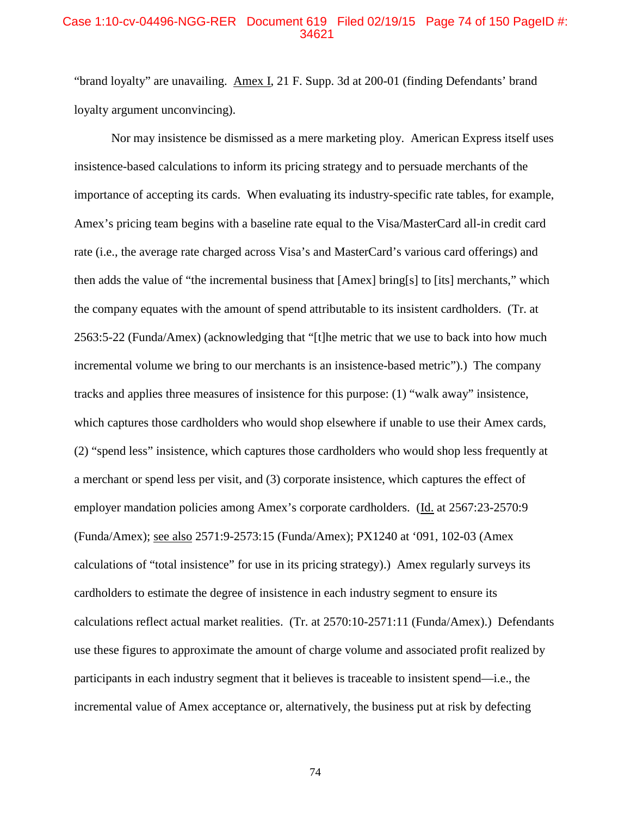## Case 1:10-cv-04496-NGG-RER Document 619 Filed 02/19/15 Page 74 of 150 PageID #: 34621

"brand loyalty" are unavailing. Amex I, 21 F. Supp. 3d at 200-01 (finding Defendants' brand loyalty argument unconvincing).

Nor may insistence be dismissed as a mere marketing ploy. American Express itself uses insistence-based calculations to inform its pricing strategy and to persuade merchants of the importance of accepting its cards. When evaluating its industry-specific rate tables, for example, Amex's pricing team begins with a baseline rate equal to the Visa/MasterCard all-in credit card rate (i.e., the average rate charged across Visa's and MasterCard's various card offerings) and then adds the value of "the incremental business that [Amex] bring[s] to [its] merchants," which the company equates with the amount of spend attributable to its insistent cardholders. (Tr. at 2563:5-22 (Funda/Amex) (acknowledging that "[t]he metric that we use to back into how much incremental volume we bring to our merchants is an insistence-based metric").) The company tracks and applies three measures of insistence for this purpose: (1) "walk away" insistence, which captures those cardholders who would shop elsewhere if unable to use their Amex cards, (2) "spend less" insistence, which captures those cardholders who would shop less frequently at a merchant or spend less per visit, and (3) corporate insistence, which captures the effect of employer mandation policies among Amex's corporate cardholders. (Id. at 2567:23-2570:9 (Funda/Amex); see also 2571:9-2573:15 (Funda/Amex); PX1240 at '091, 102-03 (Amex calculations of "total insistence" for use in its pricing strategy).) Amex regularly surveys its cardholders to estimate the degree of insistence in each industry segment to ensure its calculations reflect actual market realities. (Tr. at 2570:10-2571:11 (Funda/Amex).) Defendants use these figures to approximate the amount of charge volume and associated profit realized by participants in each industry segment that it believes is traceable to insistent spend—i.e., the incremental value of Amex acceptance or, alternatively, the business put at risk by defecting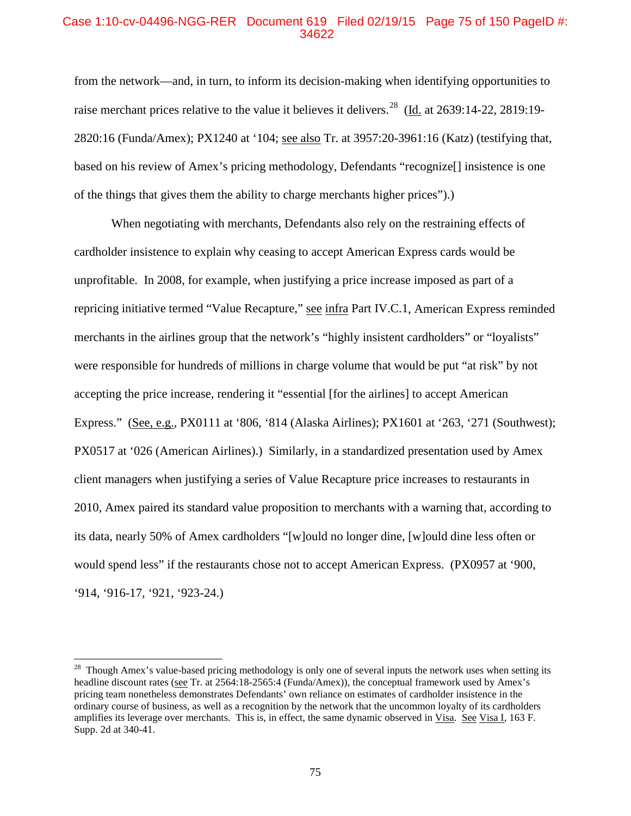## Case 1:10-cv-04496-NGG-RER Document 619 Filed 02/19/15 Page 75 of 150 PageID #: 34622

from the network—and, in turn, to inform its decision-making when identifying opportunities to raise merchant prices relative to the value it believes it delivers.<sup>28</sup> (Id. at 2639:14-22, 2819:19-2820:16 (Funda/Amex); PX1240 at '104; see also Tr. at 3957:20-3961:16 (Katz) (testifying that, based on his review of Amex's pricing methodology, Defendants "recognize[] insistence is one of the things that gives them the ability to charge merchants higher prices").)

When negotiating with merchants, Defendants also rely on the restraining effects of cardholder insistence to explain why ceasing to accept American Express cards would be unprofitable. In 2008, for example, when justifying a price increase imposed as part of a repricing initiative termed "Value Recapture," see infra Part IV.C.1, American Express reminded merchants in the airlines group that the network's "highly insistent cardholders" or "loyalists" were responsible for hundreds of millions in charge volume that would be put "at risk" by not accepting the price increase, rendering it "essential [for the airlines] to accept American Express." (See, e.g., PX0111 at '806, '814 (Alaska Airlines); PX1601 at '263, '271 (Southwest); PX0517 at '026 (American Airlines).) Similarly, in a standardized presentation used by Amex client managers when justifying a series of Value Recapture price increases to restaurants in 2010, Amex paired its standard value proposition to merchants with a warning that, according to its data, nearly 50% of Amex cardholders "[w]ould no longer dine, [w]ould dine less often or would spend less" if the restaurants chose not to accept American Express. (PX0957 at '900, '914, '916-17, '921, '923-24.)

 $28$  Though Amex's value-based pricing methodology is only one of several inputs the network uses when setting its headline discount rates (see Tr. at 2564:18-2565:4 (Funda/Amex)), the conceptual framework used by Amex's pricing team nonetheless demonstrates Defendants' own reliance on estimates of cardholder insistence in the ordinary course of business, as well as a recognition by the network that the uncommon loyalty of its cardholders amplifies its leverage over merchants. This is, in effect, the same dynamic observed in Visa. See Visa I, 163 F. Supp. 2d at 340-41.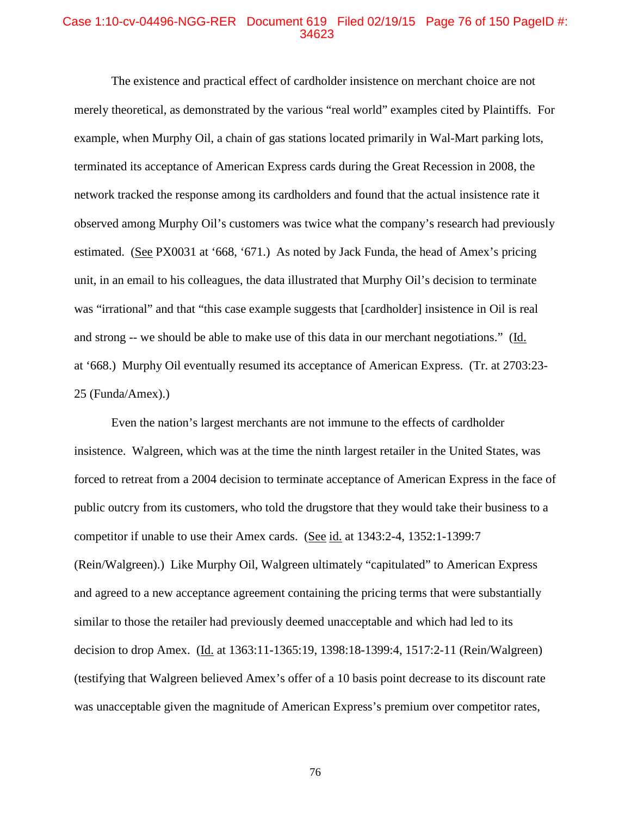# Case 1:10-cv-04496-NGG-RER Document 619 Filed 02/19/15 Page 76 of 150 PageID #: 34623

The existence and practical effect of cardholder insistence on merchant choice are not merely theoretical, as demonstrated by the various "real world" examples cited by Plaintiffs. For example, when Murphy Oil, a chain of gas stations located primarily in Wal-Mart parking lots, terminated its acceptance of American Express cards during the Great Recession in 2008, the network tracked the response among its cardholders and found that the actual insistence rate it observed among Murphy Oil's customers was twice what the company's research had previously estimated. (See PX0031 at '668, '671.) As noted by Jack Funda, the head of Amex's pricing unit, in an email to his colleagues, the data illustrated that Murphy Oil's decision to terminate was "irrational" and that "this case example suggests that [cardholder] insistence in Oil is real and strong -- we should be able to make use of this data in our merchant negotiations." (Id. at '668.) Murphy Oil eventually resumed its acceptance of American Express. (Tr. at 2703:23- 25 (Funda/Amex).)

Even the nation's largest merchants are not immune to the effects of cardholder insistence. Walgreen, which was at the time the ninth largest retailer in the United States, was forced to retreat from a 2004 decision to terminate acceptance of American Express in the face of public outcry from its customers, who told the drugstore that they would take their business to a competitor if unable to use their Amex cards. (See id. at 1343:2-4, 1352:1-1399:7 (Rein/Walgreen).) Like Murphy Oil, Walgreen ultimately "capitulated" to American Express and agreed to a new acceptance agreement containing the pricing terms that were substantially similar to those the retailer had previously deemed unacceptable and which had led to its decision to drop Amex. (Id. at 1363:11-1365:19, 1398:18-1399:4, 1517:2-11 (Rein/Walgreen) (testifying that Walgreen believed Amex's offer of a 10 basis point decrease to its discount rate was unacceptable given the magnitude of American Express's premium over competitor rates,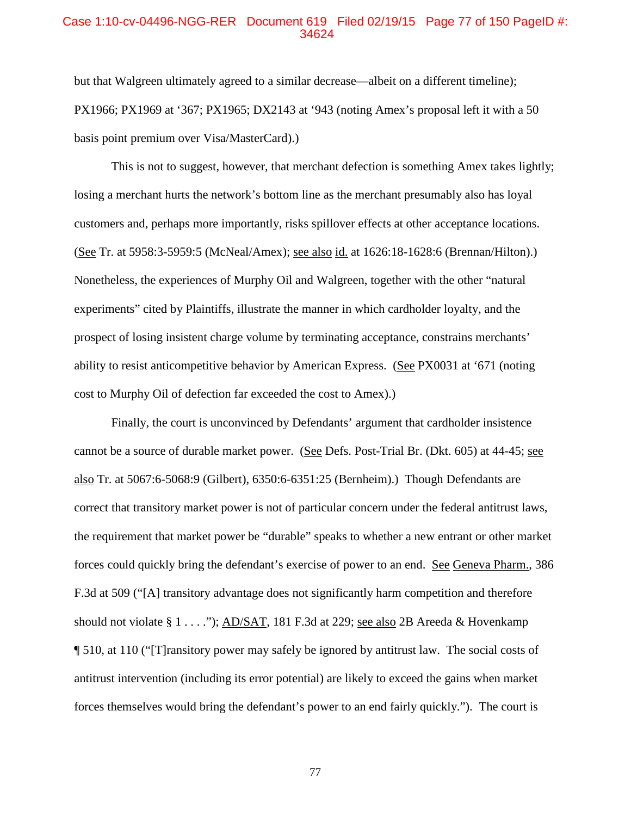#### Case 1:10-cv-04496-NGG-RER Document 619 Filed 02/19/15 Page 77 of 150 PageID #: 34624

but that Walgreen ultimately agreed to a similar decrease—albeit on a different timeline); PX1966; PX1969 at '367; PX1965; DX2143 at '943 (noting Amex's proposal left it with a 50 basis point premium over Visa/MasterCard).)

This is not to suggest, however, that merchant defection is something Amex takes lightly; losing a merchant hurts the network's bottom line as the merchant presumably also has loyal customers and, perhaps more importantly, risks spillover effects at other acceptance locations. (See Tr. at 5958:3-5959:5 (McNeal/Amex); see also id. at 1626:18-1628:6 (Brennan/Hilton).) Nonetheless, the experiences of Murphy Oil and Walgreen, together with the other "natural experiments" cited by Plaintiffs, illustrate the manner in which cardholder loyalty, and the prospect of losing insistent charge volume by terminating acceptance, constrains merchants' ability to resist anticompetitive behavior by American Express. (See PX0031 at '671 (noting cost to Murphy Oil of defection far exceeded the cost to Amex).)

Finally, the court is unconvinced by Defendants' argument that cardholder insistence cannot be a source of durable market power. (See Defs. Post-Trial Br. (Dkt. 605) at 44-45; see also Tr. at 5067:6-5068:9 (Gilbert), 6350:6-6351:25 (Bernheim).) Though Defendants are correct that transitory market power is not of particular concern under the federal antitrust laws, the requirement that market power be "durable" speaks to whether a new entrant or other market forces could quickly bring the defendant's exercise of power to an end. See Geneva Pharm., 386 F.3d at 509 ("[A] transitory advantage does not significantly harm competition and therefore should not violate § 1 . . . ."); AD/SAT, 181 F.3d at 229; see also 2B Areeda & Hovenkamp ¶ 510, at 110 ("[T]ransitory power may safely be ignored by antitrust law. The social costs of antitrust intervention (including its error potential) are likely to exceed the gains when market forces themselves would bring the defendant's power to an end fairly quickly."). The court is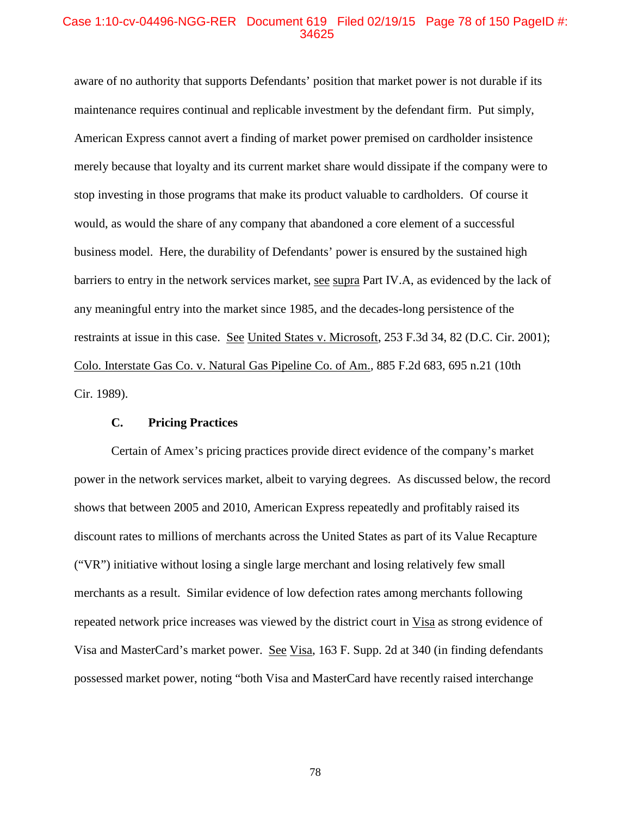# Case 1:10-cv-04496-NGG-RER Document 619 Filed 02/19/15 Page 78 of 150 PageID #: 34625

aware of no authority that supports Defendants' position that market power is not durable if its maintenance requires continual and replicable investment by the defendant firm. Put simply, American Express cannot avert a finding of market power premised on cardholder insistence merely because that loyalty and its current market share would dissipate if the company were to stop investing in those programs that make its product valuable to cardholders. Of course it would, as would the share of any company that abandoned a core element of a successful business model. Here, the durability of Defendants' power is ensured by the sustained high barriers to entry in the network services market, see supra Part IV.A, as evidenced by the lack of any meaningful entry into the market since 1985, and the decades-long persistence of the restraints at issue in this case. See United States v. Microsoft, 253 F.3d 34, 82 (D.C. Cir. 2001); Colo. Interstate Gas Co. v. Natural Gas Pipeline Co. of Am., 885 F.2d 683, 695 n.21 (10th Cir. 1989).

#### **C. Pricing Practices**

Certain of Amex's pricing practices provide direct evidence of the company's market power in the network services market, albeit to varying degrees. As discussed below, the record shows that between 2005 and 2010, American Express repeatedly and profitably raised its discount rates to millions of merchants across the United States as part of its Value Recapture ("VR") initiative without losing a single large merchant and losing relatively few small merchants as a result. Similar evidence of low defection rates among merchants following repeated network price increases was viewed by the district court in Visa as strong evidence of Visa and MasterCard's market power. See Visa, 163 F. Supp. 2d at 340 (in finding defendants possessed market power, noting "both Visa and MasterCard have recently raised interchange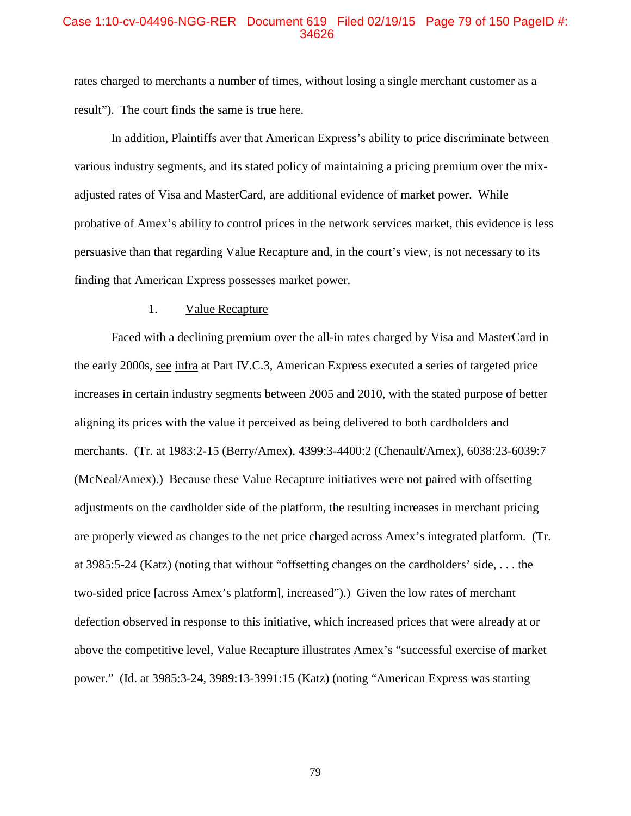# Case 1:10-cv-04496-NGG-RER Document 619 Filed 02/19/15 Page 79 of 150 PageID #: 34626

rates charged to merchants a number of times, without losing a single merchant customer as a result"). The court finds the same is true here.

In addition, Plaintiffs aver that American Express's ability to price discriminate between various industry segments, and its stated policy of maintaining a pricing premium over the mixadjusted rates of Visa and MasterCard, are additional evidence of market power. While probative of Amex's ability to control prices in the network services market, this evidence is less persuasive than that regarding Value Recapture and, in the court's view, is not necessary to its finding that American Express possesses market power.

#### 1. Value Recapture

Faced with a declining premium over the all-in rates charged by Visa and MasterCard in the early 2000s, see infra at Part IV.C.3, American Express executed a series of targeted price increases in certain industry segments between 2005 and 2010, with the stated purpose of better aligning its prices with the value it perceived as being delivered to both cardholders and merchants. (Tr. at 1983:2-15 (Berry/Amex), 4399:3-4400:2 (Chenault/Amex), 6038:23-6039:7 (McNeal/Amex).) Because these Value Recapture initiatives were not paired with offsetting adjustments on the cardholder side of the platform, the resulting increases in merchant pricing are properly viewed as changes to the net price charged across Amex's integrated platform. (Tr. at 3985:5-24 (Katz) (noting that without "offsetting changes on the cardholders' side, . . . the two-sided price [across Amex's platform], increased").) Given the low rates of merchant defection observed in response to this initiative, which increased prices that were already at or above the competitive level, Value Recapture illustrates Amex's "successful exercise of market power." (Id. at 3985:3-24, 3989:13-3991:15 (Katz) (noting "American Express was starting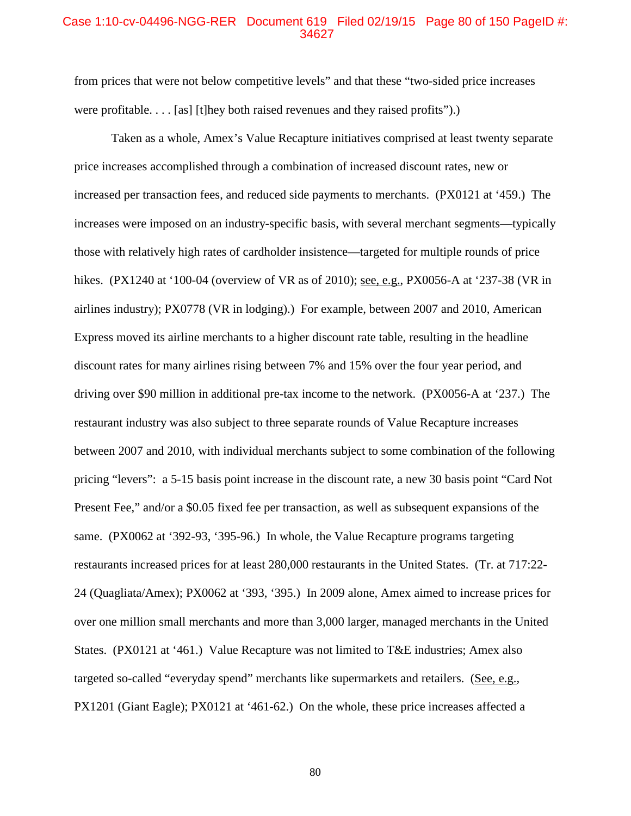# Case 1:10-cv-04496-NGG-RER Document 619 Filed 02/19/15 Page 80 of 150 PageID #: 34627

from prices that were not below competitive levels" and that these "two-sided price increases were profitable. . . . [as] [t]hey both raised revenues and they raised profits").)

Taken as a whole, Amex's Value Recapture initiatives comprised at least twenty separate price increases accomplished through a combination of increased discount rates, new or increased per transaction fees, and reduced side payments to merchants. (PX0121 at '459.) The increases were imposed on an industry-specific basis, with several merchant segments—typically those with relatively high rates of cardholder insistence—targeted for multiple rounds of price hikes. (PX1240 at '100-04 (overview of VR as of 2010); <u>see, e.g.</u>, PX0056-A at '237-38 (VR in airlines industry); PX0778 (VR in lodging).) For example, between 2007 and 2010, American Express moved its airline merchants to a higher discount rate table, resulting in the headline discount rates for many airlines rising between 7% and 15% over the four year period, and driving over \$90 million in additional pre-tax income to the network. (PX0056-A at '237.) The restaurant industry was also subject to three separate rounds of Value Recapture increases between 2007 and 2010, with individual merchants subject to some combination of the following pricing "levers": a 5-15 basis point increase in the discount rate, a new 30 basis point "Card Not Present Fee," and/or a \$0.05 fixed fee per transaction, as well as subsequent expansions of the same. (PX0062 at '392-93, '395-96.) In whole, the Value Recapture programs targeting restaurants increased prices for at least 280,000 restaurants in the United States. (Tr. at 717:22- 24 (Quagliata/Amex); PX0062 at '393, '395.) In 2009 alone, Amex aimed to increase prices for over one million small merchants and more than 3,000 larger, managed merchants in the United States. (PX0121 at '461.) Value Recapture was not limited to T&E industries; Amex also targeted so-called "everyday spend" merchants like supermarkets and retailers. (See, e.g., PX1201 (Giant Eagle); PX0121 at '461-62.) On the whole, these price increases affected a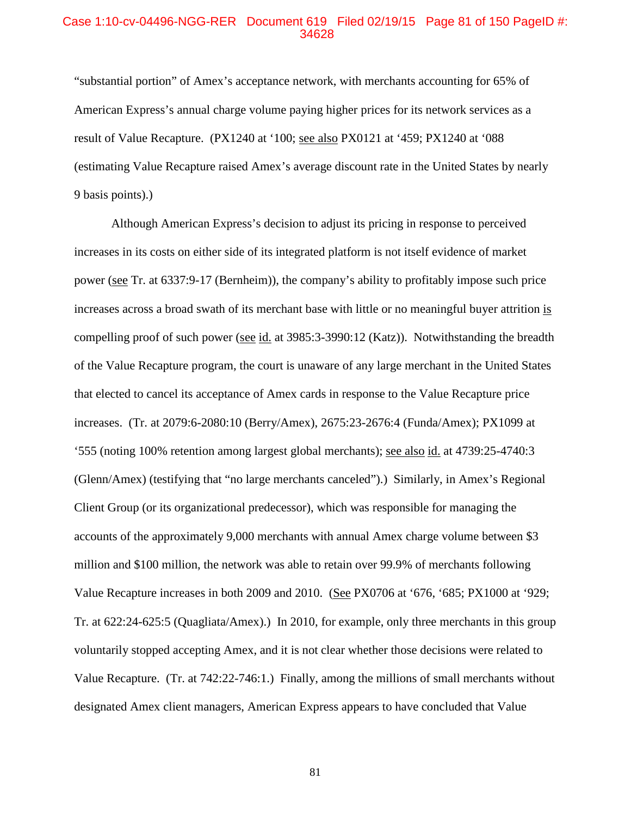## Case 1:10-cv-04496-NGG-RER Document 619 Filed 02/19/15 Page 81 of 150 PageID #: 34628

"substantial portion" of Amex's acceptance network, with merchants accounting for 65% of American Express's annual charge volume paying higher prices for its network services as a result of Value Recapture. (PX1240 at '100; see also PX0121 at '459; PX1240 at '088 (estimating Value Recapture raised Amex's average discount rate in the United States by nearly 9 basis points).)

Although American Express's decision to adjust its pricing in response to perceived increases in its costs on either side of its integrated platform is not itself evidence of market power (see Tr. at 6337:9-17 (Bernheim)), the company's ability to profitably impose such price increases across a broad swath of its merchant base with little or no meaningful buyer attrition is compelling proof of such power (see id. at 3985:3-3990:12 (Katz)). Notwithstanding the breadth of the Value Recapture program, the court is unaware of any large merchant in the United States that elected to cancel its acceptance of Amex cards in response to the Value Recapture price increases. (Tr. at 2079:6-2080:10 (Berry/Amex), 2675:23-2676:4 (Funda/Amex); PX1099 at '555 (noting 100% retention among largest global merchants); see also id. at 4739:25-4740:3 (Glenn/Amex) (testifying that "no large merchants canceled").) Similarly, in Amex's Regional Client Group (or its organizational predecessor), which was responsible for managing the accounts of the approximately 9,000 merchants with annual Amex charge volume between \$3 million and \$100 million, the network was able to retain over 99.9% of merchants following Value Recapture increases in both 2009 and 2010. (See PX0706 at '676, '685; PX1000 at '929; Tr. at 622:24-625:5 (Quagliata/Amex).) In 2010, for example, only three merchants in this group voluntarily stopped accepting Amex, and it is not clear whether those decisions were related to Value Recapture. (Tr. at 742:22-746:1.) Finally, among the millions of small merchants without designated Amex client managers, American Express appears to have concluded that Value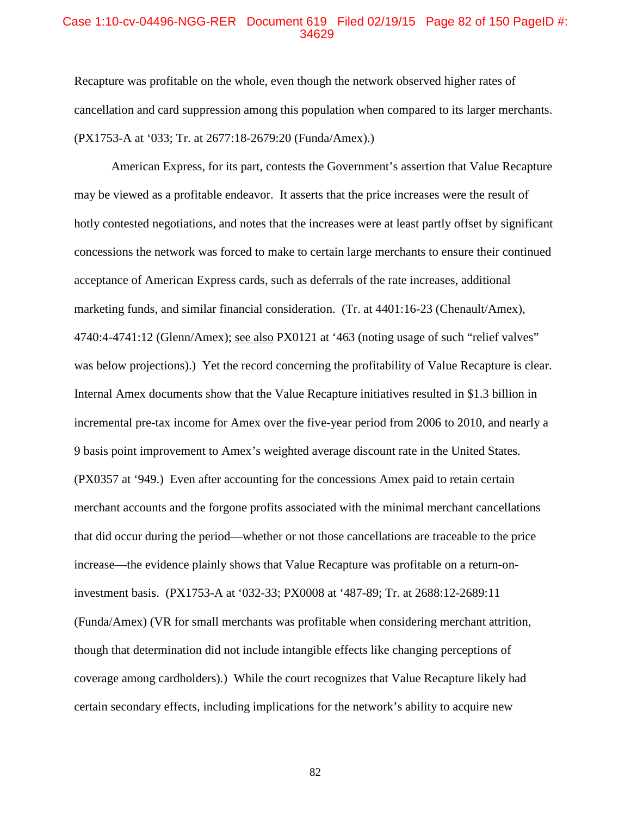# Case 1:10-cv-04496-NGG-RER Document 619 Filed 02/19/15 Page 82 of 150 PageID #: 34629

Recapture was profitable on the whole, even though the network observed higher rates of cancellation and card suppression among this population when compared to its larger merchants. (PX1753-A at '033; Tr. at 2677:18-2679:20 (Funda/Amex).)

American Express, for its part, contests the Government's assertion that Value Recapture may be viewed as a profitable endeavor. It asserts that the price increases were the result of hotly contested negotiations, and notes that the increases were at least partly offset by significant concessions the network was forced to make to certain large merchants to ensure their continued acceptance of American Express cards, such as deferrals of the rate increases, additional marketing funds, and similar financial consideration. (Tr. at 4401:16-23 (Chenault/Amex), 4740:4-4741:12 (Glenn/Amex); see also PX0121 at '463 (noting usage of such "relief valves" was below projections).) Yet the record concerning the profitability of Value Recapture is clear. Internal Amex documents show that the Value Recapture initiatives resulted in \$1.3 billion in incremental pre-tax income for Amex over the five-year period from 2006 to 2010, and nearly a 9 basis point improvement to Amex's weighted average discount rate in the United States. (PX0357 at '949.) Even after accounting for the concessions Amex paid to retain certain merchant accounts and the forgone profits associated with the minimal merchant cancellations that did occur during the period—whether or not those cancellations are traceable to the price increase—the evidence plainly shows that Value Recapture was profitable on a return-oninvestment basis. (PX1753-A at '032-33; PX0008 at '487-89; Tr. at 2688:12-2689:11 (Funda/Amex) (VR for small merchants was profitable when considering merchant attrition, though that determination did not include intangible effects like changing perceptions of coverage among cardholders).) While the court recognizes that Value Recapture likely had certain secondary effects, including implications for the network's ability to acquire new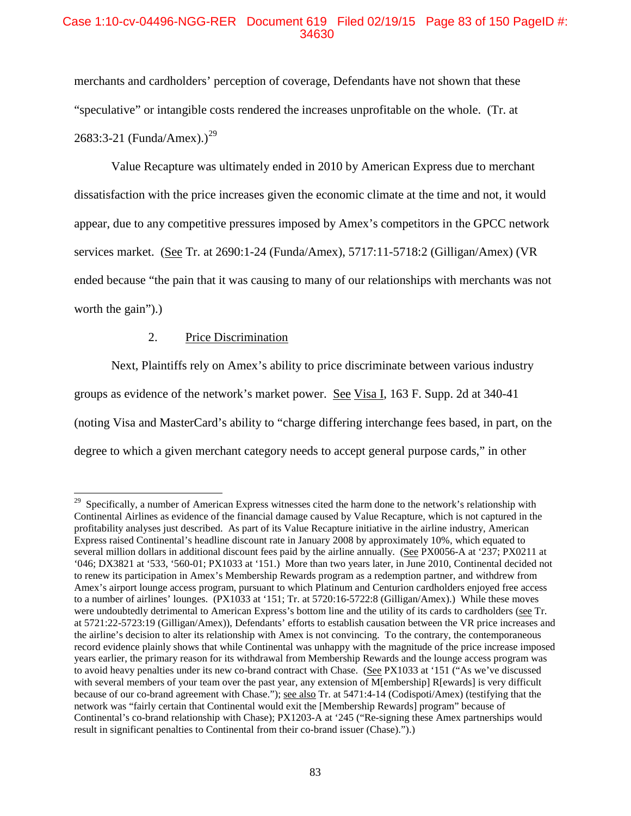# Case 1:10-cv-04496-NGG-RER Document 619 Filed 02/19/15 Page 83 of 150 PageID #: 34630

merchants and cardholders' perception of coverage, Defendants have not shown that these "speculative" or intangible costs rendered the increases unprofitable on the whole. (Tr. at 2683:3-21 (Funda/Amex).)<sup>29</sup>

Value Recapture was ultimately ended in 2010 by American Express due to merchant dissatisfaction with the price increases given the economic climate at the time and not, it would appear, due to any competitive pressures imposed by Amex's competitors in the GPCC network services market. (See Tr. at 2690:1-24 (Funda/Amex), 5717:11-5718:2 (Gilligan/Amex) (VR ended because "the pain that it was causing to many of our relationships with merchants was not worth the gain").

# 2. Price Discrimination

 $\overline{a}$ 

Next, Plaintiffs rely on Amex's ability to price discriminate between various industry groups as evidence of the network's market power. See Visa I, 163 F. Supp. 2d at 340-41 (noting Visa and MasterCard's ability to "charge differing interchange fees based, in part, on the degree to which a given merchant category needs to accept general purpose cards," in other

<sup>&</sup>lt;sup>29</sup> Specifically, a number of American Express witnesses cited the harm done to the network's relationship with Continental Airlines as evidence of the financial damage caused by Value Recapture, which is not captured in the profitability analyses just described. As part of its Value Recapture initiative in the airline industry, American Express raised Continental's headline discount rate in January 2008 by approximately 10%, which equated to several million dollars in additional discount fees paid by the airline annually. (See PX0056-A at '237; PX0211 at '046; DX3821 at '533, '560-01; PX1033 at '151.) More than two years later, in June 2010, Continental decided not to renew its participation in Amex's Membership Rewards program as a redemption partner, and withdrew from Amex's airport lounge access program, pursuant to which Platinum and Centurion cardholders enjoyed free access to a number of airlines' lounges. (PX1033 at '151; Tr. at 5720:16-5722:8 (Gilligan/Amex).) While these moves were undoubtedly detrimental to American Express's bottom line and the utility of its cards to cardholders (see Tr. at 5721:22-5723:19 (Gilligan/Amex)), Defendants' efforts to establish causation between the VR price increases and the airline's decision to alter its relationship with Amex is not convincing. To the contrary, the contemporaneous record evidence plainly shows that while Continental was unhappy with the magnitude of the price increase imposed years earlier, the primary reason for its withdrawal from Membership Rewards and the lounge access program was to avoid heavy penalties under its new co-brand contract with Chase. (See PX1033 at '151 ("As we've discussed with several members of your team over the past year, any extension of M[embership] R[ewards] is very difficult because of our co-brand agreement with Chase."); see also Tr. at 5471:4-14 (Codispoti/Amex) (testifying that the network was "fairly certain that Continental would exit the [Membership Rewards] program" because of Continental's co-brand relationship with Chase); PX1203-A at '245 ("Re-signing these Amex partnerships would result in significant penalties to Continental from their co-brand issuer (Chase).").)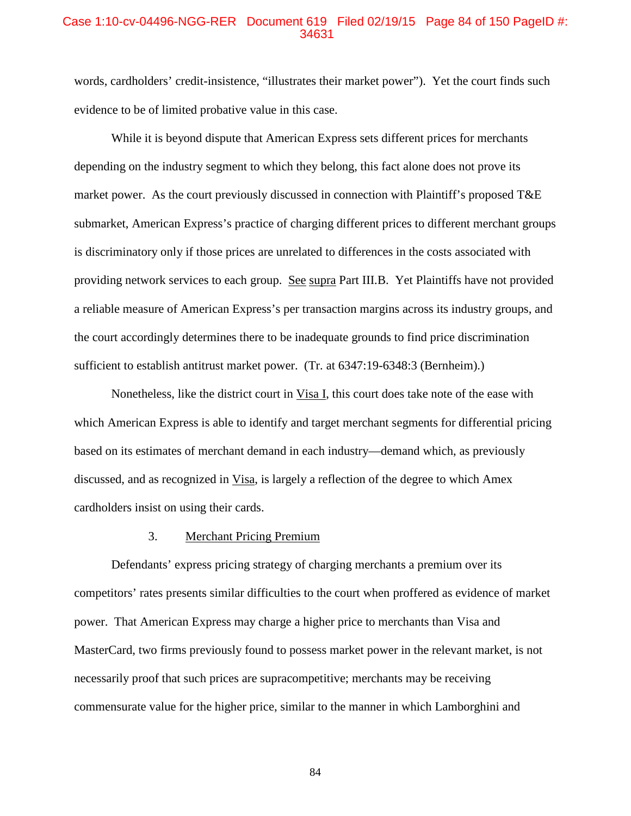# Case 1:10-cv-04496-NGG-RER Document 619 Filed 02/19/15 Page 84 of 150 PageID #: 34631

words, cardholders' credit-insistence, "illustrates their market power"). Yet the court finds such evidence to be of limited probative value in this case.

While it is beyond dispute that American Express sets different prices for merchants depending on the industry segment to which they belong, this fact alone does not prove its market power. As the court previously discussed in connection with Plaintiff's proposed T&E submarket, American Express's practice of charging different prices to different merchant groups is discriminatory only if those prices are unrelated to differences in the costs associated with providing network services to each group. See supra Part III.B. Yet Plaintiffs have not provided a reliable measure of American Express's per transaction margins across its industry groups, and the court accordingly determines there to be inadequate grounds to find price discrimination sufficient to establish antitrust market power. (Tr. at 6347:19-6348:3 (Bernheim).)

Nonetheless, like the district court in Visa I, this court does take note of the ease with which American Express is able to identify and target merchant segments for differential pricing based on its estimates of merchant demand in each industry—demand which, as previously discussed, and as recognized in Visa, is largely a reflection of the degree to which Amex cardholders insist on using their cards.

#### 3. Merchant Pricing Premium

Defendants' express pricing strategy of charging merchants a premium over its competitors' rates presents similar difficulties to the court when proffered as evidence of market power. That American Express may charge a higher price to merchants than Visa and MasterCard, two firms previously found to possess market power in the relevant market, is not necessarily proof that such prices are supracompetitive; merchants may be receiving commensurate value for the higher price, similar to the manner in which Lamborghini and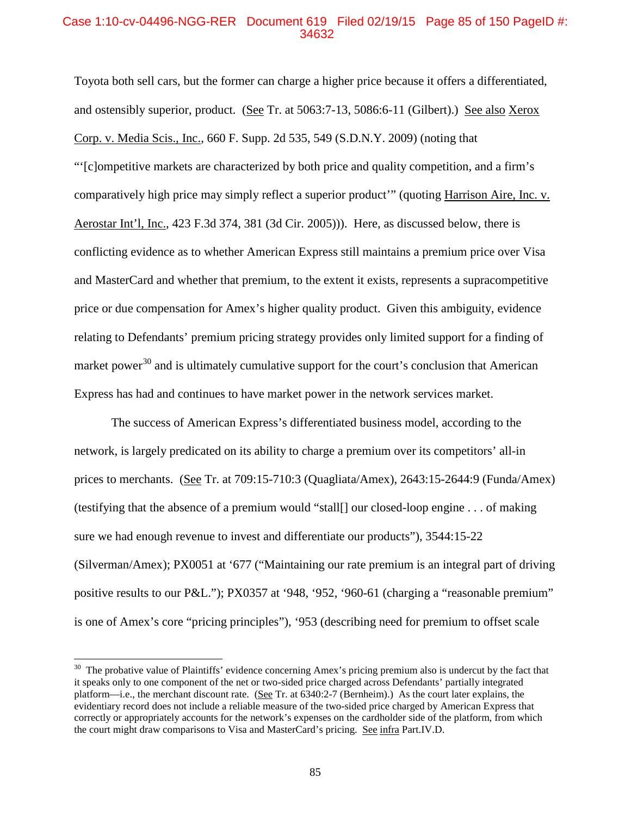# Case 1:10-cv-04496-NGG-RER Document 619 Filed 02/19/15 Page 85 of 150 PageID #: 34632

Toyota both sell cars, but the former can charge a higher price because it offers a differentiated, and ostensibly superior, product. (See Tr. at 5063:7-13, 5086:6-11 (Gilbert).) See also Xerox Corp. v. Media Scis., Inc., 660 F. Supp. 2d 535, 549 (S.D.N.Y. 2009) (noting that "'[c]ompetitive markets are characterized by both price and quality competition, and a firm's comparatively high price may simply reflect a superior product'" (quoting Harrison Aire, Inc. v. Aerostar Int'l, Inc., 423 F.3d 374, 381 (3d Cir. 2005))). Here, as discussed below, there is conflicting evidence as to whether American Express still maintains a premium price over Visa and MasterCard and whether that premium, to the extent it exists, represents a supracompetitive price or due compensation for Amex's higher quality product. Given this ambiguity, evidence relating to Defendants' premium pricing strategy provides only limited support for a finding of market power<sup>30</sup> and is ultimately cumulative support for the court's conclusion that American Express has had and continues to have market power in the network services market.

The success of American Express's differentiated business model, according to the network, is largely predicated on its ability to charge a premium over its competitors' all-in prices to merchants. (See Tr. at 709:15-710:3 (Quagliata/Amex), 2643:15-2644:9 (Funda/Amex) (testifying that the absence of a premium would "stall[] our closed-loop engine . . . of making sure we had enough revenue to invest and differentiate our products"), 3544:15-22 (Silverman/Amex); PX0051 at '677 ("Maintaining our rate premium is an integral part of driving positive results to our P&L."); PX0357 at '948, '952, '960-61 (charging a "reasonable premium" is one of Amex's core "pricing principles"), '953 (describing need for premium to offset scale

 $30$  The probative value of Plaintiffs' evidence concerning Amex's pricing premium also is undercut by the fact that it speaks only to one component of the net or two-sided price charged across Defendants' partially integrated platform—i.e., the merchant discount rate. (See Tr. at 6340:2-7 (Bernheim).) As the court later explains, the evidentiary record does not include a reliable measure of the two-sided price charged by American Express that correctly or appropriately accounts for the network's expenses on the cardholder side of the platform, from which the court might draw comparisons to Visa and MasterCard's pricing. See infra Part.IV.D.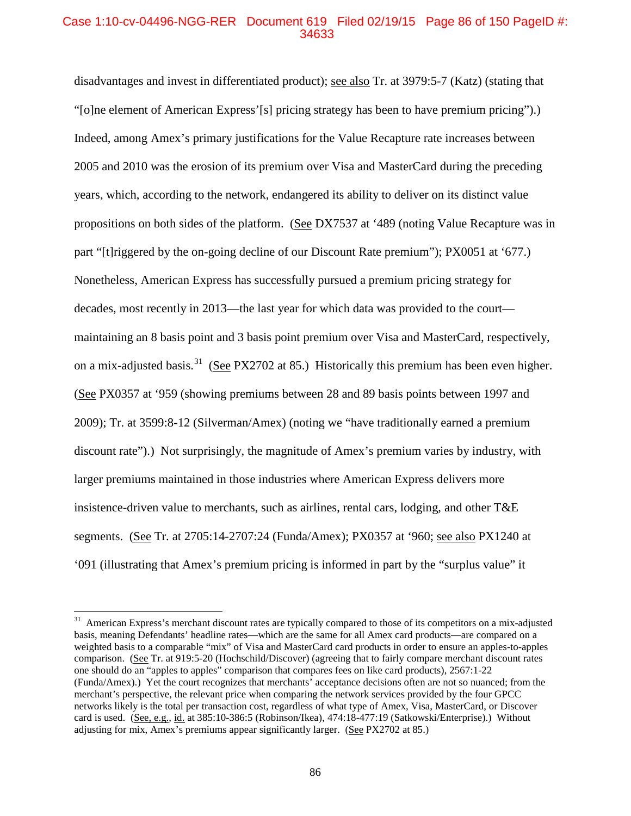# Case 1:10-cv-04496-NGG-RER Document 619 Filed 02/19/15 Page 86 of 150 PageID #: 34633

disadvantages and invest in differentiated product); see also Tr. at 3979:5-7 (Katz) (stating that "[o]ne element of American Express'[s] pricing strategy has been to have premium pricing").) Indeed, among Amex's primary justifications for the Value Recapture rate increases between 2005 and 2010 was the erosion of its premium over Visa and MasterCard during the preceding years, which, according to the network, endangered its ability to deliver on its distinct value propositions on both sides of the platform. (See DX7537 at '489 (noting Value Recapture was in part "[t]riggered by the on-going decline of our Discount Rate premium"); PX0051 at '677.) Nonetheless, American Express has successfully pursued a premium pricing strategy for decades, most recently in 2013—the last year for which data was provided to the court maintaining an 8 basis point and 3 basis point premium over Visa and MasterCard, respectively, on a mix-adjusted basis.<sup>31</sup> (See PX2702 at 85.) Historically this premium has been even higher. (See PX0357 at '959 (showing premiums between 28 and 89 basis points between 1997 and 2009); Tr. at 3599:8-12 (Silverman/Amex) (noting we "have traditionally earned a premium discount rate").) Not surprisingly, the magnitude of Amex's premium varies by industry, with larger premiums maintained in those industries where American Express delivers more insistence-driven value to merchants, such as airlines, rental cars, lodging, and other T&E segments. (See Tr. at 2705:14-2707:24 (Funda/Amex); PX0357 at '960; see also PX1240 at '091 (illustrating that Amex's premium pricing is informed in part by the "surplus value" it

<sup>&</sup>lt;sup>31</sup> American Express's merchant discount rates are typically compared to those of its competitors on a mix-adjusted basis, meaning Defendants' headline rates—which are the same for all Amex card products—are compared on a weighted basis to a comparable "mix" of Visa and MasterCard card products in order to ensure an apples-to-apples comparison. (See Tr. at 919:5-20 (Hochschild/Discover) (agreeing that to fairly compare merchant discount rates one should do an "apples to apples" comparison that compares fees on like card products), 2567:1-22 (Funda/Amex).) Yet the court recognizes that merchants' acceptance decisions often are not so nuanced; from the merchant's perspective, the relevant price when comparing the network services provided by the four GPCC networks likely is the total per transaction cost, regardless of what type of Amex, Visa, MasterCard, or Discover card is used. (See, e.g., id. at 385:10-386:5 (Robinson/Ikea), 474:18-477:19 (Satkowski/Enterprise).) Without adjusting for mix, Amex's premiums appear significantly larger. (See PX2702 at 85.)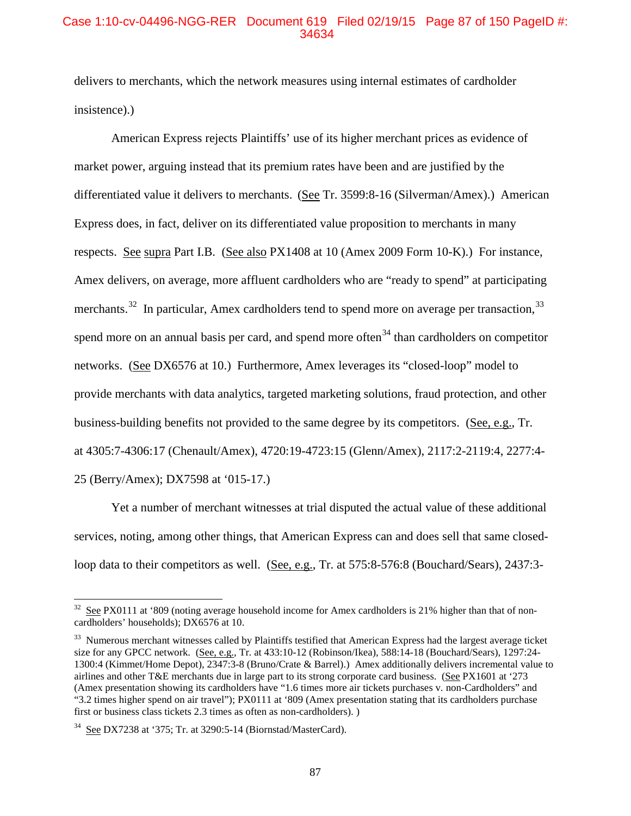## Case 1:10-cv-04496-NGG-RER Document 619 Filed 02/19/15 Page 87 of 150 PageID #: 34634

delivers to merchants, which the network measures using internal estimates of cardholder insistence).)

American Express rejects Plaintiffs' use of its higher merchant prices as evidence of market power, arguing instead that its premium rates have been and are justified by the differentiated value it delivers to merchants. (See Tr. 3599:8-16 (Silverman/Amex).) American Express does, in fact, deliver on its differentiated value proposition to merchants in many respects. See supra Part I.B. (See also PX1408 at 10 (Amex 2009 Form 10-K).) For instance, Amex delivers, on average, more affluent cardholders who are "ready to spend" at participating merchants.<sup>32</sup> In particular, Amex cardholders tend to spend more on average per transaction,<sup>33</sup> spend more on an annual basis per card, and spend more often<sup>34</sup> than cardholders on competitor networks. (See DX6576 at 10.) Furthermore, Amex leverages its "closed-loop" model to provide merchants with data analytics, targeted marketing solutions, fraud protection, and other business-building benefits not provided to the same degree by its competitors. (See, e.g., Tr. at 4305:7-4306:17 (Chenault/Amex), 4720:19-4723:15 (Glenn/Amex), 2117:2-2119:4, 2277:4- 25 (Berry/Amex); DX7598 at '015-17.)

Yet a number of merchant witnesses at trial disputed the actual value of these additional services, noting, among other things, that American Express can and does sell that same closedloop data to their competitors as well. (See, e.g., Tr. at 575:8-576:8 (Bouchard/Sears), 2437:3-

 $32$  See PX0111 at '809 (noting average household income for Amex cardholders is 21% higher than that of noncardholders' households); DX6576 at 10.

<sup>&</sup>lt;sup>33</sup> Numerous merchant witnesses called by Plaintiffs testified that American Express had the largest average ticket size for any GPCC network. (See, e.g., Tr. at 433:10-12 (Robinson/Ikea), 588:14-18 (Bouchard/Sears), 1297:24- 1300:4 (Kimmet/Home Depot), 2347:3-8 (Bruno/Crate & Barrel).) Amex additionally delivers incremental value to airlines and other T&E merchants due in large part to its strong corporate card business. (See PX1601 at '273 (Amex presentation showing its cardholders have "1.6 times more air tickets purchases v. non-Cardholders" and "3.2 times higher spend on air travel"); PX0111 at '809 (Amex presentation stating that its cardholders purchase first or business class tickets 2.3 times as often as non-cardholders). )

 $34$  See DX7238 at '375; Tr. at 3290:5-14 (Biornstad/MasterCard).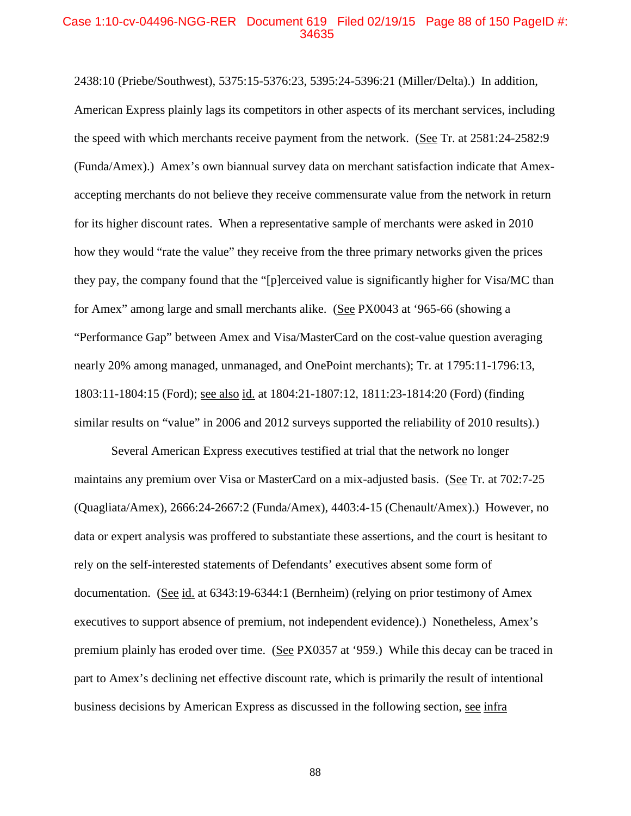## Case 1:10-cv-04496-NGG-RER Document 619 Filed 02/19/15 Page 88 of 150 PageID #: 34635

2438:10 (Priebe/Southwest), 5375:15-5376:23, 5395:24-5396:21 (Miller/Delta).) In addition, American Express plainly lags its competitors in other aspects of its merchant services, including the speed with which merchants receive payment from the network. (See Tr. at 2581:24-2582:9 (Funda/Amex).) Amex's own biannual survey data on merchant satisfaction indicate that Amexaccepting merchants do not believe they receive commensurate value from the network in return for its higher discount rates. When a representative sample of merchants were asked in 2010 how they would "rate the value" they receive from the three primary networks given the prices they pay, the company found that the "[p]erceived value is significantly higher for Visa/MC than for Amex" among large and small merchants alike. (See PX0043 at '965-66 (showing a "Performance Gap" between Amex and Visa/MasterCard on the cost-value question averaging nearly 20% among managed, unmanaged, and OnePoint merchants); Tr. at 1795:11-1796:13, 1803:11-1804:15 (Ford); see also id. at 1804:21-1807:12, 1811:23-1814:20 (Ford) (finding similar results on "value" in 2006 and 2012 surveys supported the reliability of 2010 results).)

Several American Express executives testified at trial that the network no longer maintains any premium over Visa or MasterCard on a mix-adjusted basis. (See Tr. at 702:7-25 (Quagliata/Amex), 2666:24-2667:2 (Funda/Amex), 4403:4-15 (Chenault/Amex).) However, no data or expert analysis was proffered to substantiate these assertions, and the court is hesitant to rely on the self-interested statements of Defendants' executives absent some form of documentation. (See id. at 6343:19-6344:1 (Bernheim) (relying on prior testimony of Amex executives to support absence of premium, not independent evidence).) Nonetheless, Amex's premium plainly has eroded over time. (See PX0357 at '959.) While this decay can be traced in part to Amex's declining net effective discount rate, which is primarily the result of intentional business decisions by American Express as discussed in the following section, see infra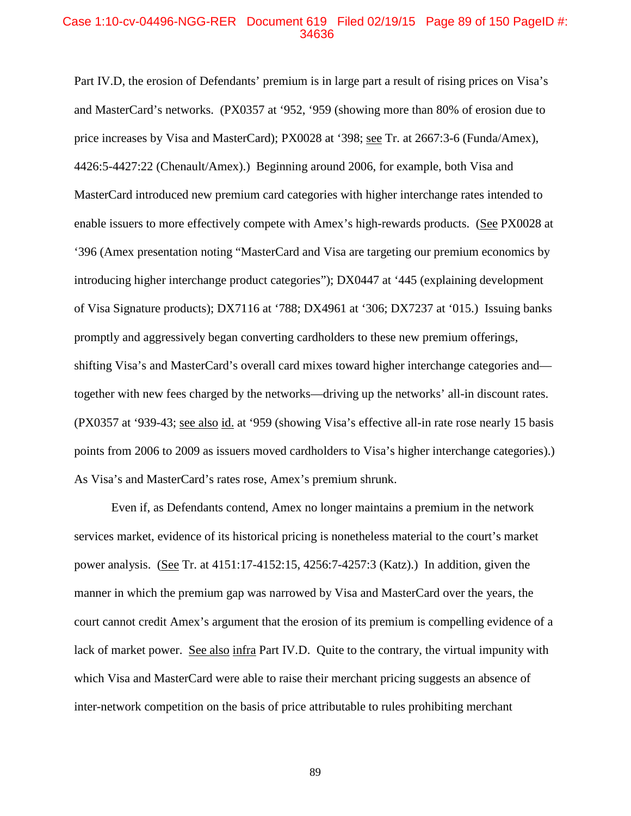#### Case 1:10-cv-04496-NGG-RER Document 619 Filed 02/19/15 Page 89 of 150 PageID #: 34636

Part IV.D, the erosion of Defendants' premium is in large part a result of rising prices on Visa's and MasterCard's networks. (PX0357 at '952, '959 (showing more than 80% of erosion due to price increases by Visa and MasterCard); PX0028 at '398; see Tr. at 2667:3-6 (Funda/Amex), 4426:5-4427:22 (Chenault/Amex).) Beginning around 2006, for example, both Visa and MasterCard introduced new premium card categories with higher interchange rates intended to enable issuers to more effectively compete with Amex's high-rewards products. (See PX0028 at '396 (Amex presentation noting "MasterCard and Visa are targeting our premium economics by introducing higher interchange product categories"); DX0447 at '445 (explaining development of Visa Signature products); DX7116 at '788; DX4961 at '306; DX7237 at '015.) Issuing banks promptly and aggressively began converting cardholders to these new premium offerings, shifting Visa's and MasterCard's overall card mixes toward higher interchange categories and together with new fees charged by the networks—driving up the networks' all-in discount rates. (PX0357 at '939-43; see also id. at '959 (showing Visa's effective all-in rate rose nearly 15 basis points from 2006 to 2009 as issuers moved cardholders to Visa's higher interchange categories).) As Visa's and MasterCard's rates rose, Amex's premium shrunk.

Even if, as Defendants contend, Amex no longer maintains a premium in the network services market, evidence of its historical pricing is nonetheless material to the court's market power analysis. (See Tr. at 4151:17-4152:15, 4256:7-4257:3 (Katz).) In addition, given the manner in which the premium gap was narrowed by Visa and MasterCard over the years, the court cannot credit Amex's argument that the erosion of its premium is compelling evidence of a lack of market power. See also infra Part IV.D. Quite to the contrary, the virtual impunity with which Visa and MasterCard were able to raise their merchant pricing suggests an absence of inter-network competition on the basis of price attributable to rules prohibiting merchant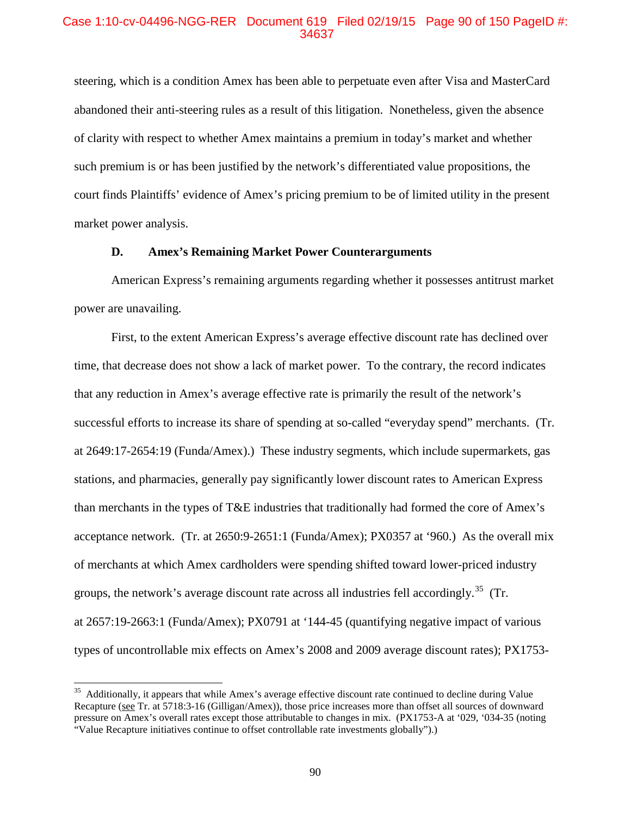### Case 1:10-cv-04496-NGG-RER Document 619 Filed 02/19/15 Page 90 of 150 PageID #: 34637

steering, which is a condition Amex has been able to perpetuate even after Visa and MasterCard abandoned their anti-steering rules as a result of this litigation. Nonetheless, given the absence of clarity with respect to whether Amex maintains a premium in today's market and whether such premium is or has been justified by the network's differentiated value propositions, the court finds Plaintiffs' evidence of Amex's pricing premium to be of limited utility in the present market power analysis.

### **D. Amex's Remaining Market Power Counterarguments**

American Express's remaining arguments regarding whether it possesses antitrust market power are unavailing.

First, to the extent American Express's average effective discount rate has declined over time, that decrease does not show a lack of market power. To the contrary, the record indicates that any reduction in Amex's average effective rate is primarily the result of the network's successful efforts to increase its share of spending at so-called "everyday spend" merchants. (Tr. at 2649:17-2654:19 (Funda/Amex).) These industry segments, which include supermarkets, gas stations, and pharmacies, generally pay significantly lower discount rates to American Express than merchants in the types of T&E industries that traditionally had formed the core of Amex's acceptance network. (Tr. at 2650:9-2651:1 (Funda/Amex); PX0357 at '960.) As the overall mix of merchants at which Amex cardholders were spending shifted toward lower-priced industry groups, the network's average discount rate across all industries fell accordingly.<sup>35</sup> (Tr. at 2657:19-2663:1 (Funda/Amex); PX0791 at '144-45 (quantifying negative impact of various types of uncontrollable mix effects on Amex's 2008 and 2009 average discount rates); PX1753-

 $35$  Additionally, it appears that while Amex's average effective discount rate continued to decline during Value Recapture (see Tr. at 5718:3-16 (Gilligan/Amex)), those price increases more than offset all sources of downward pressure on Amex's overall rates except those attributable to changes in mix. (PX1753-A at '029, '034-35 (noting "Value Recapture initiatives continue to offset controllable rate investments globally").)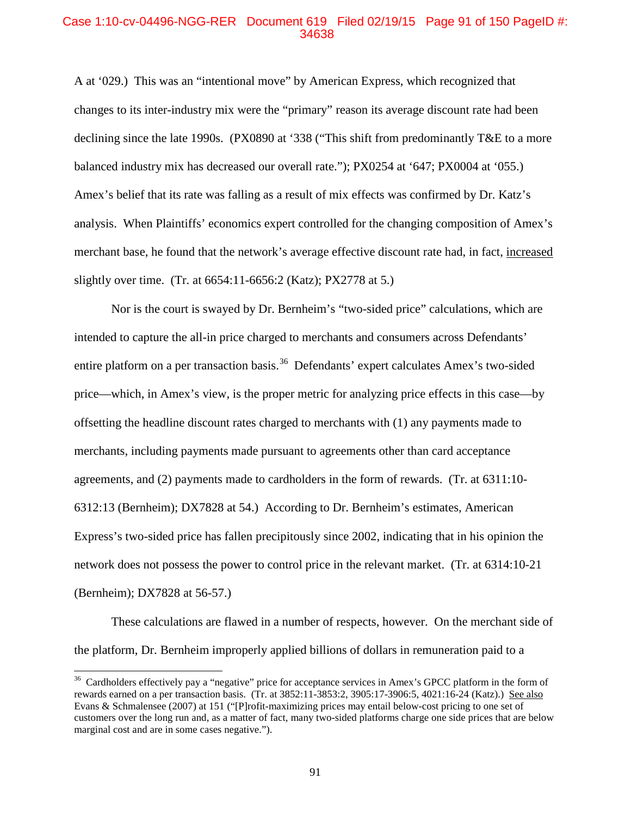#### Case 1:10-cv-04496-NGG-RER Document 619 Filed 02/19/15 Page 91 of 150 PageID #: 34638

A at '029.) This was an "intentional move" by American Express, which recognized that changes to its inter-industry mix were the "primary" reason its average discount rate had been declining since the late 1990s. (PX0890 at '338 ("This shift from predominantly T&E to a more balanced industry mix has decreased our overall rate."); PX0254 at '647; PX0004 at '055.) Amex's belief that its rate was falling as a result of mix effects was confirmed by Dr. Katz's analysis. When Plaintiffs' economics expert controlled for the changing composition of Amex's merchant base, he found that the network's average effective discount rate had, in fact, increased slightly over time. (Tr. at 6654:11-6656:2 (Katz); PX2778 at 5.)

Nor is the court is swayed by Dr. Bernheim's "two-sided price" calculations, which are intended to capture the all-in price charged to merchants and consumers across Defendants' entire platform on a per transaction basis.<sup>36</sup> Defendants' expert calculates Amex's two-sided price—which, in Amex's view, is the proper metric for analyzing price effects in this case—by offsetting the headline discount rates charged to merchants with (1) any payments made to merchants, including payments made pursuant to agreements other than card acceptance agreements, and (2) payments made to cardholders in the form of rewards. (Tr. at 6311:10- 6312:13 (Bernheim); DX7828 at 54.) According to Dr. Bernheim's estimates, American Express's two-sided price has fallen precipitously since 2002, indicating that in his opinion the network does not possess the power to control price in the relevant market. (Tr. at 6314:10-21 (Bernheim); DX7828 at 56-57.)

These calculations are flawed in a number of respects, however. On the merchant side of the platform, Dr. Bernheim improperly applied billions of dollars in remuneration paid to a

 $36$  Cardholders effectively pay a "negative" price for acceptance services in Amex's GPCC platform in the form of rewards earned on a per transaction basis. (Tr. at 3852:11-3853:2, 3905:17-3906:5, 4021:16-24 (Katz).) See also Evans & Schmalensee (2007) at 151 ("[P]rofit-maximizing prices may entail below-cost pricing to one set of customers over the long run and, as a matter of fact, many two-sided platforms charge one side prices that are below marginal cost and are in some cases negative.").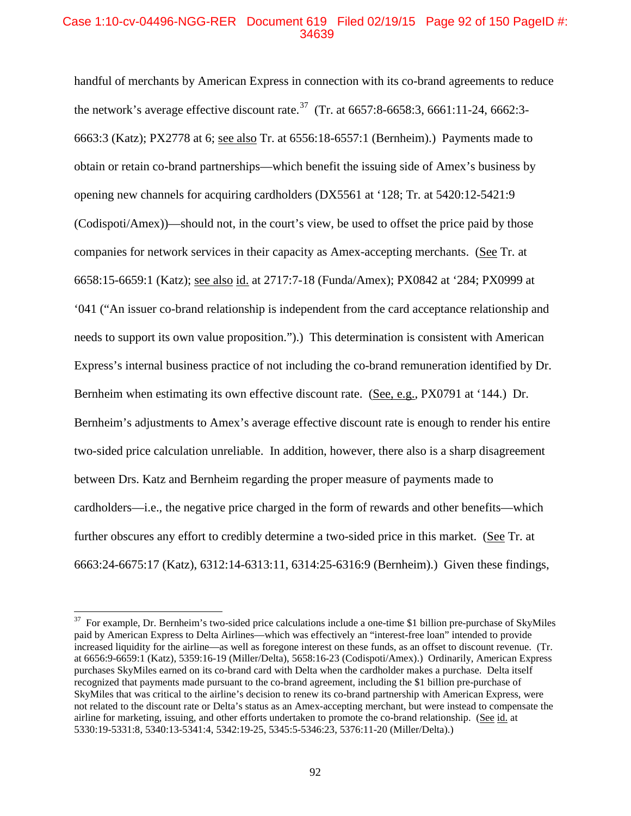# Case 1:10-cv-04496-NGG-RER Document 619 Filed 02/19/15 Page 92 of 150 PageID #: 34639

handful of merchants by American Express in connection with its co-brand agreements to reduce the network's average effective discount rate.<sup>37</sup> (Tr. at 6657:8-6658:3, 6661:11-24, 6662:3-6663:3 (Katz); PX2778 at 6; see also Tr. at 6556:18-6557:1 (Bernheim).) Payments made to obtain or retain co-brand partnerships—which benefit the issuing side of Amex's business by opening new channels for acquiring cardholders (DX5561 at '128; Tr. at 5420:12-5421:9 (Codispoti/Amex))—should not, in the court's view, be used to offset the price paid by those companies for network services in their capacity as Amex-accepting merchants. (See Tr. at 6658:15-6659:1 (Katz); see also id. at 2717:7-18 (Funda/Amex); PX0842 at '284; PX0999 at '041 ("An issuer co-brand relationship is independent from the card acceptance relationship and needs to support its own value proposition.").) This determination is consistent with American Express's internal business practice of not including the co-brand remuneration identified by Dr. Bernheim when estimating its own effective discount rate. (See, e.g., PX0791 at '144.) Dr. Bernheim's adjustments to Amex's average effective discount rate is enough to render his entire two-sided price calculation unreliable. In addition, however, there also is a sharp disagreement between Drs. Katz and Bernheim regarding the proper measure of payments made to cardholders—i.e., the negative price charged in the form of rewards and other benefits—which further obscures any effort to credibly determine a two-sided price in this market. (See Tr. at 6663:24-6675:17 (Katz), 6312:14-6313:11, 6314:25-6316:9 (Bernheim).) Given these findings,

 $37$  For example, Dr. Bernheim's two-sided price calculations include a one-time \$1 billion pre-purchase of SkyMiles paid by American Express to Delta Airlines—which was effectively an "interest-free loan" intended to provide increased liquidity for the airline—as well as foregone interest on these funds, as an offset to discount revenue. (Tr. at 6656:9-6659:1 (Katz), 5359:16-19 (Miller/Delta), 5658:16-23 (Codispoti/Amex).) Ordinarily, American Express purchases SkyMiles earned on its co-brand card with Delta when the cardholder makes a purchase. Delta itself recognized that payments made pursuant to the co-brand agreement, including the \$1 billion pre-purchase of SkyMiles that was critical to the airline's decision to renew its co-brand partnership with American Express, were not related to the discount rate or Delta's status as an Amex-accepting merchant, but were instead to compensate the airline for marketing, issuing, and other efforts undertaken to promote the co-brand relationship. (See id. at 5330:19-5331:8, 5340:13-5341:4, 5342:19-25, 5345:5-5346:23, 5376:11-20 (Miller/Delta).)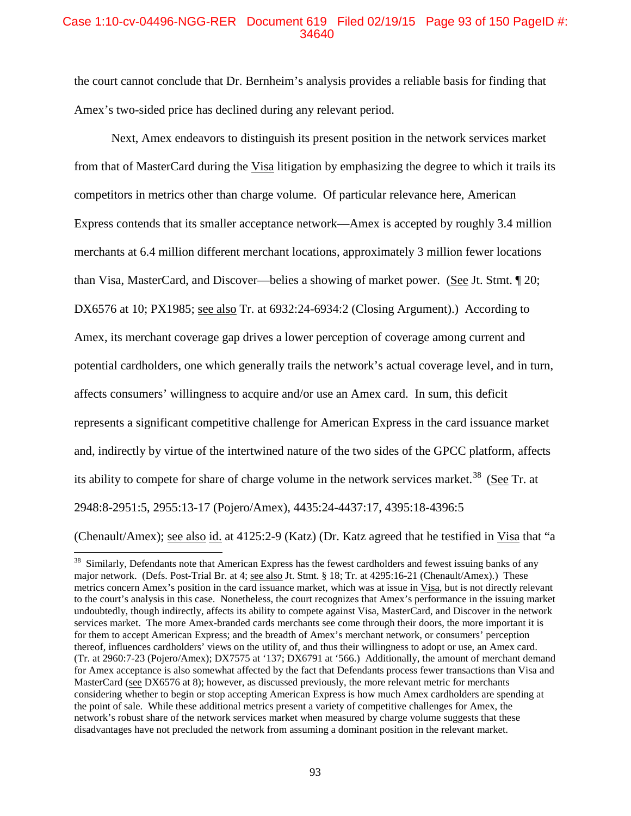### Case 1:10-cv-04496-NGG-RER Document 619 Filed 02/19/15 Page 93 of 150 PageID #: 34640

the court cannot conclude that Dr. Bernheim's analysis provides a reliable basis for finding that Amex's two-sided price has declined during any relevant period.

Next, Amex endeavors to distinguish its present position in the network services market from that of MasterCard during the Visa litigation by emphasizing the degree to which it trails its competitors in metrics other than charge volume. Of particular relevance here, American Express contends that its smaller acceptance network—Amex is accepted by roughly 3.4 million merchants at 6.4 million different merchant locations, approximately 3 million fewer locations than Visa, MasterCard, and Discover—belies a showing of market power. (See Jt. Stmt. 120; DX6576 at 10; PX1985; <u>see also</u> Tr. at 6932:24-6934:2 (Closing Argument).) According to Amex, its merchant coverage gap drives a lower perception of coverage among current and potential cardholders, one which generally trails the network's actual coverage level, and in turn, affects consumers' willingness to acquire and/or use an Amex card. In sum, this deficit represents a significant competitive challenge for American Express in the card issuance market and, indirectly by virtue of the intertwined nature of the two sides of the GPCC platform, affects its ability to compete for share of charge volume in the network services market.<sup>38</sup> (See Tr. at 2948:8-2951:5, 2955:13-17 (Pojero/Amex), 4435:24-4437:17, 4395:18-4396:5

(Chenault/Amex); see also id. at 4125:2-9 (Katz) (Dr. Katz agreed that he testified in Visa that "a

<sup>&</sup>lt;sup>38</sup> Similarly, Defendants note that American Express has the fewest cardholders and fewest issuing banks of any major network. (Defs. Post-Trial Br. at 4; see also Jt. Stmt. § 18; Tr. at 4295:16-21 (Chenault/Amex).) These metrics concern Amex's position in the card issuance market, which was at issue in Visa, but is not directly relevant to the court's analysis in this case. Nonetheless, the court recognizes that Amex's performance in the issuing market undoubtedly, though indirectly, affects its ability to compete against Visa, MasterCard, and Discover in the network services market. The more Amex-branded cards merchants see come through their doors, the more important it is for them to accept American Express; and the breadth of Amex's merchant network, or consumers' perception thereof, influences cardholders' views on the utility of, and thus their willingness to adopt or use, an Amex card. (Tr. at 2960:7-23 (Pojero/Amex); DX7575 at '137; DX6791 at '566.) Additionally, the amount of merchant demand for Amex acceptance is also somewhat affected by the fact that Defendants process fewer transactions than Visa and MasterCard (see DX6576 at 8); however, as discussed previously, the more relevant metric for merchants considering whether to begin or stop accepting American Express is how much Amex cardholders are spending at the point of sale. While these additional metrics present a variety of competitive challenges for Amex, the network's robust share of the network services market when measured by charge volume suggests that these disadvantages have not precluded the network from assuming a dominant position in the relevant market.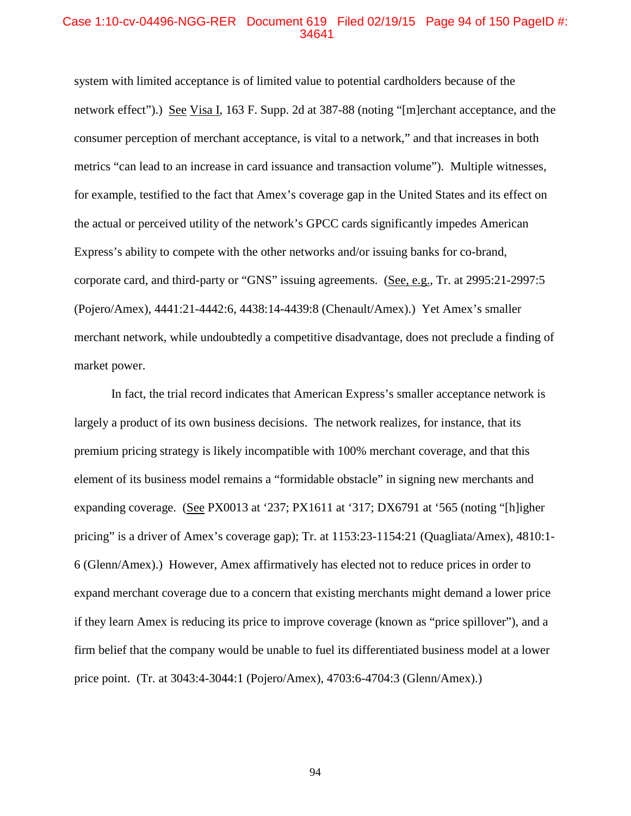## Case 1:10-cv-04496-NGG-RER Document 619 Filed 02/19/15 Page 94 of 150 PageID #: 34641

system with limited acceptance is of limited value to potential cardholders because of the network effect").) See Visa I, 163 F. Supp. 2d at 387-88 (noting "[m]erchant acceptance, and the consumer perception of merchant acceptance, is vital to a network," and that increases in both metrics "can lead to an increase in card issuance and transaction volume"). Multiple witnesses, for example, testified to the fact that Amex's coverage gap in the United States and its effect on the actual or perceived utility of the network's GPCC cards significantly impedes American Express's ability to compete with the other networks and/or issuing banks for co-brand, corporate card, and third-party or "GNS" issuing agreements. (See, e.g., Tr. at 2995:21-2997:5 (Pojero/Amex), 4441:21-4442:6, 4438:14-4439:8 (Chenault/Amex).) Yet Amex's smaller merchant network, while undoubtedly a competitive disadvantage, does not preclude a finding of market power.

In fact, the trial record indicates that American Express's smaller acceptance network is largely a product of its own business decisions. The network realizes, for instance, that its premium pricing strategy is likely incompatible with 100% merchant coverage, and that this element of its business model remains a "formidable obstacle" in signing new merchants and expanding coverage. (See PX0013 at '237; PX1611 at '317; DX6791 at '565 (noting "[h]igher pricing" is a driver of Amex's coverage gap); Tr. at 1153:23-1154:21 (Quagliata/Amex), 4810:1- 6 (Glenn/Amex).) However, Amex affirmatively has elected not to reduce prices in order to expand merchant coverage due to a concern that existing merchants might demand a lower price if they learn Amex is reducing its price to improve coverage (known as "price spillover"), and a firm belief that the company would be unable to fuel its differentiated business model at a lower price point. (Tr. at 3043:4-3044:1 (Pojero/Amex), 4703:6-4704:3 (Glenn/Amex).)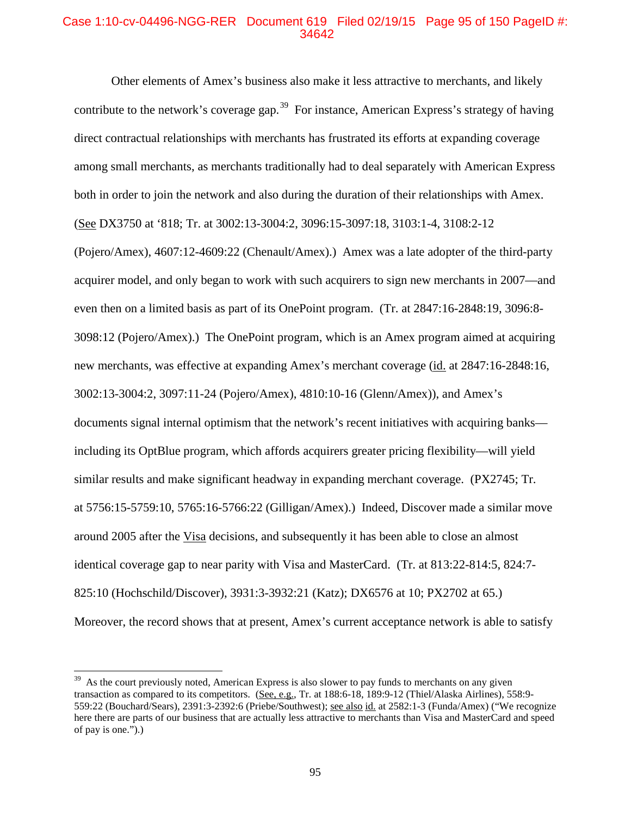## Case 1:10-cv-04496-NGG-RER Document 619 Filed 02/19/15 Page 95 of 150 PageID #: 34642

Other elements of Amex's business also make it less attractive to merchants, and likely contribute to the network's coverage gap.<sup>39</sup> For instance, American Express's strategy of having direct contractual relationships with merchants has frustrated its efforts at expanding coverage among small merchants, as merchants traditionally had to deal separately with American Express both in order to join the network and also during the duration of their relationships with Amex. (See DX3750 at '818; Tr. at 3002:13-3004:2, 3096:15-3097:18, 3103:1-4, 3108:2-12 (Pojero/Amex), 4607:12-4609:22 (Chenault/Amex).) Amex was a late adopter of the third-party acquirer model, and only began to work with such acquirers to sign new merchants in 2007—and even then on a limited basis as part of its OnePoint program. (Tr. at 2847:16-2848:19, 3096:8- 3098:12 (Pojero/Amex).) The OnePoint program, which is an Amex program aimed at acquiring new merchants, was effective at expanding Amex's merchant coverage (id. at 2847:16-2848:16, 3002:13-3004:2, 3097:11-24 (Pojero/Amex), 4810:10-16 (Glenn/Amex)), and Amex's documents signal internal optimism that the network's recent initiatives with acquiring banks including its OptBlue program, which affords acquirers greater pricing flexibility—will yield similar results and make significant headway in expanding merchant coverage. (PX2745; Tr. at 5756:15-5759:10, 5765:16-5766:22 (Gilligan/Amex).) Indeed, Discover made a similar move around 2005 after the Visa decisions, and subsequently it has been able to close an almost identical coverage gap to near parity with Visa and MasterCard. (Tr. at 813:22-814:5, 824:7- 825:10 (Hochschild/Discover), 3931:3-3932:21 (Katz); DX6576 at 10; PX2702 at 65.) Moreover, the record shows that at present, Amex's current acceptance network is able to satisfy

 $\ddot{\phantom{a}}$ 

 $39$  As the court previously noted, American Express is also slower to pay funds to merchants on any given transaction as compared to its competitors. (See, e.g., Tr. at 188:6-18, 189:9-12 (Thiel/Alaska Airlines), 558:9- 559:22 (Bouchard/Sears), 2391:3-2392:6 (Priebe/Southwest); see also id. at 2582:1-3 (Funda/Amex) ("We recognize here there are parts of our business that are actually less attractive to merchants than Visa and MasterCard and speed of pay is one.").)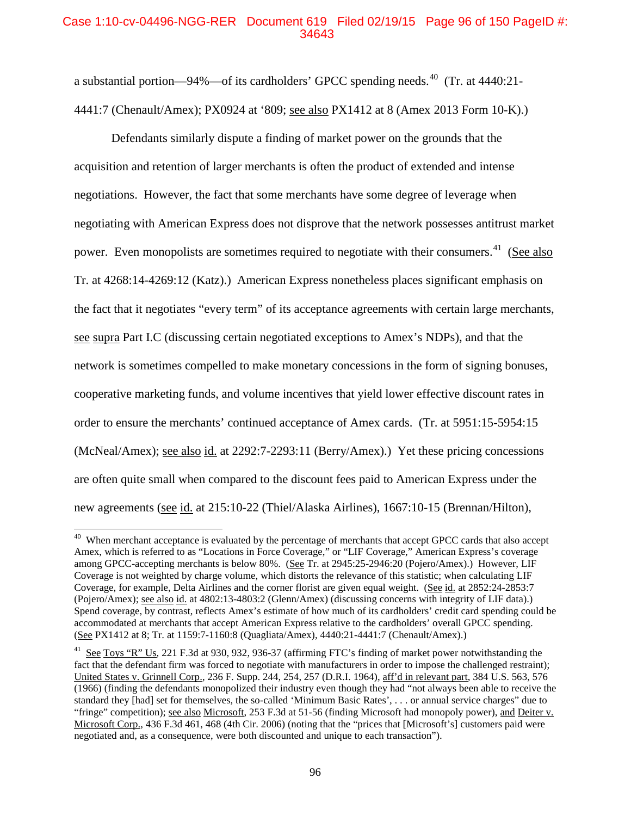## Case 1:10-cv-04496-NGG-RER Document 619 Filed 02/19/15 Page 96 of 150 PageID #: 34643

a substantial portion—94%—of its cardholders' GPCC spending needs.<sup>40</sup> (Tr. at  $4440:21$ -4441:7 (Chenault/Amex); PX0924 at '809; see also PX1412 at 8 (Amex 2013 Form 10-K).)

Defendants similarly dispute a finding of market power on the grounds that the acquisition and retention of larger merchants is often the product of extended and intense negotiations. However, the fact that some merchants have some degree of leverage when negotiating with American Express does not disprove that the network possesses antitrust market power. Even monopolists are sometimes required to negotiate with their consumers.<sup>41</sup> (See also Tr. at 4268:14-4269:12 (Katz).) American Express nonetheless places significant emphasis on the fact that it negotiates "every term" of its acceptance agreements with certain large merchants, see supra Part I.C (discussing certain negotiated exceptions to Amex's NDPs), and that the network is sometimes compelled to make monetary concessions in the form of signing bonuses, cooperative marketing funds, and volume incentives that yield lower effective discount rates in order to ensure the merchants' continued acceptance of Amex cards. (Tr. at 5951:15-5954:15 (McNeal/Amex); see also id. at 2292:7-2293:11 (Berry/Amex).) Yet these pricing concessions are often quite small when compared to the discount fees paid to American Express under the new agreements (see id. at 215:10-22 (Thiel/Alaska Airlines), 1667:10-15 (Brennan/Hilton),

<sup>&</sup>lt;sup>40</sup> When merchant acceptance is evaluated by the percentage of merchants that accept GPCC cards that also accept Amex, which is referred to as "Locations in Force Coverage," or "LIF Coverage," American Express's coverage among GPCC-accepting merchants is below 80%. (See Tr. at 2945:25-2946:20 (Pojero/Amex).) However, LIF Coverage is not weighted by charge volume, which distorts the relevance of this statistic; when calculating LIF Coverage, for example, Delta Airlines and the corner florist are given equal weight. (See id. at 2852:24-2853:7 (Pojero/Amex); see also id. at 4802:13-4803:2 (Glenn/Amex) (discussing concerns with integrity of LIF data).) Spend coverage, by contrast, reflects Amex's estimate of how much of its cardholders' credit card spending could be accommodated at merchants that accept American Express relative to the cardholders' overall GPCC spending. (See PX1412 at 8; Tr. at 1159:7-1160:8 (Quagliata/Amex), 4440:21-4441:7 (Chenault/Amex).)

<sup>&</sup>lt;sup>41</sup> See Toys "R" Us, 221 F.3d at 930, 932, 936-37 (affirming FTC's finding of market power notwithstanding the fact that the defendant firm was forced to negotiate with manufacturers in order to impose the challenged restraint); United States v. Grinnell Corp., 236 F. Supp. 244, 254, 257 (D.R.I. 1964), aff'd in relevant part, 384 U.S. 563, 576 (1966) (finding the defendants monopolized their industry even though they had "not always been able to receive the standard they [had] set for themselves, the so-called 'Minimum Basic Rates', . . . or annual service charges" due to "fringe" competition); see also Microsoft, 253 F.3d at 51-56 (finding Microsoft had monopoly power), and Deiter v. Microsoft Corp., 436 F.3d 461, 468 (4th Cir. 2006) (noting that the "prices that [Microsoft's] customers paid were negotiated and, as a consequence, were both discounted and unique to each transaction").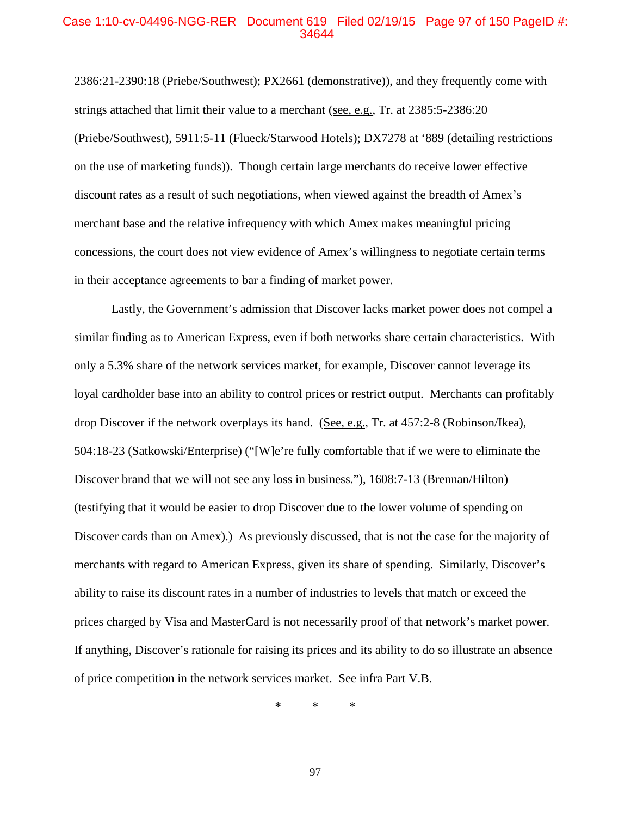#### Case 1:10-cv-04496-NGG-RER Document 619 Filed 02/19/15 Page 97 of 150 PageID #: 34644

2386:21-2390:18 (Priebe/Southwest); PX2661 (demonstrative)), and they frequently come with strings attached that limit their value to a merchant (see, e.g., Tr. at 2385:5-2386:20 (Priebe/Southwest), 5911:5-11 (Flueck/Starwood Hotels); DX7278 at '889 (detailing restrictions on the use of marketing funds)). Though certain large merchants do receive lower effective discount rates as a result of such negotiations, when viewed against the breadth of Amex's merchant base and the relative infrequency with which Amex makes meaningful pricing concessions, the court does not view evidence of Amex's willingness to negotiate certain terms in their acceptance agreements to bar a finding of market power.

Lastly, the Government's admission that Discover lacks market power does not compel a similar finding as to American Express, even if both networks share certain characteristics. With only a 5.3% share of the network services market, for example, Discover cannot leverage its loyal cardholder base into an ability to control prices or restrict output. Merchants can profitably drop Discover if the network overplays its hand. (See, e.g., Tr. at 457:2-8 (Robinson/Ikea), 504:18-23 (Satkowski/Enterprise) ("[W]e're fully comfortable that if we were to eliminate the Discover brand that we will not see any loss in business."), 1608:7-13 (Brennan/Hilton) (testifying that it would be easier to drop Discover due to the lower volume of spending on Discover cards than on Amex).) As previously discussed, that is not the case for the majority of merchants with regard to American Express, given its share of spending. Similarly, Discover's ability to raise its discount rates in a number of industries to levels that match or exceed the prices charged by Visa and MasterCard is not necessarily proof of that network's market power. If anything, Discover's rationale for raising its prices and its ability to do so illustrate an absence of price competition in the network services market. See infra Part V.B.

\* \* \*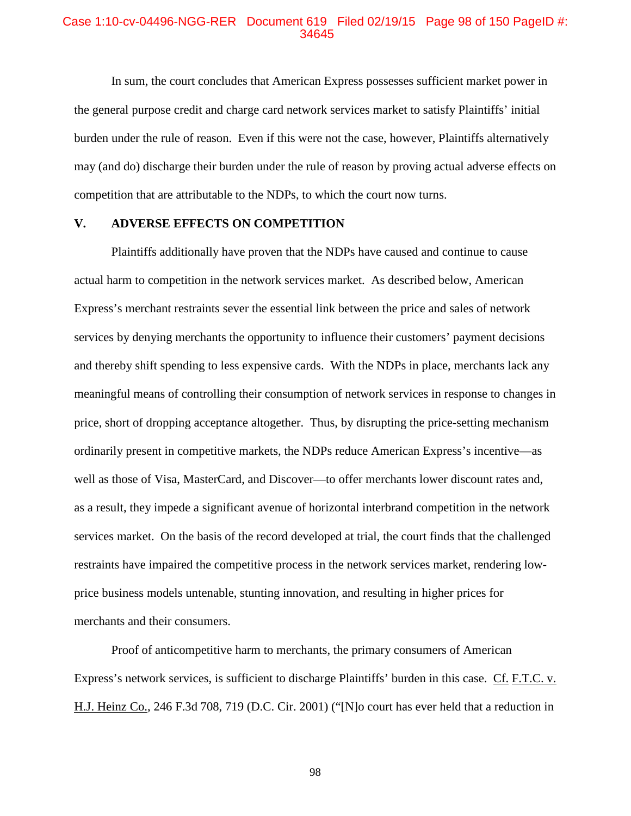# Case 1:10-cv-04496-NGG-RER Document 619 Filed 02/19/15 Page 98 of 150 PageID #: 34645

In sum, the court concludes that American Express possesses sufficient market power in the general purpose credit and charge card network services market to satisfy Plaintiffs' initial burden under the rule of reason. Even if this were not the case, however, Plaintiffs alternatively may (and do) discharge their burden under the rule of reason by proving actual adverse effects on competition that are attributable to the NDPs, to which the court now turns.

# **V. ADVERSE EFFECTS ON COMPETITION**

Plaintiffs additionally have proven that the NDPs have caused and continue to cause actual harm to competition in the network services market. As described below, American Express's merchant restraints sever the essential link between the price and sales of network services by denying merchants the opportunity to influence their customers' payment decisions and thereby shift spending to less expensive cards. With the NDPs in place, merchants lack any meaningful means of controlling their consumption of network services in response to changes in price, short of dropping acceptance altogether. Thus, by disrupting the price-setting mechanism ordinarily present in competitive markets, the NDPs reduce American Express's incentive—as well as those of Visa, MasterCard, and Discover—to offer merchants lower discount rates and, as a result, they impede a significant avenue of horizontal interbrand competition in the network services market. On the basis of the record developed at trial, the court finds that the challenged restraints have impaired the competitive process in the network services market, rendering lowprice business models untenable, stunting innovation, and resulting in higher prices for merchants and their consumers.

Proof of anticompetitive harm to merchants, the primary consumers of American Express's network services, is sufficient to discharge Plaintiffs' burden in this case. Cf. F.T.C. v. H.J. Heinz Co., 246 F.3d 708, 719 (D.C. Cir. 2001) ("[N]o court has ever held that a reduction in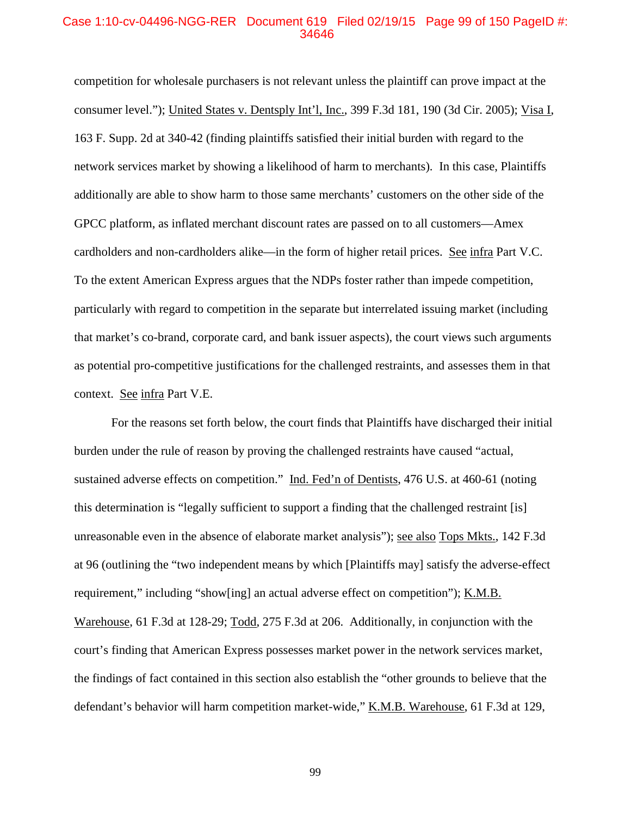#### Case 1:10-cv-04496-NGG-RER Document 619 Filed 02/19/15 Page 99 of 150 PageID #: 34646

competition for wholesale purchasers is not relevant unless the plaintiff can prove impact at the consumer level."); United States v. Dentsply Int'l, Inc., 399 F.3d 181, 190 (3d Cir. 2005); Visa I, 163 F. Supp. 2d at 340-42 (finding plaintiffs satisfied their initial burden with regard to the network services market by showing a likelihood of harm to merchants). In this case, Plaintiffs additionally are able to show harm to those same merchants' customers on the other side of the GPCC platform, as inflated merchant discount rates are passed on to all customers—Amex cardholders and non-cardholders alike—in the form of higher retail prices. See infra Part V.C. To the extent American Express argues that the NDPs foster rather than impede competition, particularly with regard to competition in the separate but interrelated issuing market (including that market's co-brand, corporate card, and bank issuer aspects), the court views such arguments as potential pro-competitive justifications for the challenged restraints, and assesses them in that context. See infra Part V.E.

For the reasons set forth below, the court finds that Plaintiffs have discharged their initial burden under the rule of reason by proving the challenged restraints have caused "actual, sustained adverse effects on competition." Ind. Fed'n of Dentists, 476 U.S. at 460-61 (noting this determination is "legally sufficient to support a finding that the challenged restraint [is] unreasonable even in the absence of elaborate market analysis"); see also Tops Mkts., 142 F.3d at 96 (outlining the "two independent means by which [Plaintiffs may] satisfy the adverse-effect requirement," including "show[ing] an actual adverse effect on competition"); K.M.B. Warehouse, 61 F.3d at 128-29; Todd, 275 F.3d at 206. Additionally, in conjunction with the court's finding that American Express possesses market power in the network services market, the findings of fact contained in this section also establish the "other grounds to believe that the defendant's behavior will harm competition market-wide," K.M.B. Warehouse, 61 F.3d at 129,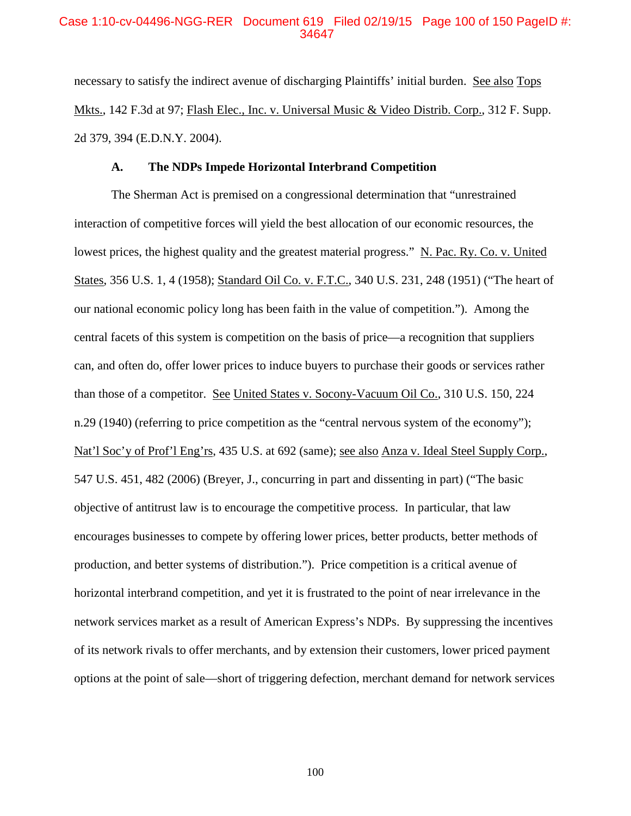## Case 1:10-cv-04496-NGG-RER Document 619 Filed 02/19/15 Page 100 of 150 PageID #: 34647

necessary to satisfy the indirect avenue of discharging Plaintiffs' initial burden. See also Tops Mkts., 142 F.3d at 97; Flash Elec., Inc. v. Universal Music & Video Distrib. Corp., 312 F. Supp. 2d 379, 394 (E.D.N.Y. 2004).

#### **A. The NDPs Impede Horizontal Interbrand Competition**

The Sherman Act is premised on a congressional determination that "unrestrained interaction of competitive forces will yield the best allocation of our economic resources, the lowest prices, the highest quality and the greatest material progress." N. Pac. Ry. Co. v. United States, 356 U.S. 1, 4 (1958); Standard Oil Co. v. F.T.C., 340 U.S. 231, 248 (1951) ("The heart of our national economic policy long has been faith in the value of competition."). Among the central facets of this system is competition on the basis of price—a recognition that suppliers can, and often do, offer lower prices to induce buyers to purchase their goods or services rather than those of a competitor. See United States v. Socony-Vacuum Oil Co., 310 U.S. 150, 224 n.29 (1940) (referring to price competition as the "central nervous system of the economy"); Nat'l Soc'y of Prof'l Eng'rs, 435 U.S. at 692 (same); see also Anza v. Ideal Steel Supply Corp., 547 U.S. 451, 482 (2006) (Breyer, J., concurring in part and dissenting in part) ("The basic objective of antitrust law is to encourage the competitive process. In particular, that law encourages businesses to compete by offering lower prices, better products, better methods of production, and better systems of distribution."). Price competition is a critical avenue of horizontal interbrand competition, and yet it is frustrated to the point of near irrelevance in the network services market as a result of American Express's NDPs. By suppressing the incentives of its network rivals to offer merchants, and by extension their customers, lower priced payment options at the point of sale—short of triggering defection, merchant demand for network services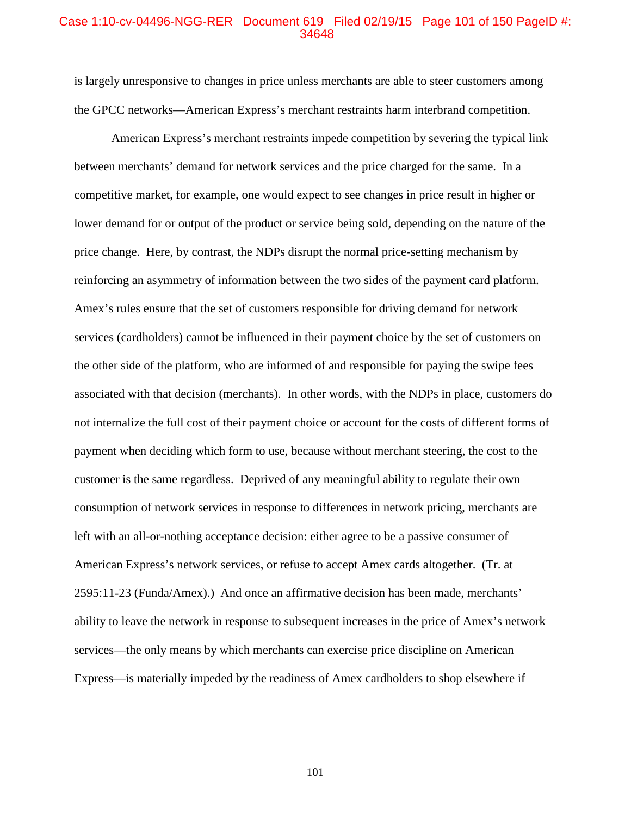#### Case 1:10-cv-04496-NGG-RER Document 619 Filed 02/19/15 Page 101 of 150 PageID #: 34648

is largely unresponsive to changes in price unless merchants are able to steer customers among the GPCC networks—American Express's merchant restraints harm interbrand competition.

American Express's merchant restraints impede competition by severing the typical link between merchants' demand for network services and the price charged for the same. In a competitive market, for example, one would expect to see changes in price result in higher or lower demand for or output of the product or service being sold, depending on the nature of the price change. Here, by contrast, the NDPs disrupt the normal price-setting mechanism by reinforcing an asymmetry of information between the two sides of the payment card platform. Amex's rules ensure that the set of customers responsible for driving demand for network services (cardholders) cannot be influenced in their payment choice by the set of customers on the other side of the platform, who are informed of and responsible for paying the swipe fees associated with that decision (merchants). In other words, with the NDPs in place, customers do not internalize the full cost of their payment choice or account for the costs of different forms of payment when deciding which form to use, because without merchant steering, the cost to the customer is the same regardless. Deprived of any meaningful ability to regulate their own consumption of network services in response to differences in network pricing, merchants are left with an all-or-nothing acceptance decision: either agree to be a passive consumer of American Express's network services, or refuse to accept Amex cards altogether. (Tr. at 2595:11-23 (Funda/Amex).) And once an affirmative decision has been made, merchants' ability to leave the network in response to subsequent increases in the price of Amex's network services—the only means by which merchants can exercise price discipline on American Express—is materially impeded by the readiness of Amex cardholders to shop elsewhere if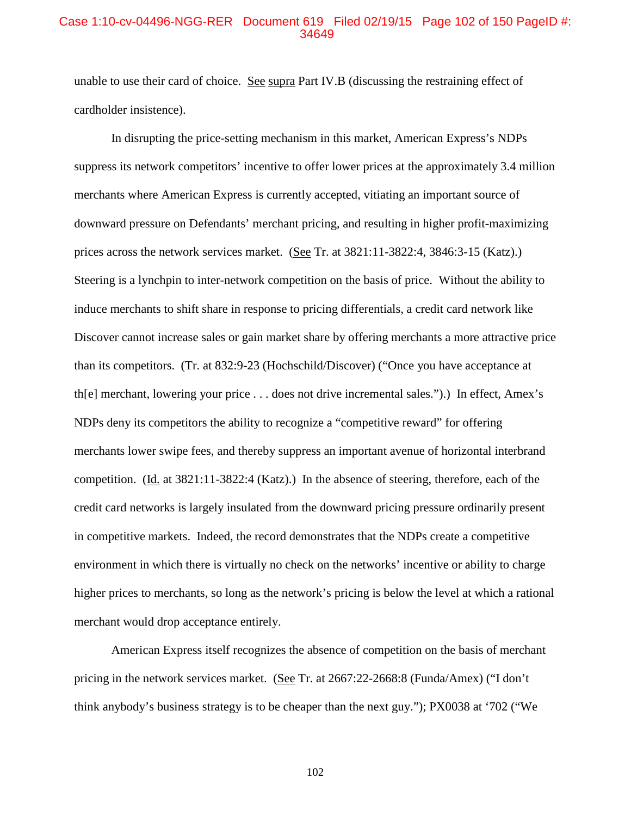## Case 1:10-cv-04496-NGG-RER Document 619 Filed 02/19/15 Page 102 of 150 PageID #: 34649

unable to use their card of choice. See supra Part IV.B (discussing the restraining effect of cardholder insistence).

In disrupting the price-setting mechanism in this market, American Express's NDPs suppress its network competitors' incentive to offer lower prices at the approximately 3.4 million merchants where American Express is currently accepted, vitiating an important source of downward pressure on Defendants' merchant pricing, and resulting in higher profit-maximizing prices across the network services market. (See Tr. at 3821:11-3822:4, 3846:3-15 (Katz).) Steering is a lynchpin to inter-network competition on the basis of price. Without the ability to induce merchants to shift share in response to pricing differentials, a credit card network like Discover cannot increase sales or gain market share by offering merchants a more attractive price than its competitors. (Tr. at 832:9-23 (Hochschild/Discover) ("Once you have acceptance at th[e] merchant, lowering your price . . . does not drive incremental sales.").) In effect, Amex's NDPs deny its competitors the ability to recognize a "competitive reward" for offering merchants lower swipe fees, and thereby suppress an important avenue of horizontal interbrand competition. (Id. at 3821:11-3822:4 (Katz).) In the absence of steering, therefore, each of the credit card networks is largely insulated from the downward pricing pressure ordinarily present in competitive markets. Indeed, the record demonstrates that the NDPs create a competitive environment in which there is virtually no check on the networks' incentive or ability to charge higher prices to merchants, so long as the network's pricing is below the level at which a rational merchant would drop acceptance entirely.

American Express itself recognizes the absence of competition on the basis of merchant pricing in the network services market. (See Tr. at 2667:22-2668:8 (Funda/Amex) ("I don't think anybody's business strategy is to be cheaper than the next guy."); PX0038 at '702 ("We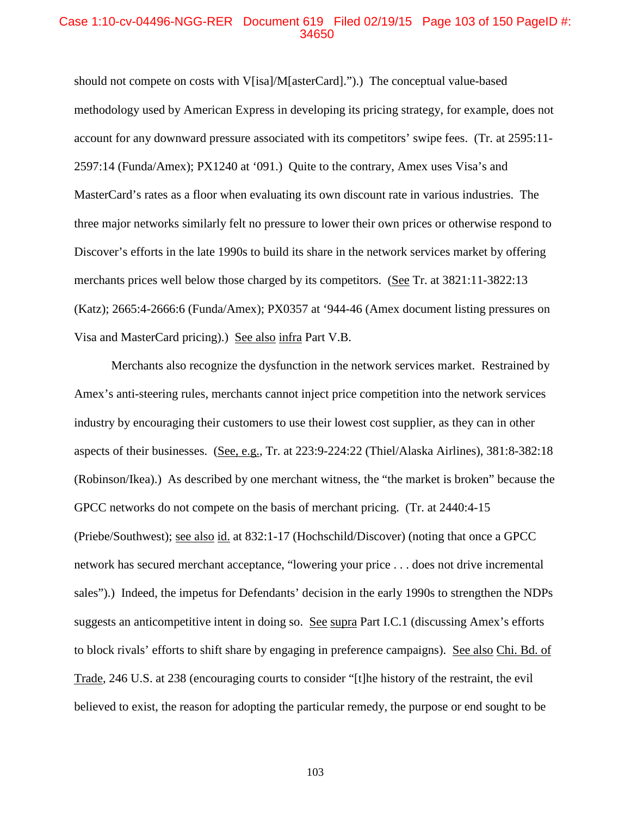#### Case 1:10-cv-04496-NGG-RER Document 619 Filed 02/19/15 Page 103 of 150 PageID #: 34650

should not compete on costs with V[isa]/M[asterCard].").) The conceptual value-based methodology used by American Express in developing its pricing strategy, for example, does not account for any downward pressure associated with its competitors' swipe fees. (Tr. at 2595:11- 2597:14 (Funda/Amex); PX1240 at '091.) Quite to the contrary, Amex uses Visa's and MasterCard's rates as a floor when evaluating its own discount rate in various industries. The three major networks similarly felt no pressure to lower their own prices or otherwise respond to Discover's efforts in the late 1990s to build its share in the network services market by offering merchants prices well below those charged by its competitors. (See Tr. at 3821:11-3822:13 (Katz); 2665:4-2666:6 (Funda/Amex); PX0357 at '944-46 (Amex document listing pressures on Visa and MasterCard pricing).) See also infra Part V.B.

Merchants also recognize the dysfunction in the network services market. Restrained by Amex's anti-steering rules, merchants cannot inject price competition into the network services industry by encouraging their customers to use their lowest cost supplier, as they can in other aspects of their businesses. (See, e.g., Tr. at 223:9-224:22 (Thiel/Alaska Airlines), 381:8-382:18 (Robinson/Ikea).) As described by one merchant witness, the "the market is broken" because the GPCC networks do not compete on the basis of merchant pricing. (Tr. at 2440:4-15 (Priebe/Southwest); see also id. at 832:1-17 (Hochschild/Discover) (noting that once a GPCC network has secured merchant acceptance, "lowering your price . . . does not drive incremental sales").) Indeed, the impetus for Defendants' decision in the early 1990s to strengthen the NDPs suggests an anticompetitive intent in doing so. See supra Part I.C.1 (discussing Amex's efforts to block rivals' efforts to shift share by engaging in preference campaigns). See also Chi. Bd. of Trade, 246 U.S. at 238 (encouraging courts to consider "[t]he history of the restraint, the evil believed to exist, the reason for adopting the particular remedy, the purpose or end sought to be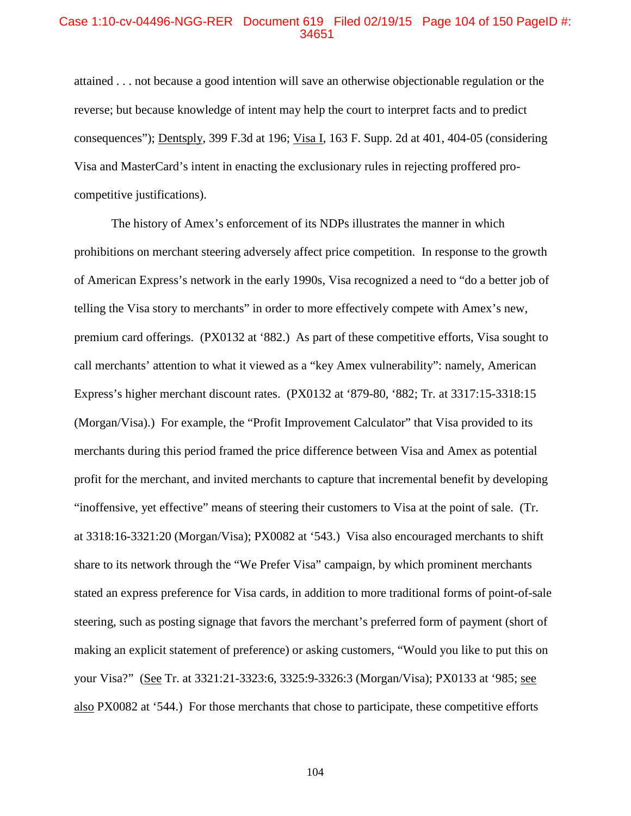## Case 1:10-cv-04496-NGG-RER Document 619 Filed 02/19/15 Page 104 of 150 PageID #: 34651

attained . . . not because a good intention will save an otherwise objectionable regulation or the reverse; but because knowledge of intent may help the court to interpret facts and to predict consequences"); Dentsply, 399 F.3d at 196; Visa I, 163 F. Supp. 2d at 401, 404-05 (considering Visa and MasterCard's intent in enacting the exclusionary rules in rejecting proffered procompetitive justifications).

The history of Amex's enforcement of its NDPs illustrates the manner in which prohibitions on merchant steering adversely affect price competition. In response to the growth of American Express's network in the early 1990s, Visa recognized a need to "do a better job of telling the Visa story to merchants" in order to more effectively compete with Amex's new, premium card offerings. (PX0132 at '882.) As part of these competitive efforts, Visa sought to call merchants' attention to what it viewed as a "key Amex vulnerability": namely, American Express's higher merchant discount rates. (PX0132 at '879-80, '882; Tr. at 3317:15-3318:15 (Morgan/Visa).) For example, the "Profit Improvement Calculator" that Visa provided to its merchants during this period framed the price difference between Visa and Amex as potential profit for the merchant, and invited merchants to capture that incremental benefit by developing "inoffensive, yet effective" means of steering their customers to Visa at the point of sale. (Tr. at 3318:16-3321:20 (Morgan/Visa); PX0082 at '543.) Visa also encouraged merchants to shift share to its network through the "We Prefer Visa" campaign, by which prominent merchants stated an express preference for Visa cards, in addition to more traditional forms of point-of-sale steering, such as posting signage that favors the merchant's preferred form of payment (short of making an explicit statement of preference) or asking customers, "Would you like to put this on your Visa?" (See Tr. at 3321:21-3323:6, 3325:9-3326:3 (Morgan/Visa); PX0133 at '985; see also PX0082 at '544.) For those merchants that chose to participate, these competitive efforts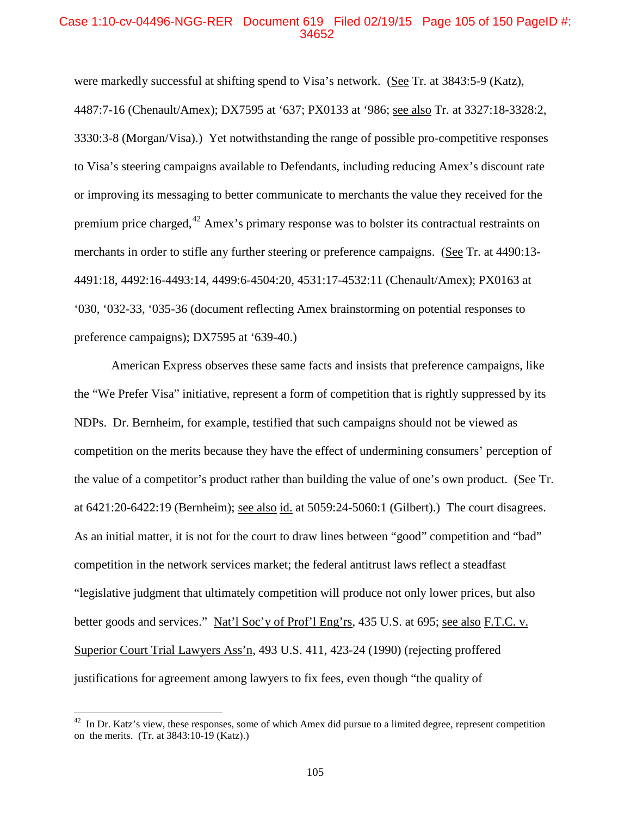#### Case 1:10-cv-04496-NGG-RER Document 619 Filed 02/19/15 Page 105 of 150 PageID #: 34652

were markedly successful at shifting spend to Visa's network. (See Tr. at 3843:5-9 (Katz), 4487:7-16 (Chenault/Amex); DX7595 at '637; PX0133 at '986; see also Tr. at 3327:18-3328:2, 3330:3-8 (Morgan/Visa).) Yet notwithstanding the range of possible pro-competitive responses to Visa's steering campaigns available to Defendants, including reducing Amex's discount rate or improving its messaging to better communicate to merchants the value they received for the premium price charged, <sup>42</sup> Amex's primary response was to bolster its contractual restraints on merchants in order to stifle any further steering or preference campaigns. (See Tr. at 4490:13- 4491:18, 4492:16-4493:14, 4499:6-4504:20, 4531:17-4532:11 (Chenault/Amex); PX0163 at '030, '032-33, '035-36 (document reflecting Amex brainstorming on potential responses to preference campaigns); DX7595 at '639-40.)

American Express observes these same facts and insists that preference campaigns, like the "We Prefer Visa" initiative, represent a form of competition that is rightly suppressed by its NDPs. Dr. Bernheim, for example, testified that such campaigns should not be viewed as competition on the merits because they have the effect of undermining consumers' perception of the value of a competitor's product rather than building the value of one's own product. (See Tr. at 6421:20-6422:19 (Bernheim); see also id. at 5059:24-5060:1 (Gilbert).) The court disagrees. As an initial matter, it is not for the court to draw lines between "good" competition and "bad" competition in the network services market; the federal antitrust laws reflect a steadfast "legislative judgment that ultimately competition will produce not only lower prices, but also better goods and services." Nat'l Soc'y of Prof'l Eng'rs, 435 U.S. at 695; see also F.T.C. v. Superior Court Trial Lawyers Ass'n, 493 U.S. 411, 423-24 (1990) (rejecting proffered justifications for agreement among lawyers to fix fees, even though "the quality of

 $42$  In Dr. Katz's view, these responses, some of which Amex did pursue to a limited degree, represent competition on the merits. (Tr. at 3843:10-19 (Katz).)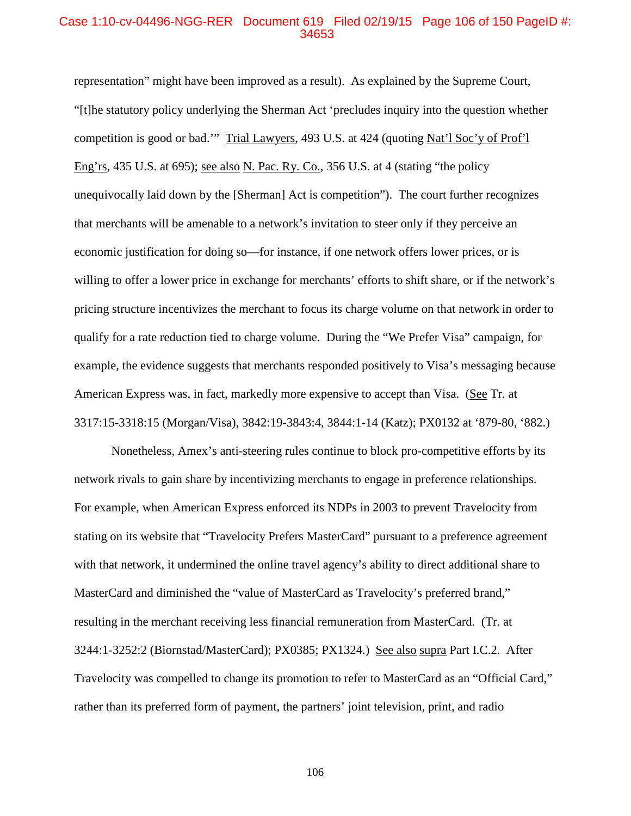## Case 1:10-cv-04496-NGG-RER Document 619 Filed 02/19/15 Page 106 of 150 PageID #: 34653

representation" might have been improved as a result). As explained by the Supreme Court, "[t]he statutory policy underlying the Sherman Act 'precludes inquiry into the question whether competition is good or bad.'" Trial Lawyers, 493 U.S. at 424 (quoting Nat'l Soc'y of Prof'l Eng'rs, 435 U.S. at 695); see also N. Pac. Ry. Co., 356 U.S. at 4 (stating "the policy unequivocally laid down by the [Sherman] Act is competition"). The court further recognizes that merchants will be amenable to a network's invitation to steer only if they perceive an economic justification for doing so—for instance, if one network offers lower prices, or is willing to offer a lower price in exchange for merchants' efforts to shift share, or if the network's pricing structure incentivizes the merchant to focus its charge volume on that network in order to qualify for a rate reduction tied to charge volume. During the "We Prefer Visa" campaign, for example, the evidence suggests that merchants responded positively to Visa's messaging because American Express was, in fact, markedly more expensive to accept than Visa. (See Tr. at 3317:15-3318:15 (Morgan/Visa), 3842:19-3843:4, 3844:1-14 (Katz); PX0132 at '879-80, '882.)

Nonetheless, Amex's anti-steering rules continue to block pro-competitive efforts by its network rivals to gain share by incentivizing merchants to engage in preference relationships. For example, when American Express enforced its NDPs in 2003 to prevent Travelocity from stating on its website that "Travelocity Prefers MasterCard" pursuant to a preference agreement with that network, it undermined the online travel agency's ability to direct additional share to MasterCard and diminished the "value of MasterCard as Travelocity's preferred brand," resulting in the merchant receiving less financial remuneration from MasterCard. (Tr. at 3244:1-3252:2 (Biornstad/MasterCard); PX0385; PX1324.) See also supra Part I.C.2. After Travelocity was compelled to change its promotion to refer to MasterCard as an "Official Card," rather than its preferred form of payment, the partners' joint television, print, and radio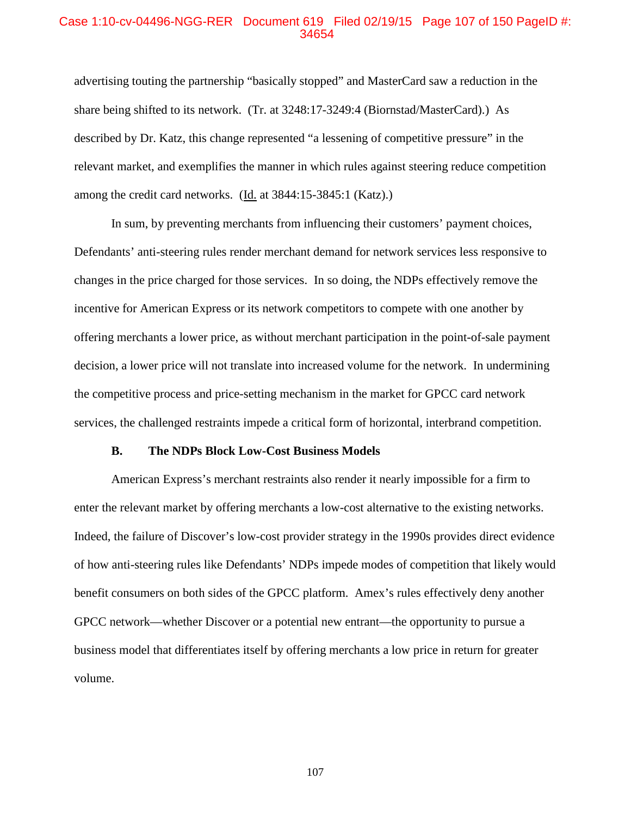### Case 1:10-cv-04496-NGG-RER Document 619 Filed 02/19/15 Page 107 of 150 PageID #: 34654

advertising touting the partnership "basically stopped" and MasterCard saw a reduction in the share being shifted to its network. (Tr. at 3248:17-3249:4 (Biornstad/MasterCard).) As described by Dr. Katz, this change represented "a lessening of competitive pressure" in the relevant market, and exemplifies the manner in which rules against steering reduce competition among the credit card networks. (Id. at 3844:15-3845:1 (Katz).)

In sum, by preventing merchants from influencing their customers' payment choices, Defendants' anti-steering rules render merchant demand for network services less responsive to changes in the price charged for those services. In so doing, the NDPs effectively remove the incentive for American Express or its network competitors to compete with one another by offering merchants a lower price, as without merchant participation in the point-of-sale payment decision, a lower price will not translate into increased volume for the network. In undermining the competitive process and price-setting mechanism in the market for GPCC card network services, the challenged restraints impede a critical form of horizontal, interbrand competition.

#### **B. The NDPs Block Low-Cost Business Models**

American Express's merchant restraints also render it nearly impossible for a firm to enter the relevant market by offering merchants a low-cost alternative to the existing networks. Indeed, the failure of Discover's low-cost provider strategy in the 1990s provides direct evidence of how anti-steering rules like Defendants' NDPs impede modes of competition that likely would benefit consumers on both sides of the GPCC platform. Amex's rules effectively deny another GPCC network—whether Discover or a potential new entrant—the opportunity to pursue a business model that differentiates itself by offering merchants a low price in return for greater volume.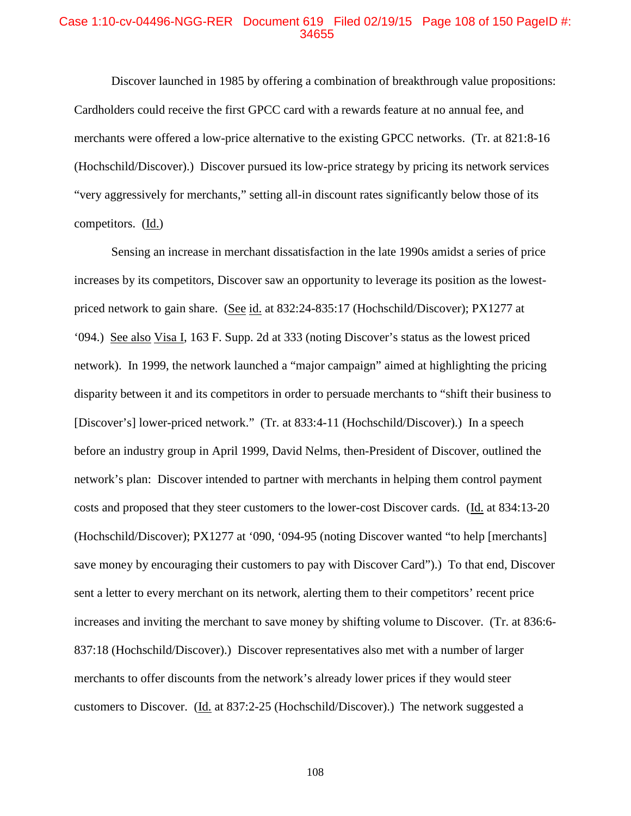### Case 1:10-cv-04496-NGG-RER Document 619 Filed 02/19/15 Page 108 of 150 PageID #: 34655

Discover launched in 1985 by offering a combination of breakthrough value propositions: Cardholders could receive the first GPCC card with a rewards feature at no annual fee, and merchants were offered a low-price alternative to the existing GPCC networks. (Tr. at 821:8-16 (Hochschild/Discover).) Discover pursued its low-price strategy by pricing its network services "very aggressively for merchants," setting all-in discount rates significantly below those of its competitors. (Id.)

Sensing an increase in merchant dissatisfaction in the late 1990s amidst a series of price increases by its competitors, Discover saw an opportunity to leverage its position as the lowestpriced network to gain share. (See id. at 832:24-835:17 (Hochschild/Discover); PX1277 at '094.) See also Visa I, 163 F. Supp. 2d at 333 (noting Discover's status as the lowest priced network). In 1999, the network launched a "major campaign" aimed at highlighting the pricing disparity between it and its competitors in order to persuade merchants to "shift their business to [Discover's] lower-priced network." (Tr. at 833:4-11 (Hochschild/Discover).) In a speech before an industry group in April 1999, David Nelms, then-President of Discover, outlined the network's plan: Discover intended to partner with merchants in helping them control payment costs and proposed that they steer customers to the lower-cost Discover cards. (Id. at 834:13-20 (Hochschild/Discover); PX1277 at '090, '094-95 (noting Discover wanted "to help [merchants] save money by encouraging their customers to pay with Discover Card").) To that end, Discover sent a letter to every merchant on its network, alerting them to their competitors' recent price increases and inviting the merchant to save money by shifting volume to Discover. (Tr. at 836:6- 837:18 (Hochschild/Discover).) Discover representatives also met with a number of larger merchants to offer discounts from the network's already lower prices if they would steer customers to Discover. (Id. at 837:2-25 (Hochschild/Discover).) The network suggested a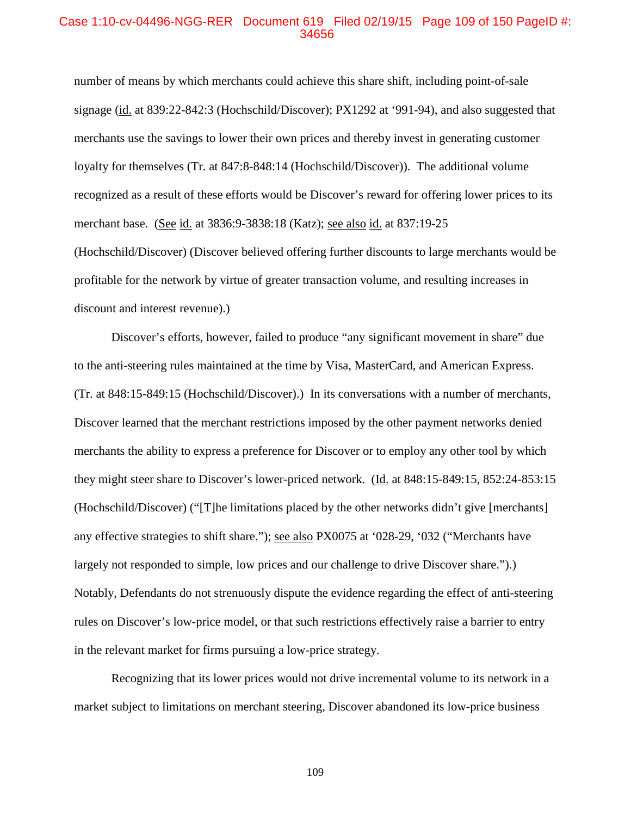# Case 1:10-cv-04496-NGG-RER Document 619 Filed 02/19/15 Page 109 of 150 PageID #: 34656

number of means by which merchants could achieve this share shift, including point-of-sale signage (id. at 839:22-842:3 (Hochschild/Discover); PX1292 at '991-94), and also suggested that merchants use the savings to lower their own prices and thereby invest in generating customer loyalty for themselves (Tr. at 847:8-848:14 (Hochschild/Discover)). The additional volume recognized as a result of these efforts would be Discover's reward for offering lower prices to its merchant base. (See id. at 3836:9-3838:18 (Katz); see also id. at 837:19-25

(Hochschild/Discover) (Discover believed offering further discounts to large merchants would be profitable for the network by virtue of greater transaction volume, and resulting increases in discount and interest revenue).)

Discover's efforts, however, failed to produce "any significant movement in share" due to the anti-steering rules maintained at the time by Visa, MasterCard, and American Express. (Tr. at 848:15-849:15 (Hochschild/Discover).) In its conversations with a number of merchants, Discover learned that the merchant restrictions imposed by the other payment networks denied merchants the ability to express a preference for Discover or to employ any other tool by which they might steer share to Discover's lower-priced network. (Id. at 848:15-849:15, 852:24-853:15 (Hochschild/Discover) ("[T]he limitations placed by the other networks didn't give [merchants] any effective strategies to shift share."); see also PX0075 at '028-29, '032 ("Merchants have largely not responded to simple, low prices and our challenge to drive Discover share.").) Notably, Defendants do not strenuously dispute the evidence regarding the effect of anti-steering rules on Discover's low-price model, or that such restrictions effectively raise a barrier to entry in the relevant market for firms pursuing a low-price strategy.

Recognizing that its lower prices would not drive incremental volume to its network in a market subject to limitations on merchant steering, Discover abandoned its low-price business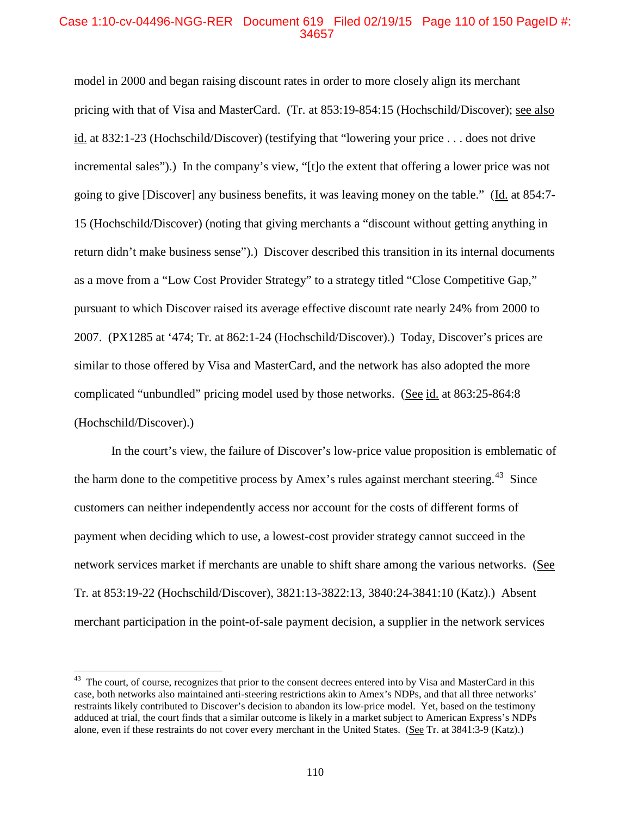# Case 1:10-cv-04496-NGG-RER Document 619 Filed 02/19/15 Page 110 of 150 PageID #: 34657

model in 2000 and began raising discount rates in order to more closely align its merchant pricing with that of Visa and MasterCard. (Tr. at 853:19-854:15 (Hochschild/Discover); see also id. at 832:1-23 (Hochschild/Discover) (testifying that "lowering your price . . . does not drive incremental sales").) In the company's view, "[t]o the extent that offering a lower price was not going to give [Discover] any business benefits, it was leaving money on the table." (Id. at 854:7- 15 (Hochschild/Discover) (noting that giving merchants a "discount without getting anything in return didn't make business sense").) Discover described this transition in its internal documents as a move from a "Low Cost Provider Strategy" to a strategy titled "Close Competitive Gap," pursuant to which Discover raised its average effective discount rate nearly 24% from 2000 to 2007. (PX1285 at '474; Tr. at 862:1-24 (Hochschild/Discover).) Today, Discover's prices are similar to those offered by Visa and MasterCard, and the network has also adopted the more complicated "unbundled" pricing model used by those networks. (See id. at 863:25-864:8 (Hochschild/Discover).)

In the court's view, the failure of Discover's low-price value proposition is emblematic of the harm done to the competitive process by Amex's rules against merchant steering.<sup>43</sup> Since customers can neither independently access nor account for the costs of different forms of payment when deciding which to use, a lowest-cost provider strategy cannot succeed in the network services market if merchants are unable to shift share among the various networks. (See Tr. at 853:19-22 (Hochschild/Discover), 3821:13-3822:13, 3840:24-3841:10 (Katz).) Absent merchant participation in the point-of-sale payment decision, a supplier in the network services

<sup>&</sup>lt;sup>43</sup> The court, of course, recognizes that prior to the consent decrees entered into by Visa and MasterCard in this case, both networks also maintained anti-steering restrictions akin to Amex's NDPs, and that all three networks' restraints likely contributed to Discover's decision to abandon its low-price model. Yet, based on the testimony adduced at trial, the court finds that a similar outcome is likely in a market subject to American Express's NDPs alone, even if these restraints do not cover every merchant in the United States. (See Tr. at 3841:3-9 (Katz).)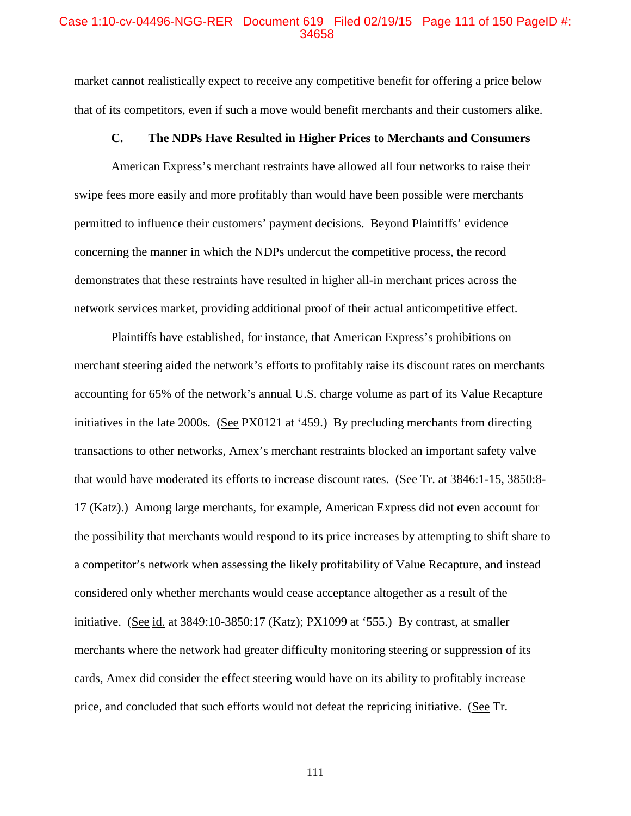#### Case 1:10-cv-04496-NGG-RER Document 619 Filed 02/19/15 Page 111 of 150 PageID #: 34658

market cannot realistically expect to receive any competitive benefit for offering a price below that of its competitors, even if such a move would benefit merchants and their customers alike.

# **C. The NDPs Have Resulted in Higher Prices to Merchants and Consumers**

American Express's merchant restraints have allowed all four networks to raise their swipe fees more easily and more profitably than would have been possible were merchants permitted to influence their customers' payment decisions. Beyond Plaintiffs' evidence concerning the manner in which the NDPs undercut the competitive process, the record demonstrates that these restraints have resulted in higher all-in merchant prices across the network services market, providing additional proof of their actual anticompetitive effect.

Plaintiffs have established, for instance, that American Express's prohibitions on merchant steering aided the network's efforts to profitably raise its discount rates on merchants accounting for 65% of the network's annual U.S. charge volume as part of its Value Recapture initiatives in the late 2000s. (See PX0121 at '459.) By precluding merchants from directing transactions to other networks, Amex's merchant restraints blocked an important safety valve that would have moderated its efforts to increase discount rates. (See Tr. at 3846:1-15, 3850:8- 17 (Katz).) Among large merchants, for example, American Express did not even account for the possibility that merchants would respond to its price increases by attempting to shift share to a competitor's network when assessing the likely profitability of Value Recapture, and instead considered only whether merchants would cease acceptance altogether as a result of the initiative. (See id. at 3849:10-3850:17 (Katz); PX1099 at '555.) By contrast, at smaller merchants where the network had greater difficulty monitoring steering or suppression of its cards, Amex did consider the effect steering would have on its ability to profitably increase price, and concluded that such efforts would not defeat the repricing initiative. (See Tr.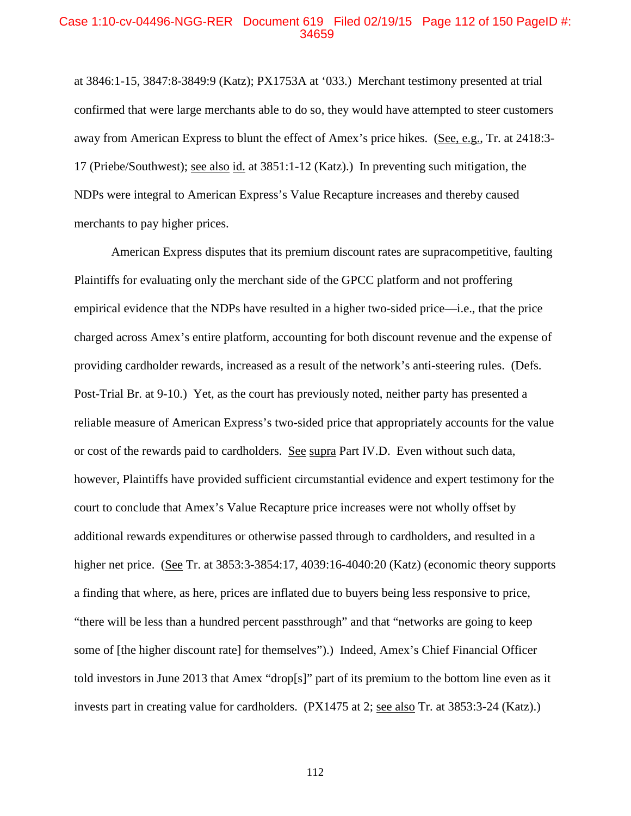### Case 1:10-cv-04496-NGG-RER Document 619 Filed 02/19/15 Page 112 of 150 PageID #: 34659

at 3846:1-15, 3847:8-3849:9 (Katz); PX1753A at '033.) Merchant testimony presented at trial confirmed that were large merchants able to do so, they would have attempted to steer customers away from American Express to blunt the effect of Amex's price hikes. (See, e.g., Tr. at 2418:3- 17 (Priebe/Southwest); see also id. at 3851:1-12 (Katz).) In preventing such mitigation, the NDPs were integral to American Express's Value Recapture increases and thereby caused merchants to pay higher prices.

American Express disputes that its premium discount rates are supracompetitive, faulting Plaintiffs for evaluating only the merchant side of the GPCC platform and not proffering empirical evidence that the NDPs have resulted in a higher two-sided price—i.e., that the price charged across Amex's entire platform, accounting for both discount revenue and the expense of providing cardholder rewards, increased as a result of the network's anti-steering rules. (Defs. Post-Trial Br. at 9-10.) Yet, as the court has previously noted, neither party has presented a reliable measure of American Express's two-sided price that appropriately accounts for the value or cost of the rewards paid to cardholders. See supra Part IV.D. Even without such data, however, Plaintiffs have provided sufficient circumstantial evidence and expert testimony for the court to conclude that Amex's Value Recapture price increases were not wholly offset by additional rewards expenditures or otherwise passed through to cardholders, and resulted in a higher net price. (See Tr. at 3853:3-3854:17, 4039:16-4040:20 (Katz) (economic theory supports a finding that where, as here, prices are inflated due to buyers being less responsive to price, "there will be less than a hundred percent passthrough" and that "networks are going to keep some of [the higher discount rate] for themselves").) Indeed, Amex's Chief Financial Officer told investors in June 2013 that Amex "drop[s]" part of its premium to the bottom line even as it invests part in creating value for cardholders. (PX1475 at 2; see also Tr. at 3853:3-24 (Katz).)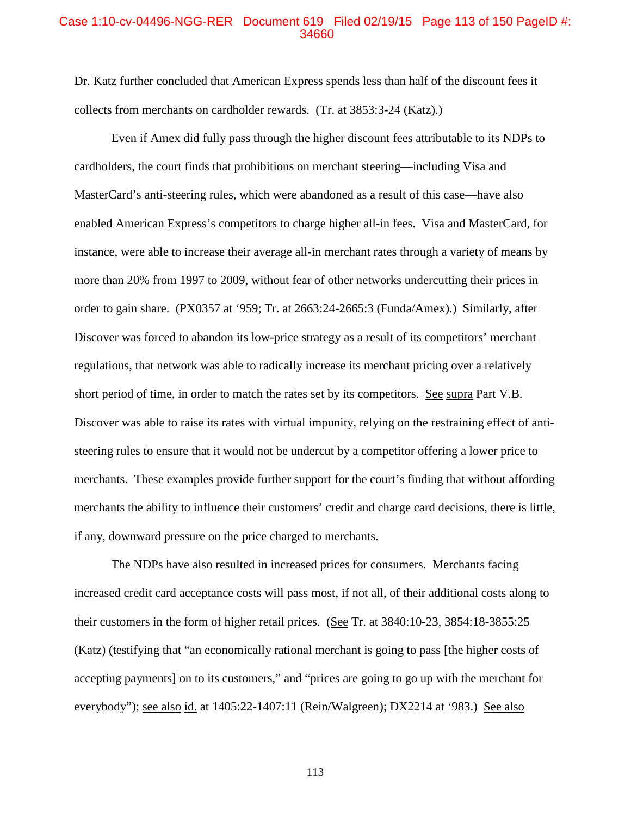#### Case 1:10-cv-04496-NGG-RER Document 619 Filed 02/19/15 Page 113 of 150 PageID #: 34660

Dr. Katz further concluded that American Express spends less than half of the discount fees it collects from merchants on cardholder rewards. (Tr. at 3853:3-24 (Katz).)

Even if Amex did fully pass through the higher discount fees attributable to its NDPs to cardholders, the court finds that prohibitions on merchant steering—including Visa and MasterCard's anti-steering rules, which were abandoned as a result of this case—have also enabled American Express's competitors to charge higher all-in fees. Visa and MasterCard, for instance, were able to increase their average all-in merchant rates through a variety of means by more than 20% from 1997 to 2009, without fear of other networks undercutting their prices in order to gain share. (PX0357 at '959; Tr. at 2663:24-2665:3 (Funda/Amex).) Similarly, after Discover was forced to abandon its low-price strategy as a result of its competitors' merchant regulations, that network was able to radically increase its merchant pricing over a relatively short period of time, in order to match the rates set by its competitors. See supra Part V.B. Discover was able to raise its rates with virtual impunity, relying on the restraining effect of antisteering rules to ensure that it would not be undercut by a competitor offering a lower price to merchants. These examples provide further support for the court's finding that without affording merchants the ability to influence their customers' credit and charge card decisions, there is little, if any, downward pressure on the price charged to merchants.

The NDPs have also resulted in increased prices for consumers. Merchants facing increased credit card acceptance costs will pass most, if not all, of their additional costs along to their customers in the form of higher retail prices. (See Tr. at 3840:10-23, 3854:18-3855:25 (Katz) (testifying that "an economically rational merchant is going to pass [the higher costs of accepting payments] on to its customers," and "prices are going to go up with the merchant for everybody"); <u>see also id.</u> at 1405:22-1407:11 (Rein/Walgreen); DX2214 at '983.) See also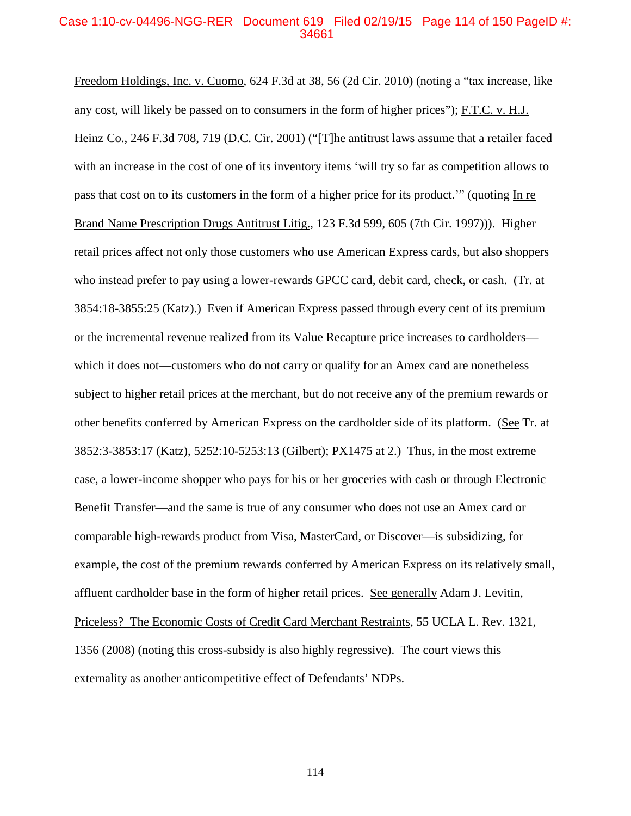#### Case 1:10-cv-04496-NGG-RER Document 619 Filed 02/19/15 Page 114 of 150 PageID #: 34661

Freedom Holdings, Inc. v. Cuomo, 624 F.3d at 38, 56 (2d Cir. 2010) (noting a "tax increase, like any cost, will likely be passed on to consumers in the form of higher prices"); F.T.C. v. H.J. Heinz Co., 246 F.3d 708, 719 (D.C. Cir. 2001) ("[T]he antitrust laws assume that a retailer faced with an increase in the cost of one of its inventory items 'will try so far as competition allows to pass that cost on to its customers in the form of a higher price for its product.'" (quoting In re Brand Name Prescription Drugs Antitrust Litig., 123 F.3d 599, 605 (7th Cir. 1997))). Higher retail prices affect not only those customers who use American Express cards, but also shoppers who instead prefer to pay using a lower-rewards GPCC card, debit card, check, or cash. (Tr. at 3854:18-3855:25 (Katz).) Even if American Express passed through every cent of its premium or the incremental revenue realized from its Value Recapture price increases to cardholders which it does not—customers who do not carry or qualify for an Amex card are nonetheless subject to higher retail prices at the merchant, but do not receive any of the premium rewards or other benefits conferred by American Express on the cardholder side of its platform. (See Tr. at 3852:3-3853:17 (Katz), 5252:10-5253:13 (Gilbert); PX1475 at 2.) Thus, in the most extreme case, a lower-income shopper who pays for his or her groceries with cash or through Electronic Benefit Transfer—and the same is true of any consumer who does not use an Amex card or comparable high-rewards product from Visa, MasterCard, or Discover—is subsidizing, for example, the cost of the premium rewards conferred by American Express on its relatively small, affluent cardholder base in the form of higher retail prices. See generally Adam J. Levitin, Priceless? The Economic Costs of Credit Card Merchant Restraints, 55 UCLA L. Rev. 1321, 1356 (2008) (noting this cross-subsidy is also highly regressive). The court views this externality as another anticompetitive effect of Defendants' NDPs.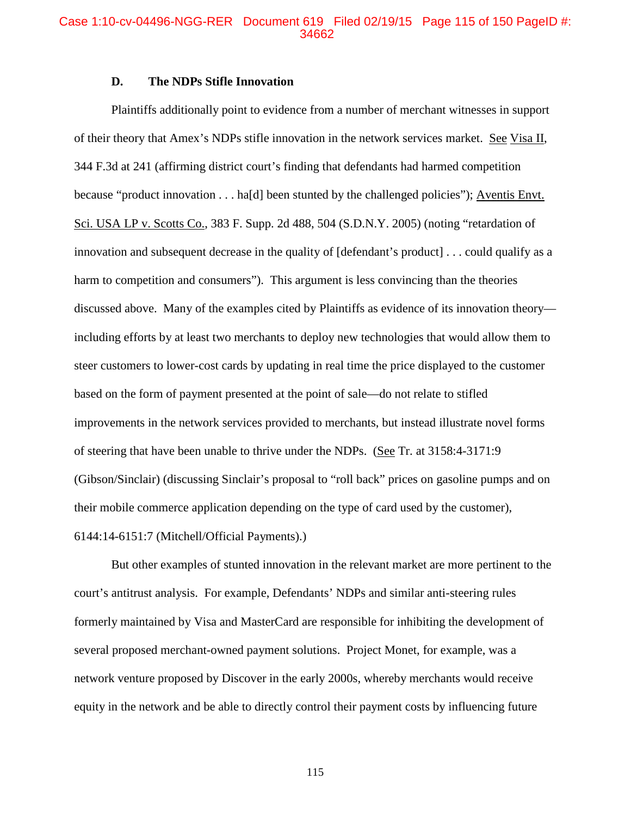#### Case 1:10-cv-04496-NGG-RER Document 619 Filed 02/19/15 Page 115 of 150 PageID #: 34662

#### **D. The NDPs Stifle Innovation**

Plaintiffs additionally point to evidence from a number of merchant witnesses in support of their theory that Amex's NDPs stifle innovation in the network services market. See Visa II, 344 F.3d at 241 (affirming district court's finding that defendants had harmed competition because "product innovation . . . ha[d] been stunted by the challenged policies"); Aventis Envt. Sci. USA LP v. Scotts Co., 383 F. Supp. 2d 488, 504 (S.D.N.Y. 2005) (noting "retardation of innovation and subsequent decrease in the quality of [defendant's product] . . . could qualify as a harm to competition and consumers"). This argument is less convincing than the theories discussed above. Many of the examples cited by Plaintiffs as evidence of its innovation theory including efforts by at least two merchants to deploy new technologies that would allow them to steer customers to lower-cost cards by updating in real time the price displayed to the customer based on the form of payment presented at the point of sale—do not relate to stifled improvements in the network services provided to merchants, but instead illustrate novel forms of steering that have been unable to thrive under the NDPs. (See Tr. at 3158:4-3171:9 (Gibson/Sinclair) (discussing Sinclair's proposal to "roll back" prices on gasoline pumps and on their mobile commerce application depending on the type of card used by the customer), 6144:14-6151:7 (Mitchell/Official Payments).)

But other examples of stunted innovation in the relevant market are more pertinent to the court's antitrust analysis. For example, Defendants' NDPs and similar anti-steering rules formerly maintained by Visa and MasterCard are responsible for inhibiting the development of several proposed merchant-owned payment solutions. Project Monet, for example, was a network venture proposed by Discover in the early 2000s, whereby merchants would receive equity in the network and be able to directly control their payment costs by influencing future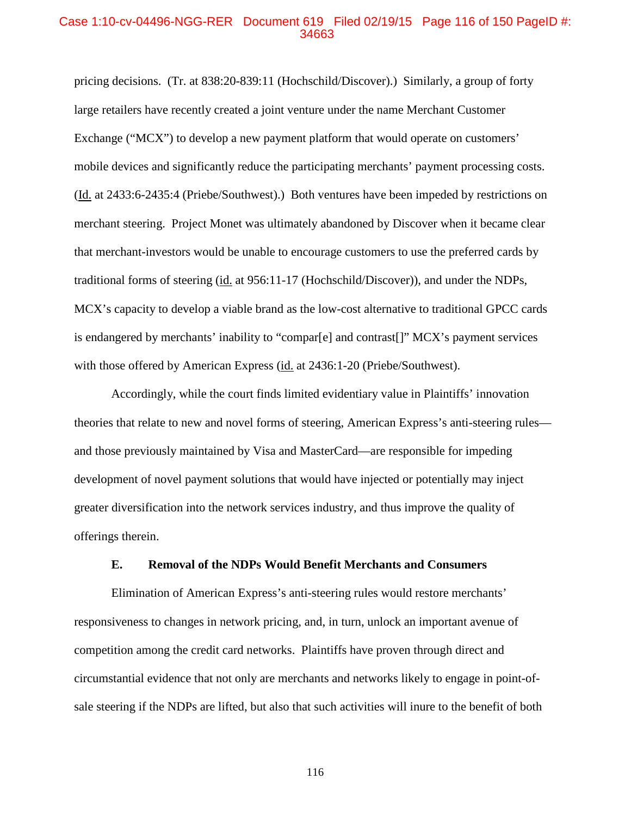#### Case 1:10-cv-04496-NGG-RER Document 619 Filed 02/19/15 Page 116 of 150 PageID #: 34663

pricing decisions. (Tr. at 838:20-839:11 (Hochschild/Discover).) Similarly, a group of forty large retailers have recently created a joint venture under the name Merchant Customer Exchange ("MCX") to develop a new payment platform that would operate on customers' mobile devices and significantly reduce the participating merchants' payment processing costs. (Id. at 2433:6-2435:4 (Priebe/Southwest).) Both ventures have been impeded by restrictions on merchant steering. Project Monet was ultimately abandoned by Discover when it became clear that merchant-investors would be unable to encourage customers to use the preferred cards by traditional forms of steering (id. at 956:11-17 (Hochschild/Discover)), and under the NDPs, MCX's capacity to develop a viable brand as the low-cost alternative to traditional GPCC cards is endangered by merchants' inability to "compar[e] and contrast[]" MCX's payment services with those offered by American Express (id. at 2436:1-20 (Priebe/Southwest).

Accordingly, while the court finds limited evidentiary value in Plaintiffs' innovation theories that relate to new and novel forms of steering, American Express's anti-steering rules and those previously maintained by Visa and MasterCard—are responsible for impeding development of novel payment solutions that would have injected or potentially may inject greater diversification into the network services industry, and thus improve the quality of offerings therein.

# **E. Removal of the NDPs Would Benefit Merchants and Consumers**

Elimination of American Express's anti-steering rules would restore merchants' responsiveness to changes in network pricing, and, in turn, unlock an important avenue of competition among the credit card networks. Plaintiffs have proven through direct and circumstantial evidence that not only are merchants and networks likely to engage in point-ofsale steering if the NDPs are lifted, but also that such activities will inure to the benefit of both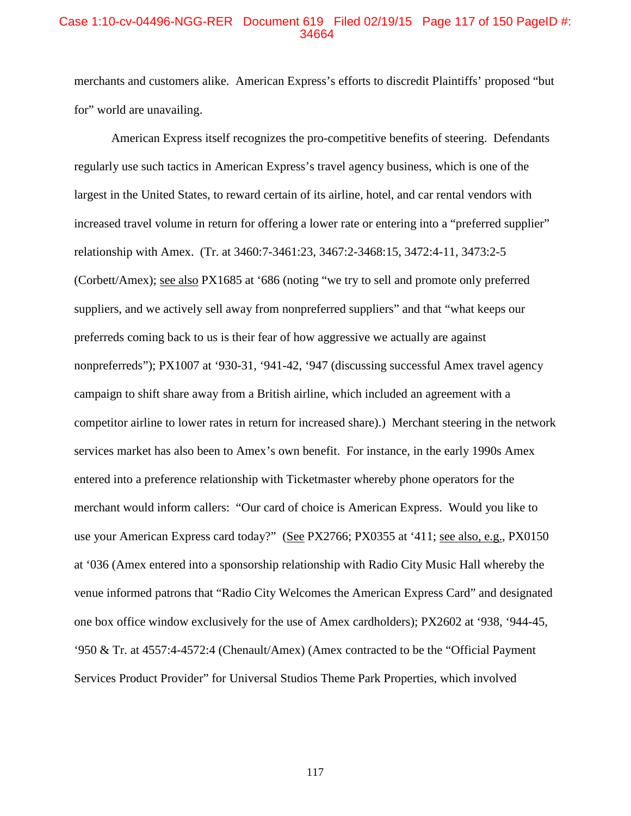#### Case 1:10-cv-04496-NGG-RER Document 619 Filed 02/19/15 Page 117 of 150 PageID #: 34664

merchants and customers alike. American Express's efforts to discredit Plaintiffs' proposed "but for" world are unavailing.

American Express itself recognizes the pro-competitive benefits of steering. Defendants regularly use such tactics in American Express's travel agency business, which is one of the largest in the United States, to reward certain of its airline, hotel, and car rental vendors with increased travel volume in return for offering a lower rate or entering into a "preferred supplier" relationship with Amex. (Tr. at 3460:7-3461:23, 3467:2-3468:15, 3472:4-11, 3473:2-5 (Corbett/Amex); see also PX1685 at '686 (noting "we try to sell and promote only preferred suppliers, and we actively sell away from nonpreferred suppliers" and that "what keeps our preferreds coming back to us is their fear of how aggressive we actually are against nonpreferreds"); PX1007 at '930-31, '941-42, '947 (discussing successful Amex travel agency campaign to shift share away from a British airline, which included an agreement with a competitor airline to lower rates in return for increased share).) Merchant steering in the network services market has also been to Amex's own benefit. For instance, in the early 1990s Amex entered into a preference relationship with Ticketmaster whereby phone operators for the merchant would inform callers: "Our card of choice is American Express. Would you like to use your American Express card today?" (See PX2766; PX0355 at '411; see also, e.g., PX0150 at '036 (Amex entered into a sponsorship relationship with Radio City Music Hall whereby the venue informed patrons that "Radio City Welcomes the American Express Card" and designated one box office window exclusively for the use of Amex cardholders); PX2602 at '938, '944-45, '950 & Tr. at 4557:4-4572:4 (Chenault/Amex) (Amex contracted to be the "Official Payment Services Product Provider" for Universal Studios Theme Park Properties, which involved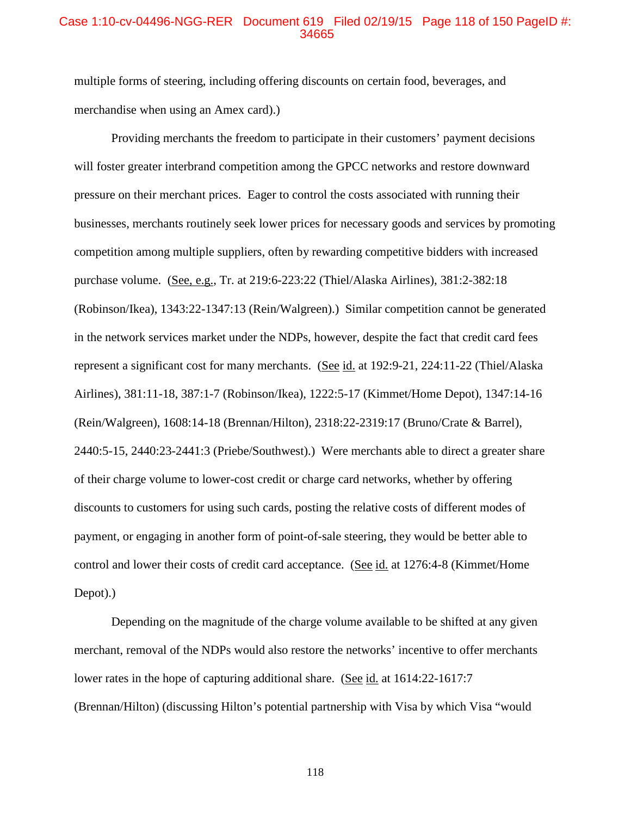### Case 1:10-cv-04496-NGG-RER Document 619 Filed 02/19/15 Page 118 of 150 PageID #: 34665

multiple forms of steering, including offering discounts on certain food, beverages, and merchandise when using an Amex card).)

Providing merchants the freedom to participate in their customers' payment decisions will foster greater interbrand competition among the GPCC networks and restore downward pressure on their merchant prices. Eager to control the costs associated with running their businesses, merchants routinely seek lower prices for necessary goods and services by promoting competition among multiple suppliers, often by rewarding competitive bidders with increased purchase volume. (See, e.g., Tr. at 219:6-223:22 (Thiel/Alaska Airlines), 381:2-382:18 (Robinson/Ikea), 1343:22-1347:13 (Rein/Walgreen).) Similar competition cannot be generated in the network services market under the NDPs, however, despite the fact that credit card fees represent a significant cost for many merchants. (See id. at 192:9-21, 224:11-22 (Thiel/Alaska Airlines), 381:11-18, 387:1-7 (Robinson/Ikea), 1222:5-17 (Kimmet/Home Depot), 1347:14-16 (Rein/Walgreen), 1608:14-18 (Brennan/Hilton), 2318:22-2319:17 (Bruno/Crate & Barrel), 2440:5-15, 2440:23-2441:3 (Priebe/Southwest).) Were merchants able to direct a greater share of their charge volume to lower-cost credit or charge card networks, whether by offering discounts to customers for using such cards, posting the relative costs of different modes of payment, or engaging in another form of point-of-sale steering, they would be better able to control and lower their costs of credit card acceptance. (See id. at 1276:4-8 (Kimmet/Home Depot).)

Depending on the magnitude of the charge volume available to be shifted at any given merchant, removal of the NDPs would also restore the networks' incentive to offer merchants lower rates in the hope of capturing additional share. (See id. at 1614:22-1617:7 (Brennan/Hilton) (discussing Hilton's potential partnership with Visa by which Visa "would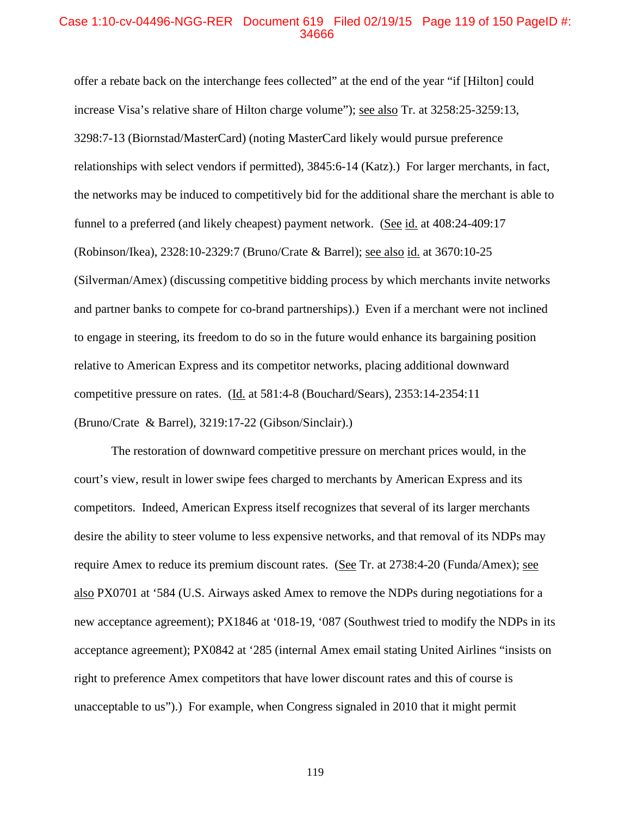#### Case 1:10-cv-04496-NGG-RER Document 619 Filed 02/19/15 Page 119 of 150 PageID #: 34666

offer a rebate back on the interchange fees collected" at the end of the year "if [Hilton] could increase Visa's relative share of Hilton charge volume"); see also Tr. at 3258:25-3259:13, 3298:7-13 (Biornstad/MasterCard) (noting MasterCard likely would pursue preference relationships with select vendors if permitted), 3845:6-14 (Katz).) For larger merchants, in fact, the networks may be induced to competitively bid for the additional share the merchant is able to funnel to a preferred (and likely cheapest) payment network. (See id. at 408:24-409:17 (Robinson/Ikea), 2328:10-2329:7 (Bruno/Crate & Barrel); see also id. at 3670:10-25 (Silverman/Amex) (discussing competitive bidding process by which merchants invite networks and partner banks to compete for co-brand partnerships).) Even if a merchant were not inclined to engage in steering, its freedom to do so in the future would enhance its bargaining position relative to American Express and its competitor networks, placing additional downward competitive pressure on rates. (Id. at 581:4-8 (Bouchard/Sears), 2353:14-2354:11 (Bruno/Crate & Barrel), 3219:17-22 (Gibson/Sinclair).)

The restoration of downward competitive pressure on merchant prices would, in the court's view, result in lower swipe fees charged to merchants by American Express and its competitors. Indeed, American Express itself recognizes that several of its larger merchants desire the ability to steer volume to less expensive networks, and that removal of its NDPs may require Amex to reduce its premium discount rates. (See Tr. at  $2738:4-20$  (Funda/Amex); see also PX0701 at '584 (U.S. Airways asked Amex to remove the NDPs during negotiations for a new acceptance agreement); PX1846 at '018-19, '087 (Southwest tried to modify the NDPs in its acceptance agreement); PX0842 at '285 (internal Amex email stating United Airlines "insists on right to preference Amex competitors that have lower discount rates and this of course is unacceptable to us").) For example, when Congress signaled in 2010 that it might permit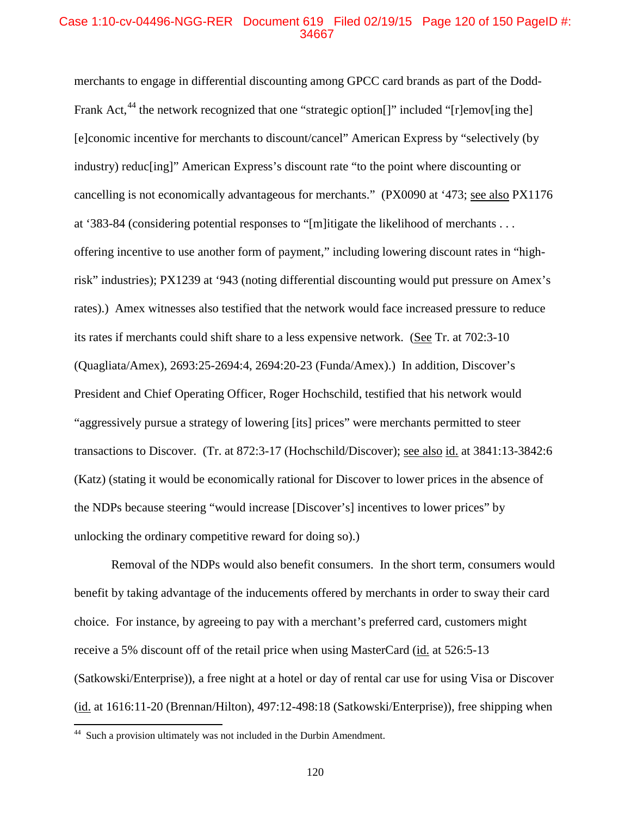# Case 1:10-cv-04496-NGG-RER Document 619 Filed 02/19/15 Page 120 of 150 PageID #: 34667

merchants to engage in differential discounting among GPCC card brands as part of the Dodd-Frank Act,<sup>44</sup> the network recognized that one "strategic option[]" included "[r]emov[ing the] [e]conomic incentive for merchants to discount/cancel" American Express by "selectively (by industry) reduc[ing]" American Express's discount rate "to the point where discounting or cancelling is not economically advantageous for merchants." (PX0090 at '473; see also PX1176 at '383-84 (considering potential responses to "[m]itigate the likelihood of merchants . . . offering incentive to use another form of payment," including lowering discount rates in "highrisk" industries); PX1239 at '943 (noting differential discounting would put pressure on Amex's rates).) Amex witnesses also testified that the network would face increased pressure to reduce its rates if merchants could shift share to a less expensive network. (See Tr. at 702:3-10 (Quagliata/Amex), 2693:25-2694:4, 2694:20-23 (Funda/Amex).) In addition, Discover's President and Chief Operating Officer, Roger Hochschild, testified that his network would "aggressively pursue a strategy of lowering [its] prices" were merchants permitted to steer transactions to Discover. (Tr. at 872:3-17 (Hochschild/Discover); see also id. at 3841:13-3842:6 (Katz) (stating it would be economically rational for Discover to lower prices in the absence of the NDPs because steering "would increase [Discover's] incentives to lower prices" by unlocking the ordinary competitive reward for doing so).)

Removal of the NDPs would also benefit consumers. In the short term, consumers would benefit by taking advantage of the inducements offered by merchants in order to sway their card choice. For instance, by agreeing to pay with a merchant's preferred card, customers might receive a 5% discount off of the retail price when using MasterCard (id. at 526:5-13 (Satkowski/Enterprise)), a free night at a hotel or day of rental car use for using Visa or Discover (id. at 1616:11-20 (Brennan/Hilton), 497:12-498:18 (Satkowski/Enterprise)), free shipping when

<sup>&</sup>lt;sup>44</sup> Such a provision ultimately was not included in the Durbin Amendment.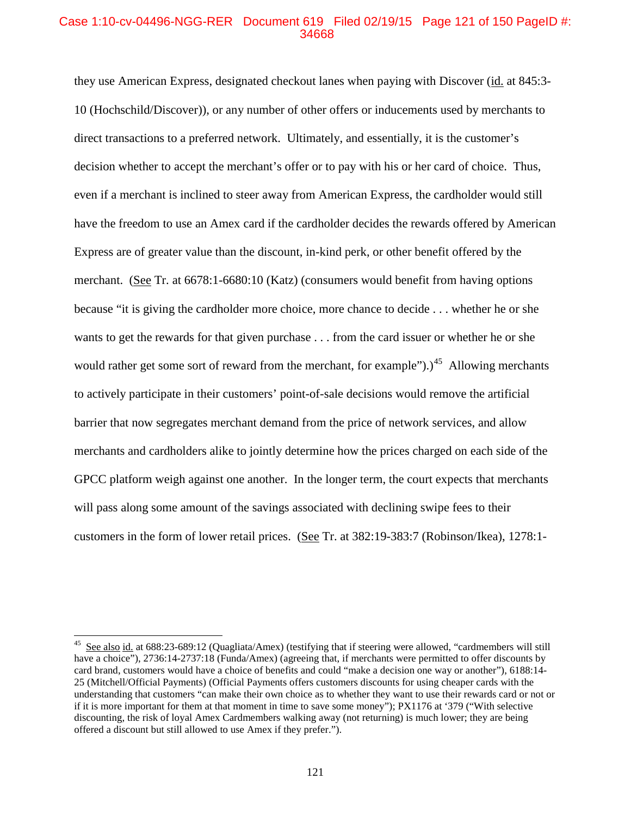### Case 1:10-cv-04496-NGG-RER Document 619 Filed 02/19/15 Page 121 of 150 PageID #: 34668

they use American Express, designated checkout lanes when paying with Discover (id. at 845:3- 10 (Hochschild/Discover)), or any number of other offers or inducements used by merchants to direct transactions to a preferred network. Ultimately, and essentially, it is the customer's decision whether to accept the merchant's offer or to pay with his or her card of choice. Thus, even if a merchant is inclined to steer away from American Express, the cardholder would still have the freedom to use an Amex card if the cardholder decides the rewards offered by American Express are of greater value than the discount, in-kind perk, or other benefit offered by the merchant. (See Tr. at 6678:1-6680:10 (Katz) (consumers would benefit from having options because "it is giving the cardholder more choice, more chance to decide . . . whether he or she wants to get the rewards for that given purchase . . . from the card issuer or whether he or she would rather get some sort of reward from the merchant, for example").)<sup>45</sup> Allowing merchants to actively participate in their customers' point-of-sale decisions would remove the artificial barrier that now segregates merchant demand from the price of network services, and allow merchants and cardholders alike to jointly determine how the prices charged on each side of the GPCC platform weigh against one another. In the longer term, the court expects that merchants will pass along some amount of the savings associated with declining swipe fees to their customers in the form of lower retail prices. (See Tr. at 382:19-383:7 (Robinson/Ikea), 1278:1-

See also id. at 688:23-689:12 (Quagliata/Amex) (testifying that if steering were allowed, "cardmembers will still have a choice"), 2736:14-2737:18 (Funda/Amex) (agreeing that, if merchants were permitted to offer discounts by card brand, customers would have a choice of benefits and could "make a decision one way or another"), 6188:14- 25 (Mitchell/Official Payments) (Official Payments offers customers discounts for using cheaper cards with the understanding that customers "can make their own choice as to whether they want to use their rewards card or not or if it is more important for them at that moment in time to save some money"); PX1176 at '379 ("With selective discounting, the risk of loyal Amex Cardmembers walking away (not returning) is much lower; they are being offered a discount but still allowed to use Amex if they prefer.").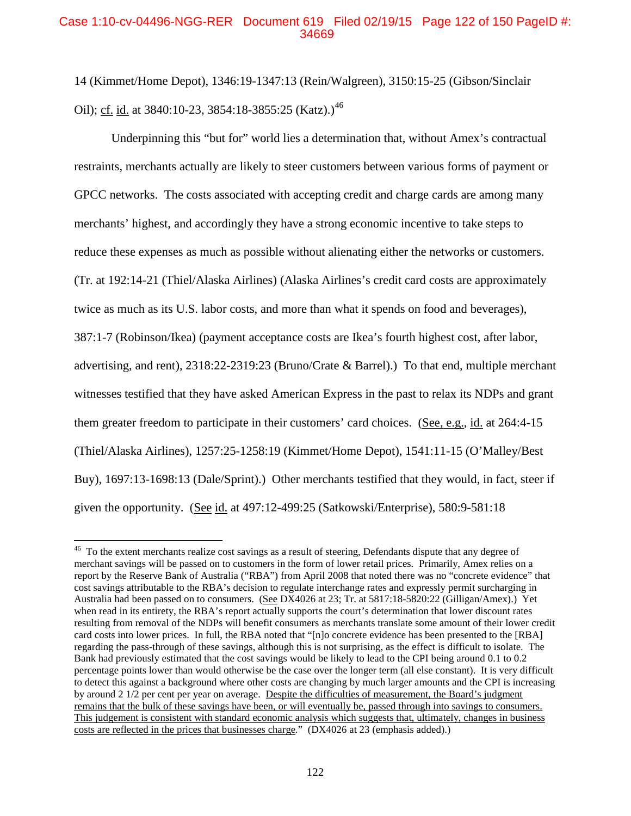# Case 1:10-cv-04496-NGG-RER Document 619 Filed 02/19/15 Page 122 of 150 PageID #: 34669

14 (Kimmet/Home Depot), 1346:19-1347:13 (Rein/Walgreen), 3150:15-25 (Gibson/Sinclair Oil); cf. id. at 3840:10-23, 3854:18-3855:25 (Katz).)<sup>46</sup>

Underpinning this "but for" world lies a determination that, without Amex's contractual restraints, merchants actually are likely to steer customers between various forms of payment or GPCC networks. The costs associated with accepting credit and charge cards are among many merchants' highest, and accordingly they have a strong economic incentive to take steps to reduce these expenses as much as possible without alienating either the networks or customers. (Tr. at 192:14-21 (Thiel/Alaska Airlines) (Alaska Airlines's credit card costs are approximately twice as much as its U.S. labor costs, and more than what it spends on food and beverages), 387:1-7 (Robinson/Ikea) (payment acceptance costs are Ikea's fourth highest cost, after labor, advertising, and rent), 2318:22-2319:23 (Bruno/Crate & Barrel).) To that end, multiple merchant witnesses testified that they have asked American Express in the past to relax its NDPs and grant them greater freedom to participate in their customers' card choices. (See, e.g., id. at 264:4-15 (Thiel/Alaska Airlines), 1257:25-1258:19 (Kimmet/Home Depot), 1541:11-15 (O'Malley/Best Buy), 1697:13-1698:13 (Dale/Sprint).) Other merchants testified that they would, in fact, steer if given the opportunity. (See id. at 497:12-499:25 (Satkowski/Enterprise), 580:9-581:18

<sup>&</sup>lt;sup>46</sup> To the extent merchants realize cost savings as a result of steering, Defendants dispute that any degree of merchant savings will be passed on to customers in the form of lower retail prices. Primarily, Amex relies on a report by the Reserve Bank of Australia ("RBA") from April 2008 that noted there was no "concrete evidence" that cost savings attributable to the RBA's decision to regulate interchange rates and expressly permit surcharging in Australia had been passed on to consumers. (See DX4026 at 23; Tr. at 5817:18-5820:22 (Gilligan/Amex).) Yet when read in its entirety, the RBA's report actually supports the court's determination that lower discount rates resulting from removal of the NDPs will benefit consumers as merchants translate some amount of their lower credit card costs into lower prices. In full, the RBA noted that "[n]o concrete evidence has been presented to the [RBA] regarding the pass-through of these savings, although this is not surprising, as the effect is difficult to isolate. The Bank had previously estimated that the cost savings would be likely to lead to the CPI being around 0.1 to 0.2 percentage points lower than would otherwise be the case over the longer term (all else constant). It is very difficult to detect this against a background where other costs are changing by much larger amounts and the CPI is increasing by around 2 1/2 per cent per year on average. Despite the difficulties of measurement, the Board's judgment remains that the bulk of these savings have been, or will eventually be, passed through into savings to consumers. This judgement is consistent with standard economic analysis which suggests that, ultimately, changes in business costs are reflected in the prices that businesses charge*.*" (DX4026 at 23 (emphasis added).)  $\overline{a}$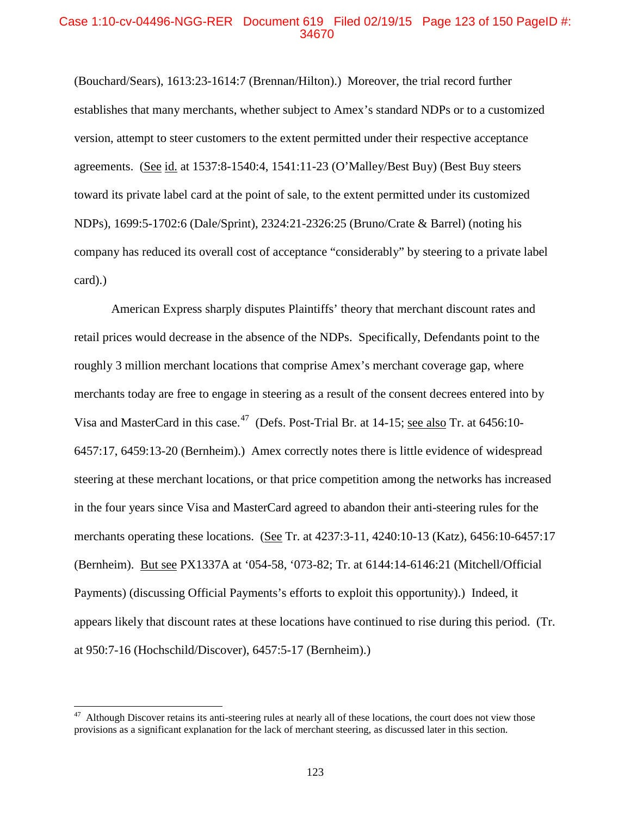### Case 1:10-cv-04496-NGG-RER Document 619 Filed 02/19/15 Page 123 of 150 PageID #: 34670

(Bouchard/Sears), 1613:23-1614:7 (Brennan/Hilton).) Moreover, the trial record further establishes that many merchants, whether subject to Amex's standard NDPs or to a customized version, attempt to steer customers to the extent permitted under their respective acceptance agreements. (See id. at 1537:8-1540:4, 1541:11-23 (O'Malley/Best Buy) (Best Buy steers toward its private label card at the point of sale, to the extent permitted under its customized NDPs), 1699:5-1702:6 (Dale/Sprint), 2324:21-2326:25 (Bruno/Crate & Barrel) (noting his company has reduced its overall cost of acceptance "considerably" by steering to a private label card).)

American Express sharply disputes Plaintiffs' theory that merchant discount rates and retail prices would decrease in the absence of the NDPs. Specifically, Defendants point to the roughly 3 million merchant locations that comprise Amex's merchant coverage gap, where merchants today are free to engage in steering as a result of the consent decrees entered into by Visa and MasterCard in this case.<sup>47</sup> (Defs. Post-Trial Br. at 14-15; see also Tr. at 6456:10-6457:17, 6459:13-20 (Bernheim).) Amex correctly notes there is little evidence of widespread steering at these merchant locations, or that price competition among the networks has increased in the four years since Visa and MasterCard agreed to abandon their anti-steering rules for the merchants operating these locations. (See Tr. at 4237:3-11, 4240:10-13 (Katz), 6456:10-6457:17 (Bernheim). But see PX1337A at '054-58, '073-82; Tr. at 6144:14-6146:21 (Mitchell/Official Payments) (discussing Official Payments's efforts to exploit this opportunity).) Indeed, it appears likely that discount rates at these locations have continued to rise during this period. (Tr. at 950:7-16 (Hochschild/Discover), 6457:5-17 (Bernheim).)

Although Discover retains its anti-steering rules at nearly all of these locations, the court does not view those provisions as a significant explanation for the lack of merchant steering, as discussed later in this section.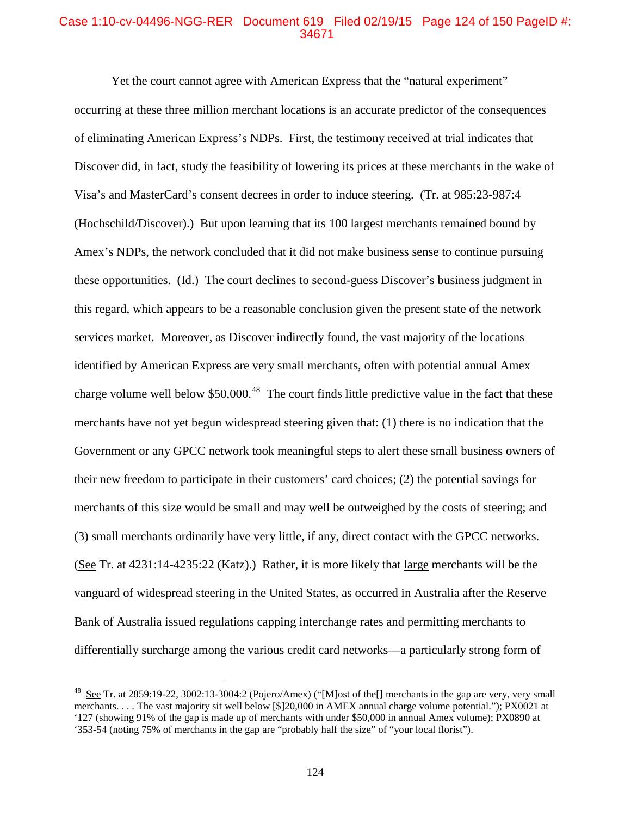## Case 1:10-cv-04496-NGG-RER Document 619 Filed 02/19/15 Page 124 of 150 PageID #: 34671

Yet the court cannot agree with American Express that the "natural experiment" occurring at these three million merchant locations is an accurate predictor of the consequences of eliminating American Express's NDPs. First, the testimony received at trial indicates that Discover did, in fact, study the feasibility of lowering its prices at these merchants in the wake of Visa's and MasterCard's consent decrees in order to induce steering. (Tr. at 985:23-987:4 (Hochschild/Discover).) But upon learning that its 100 largest merchants remained bound by Amex's NDPs, the network concluded that it did not make business sense to continue pursuing these opportunities. (Id.) The court declines to second-guess Discover's business judgment in this regard, which appears to be a reasonable conclusion given the present state of the network services market. Moreover, as Discover indirectly found, the vast majority of the locations identified by American Express are very small merchants, often with potential annual Amex charge volume well below  $$50,000$ <sup>48</sup>. The court finds little predictive value in the fact that these merchants have not yet begun widespread steering given that: (1) there is no indication that the Government or any GPCC network took meaningful steps to alert these small business owners of their new freedom to participate in their customers' card choices; (2) the potential savings for merchants of this size would be small and may well be outweighed by the costs of steering; and (3) small merchants ordinarily have very little, if any, direct contact with the GPCC networks. (See Tr. at 4231:14-4235:22 (Katz).) Rather, it is more likely that large merchants will be the vanguard of widespread steering in the United States, as occurred in Australia after the Reserve Bank of Australia issued regulations capping interchange rates and permitting merchants to differentially surcharge among the various credit card networks—a particularly strong form of

<sup>&</sup>lt;sup>48</sup> See Tr. at 2859:19-22, 3002:13-3004:2 (Pojero/Amex) ("[M]ost of the[] merchants in the gap are very, very small merchants. . . . The vast majority sit well below [\$]20,000 in AMEX annual charge volume potential."); PX0021 at '127 (showing 91% of the gap is made up of merchants with under \$50,000 in annual Amex volume); PX0890 at '353-54 (noting 75% of merchants in the gap are "probably half the size" of "your local florist").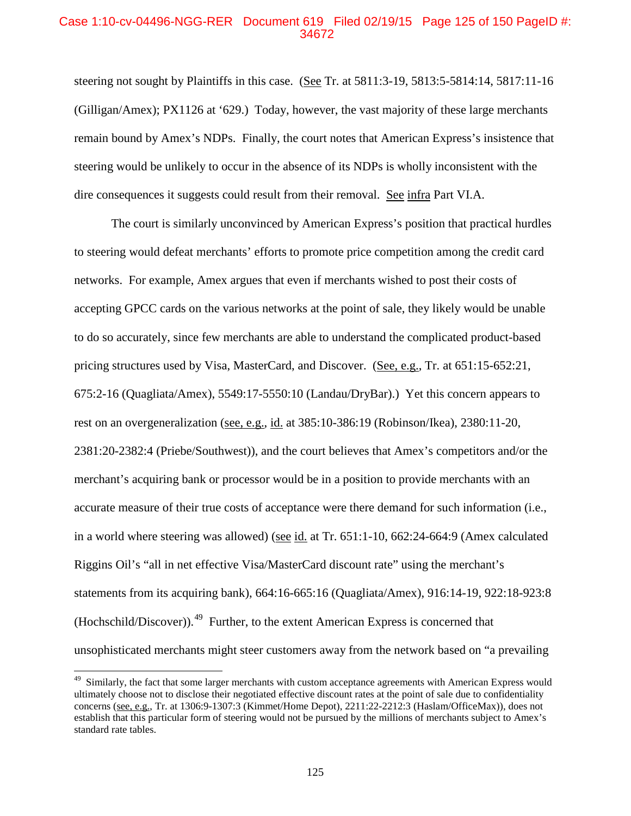# Case 1:10-cv-04496-NGG-RER Document 619 Filed 02/19/15 Page 125 of 150 PageID #: 34672

steering not sought by Plaintiffs in this case. (See Tr. at 5811:3-19, 5813:5-5814:14, 5817:11-16 (Gilligan/Amex); PX1126 at '629.) Today, however, the vast majority of these large merchants remain bound by Amex's NDPs. Finally, the court notes that American Express's insistence that steering would be unlikely to occur in the absence of its NDPs is wholly inconsistent with the dire consequences it suggests could result from their removal. See infra Part VI.A.

The court is similarly unconvinced by American Express's position that practical hurdles to steering would defeat merchants' efforts to promote price competition among the credit card networks. For example, Amex argues that even if merchants wished to post their costs of accepting GPCC cards on the various networks at the point of sale, they likely would be unable to do so accurately, since few merchants are able to understand the complicated product-based pricing structures used by Visa, MasterCard, and Discover. (See, e.g., Tr. at 651:15-652:21, 675:2-16 (Quagliata/Amex), 5549:17-5550:10 (Landau/DryBar).) Yet this concern appears to rest on an overgeneralization (see, e.g., id. at 385:10-386:19 (Robinson/Ikea), 2380:11-20, 2381:20-2382:4 (Priebe/Southwest)), and the court believes that Amex's competitors and/or the merchant's acquiring bank or processor would be in a position to provide merchants with an accurate measure of their true costs of acceptance were there demand for such information (i.e., in a world where steering was allowed) (see id. at Tr. 651:1-10, 662:24-664:9 (Amex calculated Riggins Oil's "all in net effective Visa/MasterCard discount rate" using the merchant's statements from its acquiring bank), 664:16-665:16 (Quagliata/Amex), 916:14-19, 922:18-923:8 (Hochschild/Discover)).<sup>49</sup> Further, to the extent American Express is concerned that unsophisticated merchants might steer customers away from the network based on "a prevailing

<sup>&</sup>lt;sup>49</sup> Similarly, the fact that some larger merchants with custom acceptance agreements with American Express would ultimately choose not to disclose their negotiated effective discount rates at the point of sale due to confidentiality concerns (see, e.g., Tr. at 1306:9-1307:3 (Kimmet/Home Depot), 2211:22-2212:3 (Haslam/OfficeMax)), does not establish that this particular form of steering would not be pursued by the millions of merchants subject to Amex's standard rate tables.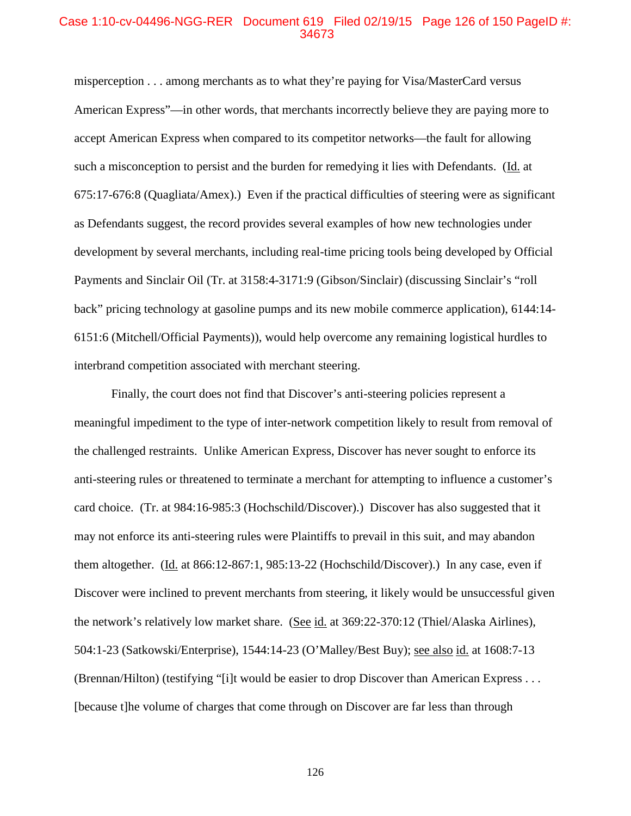## Case 1:10-cv-04496-NGG-RER Document 619 Filed 02/19/15 Page 126 of 150 PageID #: 34673

misperception . . . among merchants as to what they're paying for Visa/MasterCard versus American Express"—in other words, that merchants incorrectly believe they are paying more to accept American Express when compared to its competitor networks—the fault for allowing such a misconception to persist and the burden for remedying it lies with Defendants. (Id. at 675:17-676:8 (Quagliata/Amex).) Even if the practical difficulties of steering were as significant as Defendants suggest, the record provides several examples of how new technologies under development by several merchants, including real-time pricing tools being developed by Official Payments and Sinclair Oil (Tr. at 3158:4-3171:9 (Gibson/Sinclair) (discussing Sinclair's "roll back" pricing technology at gasoline pumps and its new mobile commerce application), 6144:14- 6151:6 (Mitchell/Official Payments)), would help overcome any remaining logistical hurdles to interbrand competition associated with merchant steering.

Finally, the court does not find that Discover's anti-steering policies represent a meaningful impediment to the type of inter-network competition likely to result from removal of the challenged restraints. Unlike American Express, Discover has never sought to enforce its anti-steering rules or threatened to terminate a merchant for attempting to influence a customer's card choice. (Tr. at 984:16-985:3 (Hochschild/Discover).) Discover has also suggested that it may not enforce its anti-steering rules were Plaintiffs to prevail in this suit, and may abandon them altogether. (Id. at 866:12-867:1, 985:13-22 (Hochschild/Discover).) In any case, even if Discover were inclined to prevent merchants from steering, it likely would be unsuccessful given the network's relatively low market share. (See id. at 369:22-370:12 (Thiel/Alaska Airlines), 504:1-23 (Satkowski/Enterprise), 1544:14-23 (O'Malley/Best Buy); see also id. at 1608:7-13 (Brennan/Hilton) (testifying "[i]t would be easier to drop Discover than American Express . . . [because t]he volume of charges that come through on Discover are far less than through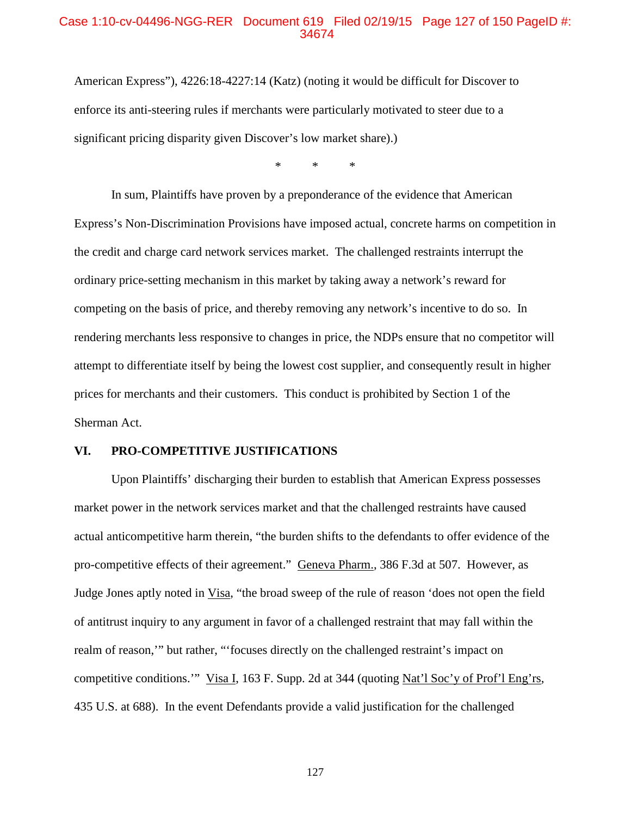### Case 1:10-cv-04496-NGG-RER Document 619 Filed 02/19/15 Page 127 of 150 PageID #: 34674

American Express"), 4226:18-4227:14 (Katz) (noting it would be difficult for Discover to enforce its anti-steering rules if merchants were particularly motivated to steer due to a significant pricing disparity given Discover's low market share).)

\* \* \*

In sum, Plaintiffs have proven by a preponderance of the evidence that American Express's Non-Discrimination Provisions have imposed actual, concrete harms on competition in the credit and charge card network services market. The challenged restraints interrupt the ordinary price-setting mechanism in this market by taking away a network's reward for competing on the basis of price, and thereby removing any network's incentive to do so. In rendering merchants less responsive to changes in price, the NDPs ensure that no competitor will attempt to differentiate itself by being the lowest cost supplier, and consequently result in higher prices for merchants and their customers. This conduct is prohibited by Section 1 of the Sherman Act.

#### **VI. PRO-COMPETITIVE JUSTIFICATIONS**

Upon Plaintiffs' discharging their burden to establish that American Express possesses market power in the network services market and that the challenged restraints have caused actual anticompetitive harm therein, "the burden shifts to the defendants to offer evidence of the pro-competitive effects of their agreement." Geneva Pharm., 386 F.3d at 507. However, as Judge Jones aptly noted in Visa, "the broad sweep of the rule of reason 'does not open the field of antitrust inquiry to any argument in favor of a challenged restraint that may fall within the realm of reason,'" but rather, "'focuses directly on the challenged restraint's impact on competitive conditions.'" Visa I, 163 F. Supp. 2d at 344 (quoting Nat'l Soc'y of Prof'l Eng'rs, 435 U.S. at 688). In the event Defendants provide a valid justification for the challenged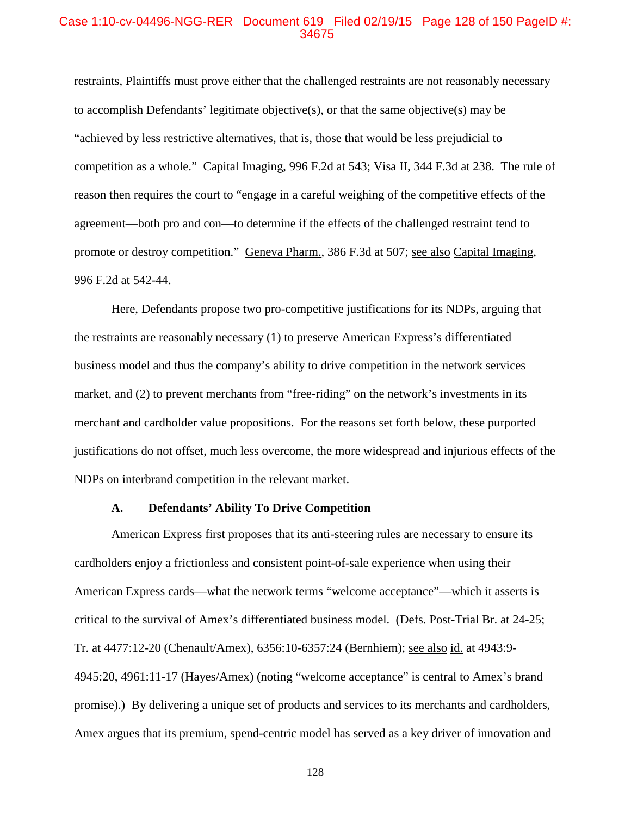### Case 1:10-cv-04496-NGG-RER Document 619 Filed 02/19/15 Page 128 of 150 PageID #: 34675

restraints, Plaintiffs must prove either that the challenged restraints are not reasonably necessary to accomplish Defendants' legitimate objective(s), or that the same objective(s) may be "achieved by less restrictive alternatives, that is, those that would be less prejudicial to competition as a whole." Capital Imaging, 996 F.2d at 543; Visa II, 344 F.3d at 238. The rule of reason then requires the court to "engage in a careful weighing of the competitive effects of the agreement—both pro and con—to determine if the effects of the challenged restraint tend to promote or destroy competition." Geneva Pharm., 386 F.3d at 507; see also Capital Imaging, 996 F.2d at 542-44.

Here, Defendants propose two pro-competitive justifications for its NDPs, arguing that the restraints are reasonably necessary (1) to preserve American Express's differentiated business model and thus the company's ability to drive competition in the network services market, and (2) to prevent merchants from "free-riding" on the network's investments in its merchant and cardholder value propositions. For the reasons set forth below, these purported justifications do not offset, much less overcome, the more widespread and injurious effects of the NDPs on interbrand competition in the relevant market.

#### **A. Defendants' Ability To Drive Competition**

American Express first proposes that its anti-steering rules are necessary to ensure its cardholders enjoy a frictionless and consistent point-of-sale experience when using their American Express cards—what the network terms "welcome acceptance"—which it asserts is critical to the survival of Amex's differentiated business model. (Defs. Post-Trial Br. at 24-25; Tr. at 4477:12-20 (Chenault/Amex), 6356:10-6357:24 (Bernhiem); see also id. at 4943:9- 4945:20, 4961:11-17 (Hayes/Amex) (noting "welcome acceptance" is central to Amex's brand promise).) By delivering a unique set of products and services to its merchants and cardholders, Amex argues that its premium, spend-centric model has served as a key driver of innovation and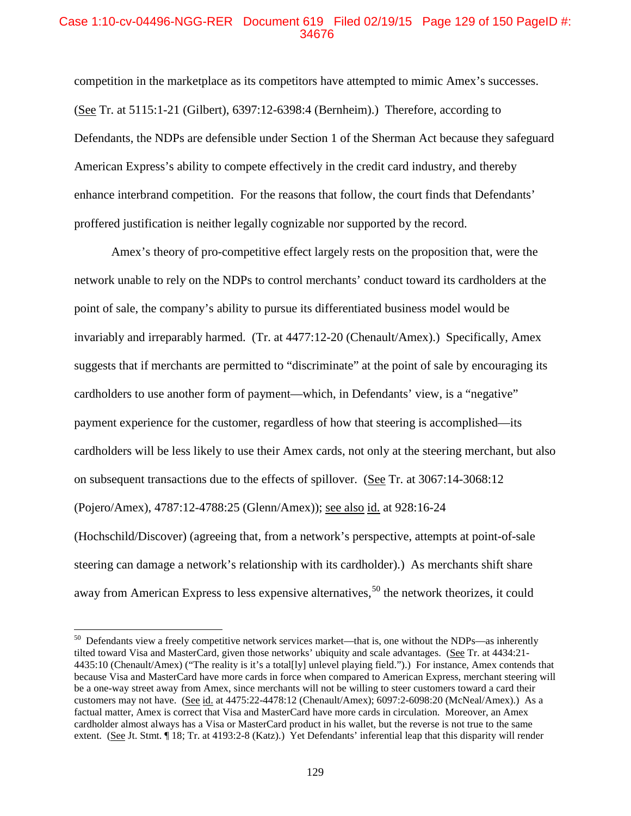# Case 1:10-cv-04496-NGG-RER Document 619 Filed 02/19/15 Page 129 of 150 PageID #: 34676

competition in the marketplace as its competitors have attempted to mimic Amex's successes. (See Tr. at 5115:1-21 (Gilbert), 6397:12-6398:4 (Bernheim).) Therefore, according to Defendants, the NDPs are defensible under Section 1 of the Sherman Act because they safeguard American Express's ability to compete effectively in the credit card industry, and thereby enhance interbrand competition. For the reasons that follow, the court finds that Defendants' proffered justification is neither legally cognizable nor supported by the record.

Amex's theory of pro-competitive effect largely rests on the proposition that, were the network unable to rely on the NDPs to control merchants' conduct toward its cardholders at the point of sale, the company's ability to pursue its differentiated business model would be invariably and irreparably harmed. (Tr. at 4477:12-20 (Chenault/Amex).) Specifically, Amex suggests that if merchants are permitted to "discriminate" at the point of sale by encouraging its cardholders to use another form of payment—which, in Defendants' view, is a "negative" payment experience for the customer, regardless of how that steering is accomplished—its cardholders will be less likely to use their Amex cards, not only at the steering merchant, but also on subsequent transactions due to the effects of spillover. (See Tr. at 3067:14-3068:12 (Pojero/Amex), 4787:12-4788:25 (Glenn/Amex)); see also id. at 928:16-24 (Hochschild/Discover) (agreeing that, from a network's perspective, attempts at point-of-sale

steering can damage a network's relationship with its cardholder).) As merchants shift share away from American Express to less expensive alternatives,  $50$  the network theorizes, it could

 $50$  Defendants view a freely competitive network services market—that is, one without the NDPs—as inherently tilted toward Visa and MasterCard, given those networks' ubiquity and scale advantages. (See Tr. at 4434:21- 4435:10 (Chenault/Amex) ("The reality is it's a total[ly] unlevel playing field.").) For instance, Amex contends that because Visa and MasterCard have more cards in force when compared to American Express, merchant steering will be a one-way street away from Amex, since merchants will not be willing to steer customers toward a card their customers may not have. (See id. at 4475:22-4478:12 (Chenault/Amex); 6097:2-6098:20 (McNeal/Amex).) As a factual matter, Amex is correct that Visa and MasterCard have more cards in circulation. Moreover, an Amex cardholder almost always has a Visa or MasterCard product in his wallet, but the reverse is not true to the same extent. (See Jt. Stmt. ¶ 18; Tr. at 4193:2-8 (Katz).) Yet Defendants' inferential leap that this disparity will render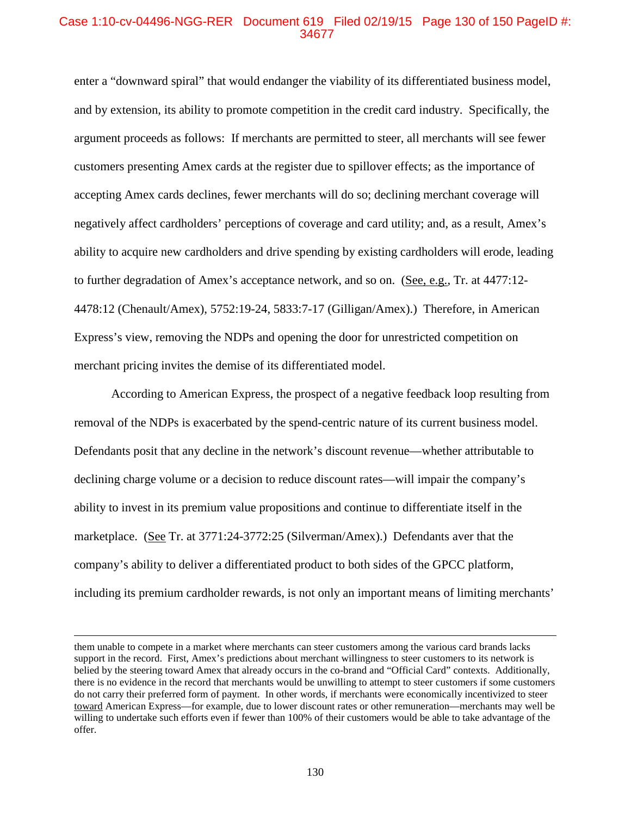# Case 1:10-cv-04496-NGG-RER Document 619 Filed 02/19/15 Page 130 of 150 PageID #: 34677

enter a "downward spiral" that would endanger the viability of its differentiated business model, and by extension, its ability to promote competition in the credit card industry. Specifically, the argument proceeds as follows: If merchants are permitted to steer, all merchants will see fewer customers presenting Amex cards at the register due to spillover effects; as the importance of accepting Amex cards declines, fewer merchants will do so; declining merchant coverage will negatively affect cardholders' perceptions of coverage and card utility; and, as a result, Amex's ability to acquire new cardholders and drive spending by existing cardholders will erode, leading to further degradation of Amex's acceptance network, and so on. (See, e.g., Tr. at 4477:12- 4478:12 (Chenault/Amex), 5752:19-24, 5833:7-17 (Gilligan/Amex).) Therefore, in American Express's view, removing the NDPs and opening the door for unrestricted competition on merchant pricing invites the demise of its differentiated model.

According to American Express, the prospect of a negative feedback loop resulting from removal of the NDPs is exacerbated by the spend-centric nature of its current business model. Defendants posit that any decline in the network's discount revenue—whether attributable to declining charge volume or a decision to reduce discount rates—will impair the company's ability to invest in its premium value propositions and continue to differentiate itself in the marketplace. (See Tr. at 3771:24-3772:25 (Silverman/Amex).) Defendants aver that the company's ability to deliver a differentiated product to both sides of the GPCC platform, including its premium cardholder rewards, is not only an important means of limiting merchants'

them unable to compete in a market where merchants can steer customers among the various card brands lacks support in the record. First, Amex's predictions about merchant willingness to steer customers to its network is belied by the steering toward Amex that already occurs in the co-brand and "Official Card" contexts. Additionally, there is no evidence in the record that merchants would be unwilling to attempt to steer customers if some customers do not carry their preferred form of payment. In other words, if merchants were economically incentivized to steer toward American Express—for example, due to lower discount rates or other remuneration—merchants may well be willing to undertake such efforts even if fewer than 100% of their customers would be able to take advantage of the offer.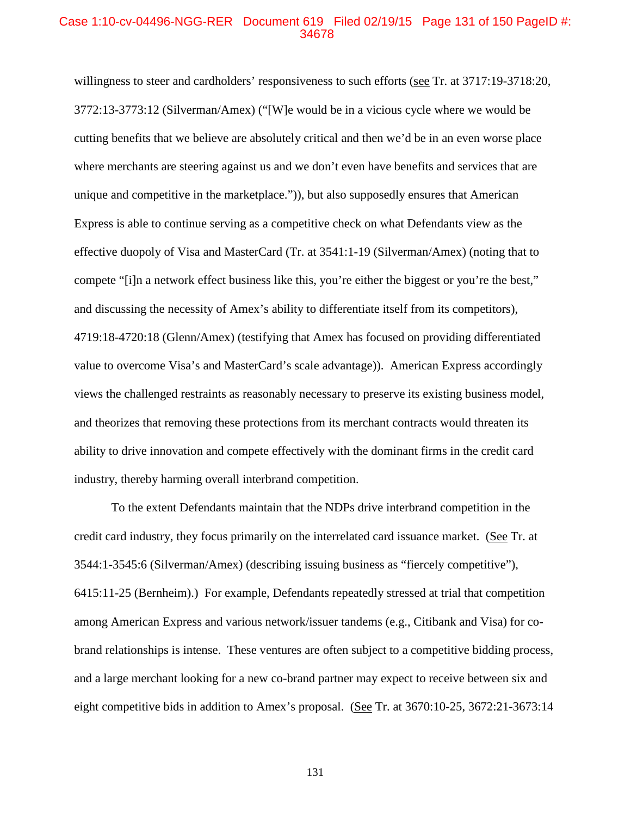# Case 1:10-cv-04496-NGG-RER Document 619 Filed 02/19/15 Page 131 of 150 PageID #: 34678

willingness to steer and cardholders' responsiveness to such efforts (see Tr. at 3717:19-3718:20, 3772:13-3773:12 (Silverman/Amex) ("[W]e would be in a vicious cycle where we would be cutting benefits that we believe are absolutely critical and then we'd be in an even worse place where merchants are steering against us and we don't even have benefits and services that are unique and competitive in the marketplace.")), but also supposedly ensures that American Express is able to continue serving as a competitive check on what Defendants view as the effective duopoly of Visa and MasterCard (Tr. at 3541:1-19 (Silverman/Amex) (noting that to compete "[i]n a network effect business like this, you're either the biggest or you're the best," and discussing the necessity of Amex's ability to differentiate itself from its competitors), 4719:18-4720:18 (Glenn/Amex) (testifying that Amex has focused on providing differentiated value to overcome Visa's and MasterCard's scale advantage)). American Express accordingly views the challenged restraints as reasonably necessary to preserve its existing business model, and theorizes that removing these protections from its merchant contracts would threaten its ability to drive innovation and compete effectively with the dominant firms in the credit card industry, thereby harming overall interbrand competition.

To the extent Defendants maintain that the NDPs drive interbrand competition in the credit card industry, they focus primarily on the interrelated card issuance market. (See Tr. at 3544:1-3545:6 (Silverman/Amex) (describing issuing business as "fiercely competitive"), 6415:11-25 (Bernheim).) For example, Defendants repeatedly stressed at trial that competition among American Express and various network/issuer tandems (e.g., Citibank and Visa) for cobrand relationships is intense. These ventures are often subject to a competitive bidding process, and a large merchant looking for a new co-brand partner may expect to receive between six and eight competitive bids in addition to Amex's proposal. (See Tr. at 3670:10-25, 3672:21-3673:14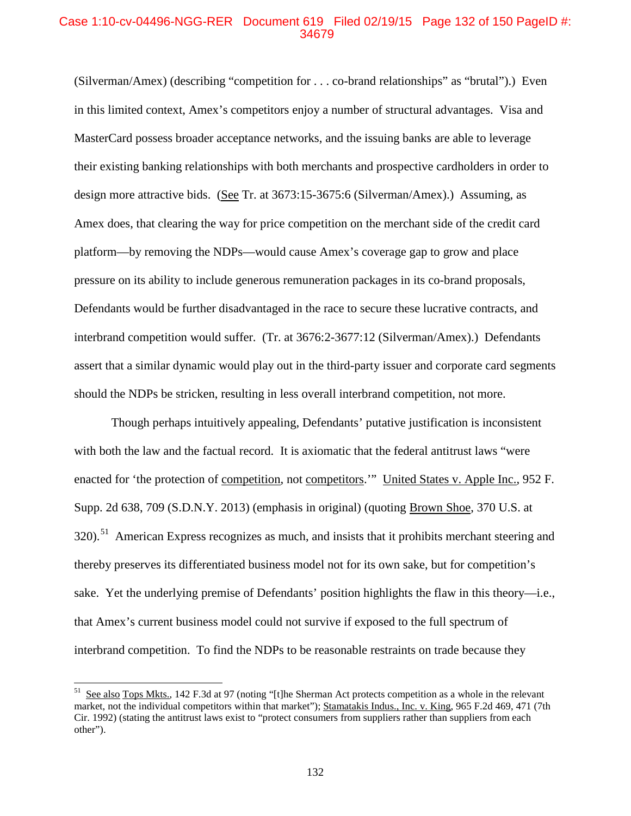### Case 1:10-cv-04496-NGG-RER Document 619 Filed 02/19/15 Page 132 of 150 PageID #: 34679

(Silverman/Amex) (describing "competition for . . . co-brand relationships" as "brutal").) Even in this limited context, Amex's competitors enjoy a number of structural advantages. Visa and MasterCard possess broader acceptance networks, and the issuing banks are able to leverage their existing banking relationships with both merchants and prospective cardholders in order to design more attractive bids. (See Tr. at 3673:15-3675:6 (Silverman/Amex).) Assuming, as Amex does, that clearing the way for price competition on the merchant side of the credit card platform—by removing the NDPs—would cause Amex's coverage gap to grow and place pressure on its ability to include generous remuneration packages in its co-brand proposals, Defendants would be further disadvantaged in the race to secure these lucrative contracts, and interbrand competition would suffer. (Tr. at 3676:2-3677:12 (Silverman/Amex).) Defendants assert that a similar dynamic would play out in the third-party issuer and corporate card segments should the NDPs be stricken, resulting in less overall interbrand competition, not more.

Though perhaps intuitively appealing, Defendants' putative justification is inconsistent with both the law and the factual record. It is axiomatic that the federal antitrust laws "were enacted for 'the protection of competition, not competitors.'" United States v. Apple Inc., 952 F. Supp. 2d 638, 709 (S.D.N.Y. 2013) (emphasis in original) (quoting Brown Shoe, 370 U.S. at 320).<sup>51</sup> American Express recognizes as much, and insists that it prohibits merchant steering and thereby preserves its differentiated business model not for its own sake, but for competition's sake. Yet the underlying premise of Defendants' position highlights the flaw in this theory—i.e., that Amex's current business model could not survive if exposed to the full spectrum of interbrand competition. To find the NDPs to be reasonable restraints on trade because they

<sup>&</sup>lt;sup>51</sup> See also Tops Mkts., 142 F.3d at 97 (noting "[t]he Sherman Act protects competition as a whole in the relevant market, not the individual competitors within that market"); Stamatakis Indus., Inc. v. King, 965 F.2d 469, 471 (7th Cir. 1992) (stating the antitrust laws exist to "protect consumers from suppliers rather than suppliers from each other").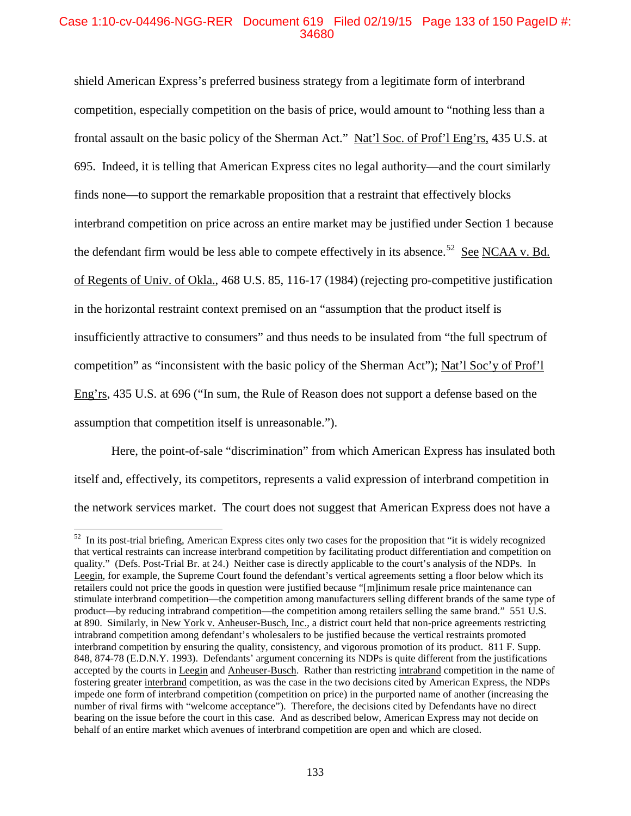# Case 1:10-cv-04496-NGG-RER Document 619 Filed 02/19/15 Page 133 of 150 PageID #: 34680

shield American Express's preferred business strategy from a legitimate form of interbrand competition, especially competition on the basis of price, would amount to "nothing less than a frontal assault on the basic policy of the Sherman Act." Nat'l Soc. of Prof'l Eng'rs, 435 U.S. at 695. Indeed, it is telling that American Express cites no legal authority—and the court similarly finds none—to support the remarkable proposition that a restraint that effectively blocks interbrand competition on price across an entire market may be justified under Section 1 because the defendant firm would be less able to compete effectively in its absence.<sup>52</sup> See NCAA v. Bd. of Regents of Univ. of Okla., 468 U.S. 85, 116-17 (1984) (rejecting pro-competitive justification in the horizontal restraint context premised on an "assumption that the product itself is insufficiently attractive to consumers" and thus needs to be insulated from "the full spectrum of competition" as "inconsistent with the basic policy of the Sherman Act"); Nat'l Soc'y of Prof'l Eng'rs, 435 U.S. at 696 ("In sum, the Rule of Reason does not support a defense based on the assumption that competition itself is unreasonable.").

Here, the point-of-sale "discrimination" from which American Express has insulated both itself and, effectively, its competitors, represents a valid expression of interbrand competition in the network services market. The court does not suggest that American Express does not have a

 $52$  In its post-trial briefing, American Express cites only two cases for the proposition that "it is widely recognized that vertical restraints can increase interbrand competition by facilitating product differentiation and competition on quality." (Defs. Post-Trial Br. at 24.) Neither case is directly applicable to the court's analysis of the NDPs. In Leegin, for example, the Supreme Court found the defendant's vertical agreements setting a floor below which its retailers could not price the goods in question were justified because "[m]inimum resale price maintenance can stimulate interbrand competition—the competition among manufacturers selling different brands of the same type of product—by reducing intrabrand competition—the competition among retailers selling the same brand." 551 U.S. at 890. Similarly, in New York v. Anheuser-Busch, Inc., a district court held that non-price agreements restricting intrabrand competition among defendant's wholesalers to be justified because the vertical restraints promoted interbrand competition by ensuring the quality, consistency, and vigorous promotion of its product. 811 F. Supp. 848, 874-78 (E.D.N.Y. 1993). Defendants' argument concerning its NDPs is quite different from the justifications accepted by the courts in Leegin and Anheuser-Busch. Rather than restricting intrabrand competition in the name of fostering greater interbrand competition, as was the case in the two decisions cited by American Express, the NDPs impede one form of interbrand competition (competition on price) in the purported name of another (increasing the number of rival firms with "welcome acceptance"). Therefore, the decisions cited by Defendants have no direct bearing on the issue before the court in this case. And as described below, American Express may not decide on behalf of an entire market which avenues of interbrand competition are open and which are closed.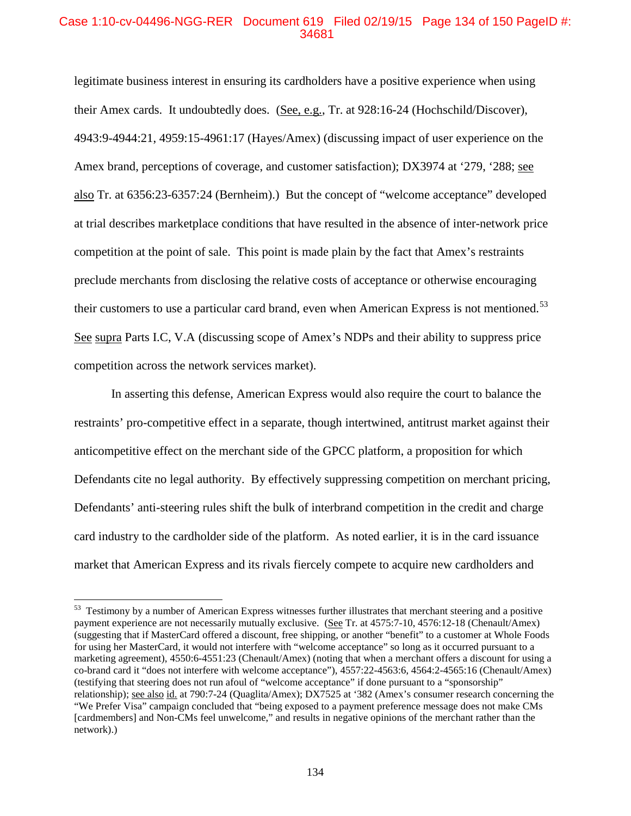# Case 1:10-cv-04496-NGG-RER Document 619 Filed 02/19/15 Page 134 of 150 PageID #: 34681

legitimate business interest in ensuring its cardholders have a positive experience when using their Amex cards. It undoubtedly does. (See, e.g., Tr. at 928:16-24 (Hochschild/Discover), 4943:9-4944:21, 4959:15-4961:17 (Hayes/Amex) (discussing impact of user experience on the Amex brand, perceptions of coverage, and customer satisfaction); DX3974 at '279, '288; see also Tr. at 6356:23-6357:24 (Bernheim).) But the concept of "welcome acceptance" developed at trial describes marketplace conditions that have resulted in the absence of inter-network price competition at the point of sale. This point is made plain by the fact that Amex's restraints preclude merchants from disclosing the relative costs of acceptance or otherwise encouraging their customers to use a particular card brand, even when American Express is not mentioned.<sup>53</sup> See supra Parts I.C, V.A (discussing scope of Amex's NDPs and their ability to suppress price competition across the network services market).

In asserting this defense, American Express would also require the court to balance the restraints' pro-competitive effect in a separate, though intertwined, antitrust market against their anticompetitive effect on the merchant side of the GPCC platform, a proposition for which Defendants cite no legal authority. By effectively suppressing competition on merchant pricing, Defendants' anti-steering rules shift the bulk of interbrand competition in the credit and charge card industry to the cardholder side of the platform. As noted earlier, it is in the card issuance market that American Express and its rivals fiercely compete to acquire new cardholders and

 $53$  Testimony by a number of American Express witnesses further illustrates that merchant steering and a positive payment experience are not necessarily mutually exclusive. (See Tr. at 4575:7-10, 4576:12-18 (Chenault/Amex) (suggesting that if MasterCard offered a discount, free shipping, or another "benefit" to a customer at Whole Foods for using her MasterCard, it would not interfere with "welcome acceptance" so long as it occurred pursuant to a marketing agreement), 4550:6-4551:23 (Chenault/Amex) (noting that when a merchant offers a discount for using a co-brand card it "does not interfere with welcome acceptance"), 4557:22-4563:6, 4564:2-4565:16 (Chenault/Amex) (testifying that steering does not run afoul of "welcome acceptance" if done pursuant to a "sponsorship" relationship); see also id. at 790:7-24 (Quaglita/Amex); DX7525 at '382 (Amex's consumer research concerning the "We Prefer Visa" campaign concluded that "being exposed to a payment preference message does not make CMs [cardmembers] and Non-CMs feel unwelcome," and results in negative opinions of the merchant rather than the network).)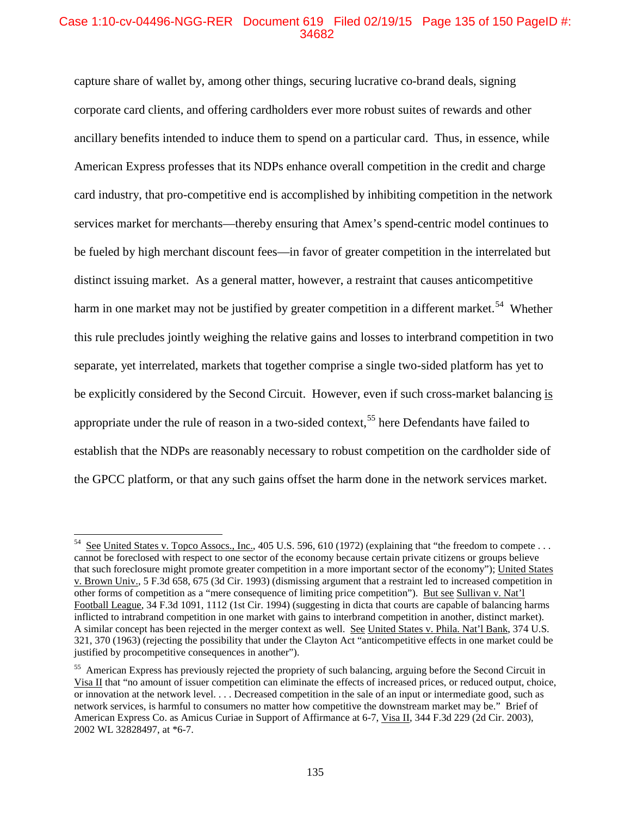# Case 1:10-cv-04496-NGG-RER Document 619 Filed 02/19/15 Page 135 of 150 PageID #: 34682

capture share of wallet by, among other things, securing lucrative co-brand deals, signing corporate card clients, and offering cardholders ever more robust suites of rewards and other ancillary benefits intended to induce them to spend on a particular card. Thus, in essence, while American Express professes that its NDPs enhance overall competition in the credit and charge card industry, that pro-competitive end is accomplished by inhibiting competition in the network services market for merchants—thereby ensuring that Amex's spend-centric model continues to be fueled by high merchant discount fees—in favor of greater competition in the interrelated but distinct issuing market. As a general matter, however, a restraint that causes anticompetitive harm in one market may not be justified by greater competition in a different market.<sup>54</sup> Whether this rule precludes jointly weighing the relative gains and losses to interbrand competition in two separate, yet interrelated, markets that together comprise a single two-sided platform has yet to be explicitly considered by the Second Circuit. However, even if such cross-market balancing is appropriate under the rule of reason in a two-sided context,<sup>55</sup> here Defendants have failed to establish that the NDPs are reasonably necessary to robust competition on the cardholder side of the GPCC platform, or that any such gains offset the harm done in the network services market.

See United States v. Topco Assocs., Inc., 405 U.S. 596, 610 (1972) (explaining that "the freedom to compete . . . cannot be foreclosed with respect to one sector of the economy because certain private citizens or groups believe that such foreclosure might promote greater competition in a more important sector of the economy"); United States v. Brown Univ., 5 F.3d 658, 675 (3d Cir. 1993) (dismissing argument that a restraint led to increased competition in other forms of competition as a "mere consequence of limiting price competition"). But see Sullivan v. Nat'l Football League, 34 F.3d 1091, 1112 (1st Cir. 1994) (suggesting in dicta that courts are capable of balancing harms inflicted to intrabrand competition in one market with gains to interbrand competition in another, distinct market). A similar concept has been rejected in the merger context as well. See United States v. Phila. Nat'l Bank, 374 U.S. 321, 370 (1963) (rejecting the possibility that under the Clayton Act "anticompetitive effects in one market could be justified by procompetitive consequences in another"). 54

<sup>&</sup>lt;sup>55</sup> American Express has previously rejected the propriety of such balancing, arguing before the Second Circuit in Visa II that "no amount of issuer competition can eliminate the effects of increased prices, or reduced output, choice, or innovation at the network level. . . . Decreased competition in the sale of an input or intermediate good, such as network services, is harmful to consumers no matter how competitive the downstream market may be." Brief of American Express Co. as Amicus Curiae in Support of Affirmance at 6-7, Visa II, 344 F.3d 229 (2d Cir. 2003), 2002 WL 32828497, at \*6-7.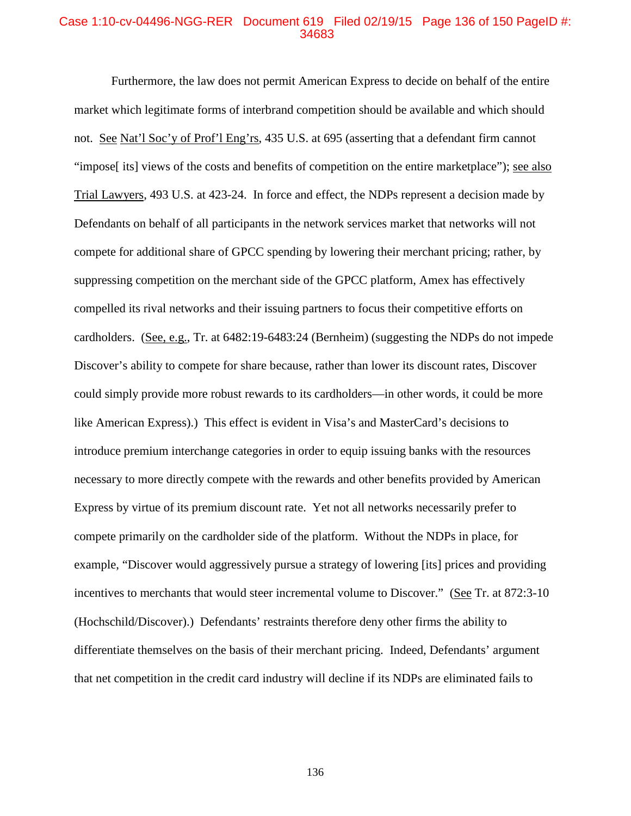### Case 1:10-cv-04496-NGG-RER Document 619 Filed 02/19/15 Page 136 of 150 PageID #: 34683

Furthermore, the law does not permit American Express to decide on behalf of the entire market which legitimate forms of interbrand competition should be available and which should not. See Nat'l Soc'y of Prof'l Eng'rs, 435 U.S. at 695 (asserting that a defendant firm cannot "impose[ its] views of the costs and benefits of competition on the entire marketplace"); see also Trial Lawyers, 493 U.S. at 423-24. In force and effect, the NDPs represent a decision made by Defendants on behalf of all participants in the network services market that networks will not compete for additional share of GPCC spending by lowering their merchant pricing; rather, by suppressing competition on the merchant side of the GPCC platform, Amex has effectively compelled its rival networks and their issuing partners to focus their competitive efforts on cardholders. (See, e.g., Tr. at 6482:19-6483:24 (Bernheim) (suggesting the NDPs do not impede Discover's ability to compete for share because, rather than lower its discount rates, Discover could simply provide more robust rewards to its cardholders—in other words, it could be more like American Express).) This effect is evident in Visa's and MasterCard's decisions to introduce premium interchange categories in order to equip issuing banks with the resources necessary to more directly compete with the rewards and other benefits provided by American Express by virtue of its premium discount rate. Yet not all networks necessarily prefer to compete primarily on the cardholder side of the platform. Without the NDPs in place, for example, "Discover would aggressively pursue a strategy of lowering [its] prices and providing incentives to merchants that would steer incremental volume to Discover." (See Tr. at 872:3-10) (Hochschild/Discover).) Defendants' restraints therefore deny other firms the ability to differentiate themselves on the basis of their merchant pricing. Indeed, Defendants' argument that net competition in the credit card industry will decline if its NDPs are eliminated fails to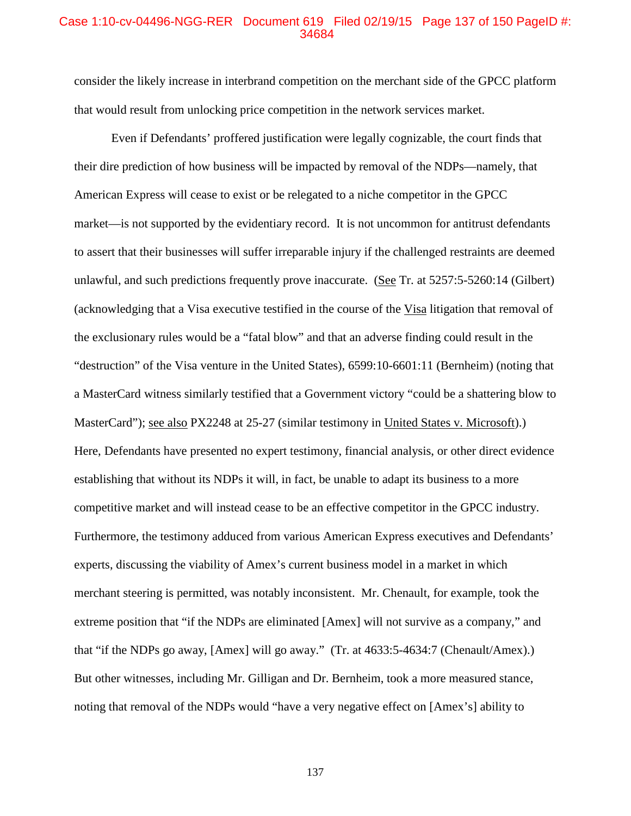### Case 1:10-cv-04496-NGG-RER Document 619 Filed 02/19/15 Page 137 of 150 PageID #: 34684

consider the likely increase in interbrand competition on the merchant side of the GPCC platform that would result from unlocking price competition in the network services market.

Even if Defendants' proffered justification were legally cognizable, the court finds that their dire prediction of how business will be impacted by removal of the NDPs—namely, that American Express will cease to exist or be relegated to a niche competitor in the GPCC market—is not supported by the evidentiary record. It is not uncommon for antitrust defendants to assert that their businesses will suffer irreparable injury if the challenged restraints are deemed unlawful, and such predictions frequently prove inaccurate. (See Tr. at 5257:5-5260:14 (Gilbert) (acknowledging that a Visa executive testified in the course of the Visa litigation that removal of the exclusionary rules would be a "fatal blow" and that an adverse finding could result in the "destruction" of the Visa venture in the United States), 6599:10-6601:11 (Bernheim) (noting that a MasterCard witness similarly testified that a Government victory "could be a shattering blow to MasterCard"); <u>see also</u> PX2248 at 25-27 (similar testimony in United States v. Microsoft).) Here, Defendants have presented no expert testimony, financial analysis, or other direct evidence establishing that without its NDPs it will, in fact, be unable to adapt its business to a more competitive market and will instead cease to be an effective competitor in the GPCC industry. Furthermore, the testimony adduced from various American Express executives and Defendants' experts, discussing the viability of Amex's current business model in a market in which merchant steering is permitted, was notably inconsistent. Mr. Chenault, for example, took the extreme position that "if the NDPs are eliminated [Amex] will not survive as a company," and that "if the NDPs go away, [Amex] will go away." (Tr. at 4633:5-4634:7 (Chenault/Amex).) But other witnesses, including Mr. Gilligan and Dr. Bernheim, took a more measured stance, noting that removal of the NDPs would "have a very negative effect on [Amex's] ability to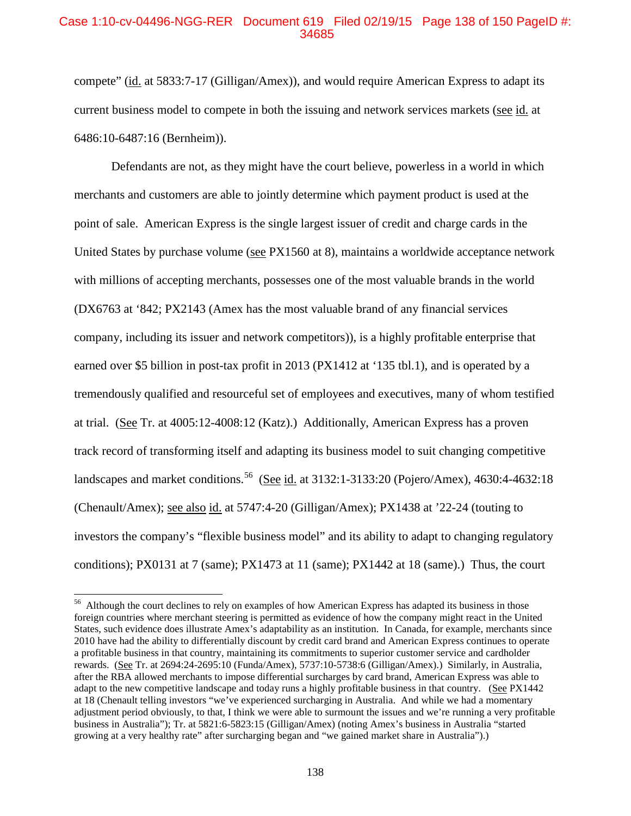### Case 1:10-cv-04496-NGG-RER Document 619 Filed 02/19/15 Page 138 of 150 PageID #: 34685

compete" (id. at 5833:7-17 (Gilligan/Amex)), and would require American Express to adapt its current business model to compete in both the issuing and network services markets (see id. at 6486:10-6487:16 (Bernheim)).

Defendants are not, as they might have the court believe, powerless in a world in which merchants and customers are able to jointly determine which payment product is used at the point of sale. American Express is the single largest issuer of credit and charge cards in the United States by purchase volume (see PX1560 at 8), maintains a worldwide acceptance network with millions of accepting merchants, possesses one of the most valuable brands in the world (DX6763 at '842; PX2143 (Amex has the most valuable brand of any financial services company, including its issuer and network competitors)), is a highly profitable enterprise that earned over \$5 billion in post-tax profit in 2013 (PX1412 at '135 tbl.1), and is operated by a tremendously qualified and resourceful set of employees and executives, many of whom testified at trial. (See Tr. at 4005:12-4008:12 (Katz).) Additionally, American Express has a proven track record of transforming itself and adapting its business model to suit changing competitive landscapes and market conditions.<sup>56</sup> (See id. at 3132:1-3133:20 (Pojero/Amex), 4630:4-4632:18 (Chenault/Amex); see also id. at 5747:4-20 (Gilligan/Amex); PX1438 at '22-24 (touting to investors the company's "flexible business model" and its ability to adapt to changing regulatory conditions); PX0131 at 7 (same); PX1473 at 11 (same); PX1442 at 18 (same).) Thus, the court

<sup>&</sup>lt;sup>56</sup> Although the court declines to rely on examples of how American Express has adapted its business in those foreign countries where merchant steering is permitted as evidence of how the company might react in the United States, such evidence does illustrate Amex's adaptability as an institution. In Canada, for example, merchants since 2010 have had the ability to differentially discount by credit card brand and American Express continues to operate a profitable business in that country, maintaining its commitments to superior customer service and cardholder rewards. (See Tr. at 2694:24-2695:10 (Funda/Amex), 5737:10-5738:6 (Gilligan/Amex).) Similarly, in Australia, after the RBA allowed merchants to impose differential surcharges by card brand, American Express was able to adapt to the new competitive landscape and today runs a highly profitable business in that country. (See PX1442 at 18 (Chenault telling investors "we've experienced surcharging in Australia. And while we had a momentary adjustment period obviously, to that, I think we were able to surmount the issues and we're running a very profitable business in Australia"); Tr. at 5821:6-5823:15 (Gilligan/Amex) (noting Amex's business in Australia "started growing at a very healthy rate" after surcharging began and "we gained market share in Australia").)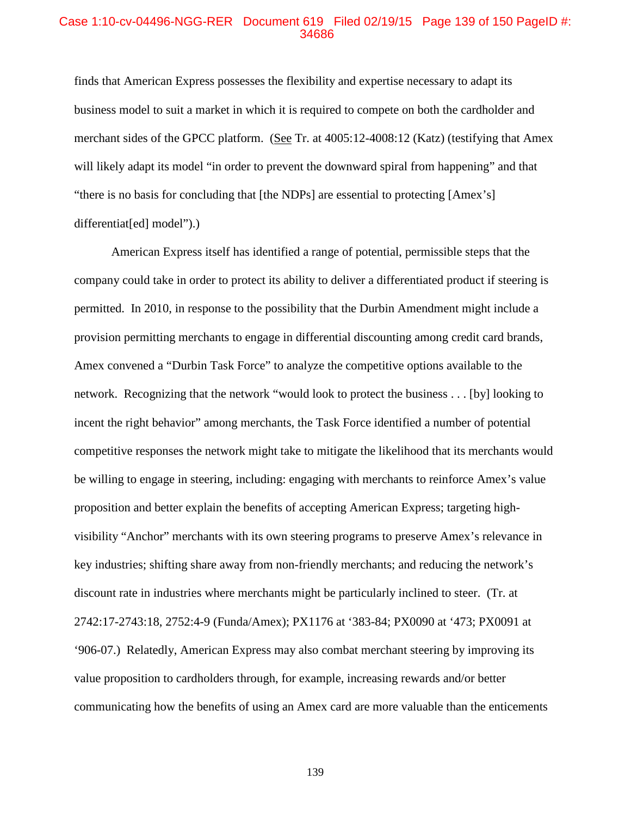#### Case 1:10-cv-04496-NGG-RER Document 619 Filed 02/19/15 Page 139 of 150 PageID #: 34686

finds that American Express possesses the flexibility and expertise necessary to adapt its business model to suit a market in which it is required to compete on both the cardholder and merchant sides of the GPCC platform. (See Tr. at 4005:12-4008:12 (Katz) (testifying that Amex will likely adapt its model "in order to prevent the downward spiral from happening" and that "there is no basis for concluding that [the NDPs] are essential to protecting [Amex's] differentiat[ed] model").)

American Express itself has identified a range of potential, permissible steps that the company could take in order to protect its ability to deliver a differentiated product if steering is permitted. In 2010, in response to the possibility that the Durbin Amendment might include a provision permitting merchants to engage in differential discounting among credit card brands, Amex convened a "Durbin Task Force" to analyze the competitive options available to the network. Recognizing that the network "would look to protect the business . . . [by] looking to incent the right behavior" among merchants, the Task Force identified a number of potential competitive responses the network might take to mitigate the likelihood that its merchants would be willing to engage in steering, including: engaging with merchants to reinforce Amex's value proposition and better explain the benefits of accepting American Express; targeting highvisibility "Anchor" merchants with its own steering programs to preserve Amex's relevance in key industries; shifting share away from non-friendly merchants; and reducing the network's discount rate in industries where merchants might be particularly inclined to steer. (Tr. at 2742:17-2743:18, 2752:4-9 (Funda/Amex); PX1176 at '383-84; PX0090 at '473; PX0091 at '906-07.) Relatedly, American Express may also combat merchant steering by improving its value proposition to cardholders through, for example, increasing rewards and/or better communicating how the benefits of using an Amex card are more valuable than the enticements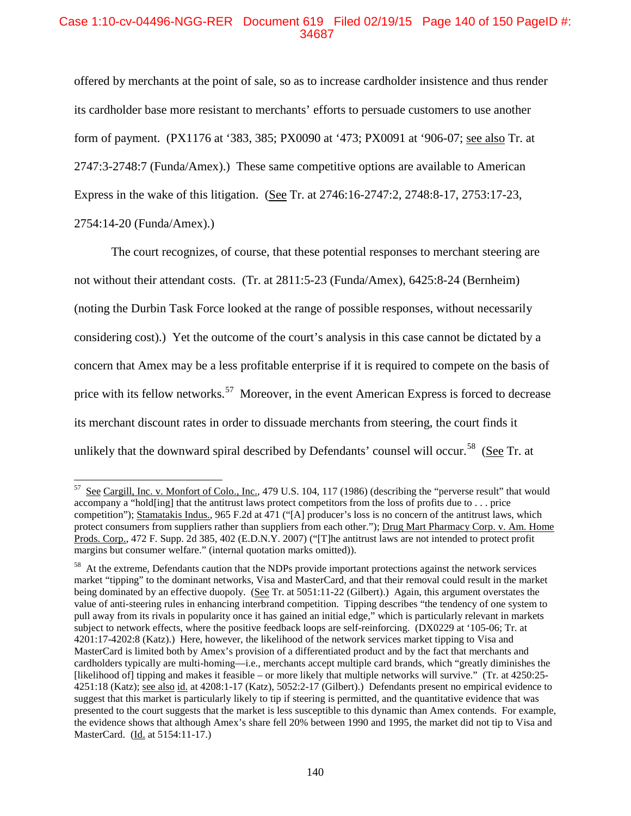# Case 1:10-cv-04496-NGG-RER Document 619 Filed 02/19/15 Page 140 of 150 PageID #: 34687

offered by merchants at the point of sale, so as to increase cardholder insistence and thus render its cardholder base more resistant to merchants' efforts to persuade customers to use another form of payment. (PX1176 at '383, 385; PX0090 at '473; PX0091 at '906-07; see also Tr. at 2747:3-2748:7 (Funda/Amex).) These same competitive options are available to American Express in the wake of this litigation. (See Tr. at 2746:16-2747:2, 2748:8-17, 2753:17-23, 2754:14-20 (Funda/Amex).)

The court recognizes, of course, that these potential responses to merchant steering are not without their attendant costs. (Tr. at 2811:5-23 (Funda/Amex), 6425:8-24 (Bernheim) (noting the Durbin Task Force looked at the range of possible responses, without necessarily considering cost).) Yet the outcome of the court's analysis in this case cannot be dictated by a concern that Amex may be a less profitable enterprise if it is required to compete on the basis of price with its fellow networks.<sup>57</sup> Moreover, in the event American Express is forced to decrease its merchant discount rates in order to dissuade merchants from steering, the court finds it unlikely that the downward spiral described by Defendants' counsel will occur.<sup>58</sup> (See Tr. at

See Cargill, Inc. v. Monfort of Colo., Inc., 479 U.S. 104, 117 (1986) (describing the "perverse result" that would accompany a "hold[ing] that the antitrust laws protect competitors from the loss of profits due to . . . price competition"); Stamatakis Indus., 965 F.2d at 471 ("[A] producer's loss is no concern of the antitrust laws, which protect consumers from suppliers rather than suppliers from each other."); Drug Mart Pharmacy Corp. v. Am. Home Prods. Corp., 472 F. Supp. 2d 385, 402 (E.D.N.Y. 2007) ("[T]he antitrust laws are not intended to protect profit margins but consumer welfare." (internal quotation marks omitted)). 57

<sup>&</sup>lt;sup>58</sup> At the extreme, Defendants caution that the NDPs provide important protections against the network services market "tipping" to the dominant networks, Visa and MasterCard, and that their removal could result in the market being dominated by an effective duopoly. (See Tr. at 5051:11-22 (Gilbert).) Again, this argument overstates the value of anti-steering rules in enhancing interbrand competition. Tipping describes "the tendency of one system to pull away from its rivals in popularity once it has gained an initial edge," which is particularly relevant in markets subject to network effects, where the positive feedback loops are self-reinforcing. (DX0229 at '105-06; Tr. at 4201:17-4202:8 (Katz).) Here, however, the likelihood of the network services market tipping to Visa and MasterCard is limited both by Amex's provision of a differentiated product and by the fact that merchants and cardholders typically are multi-homing—i.e., merchants accept multiple card brands, which "greatly diminishes the [likelihood of] tipping and makes it feasible – or more likely that multiple networks will survive." (Tr. at 4250:25- 4251:18 (Katz); see also id. at 4208:1-17 (Katz), 5052:2-17 (Gilbert).) Defendants present no empirical evidence to suggest that this market is particularly likely to tip if steering is permitted, and the quantitative evidence that was presented to the court suggests that the market is less susceptible to this dynamic than Amex contends. For example, the evidence shows that although Amex's share fell 20% between 1990 and 1995, the market did not tip to Visa and MasterCard. (Id. at 5154:11-17.)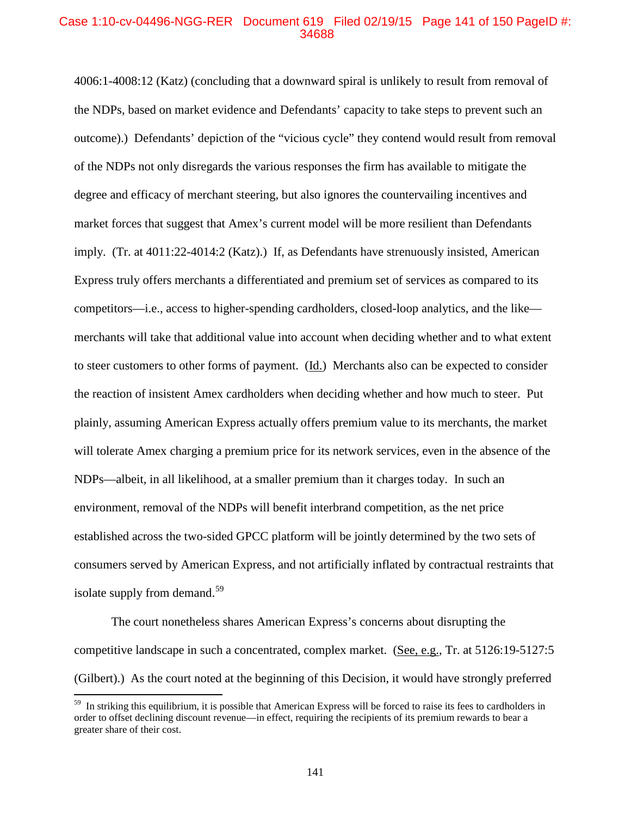### Case 1:10-cv-04496-NGG-RER Document 619 Filed 02/19/15 Page 141 of 150 PageID #: 34688

4006:1-4008:12 (Katz) (concluding that a downward spiral is unlikely to result from removal of the NDPs, based on market evidence and Defendants' capacity to take steps to prevent such an outcome).) Defendants' depiction of the "vicious cycle" they contend would result from removal of the NDPs not only disregards the various responses the firm has available to mitigate the degree and efficacy of merchant steering, but also ignores the countervailing incentives and market forces that suggest that Amex's current model will be more resilient than Defendants imply. (Tr. at 4011:22-4014:2 (Katz).) If, as Defendants have strenuously insisted, American Express truly offers merchants a differentiated and premium set of services as compared to its competitors—i.e., access to higher-spending cardholders, closed-loop analytics, and the like merchants will take that additional value into account when deciding whether and to what extent to steer customers to other forms of payment. (Id.) Merchants also can be expected to consider the reaction of insistent Amex cardholders when deciding whether and how much to steer. Put plainly, assuming American Express actually offers premium value to its merchants, the market will tolerate Amex charging a premium price for its network services, even in the absence of the NDPs—albeit, in all likelihood, at a smaller premium than it charges today. In such an environment, removal of the NDPs will benefit interbrand competition, as the net price established across the two-sided GPCC platform will be jointly determined by the two sets of consumers served by American Express, and not artificially inflated by contractual restraints that isolate supply from demand.<sup>59</sup>

The court nonetheless shares American Express's concerns about disrupting the competitive landscape in such a concentrated, complex market. (See, e.g., Tr. at 5126:19-5127:5 (Gilbert).) As the court noted at the beginning of this Decision, it would have strongly preferred

 $59$  In striking this equilibrium, it is possible that American Express will be forced to raise its fees to cardholders in order to offset declining discount revenue—in effect, requiring the recipients of its premium rewards to bear a greater share of their cost.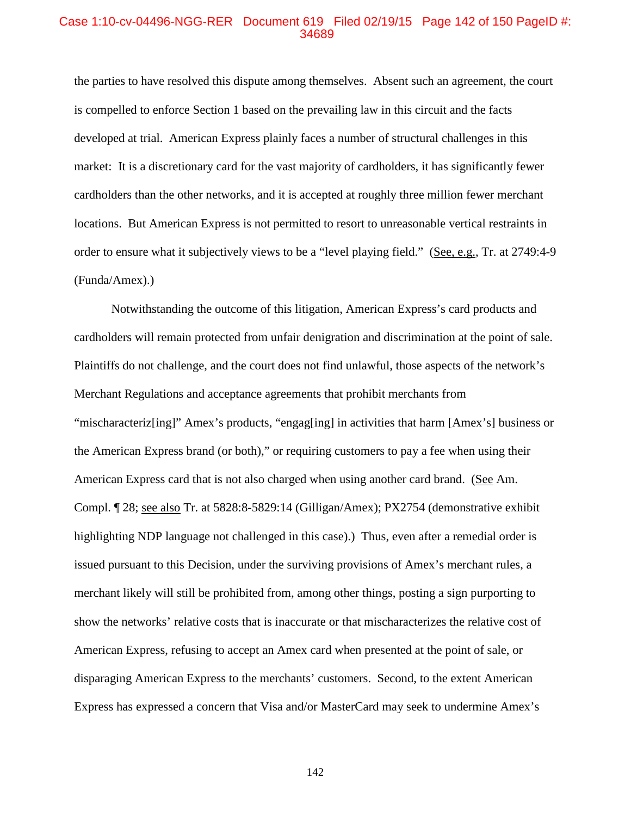### Case 1:10-cv-04496-NGG-RER Document 619 Filed 02/19/15 Page 142 of 150 PageID #: 34689

the parties to have resolved this dispute among themselves. Absent such an agreement, the court is compelled to enforce Section 1 based on the prevailing law in this circuit and the facts developed at trial. American Express plainly faces a number of structural challenges in this market: It is a discretionary card for the vast majority of cardholders, it has significantly fewer cardholders than the other networks, and it is accepted at roughly three million fewer merchant locations. But American Express is not permitted to resort to unreasonable vertical restraints in order to ensure what it subjectively views to be a "level playing field." (See, e.g., Tr. at 2749:4-9 (Funda/Amex).)

Notwithstanding the outcome of this litigation, American Express's card products and cardholders will remain protected from unfair denigration and discrimination at the point of sale. Plaintiffs do not challenge, and the court does not find unlawful, those aspects of the network's Merchant Regulations and acceptance agreements that prohibit merchants from "mischaracteriz[ing]" Amex's products, "engag[ing] in activities that harm [Amex's] business or the American Express brand (or both)," or requiring customers to pay a fee when using their American Express card that is not also charged when using another card brand. (See Am. Compl. ¶ 28; see also Tr. at 5828:8-5829:14 (Gilligan/Amex); PX2754 (demonstrative exhibit highlighting NDP language not challenged in this case).) Thus, even after a remedial order is issued pursuant to this Decision, under the surviving provisions of Amex's merchant rules, a merchant likely will still be prohibited from, among other things, posting a sign purporting to show the networks' relative costs that is inaccurate or that mischaracterizes the relative cost of American Express, refusing to accept an Amex card when presented at the point of sale, or disparaging American Express to the merchants' customers. Second, to the extent American Express has expressed a concern that Visa and/or MasterCard may seek to undermine Amex's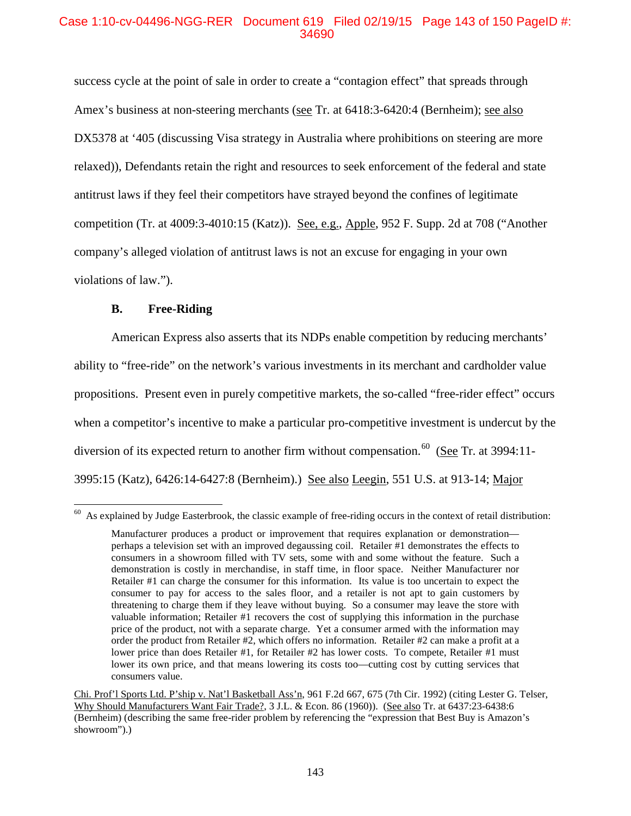# Case 1:10-cv-04496-NGG-RER Document 619 Filed 02/19/15 Page 143 of 150 PageID #: 34690

success cycle at the point of sale in order to create a "contagion effect" that spreads through Amex's business at non-steering merchants (see Tr. at 6418:3-6420:4 (Bernheim); see also DX5378 at '405 (discussing Visa strategy in Australia where prohibitions on steering are more relaxed)), Defendants retain the right and resources to seek enforcement of the federal and state antitrust laws if they feel their competitors have strayed beyond the confines of legitimate competition (Tr. at 4009:3-4010:15 (Katz)). See, e.g., Apple, 952 F. Supp. 2d at 708 ("Another company's alleged violation of antitrust laws is not an excuse for engaging in your own violations of law.").

# **B. Free-Riding**

American Express also asserts that its NDPs enable competition by reducing merchants' ability to "free-ride" on the network's various investments in its merchant and cardholder value propositions. Present even in purely competitive markets, the so-called "free-rider effect" occurs when a competitor's incentive to make a particular pro-competitive investment is undercut by the diversion of its expected return to another firm without compensation.<sup>60</sup> (See Tr. at 3994:11-3995:15 (Katz), 6426:14-6427:8 (Bernheim).) See also Leegin, 551 U.S. at 913-14; Major

 $60$  As explained by Judge Easterbrook, the classic example of free-riding occurs in the context of retail distribution:  $\overline{a}$ 

Manufacturer produces a product or improvement that requires explanation or demonstration perhaps a television set with an improved degaussing coil. Retailer #1 demonstrates the effects to consumers in a showroom filled with TV sets, some with and some without the feature. Such a demonstration is costly in merchandise, in staff time, in floor space. Neither Manufacturer nor Retailer #1 can charge the consumer for this information. Its value is too uncertain to expect the consumer to pay for access to the sales floor, and a retailer is not apt to gain customers by threatening to charge them if they leave without buying. So a consumer may leave the store with valuable information; Retailer #1 recovers the cost of supplying this information in the purchase price of the product, not with a separate charge. Yet a consumer armed with the information may order the product from Retailer #2, which offers no information. Retailer #2 can make a profit at a lower price than does Retailer #1, for Retailer #2 has lower costs. To compete, Retailer #1 must lower its own price, and that means lowering its costs too—cutting cost by cutting services that consumers value.

Chi. Prof'l Sports Ltd. P'ship v. Nat'l Basketball Ass'n, 961 F.2d 667, 675 (7th Cir. 1992) (citing Lester G. Telser, Why Should Manufacturers Want Fair Trade?, 3 J.L. & Econ. 86 (1960)). (See also Tr. at 6437:23-6438:6 (Bernheim) (describing the same free-rider problem by referencing the "expression that Best Buy is Amazon's showroom").)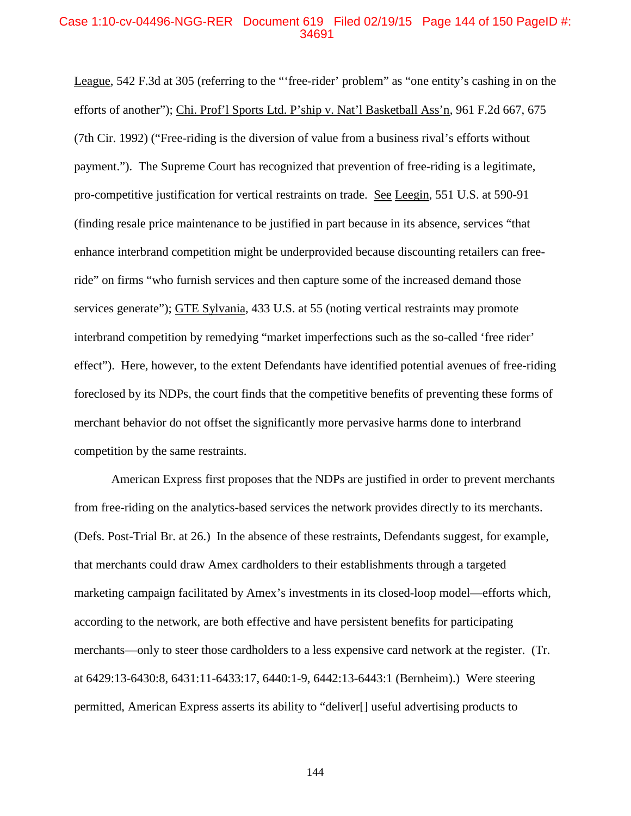# Case 1:10-cv-04496-NGG-RER Document 619 Filed 02/19/15 Page 144 of 150 PageID #: 34691

League, 542 F.3d at 305 (referring to the "'free-rider' problem" as "one entity's cashing in on the efforts of another"); Chi. Prof'l Sports Ltd. P'ship v. Nat'l Basketball Ass'n, 961 F.2d 667, 675 (7th Cir. 1992) ("Free-riding is the diversion of value from a business rival's efforts without payment."). The Supreme Court has recognized that prevention of free-riding is a legitimate, pro-competitive justification for vertical restraints on trade. See Leegin, 551 U.S. at 590-91 (finding resale price maintenance to be justified in part because in its absence, services "that enhance interbrand competition might be underprovided because discounting retailers can freeride" on firms "who furnish services and then capture some of the increased demand those services generate"); GTE Sylvania, 433 U.S. at 55 (noting vertical restraints may promote interbrand competition by remedying "market imperfections such as the so-called 'free rider' effect"). Here, however, to the extent Defendants have identified potential avenues of free-riding foreclosed by its NDPs, the court finds that the competitive benefits of preventing these forms of merchant behavior do not offset the significantly more pervasive harms done to interbrand competition by the same restraints.

American Express first proposes that the NDPs are justified in order to prevent merchants from free-riding on the analytics-based services the network provides directly to its merchants. (Defs. Post-Trial Br. at 26.) In the absence of these restraints, Defendants suggest, for example, that merchants could draw Amex cardholders to their establishments through a targeted marketing campaign facilitated by Amex's investments in its closed-loop model—efforts which, according to the network, are both effective and have persistent benefits for participating merchants—only to steer those cardholders to a less expensive card network at the register. (Tr. at 6429:13-6430:8, 6431:11-6433:17, 6440:1-9, 6442:13-6443:1 (Bernheim).) Were steering permitted, American Express asserts its ability to "deliver[] useful advertising products to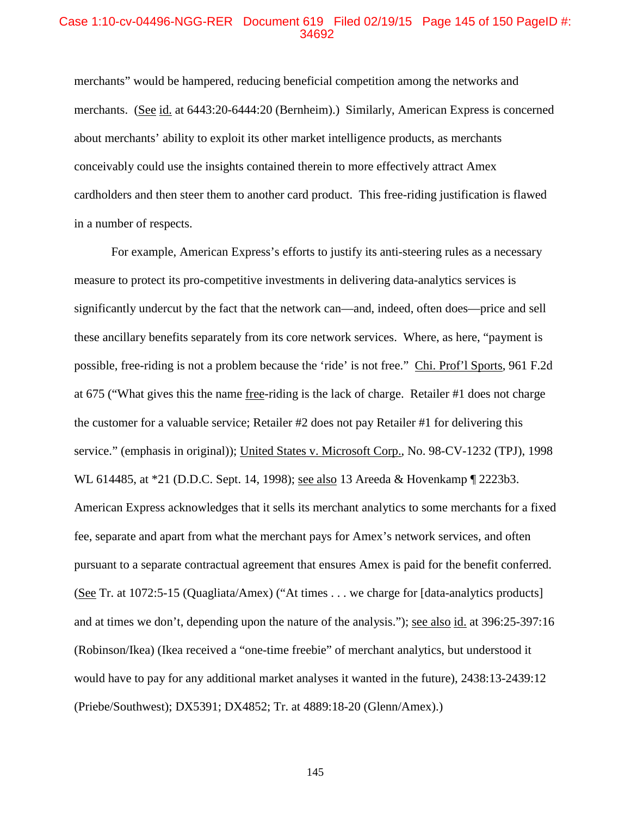### Case 1:10-cv-04496-NGG-RER Document 619 Filed 02/19/15 Page 145 of 150 PageID #: 34692

merchants" would be hampered, reducing beneficial competition among the networks and merchants. (See id. at 6443:20-6444:20 (Bernheim).) Similarly, American Express is concerned about merchants' ability to exploit its other market intelligence products, as merchants conceivably could use the insights contained therein to more effectively attract Amex cardholders and then steer them to another card product. This free-riding justification is flawed in a number of respects.

For example, American Express's efforts to justify its anti-steering rules as a necessary measure to protect its pro-competitive investments in delivering data-analytics services is significantly undercut by the fact that the network can—and, indeed, often does—price and sell these ancillary benefits separately from its core network services. Where, as here, "payment is possible, free-riding is not a problem because the 'ride' is not free." Chi. Prof'l Sports, 961 F.2d at 675 ("What gives this the name free-riding is the lack of charge. Retailer #1 does not charge the customer for a valuable service; Retailer #2 does not pay Retailer #1 for delivering this service." (emphasis in original)); United States v. Microsoft Corp., No. 98-CV-1232 (TPJ), 1998 WL 614485, at \*21 (D.D.C. Sept. 14, 1998); see also 13 Areeda & Hovenkamp ¶ 2223b3. American Express acknowledges that it sells its merchant analytics to some merchants for a fixed fee, separate and apart from what the merchant pays for Amex's network services, and often pursuant to a separate contractual agreement that ensures Amex is paid for the benefit conferred. (See Tr. at 1072:5-15 (Quagliata/Amex) ("At times . . . we charge for [data-analytics products] and at times we don't, depending upon the nature of the analysis."); see also id. at 396:25-397:16 (Robinson/Ikea) (Ikea received a "one-time freebie" of merchant analytics, but understood it would have to pay for any additional market analyses it wanted in the future), 2438:13-2439:12 (Priebe/Southwest); DX5391; DX4852; Tr. at 4889:18-20 (Glenn/Amex).)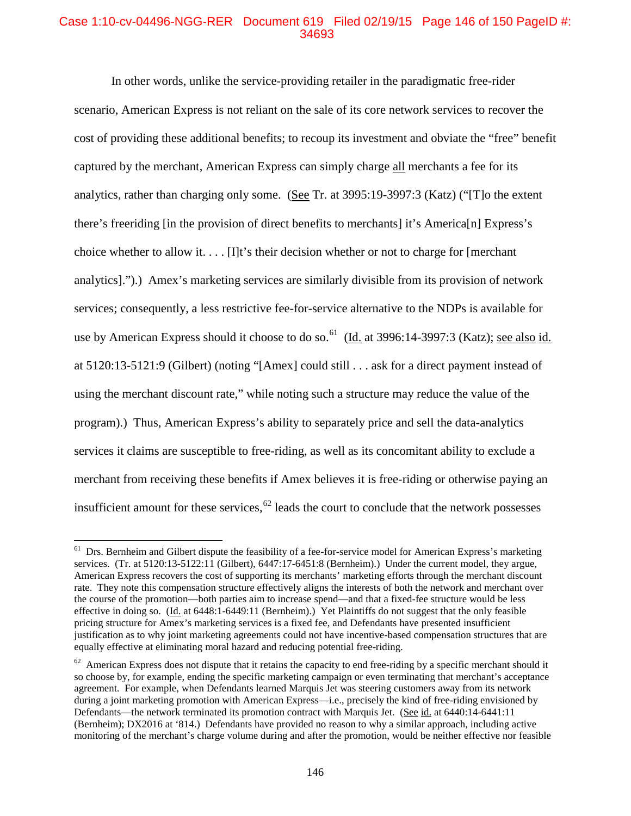# Case 1:10-cv-04496-NGG-RER Document 619 Filed 02/19/15 Page 146 of 150 PageID #: 34693

In other words, unlike the service-providing retailer in the paradigmatic free-rider scenario, American Express is not reliant on the sale of its core network services to recover the cost of providing these additional benefits; to recoup its investment and obviate the "free" benefit captured by the merchant, American Express can simply charge all merchants a fee for its analytics, rather than charging only some. (See Tr. at 3995:19-3997:3 (Katz) ("[T]o the extent there's freeriding [in the provision of direct benefits to merchants] it's America[n] Express's choice whether to allow it.  $\ldots$  [I]t's their decision whether or not to charge for [merchant] analytics].").) Amex's marketing services are similarly divisible from its provision of network services; consequently, a less restrictive fee-for-service alternative to the NDPs is available for use by American Express should it choose to do so.<sup>61</sup> (Id. at 3996:14-3997:3 (Katz); <u>see also</u> id. at 5120:13-5121:9 (Gilbert) (noting "[Amex] could still . . . ask for a direct payment instead of using the merchant discount rate," while noting such a structure may reduce the value of the program).) Thus, American Express's ability to separately price and sell the data-analytics services it claims are susceptible to free-riding, as well as its concomitant ability to exclude a merchant from receiving these benefits if Amex believes it is free-riding or otherwise paying an insufficient amount for these services, <sup>62</sup> leads the court to conclude that the network possesses

 $\overline{a}$ 

 $61$  Drs. Bernheim and Gilbert dispute the feasibility of a fee-for-service model for American Express's marketing services. (Tr. at 5120:13-5122:11 (Gilbert), 6447:17-6451:8 (Bernheim).) Under the current model, they argue, American Express recovers the cost of supporting its merchants' marketing efforts through the merchant discount rate. They note this compensation structure effectively aligns the interests of both the network and merchant over the course of the promotion—both parties aim to increase spend—and that a fixed-fee structure would be less effective in doing so. (Id. at 6448:1-6449:11 (Bernheim).) Yet Plaintiffs do not suggest that the only feasible pricing structure for Amex's marketing services is a fixed fee, and Defendants have presented insufficient justification as to why joint marketing agreements could not have incentive-based compensation structures that are equally effective at eliminating moral hazard and reducing potential free-riding.

 $62$  American Express does not dispute that it retains the capacity to end free-riding by a specific merchant should it so choose by, for example, ending the specific marketing campaign or even terminating that merchant's acceptance agreement. For example, when Defendants learned Marquis Jet was steering customers away from its network during a joint marketing promotion with American Express—i.e., precisely the kind of free-riding envisioned by Defendants—the network terminated its promotion contract with Marquis Jet. (See id. at 6440:14-6441:11 (Bernheim); DX2016 at '814.) Defendants have provided no reason to why a similar approach, including active monitoring of the merchant's charge volume during and after the promotion, would be neither effective nor feasible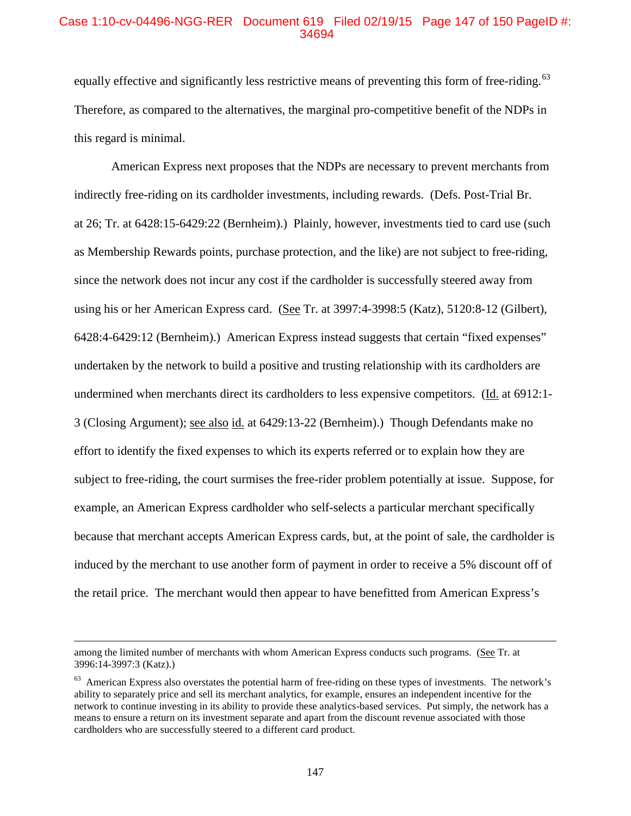## Case 1:10-cv-04496-NGG-RER Document 619 Filed 02/19/15 Page 147 of 150 PageID #: 34694

equally effective and significantly less restrictive means of preventing this form of free-riding.<sup>63</sup> Therefore, as compared to the alternatives, the marginal pro-competitive benefit of the NDPs in this regard is minimal.

American Express next proposes that the NDPs are necessary to prevent merchants from indirectly free-riding on its cardholder investments, including rewards. (Defs. Post-Trial Br. at 26; Tr. at 6428:15-6429:22 (Bernheim).) Plainly, however, investments tied to card use (such as Membership Rewards points, purchase protection, and the like) are not subject to free-riding, since the network does not incur any cost if the cardholder is successfully steered away from using his or her American Express card. (See Tr. at 3997:4-3998:5 (Katz), 5120:8-12 (Gilbert), 6428:4-6429:12 (Bernheim).) American Express instead suggests that certain "fixed expenses" undertaken by the network to build a positive and trusting relationship with its cardholders are undermined when merchants direct its cardholders to less expensive competitors. (Id. at 6912:1- 3 (Closing Argument); see also id. at 6429:13-22 (Bernheim).) Though Defendants make no effort to identify the fixed expenses to which its experts referred or to explain how they are subject to free-riding, the court surmises the free-rider problem potentially at issue. Suppose, for example, an American Express cardholder who self-selects a particular merchant specifically because that merchant accepts American Express cards, but, at the point of sale, the cardholder is induced by the merchant to use another form of payment in order to receive a 5% discount off of the retail price. The merchant would then appear to have benefitted from American Express's

 $\ddot{\phantom{a}}$ 

among the limited number of merchants with whom American Express conducts such programs. (See Tr. at 3996:14-3997:3 (Katz).)

<sup>&</sup>lt;sup>63</sup> American Express also overstates the potential harm of free-riding on these types of investments. The network's ability to separately price and sell its merchant analytics, for example, ensures an independent incentive for the network to continue investing in its ability to provide these analytics-based services. Put simply, the network has a means to ensure a return on its investment separate and apart from the discount revenue associated with those cardholders who are successfully steered to a different card product.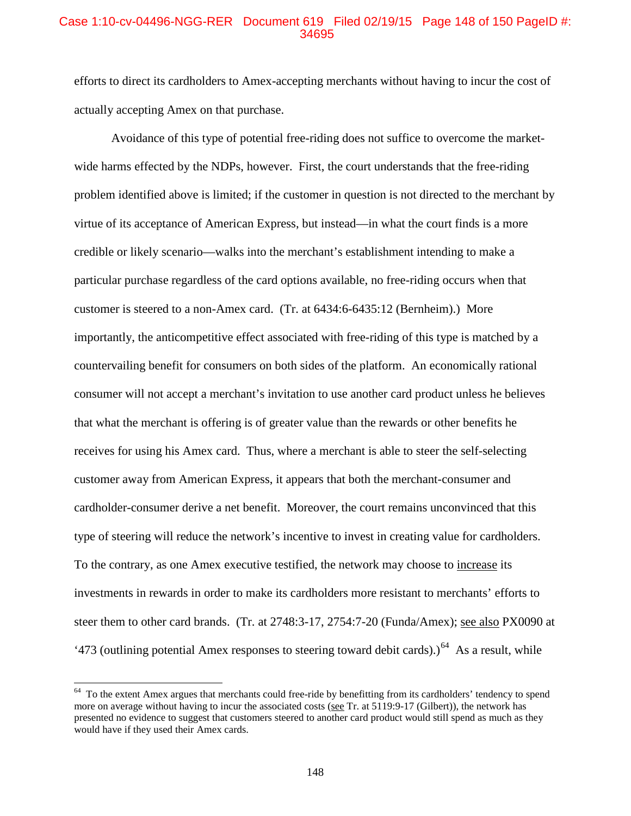## Case 1:10-cv-04496-NGG-RER Document 619 Filed 02/19/15 Page 148 of 150 PageID #: 34695

efforts to direct its cardholders to Amex-accepting merchants without having to incur the cost of actually accepting Amex on that purchase.

Avoidance of this type of potential free-riding does not suffice to overcome the marketwide harms effected by the NDPs, however. First, the court understands that the free-riding problem identified above is limited; if the customer in question is not directed to the merchant by virtue of its acceptance of American Express, but instead—in what the court finds is a more credible or likely scenario—walks into the merchant's establishment intending to make a particular purchase regardless of the card options available, no free-riding occurs when that customer is steered to a non-Amex card. (Tr. at 6434:6-6435:12 (Bernheim).) More importantly, the anticompetitive effect associated with free-riding of this type is matched by a countervailing benefit for consumers on both sides of the platform. An economically rational consumer will not accept a merchant's invitation to use another card product unless he believes that what the merchant is offering is of greater value than the rewards or other benefits he receives for using his Amex card. Thus, where a merchant is able to steer the self-selecting customer away from American Express, it appears that both the merchant-consumer and cardholder-consumer derive a net benefit. Moreover, the court remains unconvinced that this type of steering will reduce the network's incentive to invest in creating value for cardholders. To the contrary, as one Amex executive testified, the network may choose to increase its investments in rewards in order to make its cardholders more resistant to merchants' efforts to steer them to other card brands. (Tr. at 2748:3-17, 2754:7-20 (Funda/Amex); see also PX0090 at '473 (outlining potential Amex responses to steering toward debit cards).)<sup>64</sup> As a result, while

 $\overline{a}$ 

<sup>&</sup>lt;sup>64</sup> To the extent Amex argues that merchants could free-ride by benefitting from its cardholders' tendency to spend more on average without having to incur the associated costs (see Tr. at 5119:9-17 (Gilbert)), the network has presented no evidence to suggest that customers steered to another card product would still spend as much as they would have if they used their Amex cards.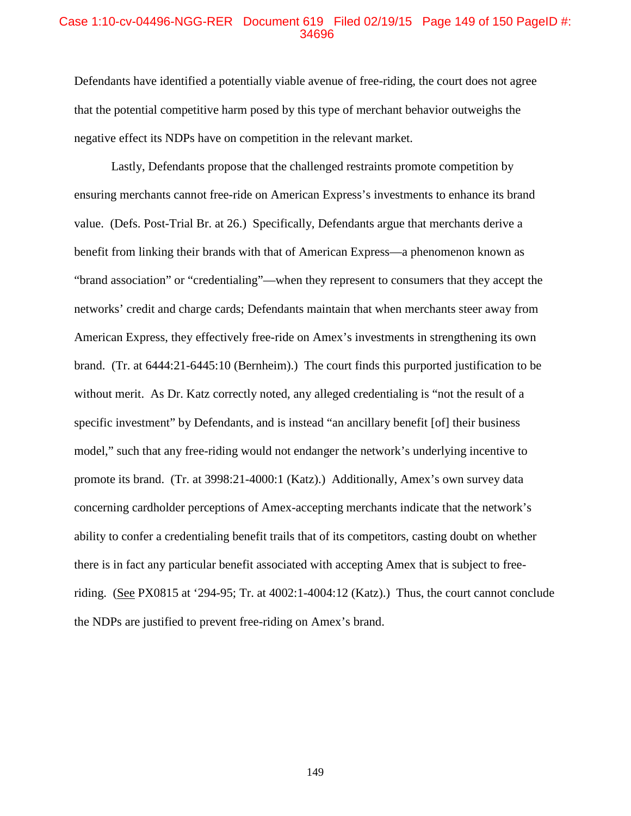### Case 1:10-cv-04496-NGG-RER Document 619 Filed 02/19/15 Page 149 of 150 PageID #: 34696

Defendants have identified a potentially viable avenue of free-riding, the court does not agree that the potential competitive harm posed by this type of merchant behavior outweighs the negative effect its NDPs have on competition in the relevant market.

Lastly, Defendants propose that the challenged restraints promote competition by ensuring merchants cannot free-ride on American Express's investments to enhance its brand value. (Defs. Post-Trial Br. at 26.) Specifically, Defendants argue that merchants derive a benefit from linking their brands with that of American Express—a phenomenon known as "brand association" or "credentialing"—when they represent to consumers that they accept the networks' credit and charge cards; Defendants maintain that when merchants steer away from American Express, they effectively free-ride on Amex's investments in strengthening its own brand. (Tr. at 6444:21-6445:10 (Bernheim).) The court finds this purported justification to be without merit. As Dr. Katz correctly noted, any alleged credentialing is "not the result of a specific investment" by Defendants, and is instead "an ancillary benefit [of] their business model," such that any free-riding would not endanger the network's underlying incentive to promote its brand. (Tr. at 3998:21-4000:1 (Katz).) Additionally, Amex's own survey data concerning cardholder perceptions of Amex-accepting merchants indicate that the network's ability to confer a credentialing benefit trails that of its competitors, casting doubt on whether there is in fact any particular benefit associated with accepting Amex that is subject to freeriding. (See PX0815 at '294-95; Tr. at 4002:1-4004:12 (Katz).) Thus, the court cannot conclude the NDPs are justified to prevent free-riding on Amex's brand.